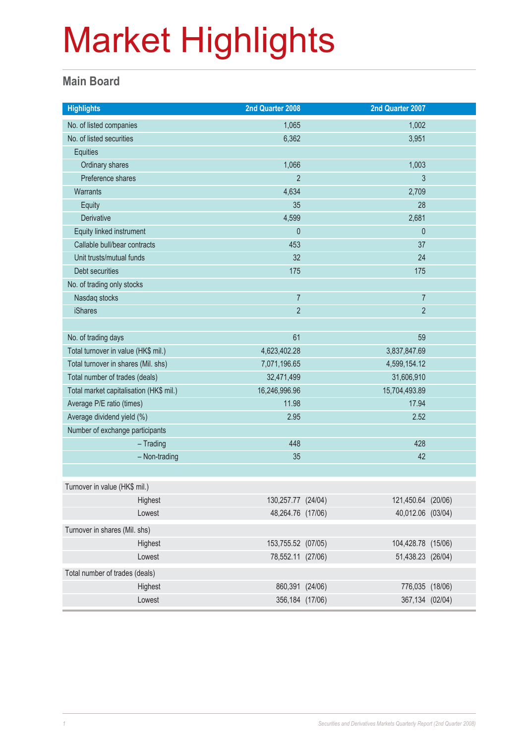#### **Main Board**

| <b>Highlights</b>                       |               | 2nd Quarter 2008   |              | 2nd Quarter 2007   |  |
|-----------------------------------------|---------------|--------------------|--------------|--------------------|--|
| No. of listed companies                 |               | 1,065              |              | 1,002              |  |
| No. of listed securities                |               | 6,362              |              | 3,951              |  |
| Equities                                |               |                    |              |                    |  |
| Ordinary shares                         |               | 1,066              |              | 1,003              |  |
| Preference shares                       |               | $\overline{2}$     |              | 3                  |  |
| Warrants                                |               | 4,634              |              | 2,709              |  |
| Equity                                  |               | 35                 |              | 28                 |  |
| Derivative                              |               | 4,599              |              | 2,681              |  |
| Equity linked instrument                |               | $\mathbf{0}$       |              | $\theta$           |  |
| Callable bull/bear contracts            |               | 453                |              | 37                 |  |
| Unit trusts/mutual funds                |               | 32                 |              | 24                 |  |
| Debt securities                         |               | 175                |              | 175                |  |
| No. of trading only stocks              |               |                    |              |                    |  |
| Nasdaq stocks                           |               | $\overline{7}$     |              | $\overline{7}$     |  |
| <b>iShares</b>                          |               | $\overline{2}$     |              | $\overline{2}$     |  |
|                                         |               |                    |              |                    |  |
| No. of trading days                     |               | 61                 |              | 59                 |  |
| Total turnover in value (HK\$ mil.)     |               | 4,623,402.28       |              | 3,837,847.69       |  |
| Total turnover in shares (Mil. shs)     |               | 7,071,196.65       | 4,599,154.12 |                    |  |
| Total number of trades (deals)          |               | 32,471,499         | 31,606,910   |                    |  |
| Total market capitalisation (HK\$ mil.) |               | 16,246,996.96      |              | 15,704,493.89      |  |
| Average P/E ratio (times)               |               | 11.98              |              | 17.94              |  |
| Average dividend yield (%)              |               | 2.95               |              | 2.52               |  |
| Number of exchange participants         |               |                    |              |                    |  |
|                                         | $-$ Trading   | 448                |              | 428                |  |
|                                         | - Non-trading | 35                 |              | 42                 |  |
|                                         |               |                    |              |                    |  |
| Turnover in value (HK\$ mil.)           |               |                    |              |                    |  |
|                                         | Highest       | 130,257.77 (24/04) |              | 121,450.64 (20/06) |  |
|                                         | Lowest        | 48,264.76 (17/06)  |              | 40,012.06 (03/04)  |  |
| Turnover in shares (Mil. shs)           |               |                    |              |                    |  |
|                                         | Highest       | 153,755.52 (07/05) |              | 104,428.78 (15/06) |  |
|                                         | Lowest        | 78,552.11 (27/06)  |              | 51,438.23 (26/04)  |  |
| Total number of trades (deals)          |               |                    |              |                    |  |
|                                         | Highest       | 860,391 (24/06)    |              | 776,035 (18/06)    |  |
|                                         | Lowest        | 356,184 (17/06)    |              | 367,134 (02/04)    |  |
|                                         |               |                    |              |                    |  |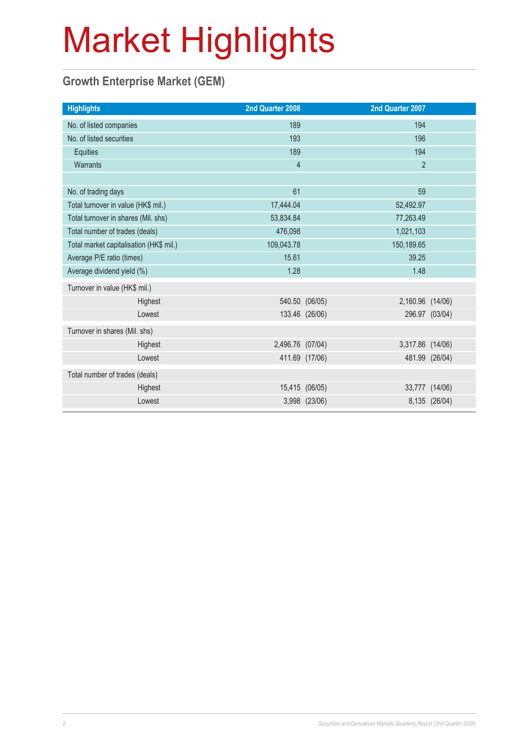### **Growth Enterprise Market (GEM)**

| 2nd Quarter 2008               |  | 2nd Quarter 2007                                                                                          |                                      |
|--------------------------------|--|-----------------------------------------------------------------------------------------------------------|--------------------------------------|
| 189                            |  | 194                                                                                                       |                                      |
| 193                            |  | 196                                                                                                       |                                      |
| 189                            |  | 194                                                                                                       |                                      |
| $\overline{4}$                 |  | $\overline{2}$                                                                                            |                                      |
|                                |  |                                                                                                           |                                      |
| 61                             |  | 59                                                                                                        |                                      |
| 17,444.04                      |  | 52,492.97                                                                                                 |                                      |
| 53,834.84                      |  | 77,263.49                                                                                                 |                                      |
| 476,098                        |  | 1,021,103                                                                                                 |                                      |
| 109,043.78                     |  | 150,189.65                                                                                                |                                      |
| 15.61                          |  | 39.25                                                                                                     |                                      |
| 1.28                           |  | 1.48                                                                                                      |                                      |
|                                |  |                                                                                                           |                                      |
|                                |  |                                                                                                           |                                      |
|                                |  |                                                                                                           | 296.97 (03/04)                       |
|                                |  |                                                                                                           |                                      |
|                                |  |                                                                                                           |                                      |
|                                |  |                                                                                                           | 481.99 (26/04)                       |
| Total number of trades (deals) |  |                                                                                                           |                                      |
|                                |  |                                                                                                           | 33,777 (14/06)                       |
|                                |  |                                                                                                           | 8,135 (26/04)                        |
|                                |  | 540.50 (06/05)<br>133.46 (26/06)<br>2,496.76 (07/04)<br>411.69 (17/06)<br>15,415 (06/05)<br>3,998 (23/06) | 2,160.96 (14/06)<br>3,317.86 (14/06) |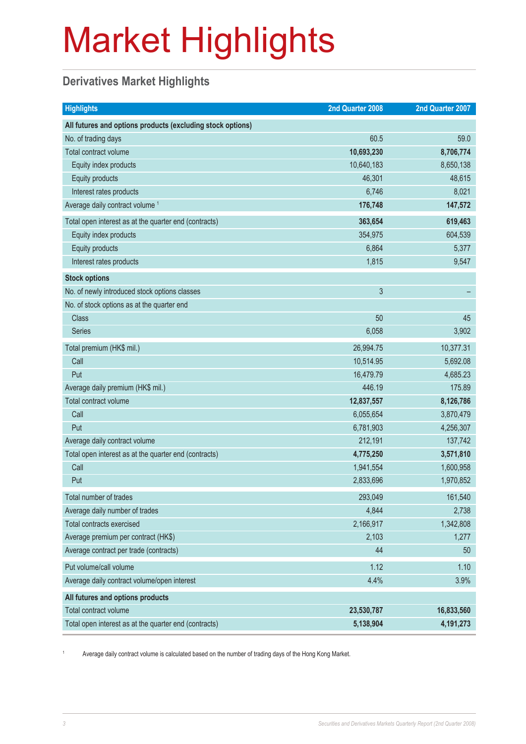### **Derivatives Market Highlights**

| <b>Highlights</b>                                          | 2nd Quarter 2008 | 2nd Quarter 2007 |
|------------------------------------------------------------|------------------|------------------|
| All futures and options products (excluding stock options) |                  |                  |
| No. of trading days                                        | 60.5             | 59.0             |
| Total contract volume                                      | 10,693,230       | 8,706,774        |
| Equity index products                                      | 10,640,183       | 8,650,138        |
| Equity products                                            | 46,301           | 48,615           |
| Interest rates products                                    | 6,746            | 8,021            |
| Average daily contract volume <sup>1</sup>                 | 176,748          | 147,572          |
| Total open interest as at the quarter end (contracts)      | 363,654          | 619,463          |
| Equity index products                                      | 354,975          | 604,539          |
| Equity products                                            | 6,864            | 5,377            |
| Interest rates products                                    | 1,815            | 9,547            |
| <b>Stock options</b>                                       |                  |                  |
| No. of newly introduced stock options classes              | 3                |                  |
| No. of stock options as at the quarter end                 |                  |                  |
| <b>Class</b>                                               | 50               | 45               |
| <b>Series</b>                                              | 6,058            | 3,902            |
| Total premium (HK\$ mil.)                                  | 26,994.75        | 10,377.31        |
| Call                                                       | 10,514.95        | 5,692.08         |
| Put                                                        | 16,479.79        | 4,685.23         |
| Average daily premium (HK\$ mil.)                          | 446.19           | 175.89           |
| Total contract volume                                      | 12,837,557       | 8,126,786        |
| Call                                                       | 6,055,654        | 3,870,479        |
| Put                                                        | 6,781,903        | 4,256,307        |
| Average daily contract volume                              | 212,191          | 137,742          |
| Total open interest as at the quarter end (contracts)      | 4,775,250        | 3,571,810        |
| Call                                                       | 1,941,554        | 1,600,958        |
| Put                                                        | 2,833,696        | 1,970,852        |
| Total number of trades                                     | 293,049          | 161,540          |
| Average daily number of trades                             | 4,844            | 2,738            |
| Total contracts exercised                                  | 2,166,917        | 1,342,808        |
| Average premium per contract (HK\$)                        | 2,103            | 1,277            |
| Average contract per trade (contracts)                     | 44               | 50               |
| Put volume/call volume                                     | 1.12             | 1.10             |
| Average daily contract volume/open interest                | 4.4%             | 3.9%             |
| All futures and options products                           |                  |                  |
| Total contract volume                                      | 23,530,787       | 16,833,560       |
| Total open interest as at the quarter end (contracts)      | 5,138,904        | 4,191,273        |

1 Average daily contract volume is calculated based on the number of trading days of the Hong Kong Market.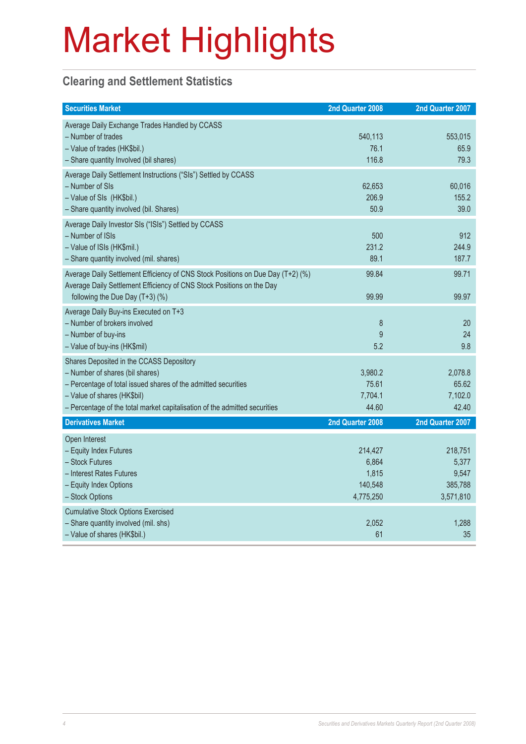#### **Clearing and Settlement Statistics**

| <b>Securities Market</b>                                                                                                                                                                                                                                   | 2nd Quarter 2008                                  | 2nd Quarter 2007                                  |
|------------------------------------------------------------------------------------------------------------------------------------------------------------------------------------------------------------------------------------------------------------|---------------------------------------------------|---------------------------------------------------|
| Average Daily Exchange Trades Handled by CCASS<br>- Number of trades<br>- Value of trades (HK\$bil.)<br>- Share quantity Involved (bil shares)                                                                                                             | 540,113<br>76.1<br>116.8                          | 553,015<br>65.9<br>79.3                           |
| Average Daily Settlement Instructions ("SIs") Settled by CCASS<br>- Number of SIs<br>- Value of SIs (HK\$bil.)<br>- Share quantity involved (bil. Shares)                                                                                                  | 62,653<br>206.9<br>50.9                           | 60,016<br>155.2<br>39.0                           |
| Average Daily Investor SIs ("ISIs") Settled by CCASS<br>- Number of ISIs<br>- Value of ISIs (HK\$mil.)<br>- Share quantity involved (mil. shares)                                                                                                          | 500<br>231.2<br>89.1                              | 912<br>244.9<br>187.7                             |
| Average Daily Settlement Efficiency of CNS Stock Positions on Due Day (T+2) (%)<br>Average Daily Settlement Efficiency of CNS Stock Positions on the Day<br>following the Due Day (T+3) (%)                                                                | 99.84<br>99.99                                    | 99.71<br>99.97                                    |
| Average Daily Buy-ins Executed on T+3<br>- Number of brokers involved<br>- Number of buy-ins<br>- Value of buy-ins (HK\$mil)                                                                                                                               | 8<br>9<br>5.2                                     | 20<br>24<br>9.8                                   |
| Shares Deposited in the CCASS Depository<br>- Number of shares (bil shares)<br>- Percentage of total issued shares of the admitted securities<br>- Value of shares (HK\$bil)<br>- Percentage of the total market capitalisation of the admitted securities | 3,980.2<br>75.61<br>7,704.1<br>44.60              | 2,078.8<br>65.62<br>7,102.0<br>42.40              |
| <b>Derivatives Market</b>                                                                                                                                                                                                                                  | 2nd Quarter 2008                                  | 2nd Quarter 2007                                  |
| Open Interest<br>- Equity Index Futures<br>- Stock Futures<br>- Interest Rates Futures<br>- Equity Index Options<br>- Stock Options                                                                                                                        | 214,427<br>6,864<br>1,815<br>140,548<br>4,775,250 | 218,751<br>5,377<br>9,547<br>385,788<br>3,571,810 |
| <b>Cumulative Stock Options Exercised</b><br>- Share quantity involved (mil. shs)<br>- Value of shares (HK\$bil.)                                                                                                                                          | 2,052<br>61                                       | 1,288<br>35                                       |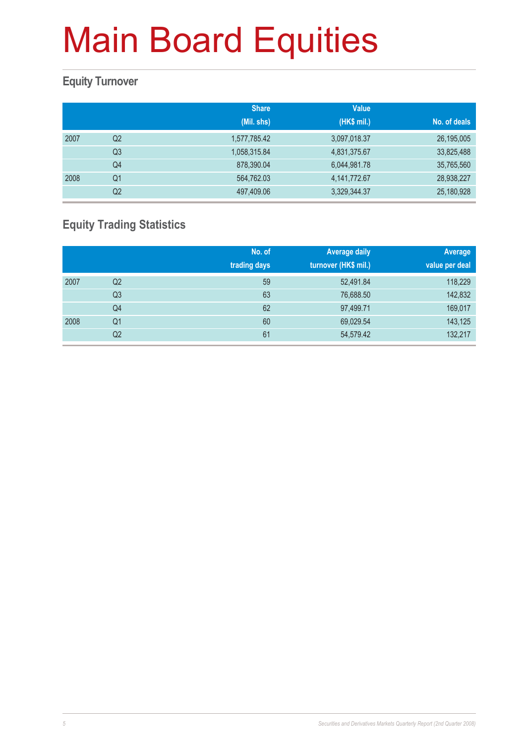#### **Equity Turnover**

|      |                | <b>Share</b> | <b>Value</b> |              |
|------|----------------|--------------|--------------|--------------|
|      |                | (Mil. shs)   | (HK\$ mil.)  | No. of deals |
| 2007 | Q <sub>2</sub> | 1,577,785.42 | 3,097,018.37 | 26,195,005   |
|      | Q <sub>3</sub> | 1,058,315.84 | 4,831,375.67 | 33,825,488   |
|      | Q4             | 878,390.04   | 6,044,981.78 | 35,765,560   |
| 2008 | Q1             | 564,762.03   | 4,141,772.67 | 28,938,227   |
|      | Q2             | 497,409.06   | 3,329,344.37 | 25,180,928   |

### **Equity Trading Statistics**

|      |                | No. of<br>trading days | <b>Average daily</b><br>turnover (HK\$ mil.) | Average<br>value per deal |
|------|----------------|------------------------|----------------------------------------------|---------------------------|
| 2007 | Q2             | 59                     | 52,491.84                                    | 118,229                   |
|      | Q <sub>3</sub> | 63                     | 76,688.50                                    | 142,832                   |
|      | Q4             | 62                     | 97,499.71                                    | 169,017                   |
| 2008 | Q <sub>1</sub> | 60                     | 69,029.54                                    | 143,125                   |
|      | Q2             | 61                     | 54,579.42                                    | 132,217                   |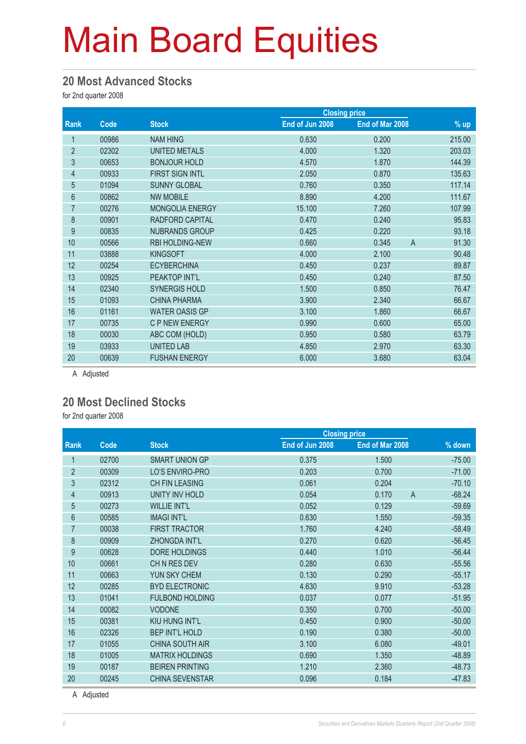#### **20 Most Advanced Stocks**

for 2nd quarter 2008

|                |       |                        |                 | <b>Closing price</b>    |        |
|----------------|-------|------------------------|-----------------|-------------------------|--------|
| Rank           | Code  | <b>Stock</b>           | End of Jun 2008 | End of Mar 2008         | $%$ up |
| 1              | 00986 | <b>NAM HING</b>        | 0.630           | 0.200                   | 215.00 |
| $\overline{2}$ | 02302 | <b>UNITED METALS</b>   | 4.000           | 1.320                   | 203.03 |
| 3              | 00653 | <b>BONJOUR HOLD</b>    | 4.570           | 1.870                   | 144.39 |
| 4              | 00933 | <b>FIRST SIGN INTL</b> | 2.050           | 0.870                   | 135.63 |
| $\overline{5}$ | 01094 | <b>SUNNY GLOBAL</b>    | 0.760           | 0.350                   | 117.14 |
| 6              | 00862 | <b>NW MOBILE</b>       | 8.890           | 4.200                   | 111.67 |
| $\overline{7}$ | 00276 | <b>MONGOLIA ENERGY</b> | 15.100          | 7.260                   | 107.99 |
| 8              | 00901 | RADFORD CAPITAL        | 0.470           | 0.240                   | 95.83  |
| 9              | 00835 | <b>NUBRANDS GROUP</b>  | 0.425           | 0.220                   | 93.18  |
| 10             | 00566 | <b>RBI HOLDING-NEW</b> | 0.660           | $\overline{A}$<br>0.345 | 91.30  |
| 11             | 03888 | <b>KINGSOFT</b>        | 4.000           | 2.100                   | 90.48  |
| 12             | 00254 | <b>ECYBERCHINA</b>     | 0.450           | 0.237                   | 89.87  |
| 13             | 00925 | <b>PEAKTOP INT'L</b>   | 0.450           | 0.240                   | 87.50  |
| 14             | 02340 | <b>SYNERGIS HOLD</b>   | 1.500           | 0.850                   | 76.47  |
| 15             | 01093 | <b>CHINA PHARMA</b>    | 3.900           | 2.340                   | 66.67  |
| 16             | 01161 | <b>WATER OASIS GP</b>  | 3.100           | 1.860                   | 66.67  |
| 17             | 00735 | <b>C P NEW ENERGY</b>  | 0.990           | 0.600                   | 65.00  |
| 18             | 00030 | ABC COM (HOLD)         | 0.950           | 0.580                   | 63.79  |
| 19             | 03933 | <b>UNITED LAB</b>      | 4.850           | 2.970                   | 63.30  |
| 20             | 00639 | <b>FUSHAN ENERGY</b>   | 6.000           | 3.680                   | 63.04  |

A Adjusted

#### **20 Most Declined Stocks**

for 2nd quarter 2008

| <b>Rank</b><br>End of Jun 2008<br>End of Mar 2008<br>Code<br><b>Stock</b><br>02700<br><b>SMART UNION GP</b><br>0.375<br>1.500 | % down<br>$-75.00$<br>$-71.00$<br>$-70.10$ |
|-------------------------------------------------------------------------------------------------------------------------------|--------------------------------------------|
|                                                                                                                               |                                            |
|                                                                                                                               |                                            |
| $\overline{2}$<br>LO'S ENVIRO-PRO<br>00309<br>0.203<br>0.700                                                                  |                                            |
| 3<br>02312<br><b>CH FIN LEASING</b><br>0.061<br>0.204                                                                         |                                            |
| $\overline{A}$<br>$\overline{4}$<br>00913<br>UNITY INV HOLD<br>0.054<br>0.170                                                 | $-68.24$                                   |
| $\overline{5}$<br><b>WILLIE INT'L</b><br>0.052<br>0.129<br>00273                                                              | $-59.69$                                   |
| $6\phantom{1}$<br><b>IMAGI INT'L</b><br>00585<br>0.630<br>1.550                                                               | $-59.35$                                   |
| 7<br><b>FIRST TRACTOR</b><br>00038<br>1.760<br>4.240                                                                          | $-58.49$                                   |
| 8<br><b>ZHONGDA INT'L</b><br>00909<br>0.270<br>0.620                                                                          | $-56.45$                                   |
| 9<br>DORE HOLDINGS<br>00628<br>0.440<br>1.010                                                                                 | $-56.44$                                   |
| CH N RES DEV<br>10<br>00661<br>0.280<br>0.630                                                                                 | $-55.56$                                   |
| 11<br>YUN SKY CHEM<br>00663<br>0.130<br>0.290                                                                                 | $-55.17$                                   |
| 12<br><b>BYD ELECTRONIC</b><br>00285<br>4.630<br>9.910                                                                        | $-53.28$                                   |
| 13<br>01041<br><b>FULBOND HOLDING</b><br>0.037<br>0.077                                                                       | $-51.95$                                   |
| 14<br><b>VODONE</b><br>00082<br>0.350<br>0.700                                                                                | $-50.00$                                   |
| 15<br>KIU HUNG INT'L<br>00381<br>0.450<br>0.900                                                                               | $-50.00$                                   |
| 16<br><b>BEP INT'L HOLD</b><br>02326<br>0.190<br>0.380                                                                        | $-50.00$                                   |
| 17<br>01055<br><b>CHINA SOUTH AIR</b><br>3.100<br>6.080                                                                       | $-49.01$                                   |
| 18<br><b>MATRIX HOLDINGS</b><br>01005<br>0.690<br>1.350                                                                       | $-48.89$                                   |
| 19<br><b>BEIREN PRINTING</b><br>00187<br>1.210<br>2.360                                                                       | $-48.73$                                   |
| <b>CHINA SEVENSTAR</b><br>20<br>00245<br>0.096<br>0.184                                                                       | $-47.83$                                   |

A Adjusted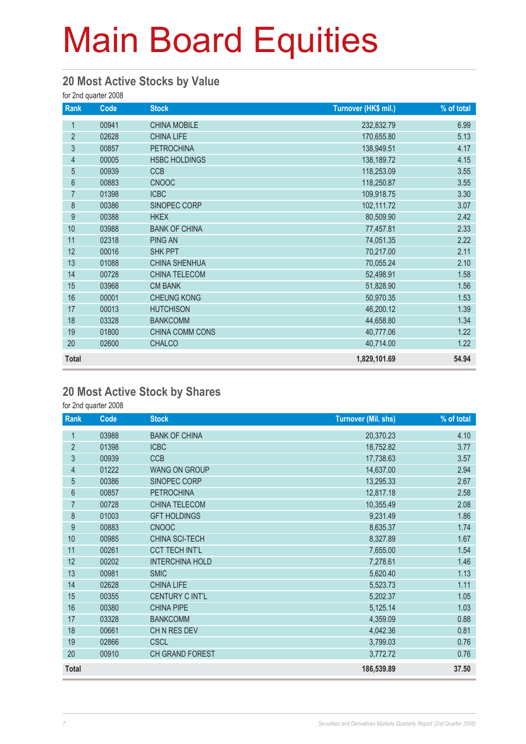#### **20 Most Active Stocks by Value**

for 2nd quarter 2008

| Rank           | Code  | <b>Stock</b>         | Turnover (HK\$ mil.) | % of total |
|----------------|-------|----------------------|----------------------|------------|
| 1              | 00941 | <b>CHINA MOBILE</b>  | 232,832.79           | 6.99       |
| $\overline{2}$ | 02628 | <b>CHINA LIFE</b>    | 170,655.80           | 5.13       |
| 3              | 00857 | <b>PETROCHINA</b>    | 138,949.51           | 4.17       |
| 4              | 00005 | <b>HSBC HOLDINGS</b> | 138,189.72           | 4.15       |
| 5              | 00939 | <b>CCB</b>           | 118,253.09           | 3.55       |
| $6\phantom{a}$ | 00883 | <b>CNOOC</b>         | 118,250.87           | 3.55       |
| $\overline{7}$ | 01398 | <b>ICBC</b>          | 109,918.75           | 3.30       |
| 8              | 00386 | SINOPEC CORP         | 102,111.72           | 3.07       |
| 9              | 00388 | <b>HKEX</b>          | 80,509.90            | 2.42       |
| 10             | 03988 | <b>BANK OF CHINA</b> | 77,457.81            | 2.33       |
| 11             | 02318 | <b>PING AN</b>       | 74,051.35            | 2.22       |
| 12             | 00016 | <b>SHK PPT</b>       | 70,217.00            | 2.11       |
| 13             | 01088 | <b>CHINA SHENHUA</b> | 70,055.24            | 2.10       |
| 14             | 00728 | CHINA TELECOM        | 52,498.91            | 1.58       |
| 15             | 03968 | <b>CM BANK</b>       | 51,828.90            | 1.56       |
| 16             | 00001 | <b>CHEUNG KONG</b>   | 50,970.35            | 1.53       |
| 17             | 00013 | <b>HUTCHISON</b>     | 46,200.12            | 1.39       |
| 18             | 03328 | <b>BANKCOMM</b>      | 44,658.80            | 1.34       |
| 19             | 01800 | CHINA COMM CONS      | 40,777.06            | 1.22       |
| 20             | 02600 | <b>CHALCO</b>        | 40,714.00            | 1.22       |
| <b>Total</b>   |       |                      | 1,829,101.69         | 54.94      |

#### **20 Most Active Stock by Shares**

for 2nd quarter 2008

| Rank           | Code  | <b>Stock</b>           | <b>Turnover (Mil. shs)</b> | % of total |
|----------------|-------|------------------------|----------------------------|------------|
| 1              | 03988 | <b>BANK OF CHINA</b>   | 20,370.23                  | 4.10       |
| $\overline{2}$ | 01398 | <b>ICBC</b>            | 18,752.82                  | 3.77       |
| 3              | 00939 | <b>CCB</b>             | 17,738.63                  | 3.57       |
| $\overline{4}$ | 01222 | <b>WANG ON GROUP</b>   | 14,637.00                  | 2.94       |
| 5              | 00386 | SINOPEC CORP           | 13,295.33                  | 2.67       |
| $\,6\,$        | 00857 | <b>PETROCHINA</b>      | 12,817.18                  | 2.58       |
| $\overline{7}$ | 00728 | <b>CHINA TELECOM</b>   | 10,355.49                  | 2.08       |
| 8              | 01003 | <b>GFT HOLDINGS</b>    | 9,231.49                   | 1.86       |
| 9              | 00883 | <b>CNOOC</b>           | 8,635.37                   | 1.74       |
| 10             | 00985 | CHINA SCI-TECH         | 8,327.89                   | 1.67       |
| 11             | 00261 | <b>CCT TECH INT'L</b>  | 7,655.00                   | 1.54       |
| 12             | 00202 | <b>INTERCHINA HOLD</b> | 7,278.61                   | 1.46       |
| 13             | 00981 | <b>SMIC</b>            | 5,620.40                   | 1.13       |
| 14             | 02628 | <b>CHINA LIFE</b>      | 5,523.73                   | 1.11       |
| 15             | 00355 | CENTURY C INT'L        | 5,202.37                   | 1.05       |
| 16             | 00380 | <b>CHINA PIPE</b>      | 5,125.14                   | 1.03       |
| 17             | 03328 | <b>BANKCOMM</b>        | 4,359.09                   | 0.88       |
| 18             | 00661 | CHN RES DEV            | 4,042.36                   | 0.81       |
| 19             | 02866 | <b>CSCL</b>            | 3,799.03                   | 0.76       |
| 20             | 00910 | CH GRAND FOREST        | 3,772.72                   | 0.76       |
| <b>Total</b>   |       |                        | 186,539.89                 | 37.50      |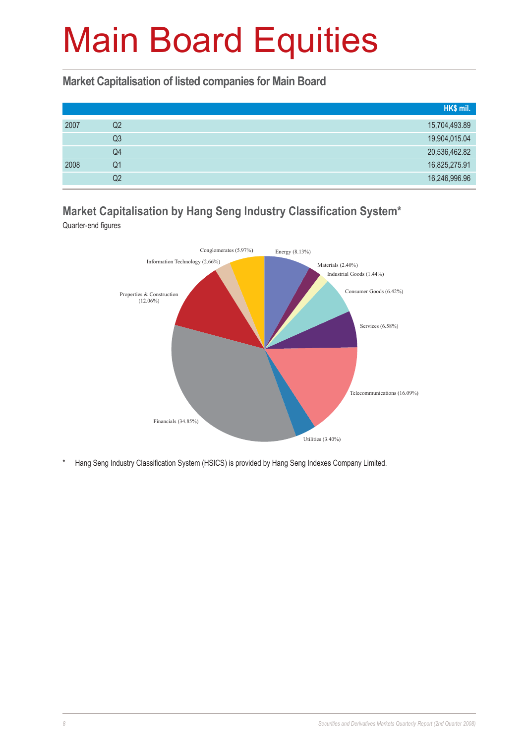#### **Market Capitalisation of listed companies for Main Board**

|      |                | HK\$ mil.     |
|------|----------------|---------------|
| 2007 | Q2             | 15,704,493.89 |
|      | Q <sub>3</sub> | 19,904,015.04 |
|      | Q4             | 20,536,462.82 |
| 2008 | Q1             | 16,825,275.91 |
|      | Q2             | 16,246,996.96 |

### **Market Capitalisation by Hang Seng Industry Classification System\***

Quarter-end figures



Hang Seng Industry Classification System (HSICS) is provided by Hang Seng Indexes Company Limited.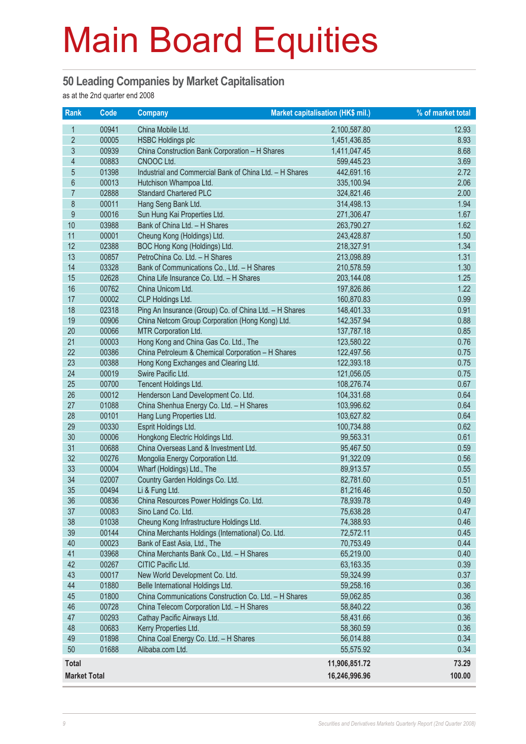#### **50 Leading Companies by Market Capitalisation**

as at the 2nd quarter end 2008

| <b>Rank</b>             | $\overline{\text{Code}}$ | <b>Company</b>                                                                  | Market capitalisation (HK\$ mil.) | % of market total |
|-------------------------|--------------------------|---------------------------------------------------------------------------------|-----------------------------------|-------------------|
| 1                       | 00941                    | China Mobile Ltd.                                                               | 2,100,587.80                      | 12.93             |
| $\overline{2}$          | 00005                    | <b>HSBC Holdings plc</b>                                                        | 1,451,436.85                      | 8.93              |
| $\mathfrak{S}$          | 00939                    | China Construction Bank Corporation - H Shares                                  | 1,411,047.45                      | 8.68              |
| $\overline{\mathbf{4}}$ | 00883                    | CNOOC Ltd.                                                                      | 599,445.23                        | 3.69              |
| $\overline{5}$          | 01398                    | Industrial and Commercial Bank of China Ltd. - H Shares                         | 442,691.16                        | 2.72              |
| $6\,$                   | 00013                    | Hutchison Whampoa Ltd.                                                          | 335,100.94                        | 2.06              |
| $\overline{7}$          | 02888                    | <b>Standard Chartered PLC</b>                                                   | 324,821.46                        | 2.00              |
| 8                       | 00011                    | Hang Seng Bank Ltd.                                                             | 314,498.13                        | 1.94              |
| 9                       | 00016                    | Sun Hung Kai Properties Ltd.                                                    | 271,306.47                        | 1.67              |
| 10                      | 03988                    | Bank of China Ltd. - H Shares                                                   | 263,790.27                        | 1.62              |
| 11                      | 00001                    | Cheung Kong (Holdings) Ltd.                                                     | 243,428.87                        | 1.50              |
| 12                      | 02388                    | BOC Hong Kong (Holdings) Ltd.                                                   | 218,327.91                        | 1.34              |
| 13                      | 00857                    | PetroChina Co. Ltd. - H Shares                                                  | 213,098.89                        | 1.31              |
| 14                      | 03328                    | Bank of Communications Co., Ltd. - H Shares                                     | 210,578.59                        | 1.30              |
| 15                      | 02628                    | China Life Insurance Co. Ltd. - H Shares                                        | 203,144.08                        | 1.25              |
| 16                      | 00762                    | China Unicom Ltd.                                                               | 197,826.86                        | 1.22              |
| 17                      | 00002                    | CLP Holdings Ltd.                                                               | 160,870.83                        | 0.99              |
| 18                      | 02318                    | Ping An Insurance (Group) Co. of China Ltd. - H Shares                          | 148,401.33                        | 0.91              |
| 19                      | 00906                    | China Netcom Group Corporation (Hong Kong) Ltd.                                 | 142,357.94                        | 0.88              |
| 20                      | 00066                    | MTR Corporation Ltd.                                                            | 137,787.18                        | 0.85              |
| 21                      | 00003                    | Hong Kong and China Gas Co. Ltd., The                                           | 123,580.22                        | 0.76              |
| 22                      | 00386                    | China Petroleum & Chemical Corporation - H Shares                               | 122,497.56                        | 0.75              |
| 23                      | 00388                    | Hong Kong Exchanges and Clearing Ltd.                                           | 122,393.18                        | 0.75              |
| 24                      | 00019                    | Swire Pacific Ltd.                                                              | 121,056.05                        | 0.75              |
| 25<br>26                | 00700                    | Tencent Holdings Ltd.                                                           | 108,276.74                        | 0.67              |
| 27                      | 00012<br>01088           | Henderson Land Development Co. Ltd.<br>China Shenhua Energy Co. Ltd. - H Shares | 104,331.68<br>103,996.62          | 0.64<br>0.64      |
| 28                      | 00101                    | Hang Lung Properties Ltd.                                                       | 103,627.82                        | 0.64              |
| 29                      | 00330                    | Esprit Holdings Ltd.                                                            | 100,734.88                        | 0.62              |
| 30                      | 00006                    | Hongkong Electric Holdings Ltd.                                                 | 99,563.31                         | 0.61              |
| 31                      | 00688                    | China Overseas Land & Investment Ltd.                                           | 95,467.50                         | 0.59              |
| 32                      | 00276                    | Mongolia Energy Corporation Ltd.                                                | 91,322.09                         | 0.56              |
| 33                      | 00004                    | Wharf (Holdings) Ltd., The                                                      | 89,913.57                         | 0.55              |
| 34                      | 02007                    | Country Garden Holdings Co. Ltd.                                                | 82,781.60                         | 0.51              |
| 35                      | 00494                    | Li & Fung Ltd.                                                                  | 81,216.46                         | 0.50              |
| 36                      | 00836                    | China Resources Power Holdings Co. Ltd.                                         | 78,939.78                         | 0.49              |
| 37                      | 00083                    | Sino Land Co. Ltd.                                                              | 75,638.28                         | 0.47              |
| 38                      | 01038                    | Cheung Kong Infrastructure Holdings Ltd.                                        | 74,388.93                         | 0.46              |
| 39                      | 00144                    | China Merchants Holdings (International) Co. Ltd.                               | 72,572.11                         | 0.45              |
| 40                      | 00023                    | Bank of East Asia, Ltd., The                                                    | 70,753.49                         | 0.44              |
| 41                      | 03968                    | China Merchants Bank Co., Ltd. - H Shares                                       | 65,219.00                         | 0.40              |
| 42                      | 00267                    | CITIC Pacific Ltd.                                                              | 63,163.35                         | 0.39              |
| 43                      | 00017                    | New World Development Co. Ltd.                                                  | 59,324.99                         | 0.37              |
| 44                      | 01880                    | Belle International Holdings Ltd.                                               | 59,258.16                         | 0.36              |
| 45                      | 01800                    | China Communications Construction Co. Ltd. - H Shares                           | 59,062.85                         | 0.36              |
| 46                      | 00728                    | China Telecom Corporation Ltd. - H Shares                                       | 58,840.22                         | 0.36              |
| 47                      | 00293                    | Cathay Pacific Airways Ltd.                                                     | 58,431.66                         | 0.36              |
| 48                      | 00683                    | Kerry Properties Ltd.                                                           | 58,360.59                         | 0.36              |
| 49                      | 01898                    | China Coal Energy Co. Ltd. - H Shares                                           | 56,014.88                         | 0.34              |
| 50                      | 01688                    | Alibaba.com Ltd.                                                                | 55,575.92                         | 0.34              |
| <b>Total</b>            |                          |                                                                                 | 11,906,851.72                     | 73.29             |
| <b>Market Total</b>     |                          |                                                                                 | 16,246,996.96                     | 100.00            |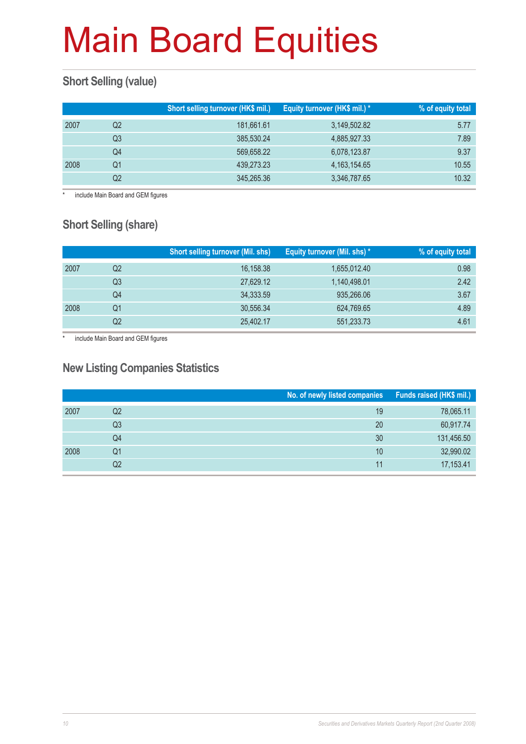### **Short Selling (value)**

|      |    | Short selling turnover (HK\$ mil.) | Equity turnover (HK\$ mil.) * | % of equity total |
|------|----|------------------------------------|-------------------------------|-------------------|
| 2007 | Q2 | 181,661.61                         | 3,149,502.82                  | 5.77              |
|      | Q3 | 385,530.24                         | 4,885,927.33                  | 7.89              |
|      | Q4 | 569,658.22                         | 6,078,123.87                  | 9.37              |
| 2008 | O1 | 439,273.23                         | 4, 163, 154, 65               | 10.55             |
|      | Q2 | 345,265.36                         | 3,346,787.65                  | 10.32             |

include Main Board and GEM figures

### **Short Selling (share)**

|      |    | <b>Short selling turnover (Mil. shs)</b> | Equity turnover (Mil. shs) * | % of equity total |
|------|----|------------------------------------------|------------------------------|-------------------|
| 2007 | Q2 | 16,158.38                                | 1,655,012.40                 | 0.98              |
|      | Q3 | 27,629.12                                | 1,140,498.01                 | 2.42              |
|      | Q4 | 34,333.59                                | 935,266.06                   | 3.67              |
| 2008 | Q1 | 30,556.34                                | 624,769.65                   | 4.89              |
|      | Q2 | 25,402.17                                | 551,233.73                   | 4.61              |

\* include Main Board and GEM figures

#### **New Listing Companies Statistics**

|      |    | No. of newly listed companies | Funds raised (HK\$ mil.) |
|------|----|-------------------------------|--------------------------|
| 2007 | Q2 | 19                            | 78,065.11                |
|      | Q3 | 20                            | 60,917.74                |
|      | Q4 | 30                            | 131,456.50               |
| 2008 | Q1 | 10                            | 32,990.02                |
|      | Q2 | 11                            | 17,153.41                |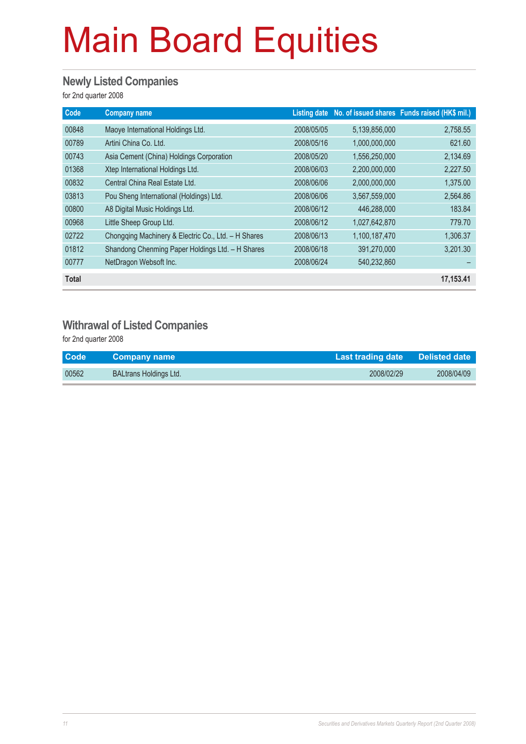#### **Newly Listed Companies**

for 2nd quarter 2008

| Code         | <b>Company name</b>                                 | <b>Listing date</b> |               | No. of issued shares Funds raised (HK\$ mil.) |
|--------------|-----------------------------------------------------|---------------------|---------------|-----------------------------------------------|
| 00848        | Maoye International Holdings Ltd.                   | 2008/05/05          | 5,139,856,000 | 2,758.55                                      |
| 00789        | Artini China Co. Ltd.                               | 2008/05/16          | 1,000,000,000 | 621.60                                        |
| 00743        | Asia Cement (China) Holdings Corporation            | 2008/05/20          | 1,556,250,000 | 2,134.69                                      |
| 01368        | Xtep International Holdings Ltd.                    | 2008/06/03          | 2,200,000,000 | 2,227.50                                      |
| 00832        | Central China Real Estate Ltd.                      | 2008/06/06          | 2,000,000,000 | 1,375.00                                      |
| 03813        | Pou Sheng International (Holdings) Ltd.             | 2008/06/06          | 3,567,559,000 | 2,564.86                                      |
| 00800        | A8 Digital Music Holdings Ltd.                      | 2008/06/12          | 446,288,000   | 183.84                                        |
| 00968        | Little Sheep Group Ltd.                             | 2008/06/12          | 1,027,642,870 | 779.70                                        |
| 02722        | Chongqing Machinery & Electric Co., Ltd. - H Shares | 2008/06/13          | 1,100,187,470 | 1,306.37                                      |
| 01812        | Shandong Chenming Paper Holdings Ltd. - H Shares    | 2008/06/18          | 391,270,000   | 3,201.30                                      |
| 00777        | NetDragon Websoft Inc.                              | 2008/06/24          | 540,232,860   |                                               |
| <b>Total</b> |                                                     |                     |               | 17,153.41                                     |

#### **Withrawal of Listed Companies**

for 2nd quarter 2008

| <b>Code</b> | <b>Company name</b>           | Last trading date Delisted date |            |
|-------------|-------------------------------|---------------------------------|------------|
| 00562       | <b>BALtrans Holdings Ltd.</b> | 2008/02/29                      | 2008/04/09 |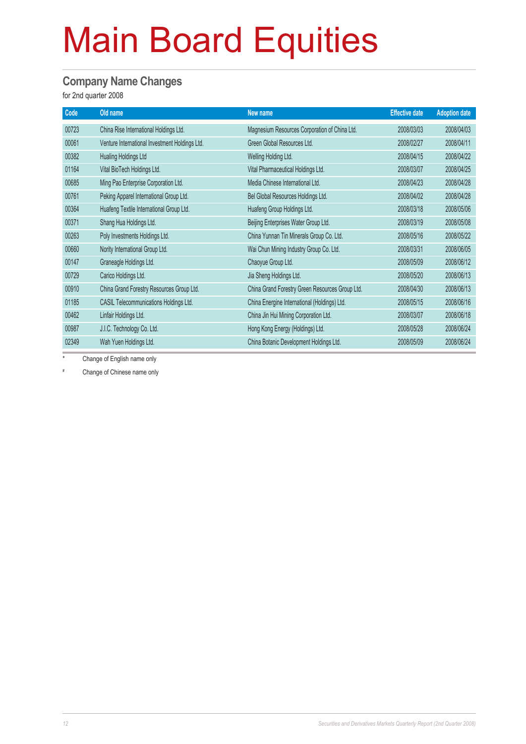#### **Company Name Changes**

for 2nd quarter 2008

| Code  | Old name                                       | New name                                        | <b>Effective date</b> | <b>Adoption date</b> |
|-------|------------------------------------------------|-------------------------------------------------|-----------------------|----------------------|
| 00723 | China Rise International Holdings Ltd.         | Magnesium Resources Corporation of China Ltd.   | 2008/03/03            | 2008/04/03           |
| 00061 | Venture International Investment Holdings Ltd. | Green Global Resources Ltd.                     | 2008/02/27            | 2008/04/11           |
| 00382 | Hualing Holdings Ltd                           | Welling Holding Ltd.                            | 2008/04/15            | 2008/04/22           |
| 01164 | Vital BioTech Holdings Ltd.                    | Vital Pharmaceutical Holdings Ltd.              | 2008/03/07            | 2008/04/25           |
| 00685 | Ming Pao Enterprise Corporation Ltd.           | Media Chinese International Ltd.                | 2008/04/23            | 2008/04/28           |
| 00761 | Peking Apparel International Group Ltd.        | Bel Global Resources Holdings Ltd.              | 2008/04/02            | 2008/04/28           |
| 00364 | Huafeng Textile International Group Ltd.       | Huafeng Group Holdings Ltd.                     | 2008/03/18            | 2008/05/06           |
| 00371 | Shang Hua Holdings Ltd.                        | Beijing Enterprises Water Group Ltd.            | 2008/03/19            | 2008/05/08           |
| 00263 | Poly Investments Holdings Ltd.                 | China Yunnan Tin Minerals Group Co. Ltd.        | 2008/05/16            | 2008/05/22           |
| 00660 | Nority International Group Ltd.                | Wai Chun Mining Industry Group Co. Ltd.         | 2008/03/31            | 2008/06/05           |
| 00147 | Graneagle Holdings Ltd.                        | Chaoyue Group Ltd.                              | 2008/05/09            | 2008/06/12           |
| 00729 | Carico Holdings Ltd.                           | Jia Sheng Holdings Ltd.                         | 2008/05/20            | 2008/06/13           |
| 00910 | China Grand Forestry Resources Group Ltd.      | China Grand Forestry Green Resources Group Ltd. | 2008/04/30            | 2008/06/13           |
| 01185 | CASIL Telecommunications Holdings Ltd.         | China Energine International (Holdings) Ltd.    | 2008/05/15            | 2008/06/16           |
| 00462 | Linfair Holdings Ltd.                          | China Jin Hui Mining Corporation Ltd.           | 2008/03/07            | 2008/06/18           |
| 00987 | J.I.C. Technology Co. Ltd.                     | Hong Kong Energy (Holdings) Ltd.                | 2008/05/28            | 2008/06/24           |
| 02349 | Wah Yuen Holdings Ltd.                         | China Botanic Development Holdings Ltd.         | 2008/05/09            | 2008/06/24           |

\* Change of English name only

# Change of Chinese name only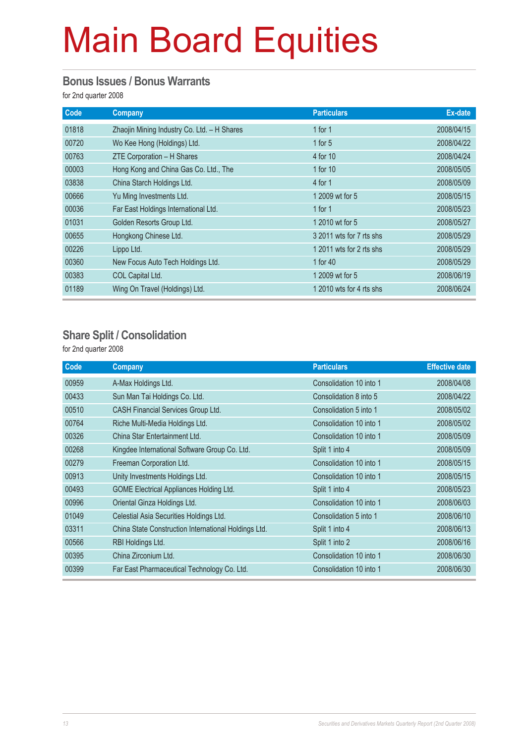#### **Bonus Issues / Bonus Warrants**

for 2nd quarter 2008

| Code  | <b>Company</b>                              | <b>Particulars</b>       | Ex-date    |
|-------|---------------------------------------------|--------------------------|------------|
| 01818 | Zhaojin Mining Industry Co. Ltd. - H Shares | 1 for $1$                | 2008/04/15 |
| 00720 | Wo Kee Hong (Holdings) Ltd.                 | 1 for $5$                | 2008/04/22 |
| 00763 | ZTE Corporation - H Shares                  | 4 for 10                 | 2008/04/24 |
| 00003 | Hong Kong and China Gas Co. Ltd., The       | 1 for 10                 | 2008/05/05 |
| 03838 | China Starch Holdings Ltd.                  | 4 for 1                  | 2008/05/09 |
| 00666 | Yu Ming Investments Ltd.                    | 1 2009 wt for 5          | 2008/05/15 |
| 00036 | Far East Holdings International Ltd.        | 1 for $1$                | 2008/05/23 |
| 01031 | Golden Resorts Group Ltd.                   | 1 2010 wt for 5          | 2008/05/27 |
| 00655 | Hongkong Chinese Ltd.                       | 3 2011 wts for 7 rts shs | 2008/05/29 |
| 00226 | Lippo Ltd.                                  | 1 2011 wts for 2 rts shs | 2008/05/29 |
| 00360 | New Focus Auto Tech Holdings Ltd.           | 1 for 40                 | 2008/05/29 |
| 00383 | COL Capital Ltd.                            | 1 2009 wt for 5          | 2008/06/19 |
| 01189 | Wing On Travel (Holdings) Ltd.              | 1 2010 wts for 4 rts shs | 2008/06/24 |

#### **Share Split / Consolidation**

for 2nd quarter 2008

| Code  | <b>Company</b>                                       | <b>Particulars</b>      | <b>Effective date</b> |
|-------|------------------------------------------------------|-------------------------|-----------------------|
| 00959 | A-Max Holdings Ltd.                                  | Consolidation 10 into 1 | 2008/04/08            |
| 00433 | Sun Man Tai Holdings Co. Ltd.                        | Consolidation 8 into 5  | 2008/04/22            |
| 00510 | CASH Financial Services Group Ltd.                   | Consolidation 5 into 1  | 2008/05/02            |
| 00764 | Riche Multi-Media Holdings Ltd.                      | Consolidation 10 into 1 | 2008/05/02            |
| 00326 | China Star Entertainment Ltd.                        | Consolidation 10 into 1 | 2008/05/09            |
| 00268 | Kingdee International Software Group Co. Ltd.        | Split 1 into 4          | 2008/05/09            |
| 00279 | Freeman Corporation Ltd.                             | Consolidation 10 into 1 | 2008/05/15            |
| 00913 | Unity Investments Holdings Ltd.                      | Consolidation 10 into 1 | 2008/05/15            |
| 00493 | GOME Electrical Appliances Holding Ltd.              | Split 1 into 4          | 2008/05/23            |
| 00996 | Oriental Ginza Holdings Ltd.                         | Consolidation 10 into 1 | 2008/06/03            |
| 01049 | Celestial Asia Securities Holdings Ltd.              | Consolidation 5 into 1  | 2008/06/10            |
| 03311 | China State Construction International Holdings Ltd. | Split 1 into 4          | 2008/06/13            |
| 00566 | RBI Holdings Ltd.                                    | Split 1 into 2          | 2008/06/16            |
| 00395 | China Zirconium Ltd.                                 | Consolidation 10 into 1 | 2008/06/30            |
| 00399 | Far East Pharmaceutical Technology Co. Ltd.          | Consolidation 10 into 1 | 2008/06/30            |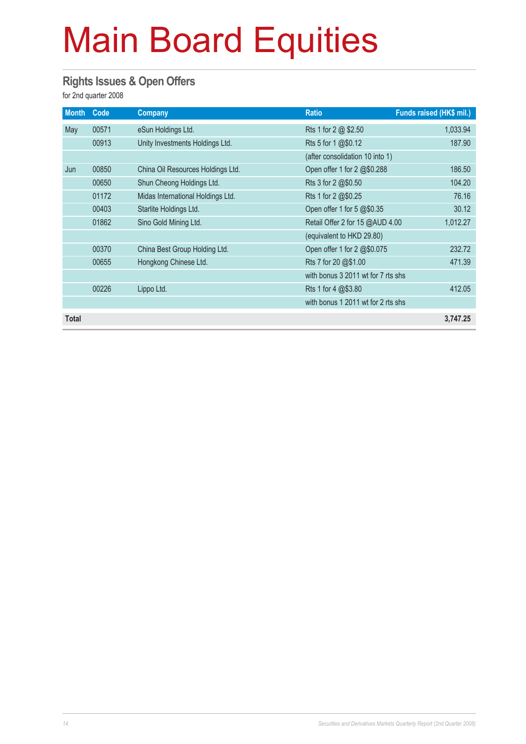#### **Rights Issues & Open Offers**

for 2nd quarter 2008

| <b>Month</b> | Code  | Company                           | <b>Ratio</b>                       | Funds raised (HK\$ mil.) |
|--------------|-------|-----------------------------------|------------------------------------|--------------------------|
| May          | 00571 | eSun Holdings Ltd.                | Rts 1 for 2 @ \$2.50               | 1,033.94                 |
|              | 00913 | Unity Investments Holdings Ltd.   | Rts 5 for 1 @\$0.12                | 187.90                   |
|              |       |                                   | (after consolidation 10 into 1)    |                          |
| Jun          | 00850 | China Oil Resources Holdings Ltd. | Open offer 1 for 2 @\$0.288        | 186.50                   |
|              | 00650 | Shun Cheong Holdings Ltd.         | Rts 3 for 2 @\$0.50                | 104.20                   |
|              | 01172 | Midas International Holdings Ltd. | Rts 1 for 2 @\$0.25                | 76.16                    |
|              | 00403 | Starlite Holdings Ltd.            | Open offer 1 for 5 @\$0.35         | 30.12                    |
|              | 01862 | Sino Gold Mining Ltd.             | Retail Offer 2 for 15 @AUD 4.00    | 1,012.27                 |
|              |       |                                   | (equivalent to HKD 29.80)          |                          |
|              | 00370 | China Best Group Holding Ltd.     | Open offer 1 for 2 @\$0.075        | 232.72                   |
|              | 00655 | Hongkong Chinese Ltd.             | Rts 7 for 20 @\$1.00               | 471.39                   |
|              |       |                                   | with bonus 3 2011 wt for 7 rts shs |                          |
|              | 00226 | Lippo Ltd.                        | Rts 1 for 4 @\$3.80                | 412.05                   |
|              |       |                                   | with bonus 1 2011 wt for 2 rts shs |                          |
| Total        |       |                                   |                                    | 3,747.25                 |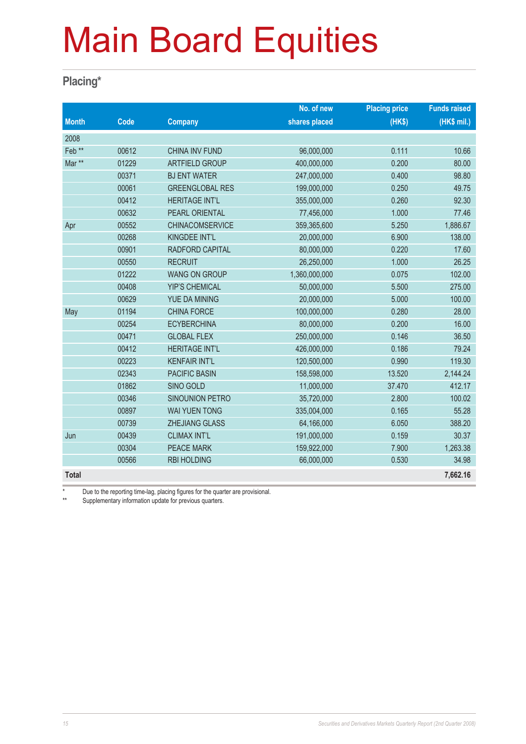#### **Placing\***

|                   |       |                        | No. of new    | <b>Placing price</b> | <b>Funds raised</b> |
|-------------------|-------|------------------------|---------------|----------------------|---------------------|
| <b>Month</b>      | Code  | <b>Company</b>         | shares placed | (HKS)                | (HK\$ mil.)         |
| 2008              |       |                        |               |                      |                     |
| Feb <sup>**</sup> | 00612 | <b>CHINA INV FUND</b>  | 96,000,000    | 0.111                | 10.66               |
| Mar **            | 01229 | <b>ARTFIELD GROUP</b>  | 400,000,000   | 0.200                | 80.00               |
|                   | 00371 | <b>BJ ENT WATER</b>    | 247,000,000   | 0.400                | 98.80               |
|                   | 00061 | <b>GREENGLOBAL RES</b> | 199,000,000   | 0.250                | 49.75               |
|                   | 00412 | <b>HERITAGE INT'L</b>  | 355,000,000   | 0.260                | 92.30               |
|                   | 00632 | PEARL ORIENTAL         | 77,456,000    | 1.000                | 77.46               |
| Apr               | 00552 | <b>CHINACOMSERVICE</b> | 359,365,600   | 5.250                | 1,886.67            |
|                   | 00268 | KINGDEE INT'L          | 20,000,000    | 6.900                | 138.00              |
|                   | 00901 | RADFORD CAPITAL        | 80,000,000    | 0.220                | 17.60               |
|                   | 00550 | <b>RECRUIT</b>         | 26,250,000    | 1.000                | 26.25               |
|                   | 01222 | <b>WANG ON GROUP</b>   | 1,360,000,000 | 0.075                | 102.00              |
|                   | 00408 | <b>YIP'S CHEMICAL</b>  | 50,000,000    | 5.500                | 275.00              |
|                   | 00629 | YUE DA MINING          | 20,000,000    | 5.000                | 100.00              |
| May               | 01194 | <b>CHINA FORCE</b>     | 100,000,000   | 0.280                | 28.00               |
|                   | 00254 | <b>ECYBERCHINA</b>     | 80,000,000    | 0.200                | 16.00               |
|                   | 00471 | <b>GLOBAL FLEX</b>     | 250,000,000   | 0.146                | 36.50               |
|                   | 00412 | <b>HERITAGE INT'L</b>  | 426,000,000   | 0.186                | 79.24               |
|                   | 00223 | <b>KENFAIR INT'L</b>   | 120,500,000   | 0.990                | 119.30              |
|                   | 02343 | <b>PACIFIC BASIN</b>   | 158,598,000   | 13.520               | 2,144.24            |
|                   | 01862 | SINO GOLD              | 11,000,000    | 37.470               | 412.17              |
|                   | 00346 | SINOUNION PETRO        | 35,720,000    | 2.800                | 100.02              |
|                   | 00897 | <b>WAI YUEN TONG</b>   | 335,004,000   | 0.165                | 55.28               |
|                   | 00739 | <b>ZHEJIANG GLASS</b>  | 64,166,000    | 6.050                | 388.20              |
| Jun               | 00439 | <b>CLIMAX INT'L</b>    | 191,000,000   | 0.159                | 30.37               |
|                   | 00304 | <b>PEACE MARK</b>      | 159,922,000   | 7.900                | 1,263.38            |
|                   | 00566 | <b>RBI HOLDING</b>     | 66,000,000    | 0.530                | 34.98               |
| <b>Total</b>      |       |                        |               |                      | 7,662.16            |

\* Due to the reporting time-lag, placing figures for the quarter are provisional.<br>Number of the provision undete for provising quarters

Supplementary information update for previous quarters.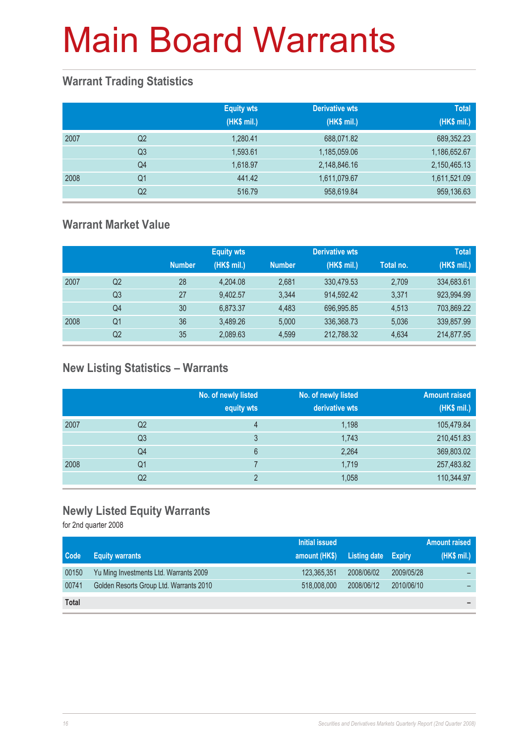#### **Warrant Trading Statistics**

|      |                | <b>Equity wts</b><br>(HK\$ mil.) | <b>Derivative wts</b><br>(HK\$ mil.) | <b>Total</b><br>(HK\$ mil.) |
|------|----------------|----------------------------------|--------------------------------------|-----------------------------|
| 2007 | Q <sub>2</sub> | 1,280.41                         | 688,071.82                           | 689,352.23                  |
|      | Q <sub>3</sub> | 1,593.61                         | 1,185,059.06                         | 1,186,652.67                |
|      | Q4             | 1,618.97                         | 2,148,846.16                         | 2,150,465.13                |
| 2008 | Q <sub>1</sub> | 441.42                           | 1,611,079.67                         | 1,611,521.09                |
|      | Q <sub>2</sub> | 516.79                           | 958,619.84                           | 959,136.63                  |

#### **Warrant Market Value**

|      |                |               | <b>Equity wts</b> |               | <b>Derivative wts</b> |           | <b>Total</b> |
|------|----------------|---------------|-------------------|---------------|-----------------------|-----------|--------------|
|      |                | <b>Number</b> | (HK\$ mil.)       | <b>Number</b> | (HK\$ mil.)           | Total no. | (HK\$ mil.)  |
| 2007 | Q2             | 28            | 4,204.08          | 2.681         | 330,479.53            | 2,709     | 334,683.61   |
|      | Q <sub>3</sub> | 27            | 9.402.57          | 3.344         | 914.592.42            | 3.371     | 923,994.99   |
|      | Q4             | 30            | 6.873.37          | 4.483         | 696.995.85            | 4.513     | 703,869.22   |
| 2008 | Q1             | 36            | 3.489.26          | 5.000         | 336,368.73            | 5,036     | 339,857.99   |
|      | Q2             | 35            | 2,089.63          | 4.599         | 212,788.32            | 4,634     | 214,877.95   |

### **New Listing Statistics – Warrants**

|      |                | No. of newly listed<br>equity wts | No. of newly listed<br>derivative wts | <b>Amount raised</b><br>(HK\$ mil.) |
|------|----------------|-----------------------------------|---------------------------------------|-------------------------------------|
| 2007 | Q2             | 4                                 | 1,198                                 | 105,479.84                          |
|      | Q <sub>3</sub> | 3                                 | 1,743                                 | 210,451.83                          |
|      | Q4             | 6                                 | 2,264                                 | 369,803.02                          |
| 2008 | Q1             |                                   | 1,719                                 | 257,483.82                          |
|      | Q <sub>2</sub> | c                                 | 1,058                                 | 110,344.97                          |

#### **Newly Listed Equity Warrants**

for 2nd quarter 2008

|              |                                         | Initial issued |                            |            | <b>Amount raised</b> |
|--------------|-----------------------------------------|----------------|----------------------------|------------|----------------------|
| Code         | <b>Equity warrants</b>                  | amount (HK\$)  | <b>Listing date Expiry</b> |            | (HK\$ mil.)          |
| 00150        | Yu Ming Investments Ltd. Warrants 2009  | 123,365,351    | 2008/06/02                 | 2009/05/28 |                      |
| 00741        | Golden Resorts Group Ltd. Warrants 2010 | 518,008,000    | 2008/06/12                 | 2010/06/10 |                      |
| <b>Total</b> |                                         |                |                            |            |                      |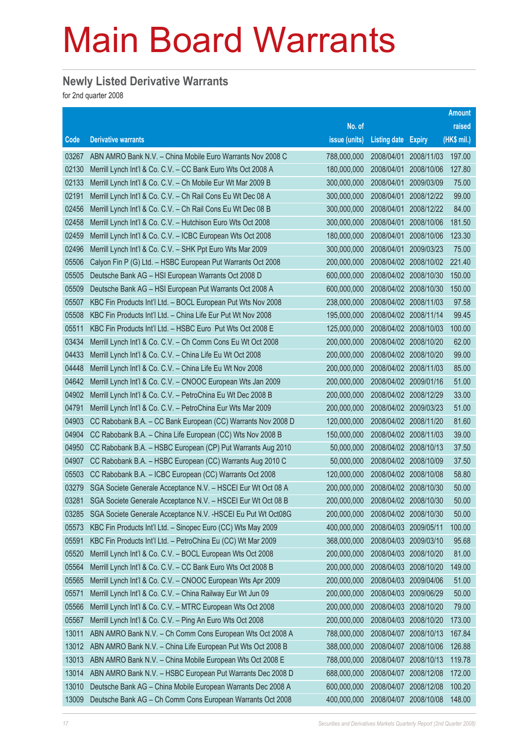### **Newly Listed Derivative Warrants**

for 2nd quarter 2008

|       |                                                               |               |                            |                       | <b>Amount</b> |
|-------|---------------------------------------------------------------|---------------|----------------------------|-----------------------|---------------|
|       |                                                               | No. of        |                            |                       | raised        |
| Code  | <b>Derivative warrants</b>                                    | issue (units) | <b>Listing date Expiry</b> |                       | $(HK$$ mil.)  |
| 03267 | ABN AMRO Bank N.V. - China Mobile Euro Warrants Nov 2008 C    | 788,000,000   | 2008/04/01                 | 2008/11/03            | 197.00        |
| 02130 | Merrill Lynch Int'l & Co. C.V. - CC Bank Euro Wts Oct 2008 A  | 180,000,000   | 2008/04/01                 | 2008/10/06            | 127.80        |
| 02133 | Merrill Lynch Int'l & Co. C.V. - Ch Mobile Eur Wt Mar 2009 B  | 300,000,000   | 2008/04/01                 | 2009/03/09            | 75.00         |
| 02191 | Merrill Lynch Int'l & Co. C.V. - Ch Rail Cons Eu Wt Dec 08 A  | 300,000,000   | 2008/04/01                 | 2008/12/22            | 99.00         |
| 02456 | Merrill Lynch Int'l & Co. C.V. - Ch Rail Cons Eu Wt Dec 08 B  | 300,000,000   | 2008/04/01                 | 2008/12/22            | 84.00         |
| 02458 | Merrill Lynch Int'l & Co. C.V. - Hutchison Euro Wts Oct 2008  | 300,000,000   | 2008/04/01                 | 2008/10/06            | 181.50        |
| 02459 | Merrill Lynch Int'l & Co. C.V. - ICBC European Wts Oct 2008   | 180,000,000   | 2008/04/01                 | 2008/10/06            | 123.30        |
| 02496 | Merrill Lynch Int'l & Co. C.V. - SHK Ppt Euro Wts Mar 2009    | 300,000,000   | 2008/04/01                 | 2009/03/23            | 75.00         |
| 05506 | Calyon Fin P (G) Ltd. - HSBC European Put Warrants Oct 2008   | 200,000,000   |                            | 2008/04/02 2008/10/02 | 221.40        |
| 05505 | Deutsche Bank AG - HSI European Warrants Oct 2008 D           | 600,000,000   |                            | 2008/04/02 2008/10/30 | 150.00        |
| 05509 | Deutsche Bank AG - HSI European Put Warrants Oct 2008 A       | 600,000,000   |                            | 2008/04/02 2008/10/30 | 150.00        |
| 05507 | KBC Fin Products Int'l Ltd. - BOCL European Put Wts Nov 2008  | 238,000,000   |                            | 2008/04/02 2008/11/03 | 97.58         |
| 05508 | KBC Fin Products Int'l Ltd. - China Life Eur Put Wt Nov 2008  | 195,000,000   |                            | 2008/04/02 2008/11/14 | 99.45         |
| 05511 | KBC Fin Products Int'l Ltd. - HSBC Euro Put Wts Oct 2008 E    | 125,000,000   |                            | 2008/04/02 2008/10/03 | 100.00        |
| 03434 | Merrill Lynch Int'l & Co. C.V. - Ch Comm Cons Eu Wt Oct 2008  | 200,000,000   |                            | 2008/04/02 2008/10/20 | 62.00         |
| 04433 | Merrill Lynch Int'l & Co. C.V. - China Life Eu Wt Oct 2008    | 200,000,000   |                            | 2008/04/02 2008/10/20 | 99.00         |
| 04448 | Merrill Lynch Int'l & Co. C.V. - China Life Eu Wt Nov 2008    | 200,000,000   |                            | 2008/04/02 2008/11/03 | 85.00         |
| 04642 | Merrill Lynch Int'l & Co. C.V. – CNOOC European Wts Jan 2009  | 200,000,000   |                            | 2008/04/02 2009/01/16 | 51.00         |
| 04902 | Merrill Lynch Int'l & Co. C.V. - PetroChina Eu Wt Dec 2008 B  | 200,000,000   |                            | 2008/04/02 2008/12/29 | 33.00         |
| 04791 | Merrill Lynch Int'l & Co. C.V. - PetroChina Eur Wts Mar 2009  | 200,000,000   |                            | 2008/04/02 2009/03/23 | 51.00         |
| 04903 | CC Rabobank B.A. - CC Bank European (CC) Warrants Nov 2008 D  | 120,000,000   |                            | 2008/04/02 2008/11/20 | 81.60         |
| 04904 | CC Rabobank B.A. - China Life European (CC) Wts Nov 2008 B    | 150,000,000   |                            | 2008/04/02 2008/11/03 | 39.00         |
| 04950 | CC Rabobank B.A. - HSBC European (CP) Put Warrants Aug 2010   | 50,000,000    |                            | 2008/04/02 2008/10/13 | 37.50         |
| 04907 | CC Rabobank B.A. - HSBC European (CC) Warrants Aug 2010 C     | 50,000,000    |                            | 2008/04/02 2008/10/09 | 37.50         |
| 05503 | CC Rabobank B.A. - ICBC European (CC) Warrants Oct 2008       | 120,000,000   |                            | 2008/04/02 2008/10/08 | 58.80         |
| 03279 | SGA Societe Generale Acceptance N.V. - HSCEI Eur Wt Oct 08 A  | 200,000,000   |                            | 2008/04/02 2008/10/30 | 50.00         |
| 03281 | SGA Societe Generale Acceptance N.V. - HSCEI Eur Wt Oct 08 B  | 200,000,000   |                            | 2008/04/02 2008/10/30 | 50.00         |
| 03285 | SGA Societe Generale Acceptance N.V. - HSCEI Eu Put Wt Oct08G | 200,000,000   |                            | 2008/04/02 2008/10/30 | 50.00         |
| 05573 | KBC Fin Products Int'l Ltd. - Sinopec Euro (CC) Wts May 2009  | 400,000,000   | 2008/04/03                 | 2009/05/11            | 100.00        |
| 05591 | KBC Fin Products Int'l Ltd. - PetroChina Eu (CC) Wt Mar 2009  | 368,000,000   | 2008/04/03                 | 2009/03/10            | 95.68         |
| 05520 | Merrill Lynch Int'l & Co. C.V. - BOCL European Wts Oct 2008   | 200,000,000   | 2008/04/03                 | 2008/10/20            | 81.00         |
| 05564 | Merrill Lynch Int'l & Co. C.V. - CC Bank Euro Wts Oct 2008 B  | 200,000,000   | 2008/04/03                 | 2008/10/20            | 149.00        |
| 05565 | Merrill Lynch Int'l & Co. C.V. - CNOOC European Wts Apr 2009  | 200,000,000   | 2008/04/03                 | 2009/04/06            | 51.00         |
| 05571 | Merrill Lynch Int'l & Co. C.V. - China Railway Eur Wt Jun 09  | 200,000,000   | 2008/04/03                 | 2009/06/29            | 50.00         |
| 05566 | Merrill Lynch Int'l & Co. C.V. - MTRC European Wts Oct 2008   | 200,000,000   | 2008/04/03                 | 2008/10/20            | 79.00         |
| 05567 | Merrill Lynch Int'l & Co. C.V. - Ping An Euro Wts Oct 2008    | 200,000,000   | 2008/04/03                 | 2008/10/20            | 173.00        |
| 13011 | ABN AMRO Bank N.V. - Ch Comm Cons European Wts Oct 2008 A     | 788,000,000   | 2008/04/07                 | 2008/10/13            | 167.84        |
| 13012 | ABN AMRO Bank N.V. - China Life European Put Wts Oct 2008 B   | 388,000,000   | 2008/04/07                 | 2008/10/06            | 126.88        |
| 13013 | ABN AMRO Bank N.V. - China Mobile European Wts Oct 2008 E     | 788,000,000   | 2008/04/07                 | 2008/10/13            | 119.78        |
| 13014 | ABN AMRO Bank N.V. - HSBC European Put Warrants Dec 2008 D    | 688,000,000   | 2008/04/07                 | 2008/12/08            | 172.00        |
| 13010 | Deutsche Bank AG - China Mobile European Warrants Dec 2008 A  | 600,000,000   | 2008/04/07                 | 2008/12/08            | 100.20        |
| 13009 | Deutsche Bank AG - Ch Comm Cons European Warrants Oct 2008    | 400,000,000   | 2008/04/07                 | 2008/10/08            | 148.00        |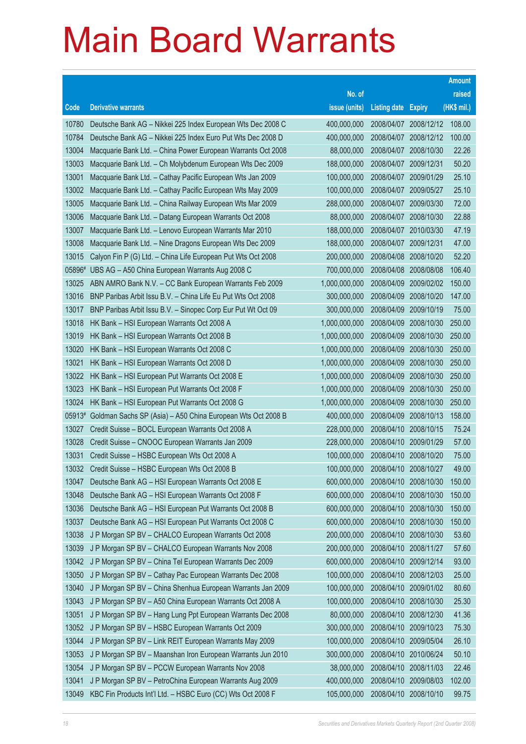|        |                                                              |               |                            |                       | <b>Amount</b> |
|--------|--------------------------------------------------------------|---------------|----------------------------|-----------------------|---------------|
|        |                                                              | No. of        |                            |                       | raised        |
| Code   | <b>Derivative warrants</b>                                   | issue (units) | <b>Listing date Expiry</b> |                       | (HK\$ mil.)   |
| 10780  | Deutsche Bank AG - Nikkei 225 Index European Wts Dec 2008 C  | 400,000,000   |                            | 2008/04/07 2008/12/12 | 108.00        |
| 10784  | Deutsche Bank AG - Nikkei 225 Index Euro Put Wts Dec 2008 D  | 400,000,000   |                            | 2008/04/07 2008/12/12 | 100.00        |
| 13004  | Macquarie Bank Ltd. - China Power European Warrants Oct 2008 | 88,000,000    | 2008/04/07                 | 2008/10/30            | 22.26         |
| 13003  | Macquarie Bank Ltd. - Ch Molybdenum European Wts Dec 2009    | 188,000,000   | 2008/04/07                 | 2009/12/31            | 50.20         |
| 13001  | Macquarie Bank Ltd. - Cathay Pacific European Wts Jan 2009   | 100,000,000   |                            | 2008/04/07 2009/01/29 | 25.10         |
| 13002  | Macquarie Bank Ltd. - Cathay Pacific European Wts May 2009   | 100,000,000   |                            | 2008/04/07 2009/05/27 | 25.10         |
| 13005  | Macquarie Bank Ltd. - China Railway European Wts Mar 2009    | 288,000,000   | 2008/04/07                 | 2009/03/30            | 72.00         |
| 13006  | Macquarie Bank Ltd. - Datang European Warrants Oct 2008      | 88,000,000    | 2008/04/07                 | 2008/10/30            | 22.88         |
| 13007  | Macquarie Bank Ltd. - Lenovo European Warrants Mar 2010      | 188,000,000   | 2008/04/07                 | 2010/03/30            | 47.19         |
| 13008  | Macquarie Bank Ltd. - Nine Dragons European Wts Dec 2009     | 188,000,000   | 2008/04/07                 | 2009/12/31            | 47.00         |
| 13015  | Calyon Fin P (G) Ltd. - China Life European Put Wts Oct 2008 | 200,000,000   | 2008/04/08                 | 2008/10/20            | 52.20         |
| 05896# | UBS AG - A50 China European Warrants Aug 2008 C              | 700,000,000   | 2008/04/08                 | 2008/08/08            | 106.40        |
| 13025  | ABN AMRO Bank N.V. - CC Bank European Warrants Feb 2009      | 1,000,000,000 | 2008/04/09                 | 2009/02/02            | 150.00        |
| 13016  | BNP Paribas Arbit Issu B.V. - China Life Eu Put Wts Oct 2008 | 300,000,000   | 2008/04/09                 | 2008/10/20            | 147.00        |
| 13017  | BNP Paribas Arbit Issu B.V. - Sinopec Corp Eur Put Wt Oct 09 | 300,000,000   | 2008/04/09                 | 2009/10/19            | 75.00         |
| 13018  | HK Bank - HSI European Warrants Oct 2008 A                   | 1,000,000,000 | 2008/04/09                 | 2008/10/30            | 250.00        |
| 13019  | HK Bank - HSI European Warrants Oct 2008 B                   | 1,000,000,000 | 2008/04/09                 | 2008/10/30            | 250.00        |
| 13020  | HK Bank - HSI European Warrants Oct 2008 C                   | 1,000,000,000 | 2008/04/09                 | 2008/10/30            | 250.00        |
| 13021  | HK Bank - HSI European Warrants Oct 2008 D                   | 1,000,000,000 | 2008/04/09                 | 2008/10/30            | 250.00        |
| 13022  | HK Bank - HSI European Put Warrants Oct 2008 E               | 1,000,000,000 | 2008/04/09                 | 2008/10/30            | 250.00        |
| 13023  | HK Bank - HSI European Put Warrants Oct 2008 F               | 1,000,000,000 | 2008/04/09                 | 2008/10/30            | 250.00        |
| 13024  | HK Bank - HSI European Put Warrants Oct 2008 G               | 1,000,000,000 | 2008/04/09                 | 2008/10/30            | 250.00        |
| 05913# | Goldman Sachs SP (Asia) - A50 China European Wts Oct 2008 B  | 400,000,000   | 2008/04/09                 | 2008/10/13            | 158.00        |
| 13027  | Credit Suisse - BOCL European Warrants Oct 2008 A            | 228,000,000   | 2008/04/10                 | 2008/10/15            | 75.24         |
| 13028  | Credit Suisse - CNOOC European Warrants Jan 2009             | 228,000,000   | 2008/04/10                 | 2009/01/29            | 57.00         |
| 13031  | Credit Suisse - HSBC European Wts Oct 2008 A                 | 100,000,000   | 2008/04/10                 | 2008/10/20            | 75.00         |
| 13032  | Credit Suisse - HSBC European Wts Oct 2008 B                 | 100,000,000   | 2008/04/10                 | 2008/10/27            | 49.00         |
| 13047  | Deutsche Bank AG - HSI European Warrants Oct 2008 E          | 600,000,000   |                            | 2008/04/10 2008/10/30 | 150.00        |
| 13048  | Deutsche Bank AG - HSI European Warrants Oct 2008 F          | 600,000,000   | 2008/04/10                 | 2008/10/30            | 150.00        |
| 13036  | Deutsche Bank AG - HSI European Put Warrants Oct 2008 B      | 600,000,000   | 2008/04/10                 | 2008/10/30            | 150.00        |
| 13037  | Deutsche Bank AG - HSI European Put Warrants Oct 2008 C      | 600,000,000   | 2008/04/10                 | 2008/10/30            | 150.00        |
| 13038  | J P Morgan SP BV - CHALCO European Warrants Oct 2008         | 200,000,000   | 2008/04/10                 | 2008/10/30            | 53.60         |
| 13039  | J P Morgan SP BV - CHALCO European Warrants Nov 2008         | 200,000,000   | 2008/04/10                 | 2008/11/27            | 57.60         |
| 13042  | J P Morgan SP BV - China Tel European Warrants Dec 2009      | 600,000,000   | 2008/04/10                 | 2009/12/14            | 93.00         |
| 13050  | J P Morgan SP BV - Cathay Pac European Warrants Dec 2008     | 100,000,000   | 2008/04/10                 | 2008/12/03            | 25.00         |
| 13040  | J P Morgan SP BV - China Shenhua European Warrants Jan 2009  | 100,000,000   | 2008/04/10                 | 2009/01/02            | 80.60         |
| 13043  | J P Morgan SP BV - A50 China European Warrants Oct 2008 A    | 100,000,000   | 2008/04/10                 | 2008/10/30            | 25.30         |
| 13051  | J P Morgan SP BV - Hang Lung Ppt European Warrants Dec 2008  | 80,000,000    | 2008/04/10                 | 2008/12/30            | 41.36         |
| 13052  | J P Morgan SP BV - HSBC European Warrants Oct 2009           | 300,000,000   | 2008/04/10                 | 2009/10/23            | 75.30         |
| 13044  | J P Morgan SP BV - Link REIT European Warrants May 2009      | 100,000,000   | 2008/04/10                 | 2009/05/04            | 26.10         |
| 13053  | J P Morgan SP BV - Maanshan Iron European Warrants Jun 2010  | 300,000,000   | 2008/04/10                 | 2010/06/24            | 50.10         |
| 13054  | J P Morgan SP BV - PCCW European Warrants Nov 2008           | 38,000,000    | 2008/04/10                 | 2008/11/03            | 22.46         |
| 13041  | J P Morgan SP BV - PetroChina European Warrants Aug 2009     | 400,000,000   | 2008/04/10                 | 2009/08/03            | 102.00        |
| 13049  | KBC Fin Products Int'l Ltd. - HSBC Euro (CC) Wts Oct 2008 F  | 105,000,000   | 2008/04/10 2008/10/10      |                       | 99.75         |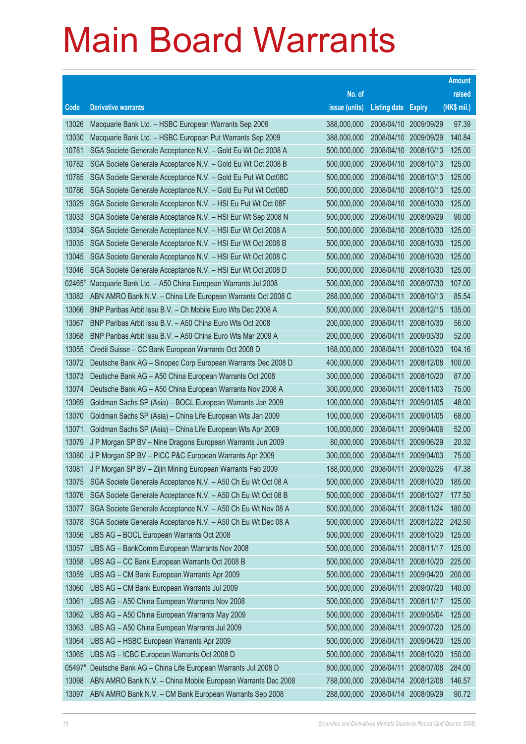|        |                                                              |               |                     |               | <b>Amount</b> |
|--------|--------------------------------------------------------------|---------------|---------------------|---------------|---------------|
|        |                                                              | No. of        |                     |               | raised        |
| Code   | <b>Derivative warrants</b>                                   | issue (units) | <b>Listing date</b> | <b>Expiry</b> | (HK\$ mil.)   |
| 13026  | Macquarie Bank Ltd. - HSBC European Warrants Sep 2009        | 388,000,000   | 2008/04/10          | 2009/09/29    | 97.39         |
| 13030  | Macquarie Bank Ltd. - HSBC European Put Warrants Sep 2009    | 388,000,000   | 2008/04/10          | 2009/09/29    | 140.84        |
| 10781  | SGA Societe Generale Acceptance N.V. - Gold Eu Wt Oct 2008 A | 500,000,000   | 2008/04/10          | 2008/10/13    | 125.00        |
| 10782  | SGA Societe Generale Acceptance N.V. - Gold Eu Wt Oct 2008 B | 500,000,000   | 2008/04/10          | 2008/10/13    | 125.00        |
| 10785  | SGA Societe Generale Acceptance N.V. - Gold Eu Put Wt Oct08C | 500,000,000   | 2008/04/10          | 2008/10/13    | 125.00        |
| 10786  | SGA Societe Generale Acceptance N.V. - Gold Eu Put Wt Oct08D | 500,000,000   | 2008/04/10          | 2008/10/13    | 125.00        |
| 13029  | SGA Societe Generale Acceptance N.V. - HSI Eu Put Wt Oct 08F | 500,000,000   | 2008/04/10          | 2008/10/30    | 125.00        |
| 13033  | SGA Societe Generale Acceptance N.V. - HSI Eur Wt Sep 2008 N | 500,000,000   | 2008/04/10          | 2008/09/29    | 90.00         |
| 13034  | SGA Societe Generale Acceptance N.V. - HSI Eur Wt Oct 2008 A | 500,000,000   | 2008/04/10          | 2008/10/30    | 125.00        |
| 13035  | SGA Societe Generale Acceptance N.V. - HSI Eur Wt Oct 2008 B | 500,000,000   | 2008/04/10          | 2008/10/30    | 125.00        |
| 13045  | SGA Societe Generale Acceptance N.V. - HSI Eur Wt Oct 2008 C | 500,000,000   | 2008/04/10          | 2008/10/30    | 125.00        |
| 13046  | SGA Societe Generale Acceptance N.V. - HSI Eur Wt Oct 2008 D | 500,000,000   | 2008/04/10          | 2008/10/30    | 125.00        |
| 02465# | Macquarie Bank Ltd. - A50 China European Warrants Jul 2008   | 500,000,000   | 2008/04/10          | 2008/07/30    | 107.00        |
| 13082  | ABN AMRO Bank N.V. - China Life European Warrants Oct 2008 C | 288,000,000   | 2008/04/11          | 2008/10/13    | 85.54         |
| 13066  | BNP Paribas Arbit Issu B.V. - Ch Mobile Euro Wts Dec 2008 A  | 500,000,000   | 2008/04/11          | 2008/12/15    | 135.00        |
| 13067  | BNP Paribas Arbit Issu B.V. - A50 China Euro Wts Oct 2008    | 200,000,000   | 2008/04/11          | 2008/10/30    | 56.00         |
| 13068  | BNP Paribas Arbit Issu B.V. - A50 China Euro Wts Mar 2009 A  | 200,000,000   | 2008/04/11          | 2009/03/30    | 52.00         |
| 13055  | Credit Suisse - CC Bank European Warrants Oct 2008 D         | 168,000,000   | 2008/04/11          | 2008/10/20    | 104.16        |
| 13072  | Deutsche Bank AG - Sinopec Corp European Warrants Dec 2008 D | 400,000,000   | 2008/04/11          | 2008/12/08    | 100.00        |
| 13073  | Deutsche Bank AG - A50 China European Warrants Oct 2008      | 300,000,000   | 2008/04/11          | 2008/10/20    | 87.00         |
| 13074  | Deutsche Bank AG - A50 China European Warrants Nov 2008 A    | 300,000,000   | 2008/04/11          | 2008/11/03    | 75.00         |
| 13069  | Goldman Sachs SP (Asia) - BOCL European Warrants Jan 2009    | 100,000,000   | 2008/04/11          | 2009/01/05    | 48.00         |
| 13070  | Goldman Sachs SP (Asia) - China Life European Wts Jan 2009   | 100,000,000   | 2008/04/11          | 2009/01/05    | 68.00         |
| 13071  | Goldman Sachs SP (Asia) - China Life European Wts Apr 2009   | 100,000,000   | 2008/04/11          | 2009/04/06    | 52.00         |
| 13079  | J P Morgan SP BV - Nine Dragons European Warrants Jun 2009   | 80,000,000    | 2008/04/11          | 2009/06/29    | 20.32         |
| 13080  | J P Morgan SP BV - PICC P&C European Warrants Apr 2009       | 300,000,000   | 2008/04/11          | 2009/04/03    | 75.00         |
| 13081  | J P Morgan SP BV - Zijin Mining European Warrants Feb 2009   | 188,000,000   | 2008/04/11          | 2009/02/26    | 47.38         |
| 13075  | SGA Societe Generale Acceptance N.V. - A50 Ch Eu Wt Oct 08 A | 500,000,000   | 2008/04/11          | 2008/10/20    | 185.00        |
| 13076  | SGA Societe Generale Acceptance N.V. - A50 Ch Eu Wt Oct 08 B | 500,000,000   | 2008/04/11          | 2008/10/27    | 177.50        |
| 13077  | SGA Societe Generale Acceptance N.V. - A50 Ch Eu Wt Nov 08 A | 500,000,000   | 2008/04/11          | 2008/11/24    | 180.00        |
| 13078  | SGA Societe Generale Acceptance N.V. - A50 Ch Eu Wt Dec 08 A | 500,000,000   | 2008/04/11          | 2008/12/22    | 242.50        |
| 13056  | UBS AG - BOCL European Warrants Oct 2008                     | 500,000,000   | 2008/04/11          | 2008/10/20    | 125.00        |
| 13057  | UBS AG - BankComm European Warrants Nov 2008                 | 500,000,000   | 2008/04/11          | 2008/11/17    | 125.00        |
| 13058  | UBS AG - CC Bank European Warrants Oct 2008 B                | 500,000,000   | 2008/04/11          | 2008/10/20    | 225.00        |
| 13059  | UBS AG - CM Bank European Warrants Apr 2009                  | 500,000,000   | 2008/04/11          | 2009/04/20    | 200.00        |
| 13060  | UBS AG - CM Bank European Warrants Jul 2009                  | 500,000,000   | 2008/04/11          | 2009/07/20    | 140.00        |
| 13061  | UBS AG - A50 China European Warrants Nov 2008                | 500,000,000   | 2008/04/11          | 2008/11/17    | 125.00        |
| 13062  | UBS AG - A50 China European Warrants May 2009                | 500,000,000   | 2008/04/11          | 2009/05/04    | 125.00        |
| 13063  | UBS AG - A50 China European Warrants Jul 2009                | 500,000,000   | 2008/04/11          | 2009/07/20    | 125.00        |
| 13064  | UBS AG - HSBC European Warrants Apr 2009                     | 500,000,000   | 2008/04/11          | 2009/04/20    | 125.00        |
| 13065  | UBS AG - ICBC European Warrants Oct 2008 D                   | 500,000,000   | 2008/04/11          | 2008/10/20    | 150.00        |
| 05497# | Deutsche Bank AG - China Life European Warrants Jul 2008 D   | 800,000,000   | 2008/04/11          | 2008/07/08    | 284.00        |
| 13098  | ABN AMRO Bank N.V. - China Mobile European Warrants Dec 2008 | 788,000,000   | 2008/04/14          | 2008/12/08    | 146.57        |
| 13097  | ABN AMRO Bank N.V. - CM Bank European Warrants Sep 2008      | 288,000,000   | 2008/04/14          | 2008/09/29    | 90.72         |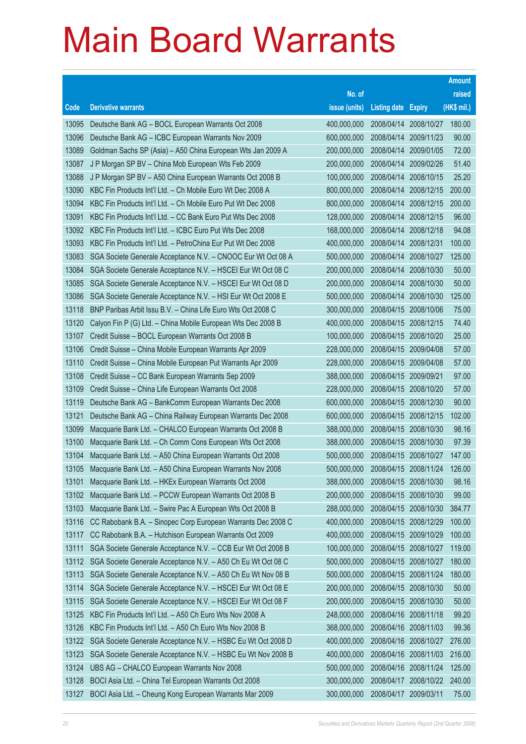|       |                                                              |               |                            |                       | <b>Amount</b> |
|-------|--------------------------------------------------------------|---------------|----------------------------|-----------------------|---------------|
|       |                                                              | No. of        |                            |                       | raised        |
| Code  | <b>Derivative warrants</b>                                   | issue (units) | <b>Listing date Expiry</b> |                       | (HK\$ mil.)   |
| 13095 | Deutsche Bank AG - BOCL European Warrants Oct 2008           | 400,000,000   | 2008/04/14                 | 2008/10/27            | 180.00        |
| 13096 | Deutsche Bank AG - ICBC European Warrants Nov 2009           | 600,000,000   | 2008/04/14                 | 2009/11/23            | 90.00         |
| 13089 | Goldman Sachs SP (Asia) - A50 China European Wts Jan 2009 A  | 200,000,000   | 2008/04/14                 | 2009/01/05            | 72.00         |
| 13087 | J P Morgan SP BV - China Mob European Wts Feb 2009           | 200,000,000   | 2008/04/14                 | 2009/02/26            | 51.40         |
| 13088 | J P Morgan SP BV - A50 China European Warrants Oct 2008 B    | 100,000,000   | 2008/04/14                 | 2008/10/15            | 25.20         |
| 13090 | KBC Fin Products Int'l Ltd. - Ch Mobile Euro Wt Dec 2008 A   | 800,000,000   | 2008/04/14                 | 2008/12/15            | 200.00        |
| 13094 | KBC Fin Products Int'l Ltd. - Ch Mobile Euro Put Wt Dec 2008 | 800,000,000   | 2008/04/14                 | 2008/12/15            | 200.00        |
| 13091 | KBC Fin Products Int'l Ltd. - CC Bank Euro Put Wts Dec 2008  | 128,000,000   | 2008/04/14                 | 2008/12/15            | 96.00         |
| 13092 | KBC Fin Products Int'l Ltd. - ICBC Euro Put Wts Dec 2008     | 168,000,000   | 2008/04/14                 | 2008/12/18            | 94.08         |
| 13093 | KBC Fin Products Int'l Ltd. - PetroChina Eur Put Wt Dec 2008 | 400,000,000   | 2008/04/14                 | 2008/12/31            | 100.00        |
| 13083 | SGA Societe Generale Acceptance N.V. - CNOOC Eur Wt Oct 08 A | 500,000,000   | 2008/04/14                 | 2008/10/27            | 125.00        |
| 13084 | SGA Societe Generale Acceptance N.V. - HSCEI Eur Wt Oct 08 C | 200,000,000   | 2008/04/14                 | 2008/10/30            | 50.00         |
| 13085 | SGA Societe Generale Acceptance N.V. - HSCEI Eur Wt Oct 08 D | 200,000,000   | 2008/04/14                 | 2008/10/30            | 50.00         |
| 13086 | SGA Societe Generale Acceptance N.V. - HSI Eur Wt Oct 2008 E | 500,000,000   | 2008/04/14                 | 2008/10/30            | 125.00        |
| 13118 | BNP Paribas Arbit Issu B.V. - China Life Euro Wts Oct 2008 C | 300,000,000   | 2008/04/15                 | 2008/10/06            | 75.00         |
| 13120 | Calyon Fin P (G) Ltd. - China Mobile European Wts Dec 2008 B | 400,000,000   | 2008/04/15 2008/12/15      |                       | 74.40         |
| 13107 | Credit Suisse - BOCL European Warrants Oct 2008 B            | 100,000,000   | 2008/04/15                 | 2008/10/20            | 25.00         |
| 13106 | Credit Suisse - China Mobile European Warrants Apr 2009      | 228,000,000   | 2008/04/15                 | 2009/04/08            | 57.00         |
| 13110 | Credit Suisse - China Mobile European Put Warrants Apr 2009  | 228,000,000   | 2008/04/15                 | 2009/04/08            | 57.00         |
| 13108 | Credit Suisse - CC Bank European Warrants Sep 2009           | 388,000,000   | 2008/04/15 2009/09/21      |                       | 97.00         |
| 13109 | Credit Suisse - China Life European Warrants Oct 2008        | 228,000,000   | 2008/04/15                 | 2008/10/20            | 57.00         |
| 13119 | Deutsche Bank AG - BankComm European Warrants Dec 2008       | 600,000,000   | 2008/04/15                 | 2008/12/30            | 90.00         |
| 13121 | Deutsche Bank AG - China Railway European Warrants Dec 2008  | 600,000,000   | 2008/04/15                 | 2008/12/15            | 102.00        |
| 13099 | Macquarie Bank Ltd. - CHALCO European Warrants Oct 2008 B    | 388,000,000   |                            | 2008/04/15 2008/10/30 | 98.16         |
| 13100 | Macquarie Bank Ltd. - Ch Comm Cons European Wts Oct 2008     | 388,000,000   | 2008/04/15                 | 2008/10/30            | 97.39         |
| 13104 | Macquarie Bank Ltd. - A50 China European Warrants Oct 2008   | 500,000,000   | 2008/04/15 2008/10/27      |                       | 147.00        |
| 13105 | Macquarie Bank Ltd. - A50 China European Warrants Nov 2008   | 500,000,000   | 2008/04/15 2008/11/24      |                       | 126.00        |
| 13101 | Macquarie Bank Ltd. - HKEx European Warrants Oct 2008        | 388,000,000   | 2008/04/15 2008/10/30      |                       | 98.16         |
| 13102 | Macquarie Bank Ltd. - PCCW European Warrants Oct 2008 B      | 200,000,000   | 2008/04/15                 | 2008/10/30            | 99.00         |
| 13103 | Macquarie Bank Ltd. - Swire Pac A European Wts Oct 2008 B    | 288,000,000   | 2008/04/15                 | 2008/10/30            | 384.77        |
| 13116 | CC Rabobank B.A. - Sinopec Corp European Warrants Dec 2008 C | 400,000,000   | 2008/04/15                 | 2008/12/29            | 100.00        |
| 13117 | CC Rabobank B.A. - Hutchison European Warrants Oct 2009      | 400,000,000   | 2008/04/15                 | 2009/10/29            | 100.00        |
| 13111 | SGA Societe Generale Acceptance N.V. - CCB Eur Wt Oct 2008 B | 100,000,000   | 2008/04/15                 | 2008/10/27            | 119.00        |
| 13112 | SGA Societe Generale Acceptance N.V. - A50 Ch Eu Wt Oct 08 C | 500,000,000   | 2008/04/15                 | 2008/10/27            | 180.00        |
| 13113 | SGA Societe Generale Acceptance N.V. - A50 Ch Eu Wt Nov 08 B | 500,000,000   | 2008/04/15                 | 2008/11/24            | 180.00        |
| 13114 | SGA Societe Generale Acceptance N.V. - HSCEI Eur Wt Oct 08 E | 200,000,000   | 2008/04/15                 | 2008/10/30            | 50.00         |
| 13115 | SGA Societe Generale Acceptance N.V. - HSCEI Eur Wt Oct 08 F | 200,000,000   | 2008/04/15                 | 2008/10/30            | 50.00         |
| 13125 | KBC Fin Products Int'l Ltd. - A50 Ch Euro Wts Nov 2008 A     | 248,000,000   | 2008/04/16                 | 2008/11/18            | 99.20         |
| 13126 | KBC Fin Products Int'l Ltd. - A50 Ch Euro Wts Nov 2008 B     | 368,000,000   | 2008/04/16                 | 2008/11/03            | 99.36         |
| 13122 | SGA Societe Generale Acceptance N.V. - HSBC Eu Wt Oct 2008 D | 400,000,000   | 2008/04/16                 | 2008/10/27            | 276.00        |
| 13123 | SGA Societe Generale Acceptance N.V. - HSBC Eu Wt Nov 2008 B | 400,000,000   | 2008/04/16                 | 2008/11/03            | 216.00        |
| 13124 | UBS AG - CHALCO European Warrants Nov 2008                   | 500,000,000   |                            | 2008/04/16 2008/11/24 | 125.00        |
| 13128 | BOCI Asia Ltd. - China Tel European Warrants Oct 2008        | 300,000,000   | 2008/04/17                 | 2008/10/22            | 240.00        |
| 13127 | BOCI Asia Ltd. - Cheung Kong European Warrants Mar 2009      | 300,000,000   | 2008/04/17                 | 2009/03/11            | 75.00         |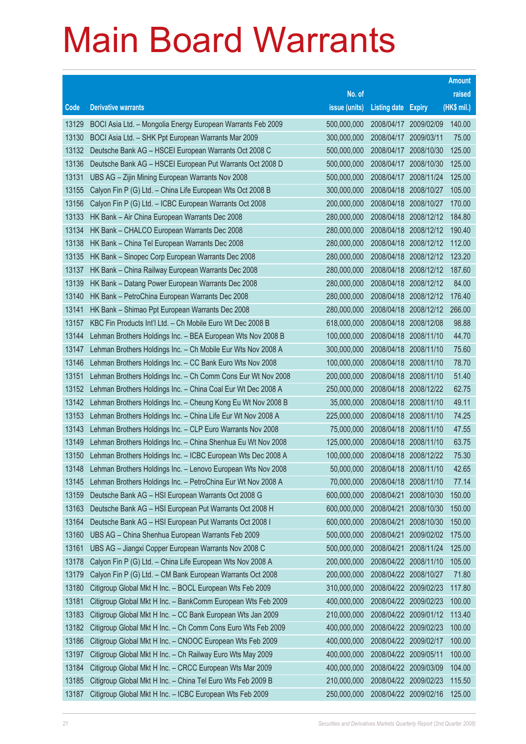|       |                                                              |               |                            |                       | <b>Amount</b> |
|-------|--------------------------------------------------------------|---------------|----------------------------|-----------------------|---------------|
|       |                                                              | No. of        |                            |                       | raised        |
| Code  | <b>Derivative warrants</b>                                   | issue (units) | <b>Listing date Expiry</b> |                       | (HK\$ mil.)   |
| 13129 | BOCI Asia Ltd. - Mongolia Energy European Warrants Feb 2009  | 500,000,000   | 2008/04/17                 | 2009/02/09            | 140.00        |
| 13130 | BOCI Asia Ltd. - SHK Ppt European Warrants Mar 2009          | 300,000,000   | 2008/04/17 2009/03/11      |                       | 75.00         |
| 13132 | Deutsche Bank AG - HSCEI European Warrants Oct 2008 C        | 500,000,000   | 2008/04/17                 | 2008/10/30            | 125.00        |
| 13136 | Deutsche Bank AG - HSCEI European Put Warrants Oct 2008 D    | 500,000,000   | 2008/04/17                 | 2008/10/30            | 125.00        |
| 13131 | UBS AG - Zijin Mining European Warrants Nov 2008             | 500,000,000   | 2008/04/17                 | 2008/11/24            | 125.00        |
| 13155 | Calyon Fin P (G) Ltd. - China Life European Wts Oct 2008 B   | 300,000,000   | 2008/04/18                 | 2008/10/27            | 105.00        |
| 13156 | Calyon Fin P (G) Ltd. - ICBC European Warrants Oct 2008      | 200,000,000   | 2008/04/18                 | 2008/10/27            | 170.00        |
| 13133 | HK Bank - Air China European Warrants Dec 2008               | 280,000,000   | 2008/04/18                 | 2008/12/12            | 184.80        |
| 13134 | HK Bank - CHALCO European Warrants Dec 2008                  | 280,000,000   | 2008/04/18                 | 2008/12/12            | 190.40        |
| 13138 | HK Bank - China Tel European Warrants Dec 2008               | 280,000,000   | 2008/04/18                 | 2008/12/12            | 112.00        |
| 13135 | HK Bank - Sinopec Corp European Warrants Dec 2008            | 280,000,000   | 2008/04/18                 | 2008/12/12            | 123.20        |
| 13137 | HK Bank - China Railway European Warrants Dec 2008           | 280,000,000   |                            | 2008/04/18 2008/12/12 | 187.60        |
| 13139 | HK Bank - Datang Power European Warrants Dec 2008            | 280,000,000   | 2008/04/18                 | 2008/12/12            | 84.00         |
| 13140 | HK Bank - PetroChina European Warrants Dec 2008              | 280,000,000   | 2008/04/18                 | 2008/12/12            | 176.40        |
| 13141 | HK Bank – Shimao Ppt European Warrants Dec 2008              | 280,000,000   | 2008/04/18                 | 2008/12/12            | 266.00        |
| 13157 | KBC Fin Products Int'l Ltd. - Ch Mobile Euro Wt Dec 2008 B   | 618,000,000   |                            | 2008/04/18 2008/12/08 | 98.88         |
| 13144 | Lehman Brothers Holdings Inc. - BEA European Wts Nov 2008 B  | 100,000,000   | 2008/04/18                 | 2008/11/10            | 44.70         |
| 13147 | Lehman Brothers Holdings Inc. - Ch Mobile Eur Wts Nov 2008 A | 300,000,000   | 2008/04/18                 | 2008/11/10            | 75.60         |
| 13146 | Lehman Brothers Holdings Inc. - CC Bank Euro Wts Nov 2008    | 100,000,000   | 2008/04/18                 | 2008/11/10            | 78.70         |
| 13151 | Lehman Brothers Holdings Inc. - Ch Comm Cons Eur Wt Nov 2008 | 200,000,000   | 2008/04/18                 | 2008/11/10            | 51.40         |
| 13152 | Lehman Brothers Holdings Inc. - China Coal Eur Wt Dec 2008 A | 250,000,000   | 2008/04/18                 | 2008/12/22            | 62.75         |
| 13142 | Lehman Brothers Holdings Inc. - Cheung Kong Eu Wt Nov 2008 B | 35,000,000    |                            | 2008/04/18 2008/11/10 | 49.11         |
| 13153 | Lehman Brothers Holdings Inc. - China Life Eur Wt Nov 2008 A | 225,000,000   | 2008/04/18                 | 2008/11/10            | 74.25         |
| 13143 | Lehman Brothers Holdings Inc. - CLP Euro Warrants Nov 2008   | 75,000,000    | 2008/04/18                 | 2008/11/10            | 47.55         |
| 13149 | Lehman Brothers Holdings Inc. - China Shenhua Eu Wt Nov 2008 | 125,000,000   | 2008/04/18                 | 2008/11/10            | 63.75         |
| 13150 | Lehman Brothers Holdings Inc. - ICBC European Wts Dec 2008 A | 100,000,000   | 2008/04/18                 | 2008/12/22            | 75.30         |
| 13148 | Lehman Brothers Holdings Inc. - Lenovo European Wts Nov 2008 | 50,000,000    | 2008/04/18                 | 2008/11/10            | 42.65         |
| 13145 | Lehman Brothers Holdings Inc. - PetroChina Eur Wt Nov 2008 A | 70,000,000    | 2008/04/18                 | 2008/11/10            | 77.14         |
| 13159 | Deutsche Bank AG - HSI European Warrants Oct 2008 G          | 600,000,000   | 2008/04/21                 | 2008/10/30            | 150.00        |
| 13163 | Deutsche Bank AG - HSI European Put Warrants Oct 2008 H      | 600,000,000   | 2008/04/21                 | 2008/10/30            | 150.00        |
| 13164 | Deutsche Bank AG - HSI European Put Warrants Oct 2008 I      | 600,000,000   | 2008/04/21                 | 2008/10/30            | 150.00        |
| 13160 | UBS AG - China Shenhua European Warrants Feb 2009            | 500,000,000   | 2008/04/21                 | 2009/02/02            | 175.00        |
| 13161 | UBS AG - Jiangxi Copper European Warrants Nov 2008 C         | 500,000,000   | 2008/04/21                 | 2008/11/24            | 125.00        |
| 13178 | Calyon Fin P (G) Ltd. - China Life European Wts Nov 2008 A   | 200,000,000   | 2008/04/22                 | 2008/11/10            | 105.00        |
| 13179 | Calyon Fin P (G) Ltd. - CM Bank European Warrants Oct 2008   | 200,000,000   | 2008/04/22                 | 2008/10/27            | 71.80         |
| 13180 | Citigroup Global Mkt H Inc. - BOCL European Wts Feb 2009     | 310,000,000   | 2008/04/22                 | 2009/02/23            | 117.80        |
| 13181 | Citigroup Global Mkt H Inc. - BankComm European Wts Feb 2009 | 400,000,000   | 2008/04/22                 | 2009/02/23            | 100.00        |
| 13183 | Citigroup Global Mkt H Inc. - CC Bank European Wts Jan 2009  | 210,000,000   | 2008/04/22                 | 2009/01/12            | 113.40        |
| 13182 | Citigroup Global Mkt H Inc. - Ch Comm Cons Euro Wts Feb 2009 | 400,000,000   | 2008/04/22                 | 2009/02/23            | 100.00        |
| 13186 | Citigroup Global Mkt H Inc. - CNOOC European Wts Feb 2009    | 400,000,000   | 2008/04/22                 | 2009/02/17            | 100.00        |
| 13197 | Citigroup Global Mkt H Inc. - Ch Railway Euro Wts May 2009   | 400,000,000   | 2008/04/22                 | 2009/05/11            | 100.00        |
| 13184 | Citigroup Global Mkt H Inc. - CRCC European Wts Mar 2009     | 400,000,000   | 2008/04/22                 | 2009/03/09            | 104.00        |
| 13185 | Citigroup Global Mkt H Inc. - China Tel Euro Wts Feb 2009 B  | 210,000,000   |                            | 2008/04/22 2009/02/23 | 115.50        |
| 13187 | Citigroup Global Mkt H Inc. - ICBC European Wts Feb 2009     | 250,000,000   |                            | 2008/04/22 2009/02/16 | 125.00        |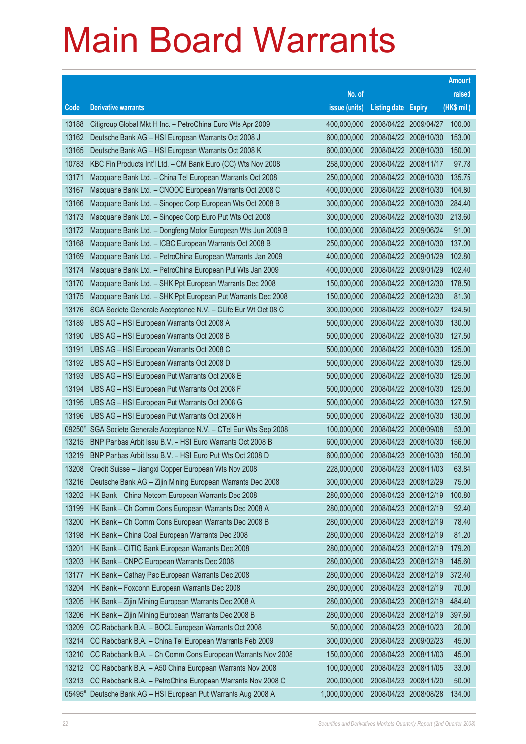|                |                                                                                                            |                            |                                     |                          | <b>Amount</b>  |
|----------------|------------------------------------------------------------------------------------------------------------|----------------------------|-------------------------------------|--------------------------|----------------|
|                |                                                                                                            | No. of                     |                                     |                          | raised         |
| Code           | <b>Derivative warrants</b>                                                                                 | issue (units)              | <b>Listing date Expiry</b>          |                          | (HK\$ mil.)    |
| 13188          | Citigroup Global Mkt H Inc. - PetroChina Euro Wts Apr 2009                                                 | 400,000,000                |                                     | 2008/04/22 2009/04/27    | 100.00         |
| 13162          | Deutsche Bank AG - HSI European Warrants Oct 2008 J                                                        | 600,000,000                |                                     | 2008/04/22 2008/10/30    | 153.00         |
| 13165          | Deutsche Bank AG - HSI European Warrants Oct 2008 K                                                        | 600,000,000                |                                     | 2008/04/22 2008/10/30    | 150.00         |
| 10783          | KBC Fin Products Int'l Ltd. - CM Bank Euro (CC) Wts Nov 2008                                               | 258,000,000                |                                     | 2008/04/22 2008/11/17    | 97.78          |
| 13171          | Macquarie Bank Ltd. - China Tel European Warrants Oct 2008                                                 | 250,000,000                |                                     | 2008/04/22 2008/10/30    | 135.75         |
| 13167          | Macquarie Bank Ltd. - CNOOC European Warrants Oct 2008 C                                                   | 400,000,000                |                                     | 2008/04/22 2008/10/30    | 104.80         |
| 13166          | Macquarie Bank Ltd. - Sinopec Corp European Wts Oct 2008 B                                                 | 300,000,000                |                                     | 2008/04/22 2008/10/30    | 284.40         |
| 13173          | Macquarie Bank Ltd. - Sinopec Corp Euro Put Wts Oct 2008                                                   | 300,000,000                |                                     | 2008/04/22 2008/10/30    | 213.60         |
| 13172          | Macquarie Bank Ltd. - Dongfeng Motor European Wts Jun 2009 B                                               | 100,000,000                |                                     | 2008/04/22 2009/06/24    | 91.00          |
| 13168          | Macquarie Bank Ltd. - ICBC European Warrants Oct 2008 B                                                    | 250,000,000                |                                     | 2008/04/22 2008/10/30    | 137.00         |
| 13169          | Macquarie Bank Ltd. - PetroChina European Warrants Jan 2009                                                | 400,000,000                | 2008/04/22 2009/01/29               |                          | 102.80         |
| 13174          | Macquarie Bank Ltd. - PetroChina European Put Wts Jan 2009                                                 | 400,000,000                |                                     | 2008/04/22 2009/01/29    | 102.40         |
| 13170          | Macquarie Bank Ltd. - SHK Ppt European Warrants Dec 2008                                                   | 150,000,000                |                                     | 2008/04/22 2008/12/30    | 178.50         |
| 13175          | Macquarie Bank Ltd. - SHK Ppt European Put Warrants Dec 2008                                               | 150,000,000                |                                     | 2008/04/22 2008/12/30    | 81.30          |
| 13176          | SGA Societe Generale Acceptance N.V. - CLife Eur Wt Oct 08 C                                               | 300,000,000                | 2008/04/22 2008/10/27               |                          | 124.50         |
| 13189          | UBS AG - HSI European Warrants Oct 2008 A                                                                  | 500,000,000                |                                     | 2008/04/22 2008/10/30    | 130.00         |
| 13190          | UBS AG - HSI European Warrants Oct 2008 B                                                                  | 500,000,000                |                                     | 2008/04/22 2008/10/30    | 127.50         |
| 13191          | UBS AG - HSI European Warrants Oct 2008 C                                                                  | 500,000,000                |                                     | 2008/04/22 2008/10/30    | 125.00         |
| 13192          | UBS AG - HSI European Warrants Oct 2008 D                                                                  | 500,000,000                |                                     | 2008/04/22 2008/10/30    | 125.00         |
| 13193          | UBS AG - HSI European Put Warrants Oct 2008 E                                                              | 500,000,000                | 2008/04/22 2008/10/30               |                          | 125.00         |
| 13194          | UBS AG - HSI European Put Warrants Oct 2008 F                                                              | 500,000,000                |                                     | 2008/04/22 2008/10/30    | 125.00         |
| 13195          | UBS AG - HSI European Put Warrants Oct 2008 G                                                              | 500,000,000                |                                     | 2008/04/22 2008/10/30    | 127.50         |
| 13196          | UBS AG - HSI European Put Warrants Oct 2008 H                                                              | 500,000,000                | 2008/04/22                          | 2008/10/30               | 130.00         |
|                | 09250# SGA Societe Generale Acceptance N.V. - CTel Eur Wts Sep 2008                                        | 100,000,000                | 2008/04/22 2008/09/08               |                          | 53.00          |
| 13215          | BNP Paribas Arbit Issu B.V. - HSI Euro Warrants Oct 2008 B                                                 | 600,000,000                |                                     | 2008/04/23 2008/10/30    | 156.00         |
| 13219          | BNP Paribas Arbit Issu B.V. - HSI Euro Put Wts Oct 2008 D                                                  | 600,000,000                |                                     | 2008/04/23 2008/10/30    | 150.00         |
| 13208          | Credit Suisse - Jiangxi Copper European Wts Nov 2008                                                       | 228,000,000                | 2008/04/23                          | 2008/11/03               | 63.84          |
| 13216          | Deutsche Bank AG - Zijin Mining European Warrants Dec 2008                                                 | 300,000,000                | 2008/04/23 2008/12/29               |                          | 75.00          |
| 13202<br>13199 | HK Bank - China Netcom European Warrants Dec 2008                                                          | 280,000,000                | 2008/04/23                          | 2008/12/19               | 100.80         |
|                | HK Bank - Ch Comm Cons European Warrants Dec 2008 A<br>HK Bank - Ch Comm Cons European Warrants Dec 2008 B | 280,000,000                | 2008/04/23 2008/12/19<br>2008/04/23 |                          | 92.40          |
| 13200<br>13198 | HK Bank - China Coal European Warrants Dec 2008                                                            | 280,000,000<br>280,000,000 | 2008/04/23                          | 2008/12/19               | 78.40<br>81.20 |
| 13201          | HK Bank - CITIC Bank European Warrants Dec 2008                                                            | 280,000,000                | 2008/04/23                          | 2008/12/19               | 179.20         |
| 13203          | HK Bank - CNPC European Warrants Dec 2008                                                                  | 280,000,000                | 2008/04/23                          | 2008/12/19<br>2008/12/19 | 145.60         |
| 13177          | HK Bank - Cathay Pac European Warrants Dec 2008                                                            | 280,000,000                | 2008/04/23                          | 2008/12/19               | 372.40         |
| 13204          | HK Bank - Foxconn European Warrants Dec 2008                                                               | 280,000,000                | 2008/04/23                          | 2008/12/19               | 70.00          |
| 13205          | HK Bank - Zijin Mining European Warrants Dec 2008 A                                                        | 280,000,000                | 2008/04/23                          | 2008/12/19               | 484.40         |
| 13206          | HK Bank - Zijin Mining European Warrants Dec 2008 B                                                        | 280,000,000                | 2008/04/23                          | 2008/12/19               | 397.60         |
| 13209          | CC Rabobank B.A. - BOCL European Warrants Oct 2008                                                         | 50,000,000                 | 2008/04/23                          | 2008/10/23               | 20.00          |
| 13214          | CC Rabobank B.A. - China Tel European Warrants Feb 2009                                                    | 300,000,000                | 2008/04/23                          | 2009/02/23               | 45.00          |
| 13210          | CC Rabobank B.A. - Ch Comm Cons European Warrants Nov 2008                                                 | 150,000,000                | 2008/04/23                          | 2008/11/03               | 45.00          |
| 13212          | CC Rabobank B.A. - A50 China European Warrants Nov 2008                                                    | 100,000,000                | 2008/04/23                          | 2008/11/05               | 33.00          |
| 13213          | CC Rabobank B.A. - PetroChina European Warrants Nov 2008 C                                                 | 200,000,000                | 2008/04/23                          |                          | 50.00          |
|                |                                                                                                            |                            |                                     | 2008/11/20               |                |
| $05495*$       | Deutsche Bank AG - HSI European Put Warrants Aug 2008 A                                                    | 1,000,000,000              | 2008/04/23 2008/08/28               |                          | 134.00         |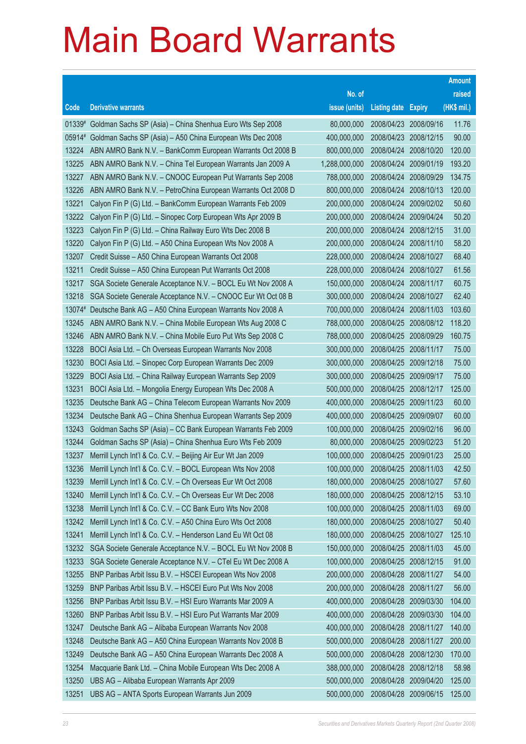|                |                                                                                                                       |                            |                            |                          | <b>Amount</b>  |
|----------------|-----------------------------------------------------------------------------------------------------------------------|----------------------------|----------------------------|--------------------------|----------------|
|                |                                                                                                                       | No. of                     |                            |                          | raised         |
| Code           | <b>Derivative warrants</b>                                                                                            | issue (units)              | <b>Listing date Expiry</b> |                          | (HK\$ mil.)    |
|                | 01339# Goldman Sachs SP (Asia) - China Shenhua Euro Wts Sep 2008                                                      | 80,000,000                 | 2008/04/23                 | 2008/09/16               | 11.76          |
| $05914*$       | Goldman Sachs SP (Asia) - A50 China European Wts Dec 2008                                                             | 400,000,000                | 2008/04/23                 | 2008/12/15               | 90.00          |
| 13224          | ABN AMRO Bank N.V. - BankComm European Warrants Oct 2008 B                                                            | 800,000,000                | 2008/04/24                 | 2008/10/20               | 120.00         |
| 13225          | ABN AMRO Bank N.V. - China Tel European Warrants Jan 2009 A                                                           | 1,288,000,000              | 2008/04/24                 | 2009/01/19               | 193.20         |
| 13227          | ABN AMRO Bank N.V. - CNOOC European Put Warrants Sep 2008                                                             | 788,000,000                | 2008/04/24                 | 2008/09/29               | 134.75         |
| 13226          | ABN AMRO Bank N.V. - PetroChina European Warrants Oct 2008 D                                                          | 800,000,000                | 2008/04/24                 | 2008/10/13               | 120.00         |
| 13221          | Calyon Fin P (G) Ltd. - BankComm European Warrants Feb 2009                                                           | 200,000,000                | 2008/04/24                 | 2009/02/02               | 50.60          |
| 13222          | Calyon Fin P (G) Ltd. - Sinopec Corp European Wts Apr 2009 B                                                          | 200,000,000                | 2008/04/24                 | 2009/04/24               | 50.20          |
| 13223          | Calyon Fin P (G) Ltd. - China Railway Euro Wts Dec 2008 B                                                             | 200,000,000                | 2008/04/24                 | 2008/12/15               | 31.00          |
| 13220          | Calyon Fin P (G) Ltd. - A50 China European Wts Nov 2008 A                                                             | 200,000,000                | 2008/04/24                 | 2008/11/10               | 58.20          |
| 13207          | Credit Suisse - A50 China European Warrants Oct 2008                                                                  | 228,000,000                | 2008/04/24                 | 2008/10/27               | 68.40          |
| 13211          | Credit Suisse - A50 China European Put Warrants Oct 2008                                                              | 228,000,000                | 2008/04/24                 | 2008/10/27               | 61.56          |
| 13217          | SGA Societe Generale Acceptance N.V. - BOCL Eu Wt Nov 2008 A                                                          | 150,000,000                | 2008/04/24                 | 2008/11/17               | 60.75          |
| 13218          | SGA Societe Generale Acceptance N.V. - CNOOC Eur Wt Oct 08 B                                                          | 300,000,000                | 2008/04/24                 | 2008/10/27               | 62.40          |
| 13074#         | Deutsche Bank AG - A50 China European Warrants Nov 2008 A                                                             | 700,000,000                | 2008/04/24                 | 2008/11/03               | 103.60         |
| 13245          | ABN AMRO Bank N.V. - China Mobile European Wts Aug 2008 C                                                             | 788,000,000                | 2008/04/25                 | 2008/08/12               | 118.20         |
| 13246          | ABN AMRO Bank N.V. - China Mobile Euro Put Wts Sep 2008 C                                                             | 788,000,000                | 2008/04/25                 | 2008/09/29               | 160.75         |
| 13228<br>13230 | BOCI Asia Ltd. - Ch Overseas European Warrants Nov 2008                                                               | 300,000,000<br>300,000,000 | 2008/04/25<br>2008/04/25   | 2008/11/17<br>2009/12/18 | 75.00<br>75.00 |
| 13229          | BOCI Asia Ltd. - Sinopec Corp European Warrants Dec 2009<br>BOCI Asia Ltd. - China Railway European Warrants Sep 2009 | 300,000,000                | 2008/04/25                 | 2009/09/17               | 75.00          |
| 13231          | BOCI Asia Ltd. - Mongolia Energy European Wts Dec 2008 A                                                              | 500,000,000                | 2008/04/25                 | 2008/12/17               | 125.00         |
| 13235          | Deutsche Bank AG - China Telecom European Warrants Nov 2009                                                           | 400,000,000                | 2008/04/25                 | 2009/11/23               | 60.00          |
| 13234          | Deutsche Bank AG - China Shenhua European Warrants Sep 2009                                                           | 400,000,000                | 2008/04/25                 | 2009/09/07               | 60.00          |
| 13243          | Goldman Sachs SP (Asia) - CC Bank European Warrants Feb 2009                                                          | 100,000,000                | 2008/04/25                 | 2009/02/16               | 96.00          |
| 13244          | Goldman Sachs SP (Asia) - China Shenhua Euro Wts Feb 2009                                                             | 80,000,000                 | 2008/04/25                 | 2009/02/23               | 51.20          |
| 13237          | Merrill Lynch Int'l & Co. C.V. - Beijing Air Eur Wt Jan 2009                                                          | 100,000,000                | 2008/04/25                 | 2009/01/23               | 25.00          |
| 13236          | Merrill Lynch Int'l & Co. C.V. - BOCL European Wts Nov 2008                                                           | 100,000,000                | 2008/04/25                 | 2008/11/03               | 42.50          |
| 13239          | Merrill Lynch Int'l & Co. C.V. - Ch Overseas Eur Wt Oct 2008                                                          | 180,000,000                | 2008/04/25 2008/10/27      |                          | 57.60          |
| 13240          | Merrill Lynch Int'l & Co. C.V. - Ch Overseas Eur Wt Dec 2008                                                          | 180,000,000                | 2008/04/25                 | 2008/12/15               | 53.10          |
| 13238          | Merrill Lynch Int'l & Co. C.V. - CC Bank Euro Wts Nov 2008                                                            | 100,000,000                | 2008/04/25                 | 2008/11/03               | 69.00          |
| 13242          | Merrill Lynch Int'l & Co. C.V. - A50 China Euro Wts Oct 2008                                                          | 180,000,000                | 2008/04/25                 | 2008/10/27               | 50.40          |
| 13241          | Merrill Lynch Int'l & Co. C.V. - Henderson Land Eu Wt Oct 08                                                          | 180,000,000                | 2008/04/25                 | 2008/10/27               | 125.10         |
| 13232          | SGA Societe Generale Acceptance N.V. - BOCL Eu Wt Nov 2008 B                                                          | 150,000,000                | 2008/04/25                 | 2008/11/03               | 45.00          |
| 13233          | SGA Societe Generale Acceptance N.V. - CTel Eu Wt Dec 2008 A                                                          | 100,000,000                | 2008/04/25                 | 2008/12/15               | 91.00          |
| 13255          | BNP Paribas Arbit Issu B.V. - HSCEI European Wts Nov 2008                                                             | 200,000,000                | 2008/04/28                 | 2008/11/27               | 54.00          |
| 13259          | BNP Paribas Arbit Issu B.V. - HSCEI Euro Put Wts Nov 2008                                                             | 200,000,000                | 2008/04/28                 | 2008/11/27               | 56.00          |
| 13256          | BNP Paribas Arbit Issu B.V. - HSI Euro Warrants Mar 2009 A                                                            | 400,000,000                | 2008/04/28                 | 2009/03/30               | 104.00         |
| 13260          | BNP Paribas Arbit Issu B.V. - HSI Euro Put Warrants Mar 2009                                                          | 400,000,000                | 2008/04/28                 | 2009/03/30               | 104.00         |
| 13247          | Deutsche Bank AG - Alibaba European Warrants Nov 2008                                                                 | 400,000,000                | 2008/04/28                 | 2008/11/27               | 140.00         |
| 13248          | Deutsche Bank AG - A50 China European Warrants Nov 2008 B                                                             | 500,000,000                | 2008/04/28                 | 2008/11/27               | 200.00         |
| 13249          | Deutsche Bank AG - A50 China European Warrants Dec 2008 A                                                             | 500,000,000                | 2008/04/28                 | 2008/12/30               | 170.00         |
| 13254          | Macquarie Bank Ltd. - China Mobile European Wts Dec 2008 A                                                            | 388,000,000                | 2008/04/28                 | 2008/12/18               | 58.98          |
| 13250          | UBS AG - Alibaba European Warrants Apr 2009                                                                           | 500,000,000                | 2008/04/28                 | 2009/04/20               | 125.00         |
| 13251          | UBS AG - ANTA Sports European Warrants Jun 2009                                                                       | 500,000,000                |                            | 2008/04/28 2009/06/15    | 125.00         |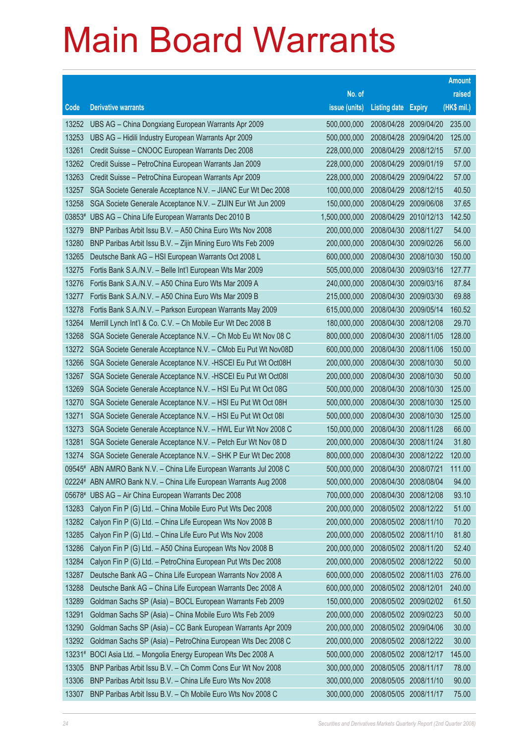|          |                                                                     |               |                            |            | <b>Amount</b> |
|----------|---------------------------------------------------------------------|---------------|----------------------------|------------|---------------|
|          |                                                                     | No. of        |                            |            | raised        |
| Code     | <b>Derivative warrants</b>                                          | issue (units) | <b>Listing date Expiry</b> |            | (HK\$ mil.)   |
| 13252    | UBS AG – China Dongxiang European Warrants Apr 2009                 | 500,000,000   | 2008/04/28                 | 2009/04/20 | 235.00        |
| 13253    | UBS AG - Hidili Industry European Warrants Apr 2009                 | 500,000,000   | 2008/04/28                 | 2009/04/20 | 125.00        |
| 13261    | Credit Suisse - CNOOC European Warrants Dec 2008                    | 228,000,000   | 2008/04/29                 | 2008/12/15 | 57.00         |
| 13262    | Credit Suisse – PetroChina European Warrants Jan 2009               | 228,000,000   | 2008/04/29 2009/01/19      |            | 57.00         |
| 13263    | Credit Suisse - PetroChina European Warrants Apr 2009               | 228,000,000   | 2008/04/29                 | 2009/04/22 | 57.00         |
| 13257    | SGA Societe Generale Acceptance N.V. - JIANC Eur Wt Dec 2008        | 100,000,000   | 2008/04/29                 | 2008/12/15 | 40.50         |
| 13258    | SGA Societe Generale Acceptance N.V. - ZIJIN Eur Wt Jun 2009        | 150,000,000   | 2008/04/29                 | 2009/06/08 | 37.65         |
|          | 03853# UBS AG - China Life European Warrants Dec 2010 B             | 1,500,000,000 | 2008/04/29                 | 2010/12/13 | 142.50        |
| 13279    | BNP Paribas Arbit Issu B.V. - A50 China Euro Wts Nov 2008           | 200,000,000   | 2008/04/30                 | 2008/11/27 | 54.00         |
| 13280    | BNP Paribas Arbit Issu B.V. - Zijin Mining Euro Wts Feb 2009        | 200,000,000   | 2008/04/30 2009/02/26      |            | 56.00         |
| 13265    | Deutsche Bank AG - HSI European Warrants Oct 2008 L                 | 600,000,000   | 2008/04/30                 | 2008/10/30 | 150.00        |
| 13275    | Fortis Bank S.A./N.V. - Belle Int'l European Wts Mar 2009           | 505,000,000   | 2008/04/30 2009/03/16      |            | 127.77        |
| 13276    | Fortis Bank S.A./N.V. - A50 China Euro Wts Mar 2009 A               | 240,000,000   | 2008/04/30                 | 2009/03/16 | 87.84         |
| 13277    | Fortis Bank S.A./N.V. - A50 China Euro Wts Mar 2009 B               | 215,000,000   | 2008/04/30 2009/03/30      |            | 69.88         |
| 13278    | Fortis Bank S.A./N.V. - Parkson European Warrants May 2009          | 615,000,000   | 2008/04/30                 | 2009/05/14 | 160.52        |
| 13264    | Merrill Lynch Int'l & Co. C.V. - Ch Mobile Eur Wt Dec 2008 B        | 180,000,000   | 2008/04/30 2008/12/08      |            | 29.70         |
| 13268    | SGA Societe Generale Acceptance N.V. - Ch Mob Eu Wt Nov 08 C        | 800,000,000   | 2008/04/30                 | 2008/11/05 | 128.00        |
| 13272    | SGA Societe Generale Acceptance N.V. - CMob Eu Put Wt Nov08D        | 600,000,000   | 2008/04/30 2008/11/06      |            | 150.00        |
| 13266    | SGA Societe Generale Acceptance N.V. - HSCEI Eu Put Wt Oct08H       | 200,000,000   | 2008/04/30                 | 2008/10/30 | 50.00         |
| 13267    | SGA Societe Generale Acceptance N.V. - HSCEI Eu Put Wt Oct081       | 200,000,000   | 2008/04/30 2008/10/30      |            | 50.00         |
| 13269    | SGA Societe Generale Acceptance N.V. - HSI Eu Put Wt Oct 08G        | 500,000,000   | 2008/04/30                 | 2008/10/30 | 125.00        |
| 13270    | SGA Societe Generale Acceptance N.V. - HSI Eu Put Wt Oct 08H        | 500,000,000   | 2008/04/30                 | 2008/10/30 | 125.00        |
| 13271    | SGA Societe Generale Acceptance N.V. - HSI Eu Put Wt Oct 081        | 500,000,000   | 2008/04/30                 | 2008/10/30 | 125.00        |
| 13273    | SGA Societe Generale Acceptance N.V. - HWL Eur Wt Nov 2008 C        | 150,000,000   | 2008/04/30 2008/11/28      |            | 66.00         |
| 13281    | SGA Societe Generale Acceptance N.V. - Petch Eur Wt Nov 08 D        | 200,000,000   | 2008/04/30                 | 2008/11/24 | 31.80         |
| 13274    | SGA Societe Generale Acceptance N.V. - SHK P Eur Wt Dec 2008        | 800,000,000   | 2008/04/30 2008/12/22      |            | 120.00        |
|          | 09545# ABN AMRO Bank N.V. - China Life European Warrants Jul 2008 C | 500,000,000   | 2008/04/30 2008/07/21      |            | 111.00        |
|          | 02224# ABN AMRO Bank N.V. - China Life European Warrants Aug 2008   | 500,000,000   | 2008/04/30 2008/08/04      |            | 94.00         |
|          | 05678# UBS AG - Air China European Warrants Dec 2008                | 700,000,000   | 2008/04/30 2008/12/08      |            | 93.10         |
| 13283    | Calyon Fin P (G) Ltd. - China Mobile Euro Put Wts Dec 2008          | 200,000,000   | 2008/05/02 2008/12/22      |            | 51.00         |
| 13282    | Calyon Fin P (G) Ltd. - China Life European Wts Nov 2008 B          | 200,000,000   | 2008/05/02 2008/11/10      |            | 70.20         |
| 13285    | Calyon Fin P (G) Ltd. - China Life Euro Put Wts Nov 2008            | 200,000,000   | 2008/05/02 2008/11/10      |            | 81.80         |
| 13286    | Calyon Fin P (G) Ltd. - A50 China European Wts Nov 2008 B           | 200,000,000   | 2008/05/02 2008/11/20      |            | 52.40         |
| 13284    | Calyon Fin P (G) Ltd. - PetroChina European Put Wts Dec 2008        | 200,000,000   | 2008/05/02 2008/12/22      |            | 50.00         |
| 13287    | Deutsche Bank AG - China Life European Warrants Nov 2008 A          | 600,000,000   | 2008/05/02 2008/11/03      |            | 276.00        |
| 13288    | Deutsche Bank AG - China Life European Warrants Dec 2008 A          | 600,000,000   | 2008/05/02 2008/12/01      |            | 240.00        |
| 13289    | Goldman Sachs SP (Asia) - BOCL European Warrants Feb 2009           | 150,000,000   | 2008/05/02 2009/02/02      |            | 61.50         |
| 13291    | Goldman Sachs SP (Asia) - China Mobile Euro Wts Feb 2009            | 200,000,000   | 2008/05/02 2009/02/23      |            | 50.00         |
| 13290    | Goldman Sachs SP (Asia) - CC Bank European Warrants Apr 2009        | 200,000,000   | 2008/05/02 2009/04/06      |            | 30.00         |
| 13292    | Goldman Sachs SP (Asia) - PetroChina European Wts Dec 2008 C        | 200,000,000   | 2008/05/02 2008/12/22      |            | 30.00         |
| $13231*$ | BOCI Asia Ltd. - Mongolia Energy European Wts Dec 2008 A            | 500,000,000   | 2008/05/02 2008/12/17      |            | 145.00        |
| 13305    | BNP Paribas Arbit Issu B.V. - Ch Comm Cons Eur Wt Nov 2008          | 300,000,000   | 2008/05/05 2008/11/17      |            | 78.00         |
| 13306    | BNP Paribas Arbit Issu B.V. - China Life Euro Wts Nov 2008          | 300,000,000   | 2008/05/05 2008/11/10      |            | 90.00         |
| 13307    | BNP Paribas Arbit Issu B.V. - Ch Mobile Euro Wts Nov 2008 C         | 300,000,000   | 2008/05/05 2008/11/17      |            | 75.00         |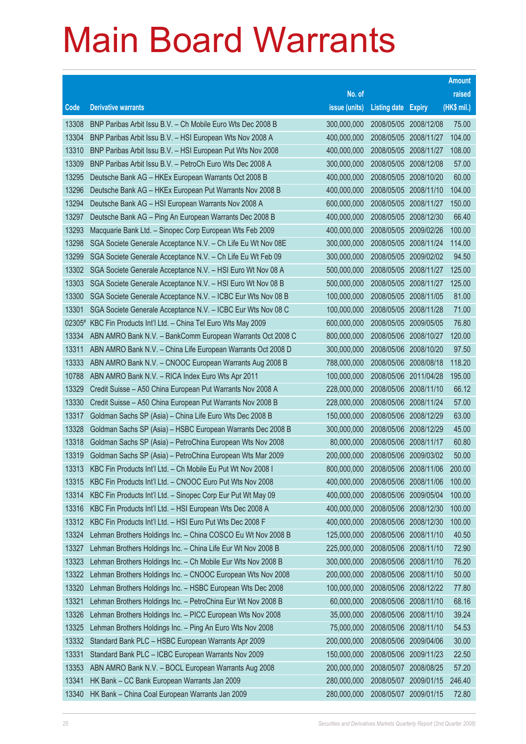|       |                                                                  |               |                            |                       | <b>Amount</b> |
|-------|------------------------------------------------------------------|---------------|----------------------------|-----------------------|---------------|
|       |                                                                  | No. of        |                            |                       | raised        |
| Code  | <b>Derivative warrants</b>                                       | issue (units) | <b>Listing date Expiry</b> |                       | (HK\$ mil.)   |
| 13308 | BNP Paribas Arbit Issu B.V. - Ch Mobile Euro Wts Dec 2008 B      | 300,000,000   | 2008/05/05 2008/12/08      |                       | 75.00         |
| 13304 | BNP Paribas Arbit Issu B.V. - HSI European Wts Nov 2008 A        | 400,000,000   | 2008/05/05 2008/11/27      |                       | 104.00        |
| 13310 | BNP Paribas Arbit Issu B.V. - HSI European Put Wts Nov 2008      | 400,000,000   | 2008/05/05 2008/11/27      |                       | 108.00        |
| 13309 | BNP Paribas Arbit Issu B.V. - PetroCh Euro Wts Dec 2008 A        | 300,000,000   | 2008/05/05 2008/12/08      |                       | 57.00         |
| 13295 | Deutsche Bank AG - HKEx European Warrants Oct 2008 B             | 400,000,000   | 2008/05/05 2008/10/20      |                       | 60.00         |
| 13296 | Deutsche Bank AG - HKEx European Put Warrants Nov 2008 B         | 400,000,000   | 2008/05/05 2008/11/10      |                       | 104.00        |
| 13294 | Deutsche Bank AG - HSI European Warrants Nov 2008 A              | 600,000,000   | 2008/05/05 2008/11/27      |                       | 150.00        |
| 13297 | Deutsche Bank AG - Ping An European Warrants Dec 2008 B          | 400,000,000   | 2008/05/05 2008/12/30      |                       | 66.40         |
| 13293 | Macquarie Bank Ltd. - Sinopec Corp European Wts Feb 2009         | 400,000,000   | 2008/05/05 2009/02/26      |                       | 100.00        |
| 13298 | SGA Societe Generale Acceptance N.V. - Ch Life Eu Wt Nov 08E     | 300,000,000   | 2008/05/05 2008/11/24      |                       | 114.00        |
| 13299 | SGA Societe Generale Acceptance N.V. - Ch Life Eu Wt Feb 09      | 300,000,000   | 2008/05/05 2009/02/02      |                       | 94.50         |
| 13302 | SGA Societe Generale Acceptance N.V. - HSI Euro Wt Nov 08 A      | 500,000,000   | 2008/05/05 2008/11/27      |                       | 125.00        |
| 13303 | SGA Societe Generale Acceptance N.V. - HSI Euro Wt Nov 08 B      | 500,000,000   | 2008/05/05 2008/11/27      |                       | 125.00        |
| 13300 | SGA Societe Generale Acceptance N.V. - ICBC Eur Wts Nov 08 B     | 100,000,000   | 2008/05/05 2008/11/05      |                       | 81.00         |
| 13301 | SGA Societe Generale Acceptance N.V. - ICBC Eur Wts Nov 08 C     | 100,000,000   | 2008/05/05 2008/11/28      |                       | 71.00         |
|       | 02305# KBC Fin Products Int'l Ltd. - China Tel Euro Wts May 2009 | 600,000,000   | 2008/05/05 2009/05/05      |                       | 76.80         |
| 13334 | ABN AMRO Bank N.V. - BankComm European Warrants Oct 2008 C       | 800,000,000   | 2008/05/06 2008/10/27      |                       | 120.00        |
| 13311 | ABN AMRO Bank N.V. - China Life European Warrants Oct 2008 D     | 300,000,000   | 2008/05/06 2008/10/20      |                       | 97.50         |
| 13333 | ABN AMRO Bank N.V. - CNOOC European Warrants Aug 2008 B          | 788,000,000   | 2008/05/06 2008/08/18      |                       | 118.20        |
| 10788 | ABN AMRO Bank N.V. - RICA Index Euro Wts Apr 2011                | 100,000,000   | 2008/05/06 2011/04/28      |                       | 195.00        |
| 13329 | Credit Suisse - A50 China European Put Warrants Nov 2008 A       | 228,000,000   | 2008/05/06 2008/11/10      |                       | 66.12         |
| 13330 | Credit Suisse - A50 China European Put Warrants Nov 2008 B       | 228,000,000   | 2008/05/06 2008/11/24      |                       | 57.00         |
| 13317 | Goldman Sachs SP (Asia) - China Life Euro Wts Dec 2008 B         | 150,000,000   | 2008/05/06 2008/12/29      |                       | 63.00         |
| 13328 | Goldman Sachs SP (Asia) - HSBC European Warrants Dec 2008 B      | 300,000,000   | 2008/05/06 2008/12/29      |                       | 45.00         |
| 13318 | Goldman Sachs SP (Asia) - PetroChina European Wts Nov 2008       | 80,000,000    | 2008/05/06 2008/11/17      |                       | 60.80         |
| 13319 | Goldman Sachs SP (Asia) - PetroChina European Wts Mar 2009       | 200,000,000   | 2008/05/06 2009/03/02      |                       | 50.00         |
| 13313 | KBC Fin Products Int'l Ltd. - Ch Mobile Eu Put Wt Nov 2008 I     | 800,000,000   |                            | 2008/05/06 2008/11/06 | 200.00        |
| 13315 | KBC Fin Products Int'l Ltd. - CNOOC Euro Put Wts Nov 2008        | 400,000,000   | 2008/05/06 2008/11/06      |                       | 100.00        |
| 13314 | KBC Fin Products Int'l Ltd. - Sinopec Corp Eur Put Wt May 09     | 400,000,000   | 2008/05/06                 | 2009/05/04            | 100.00        |
| 13316 | KBC Fin Products Int'l Ltd. - HSI European Wts Dec 2008 A        | 400,000,000   | 2008/05/06 2008/12/30      |                       | 100.00        |
| 13312 | KBC Fin Products Int'l Ltd. - HSI Euro Put Wts Dec 2008 F        | 400,000,000   | 2008/05/06                 | 2008/12/30            | 100.00        |
| 13324 | Lehman Brothers Holdings Inc. - China COSCO Eu Wt Nov 2008 B     | 125,000,000   | 2008/05/06 2008/11/10      |                       | 40.50         |
| 13327 | Lehman Brothers Holdings Inc. - China Life Eur Wt Nov 2008 B     | 225,000,000   | 2008/05/06                 | 2008/11/10            | 72.90         |
| 13323 | Lehman Brothers Holdings Inc. - Ch Mobile Eur Wts Nov 2008 B     | 300,000,000   | 2008/05/06 2008/11/10      |                       | 76.20         |
| 13322 | Lehman Brothers Holdings Inc. - CNOOC European Wts Nov 2008      | 200,000,000   | 2008/05/06                 | 2008/11/10            | 50.00         |
| 13320 | Lehman Brothers Holdings Inc. - HSBC European Wts Dec 2008       | 100,000,000   | 2008/05/06 2008/12/22      |                       | 77.80         |
| 13321 | Lehman Brothers Holdings Inc. - PetroChina Eur Wt Nov 2008 B     | 60,000,000    | 2008/05/06                 | 2008/11/10            | 68.16         |
| 13326 | Lehman Brothers Holdings Inc. - PICC European Wts Nov 2008       | 35,000,000    | 2008/05/06 2008/11/10      |                       | 39.24         |
| 13325 | Lehman Brothers Holdings Inc. - Ping An Euro Wts Nov 2008        | 75,000,000    | 2008/05/06                 | 2008/11/10            | 54.53         |
| 13332 | Standard Bank PLC - HSBC European Warrants Apr 2009              | 200,000,000   | 2008/05/06                 | 2009/04/06            | 30.00         |
| 13331 | Standard Bank PLC - ICBC European Warrants Nov 2009              | 150,000,000   | 2008/05/06                 | 2009/11/23            | 22.50         |
| 13353 | ABN AMRO Bank N.V. - BOCL European Warrants Aug 2008             | 200,000,000   | 2008/05/07                 | 2008/08/25            | 57.20         |
| 13341 | HK Bank - CC Bank European Warrants Jan 2009                     | 280,000,000   | 2008/05/07                 | 2009/01/15            | 246.40        |
| 13340 | HK Bank - China Coal European Warrants Jan 2009                  | 280,000,000   | 2008/05/07                 | 2009/01/15            | 72.80         |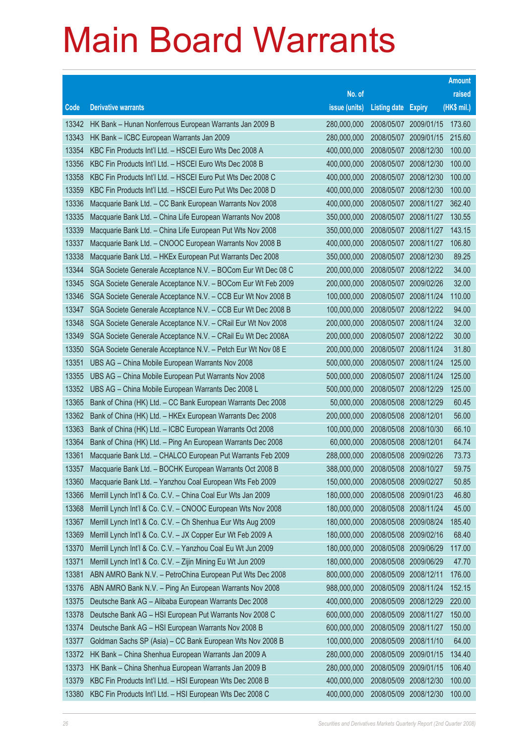|       |                                                              |               |                            |                       | <b>Amount</b> |
|-------|--------------------------------------------------------------|---------------|----------------------------|-----------------------|---------------|
|       |                                                              | No. of        |                            |                       | raised        |
| Code  | <b>Derivative warrants</b>                                   | issue (units) | <b>Listing date Expiry</b> |                       | (HK\$ mil.)   |
| 13342 | HK Bank - Hunan Nonferrous European Warrants Jan 2009 B      | 280,000,000   |                            | 2008/05/07 2009/01/15 | 173.60        |
| 13343 | HK Bank - ICBC European Warrants Jan 2009                    | 280,000,000   |                            | 2008/05/07 2009/01/15 | 215.60        |
| 13354 | KBC Fin Products Int'l Ltd. - HSCEI Euro Wts Dec 2008 A      | 400,000,000   |                            | 2008/05/07 2008/12/30 | 100.00        |
| 13356 | KBC Fin Products Int'l Ltd. - HSCEI Euro Wts Dec 2008 B      | 400,000,000   |                            | 2008/05/07 2008/12/30 | 100.00        |
| 13358 | KBC Fin Products Int'l Ltd. - HSCEI Euro Put Wts Dec 2008 C  | 400,000,000   |                            | 2008/05/07 2008/12/30 | 100.00        |
| 13359 | KBC Fin Products Int'l Ltd. - HSCEI Euro Put Wts Dec 2008 D  | 400,000,000   |                            | 2008/05/07 2008/12/30 | 100.00        |
| 13336 | Macquarie Bank Ltd. - CC Bank European Warrants Nov 2008     | 400,000,000   |                            | 2008/05/07 2008/11/27 | 362.40        |
| 13335 | Macquarie Bank Ltd. - China Life European Warrants Nov 2008  | 350,000,000   |                            | 2008/05/07 2008/11/27 | 130.55        |
| 13339 | Macquarie Bank Ltd. - China Life European Put Wts Nov 2008   | 350,000,000   |                            | 2008/05/07 2008/11/27 | 143.15        |
| 13337 | Macquarie Bank Ltd. - CNOOC European Warrants Nov 2008 B     | 400,000,000   |                            | 2008/05/07 2008/11/27 | 106.80        |
| 13338 | Macquarie Bank Ltd. - HKEx European Put Warrants Dec 2008    | 350,000,000   | 2008/05/07 2008/12/30      |                       | 89.25         |
| 13344 | SGA Societe Generale Acceptance N.V. - BOCom Eur Wt Dec 08 C | 200,000,000   |                            | 2008/05/07 2008/12/22 | 34.00         |
| 13345 | SGA Societe Generale Acceptance N.V. - BOCom Eur Wt Feb 2009 | 200,000,000   |                            | 2008/05/07 2009/02/26 | 32.00         |
| 13346 | SGA Societe Generale Acceptance N.V. - CCB Eur Wt Nov 2008 B | 100,000,000   |                            | 2008/05/07 2008/11/24 | 110.00        |
| 13347 | SGA Societe Generale Acceptance N.V. - CCB Eur Wt Dec 2008 B | 100,000,000   | 2008/05/07 2008/12/22      |                       | 94.00         |
| 13348 | SGA Societe Generale Acceptance N.V. - CRail Eur Wt Nov 2008 | 200,000,000   |                            | 2008/05/07 2008/11/24 | 32.00         |
| 13349 | SGA Societe Generale Acceptance N.V. - CRail Eu Wt Dec 2008A | 200,000,000   |                            | 2008/05/07 2008/12/22 | 30.00         |
| 13350 | SGA Societe Generale Acceptance N.V. - Petch Eur Wt Nov 08 E | 200,000,000   |                            | 2008/05/07 2008/11/24 | 31.80         |
| 13351 | UBS AG - China Mobile European Warrants Nov 2008             | 500,000,000   | 2008/05/07                 | 2008/11/24            | 125.00        |
| 13355 | UBS AG - China Mobile European Put Warrants Nov 2008         | 500,000,000   |                            | 2008/05/07 2008/11/24 | 125.00        |
| 13352 | UBS AG - China Mobile European Warrants Dec 2008 L           | 500,000,000   |                            | 2008/05/07 2008/12/29 | 125.00        |
| 13365 | Bank of China (HK) Ltd. - CC Bank European Warrants Dec 2008 | 50,000,000    | 2008/05/08 2008/12/29      |                       | 60.45         |
| 13362 | Bank of China (HK) Ltd. - HKEx European Warrants Dec 2008    | 200,000,000   | 2008/05/08                 | 2008/12/01            | 56.00         |
| 13363 | Bank of China (HK) Ltd. - ICBC European Warrants Oct 2008    | 100,000,000   |                            | 2008/05/08 2008/10/30 | 66.10         |
| 13364 | Bank of China (HK) Ltd. - Ping An European Warrants Dec 2008 | 60,000,000    | 2008/05/08 2008/12/01      |                       | 64.74         |
| 13361 | Macquarie Bank Ltd. - CHALCO European Put Warrants Feb 2009  | 288,000,000   | 2008/05/08 2009/02/26      |                       | 73.73         |
| 13357 | Macquarie Bank Ltd. - BOCHK European Warrants Oct 2008 B     | 388,000,000   | 2008/05/08 2008/10/27      |                       | 59.75         |
| 13360 | Macquarie Bank Ltd. - Yanzhou Coal European Wts Feb 2009     | 150,000,000   | 2008/05/08 2009/02/27      |                       | 50.85         |
| 13366 | Merrill Lynch Int'l & Co. C.V. - China Coal Eur Wts Jan 2009 | 180,000,000   | 2008/05/08 2009/01/23      |                       | 46.80         |
| 13368 | Merrill Lynch Int'l & Co. C.V. - CNOOC European Wts Nov 2008 | 180,000,000   | 2008/05/08 2008/11/24      |                       | 45.00         |
| 13367 | Merrill Lynch Int'l & Co. C.V. - Ch Shenhua Eur Wts Aug 2009 | 180,000,000   | 2008/05/08 2009/08/24      |                       | 185.40        |
| 13369 | Merrill Lynch Int'l & Co. C.V. - JX Copper Eur Wt Feb 2009 A | 180,000,000   | 2008/05/08                 | 2009/02/16            | 68.40         |
| 13370 | Merrill Lynch Int'l & Co. C.V. - Yanzhou Coal Eu Wt Jun 2009 | 180,000,000   | 2008/05/08                 | 2009/06/29            | 117.00        |
| 13371 | Merrill Lynch Int'l & Co. C.V. - Zijin Mining Eu Wt Jun 2009 | 180,000,000   | 2008/05/08                 | 2009/06/29            | 47.70         |
| 13381 | ABN AMRO Bank N.V. - PetroChina European Put Wts Dec 2008    | 800,000,000   | 2008/05/09                 | 2008/12/11            | 176.00        |
| 13376 | ABN AMRO Bank N.V. - Ping An European Warrants Nov 2008      | 988,000,000   | 2008/05/09                 | 2008/11/24            | 152.15        |
| 13375 | Deutsche Bank AG - Alibaba European Warrants Dec 2008        | 400,000,000   | 2008/05/09                 | 2008/12/29            | 220.00        |
| 13378 | Deutsche Bank AG - HSI European Put Warrants Nov 2008 C      | 600,000,000   | 2008/05/09                 | 2008/11/27            | 150.00        |
| 13374 | Deutsche Bank AG - HSI European Warrants Nov 2008 B          | 600,000,000   | 2008/05/09                 | 2008/11/27            | 150.00        |
| 13377 | Goldman Sachs SP (Asia) - CC Bank European Wts Nov 2008 B    | 100,000,000   | 2008/05/09                 | 2008/11/10            | 64.00         |
| 13372 | HK Bank - China Shenhua European Warrants Jan 2009 A         | 280,000,000   | 2008/05/09                 | 2009/01/15            | 134.40        |
| 13373 | HK Bank - China Shenhua European Warrants Jan 2009 B         | 280,000,000   | 2008/05/09                 | 2009/01/15            | 106.40        |
| 13379 | KBC Fin Products Int'l Ltd. - HSI European Wts Dec 2008 B    | 400,000,000   | 2008/05/09                 | 2008/12/30            | 100.00        |
| 13380 | KBC Fin Products Int'l Ltd. - HSI European Wts Dec 2008 C    | 400,000,000   | 2008/05/09 2008/12/30      |                       | 100.00        |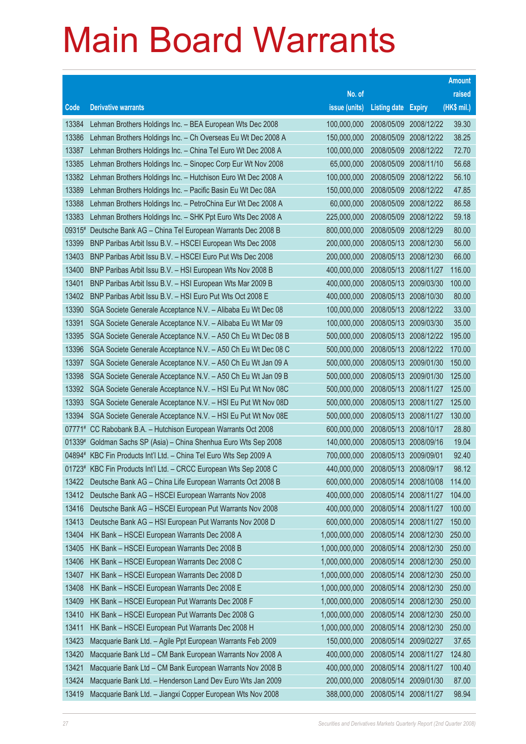|          |                                                                    |               |                            |                       | <b>Amount</b> |
|----------|--------------------------------------------------------------------|---------------|----------------------------|-----------------------|---------------|
|          |                                                                    | No. of        |                            |                       | raised        |
| Code     | <b>Derivative warrants</b>                                         | issue (units) | <b>Listing date Expiry</b> |                       | (HK\$ mil.)   |
| 13384    | Lehman Brothers Holdings Inc. - BEA European Wts Dec 2008          | 100,000,000   | 2008/05/09                 | 2008/12/22            | 39.30         |
| 13386    | Lehman Brothers Holdings Inc. - Ch Overseas Eu Wt Dec 2008 A       | 150,000,000   |                            | 2008/05/09 2008/12/22 | 38.25         |
| 13387    | Lehman Brothers Holdings Inc. - China Tel Euro Wt Dec 2008 A       | 100,000,000   | 2008/05/09                 | 2008/12/22            | 72.70         |
| 13385    | Lehman Brothers Holdings Inc. - Sinopec Corp Eur Wt Nov 2008       | 65,000,000    | 2008/05/09 2008/11/10      |                       | 56.68         |
| 13382    | Lehman Brothers Holdings Inc. - Hutchison Euro Wt Dec 2008 A       | 100,000,000   | 2008/05/09                 | 2008/12/22            | 56.10         |
| 13389    | Lehman Brothers Holdings Inc. - Pacific Basin Eu Wt Dec 08A        | 150,000,000   |                            | 2008/05/09 2008/12/22 | 47.85         |
| 13388    | Lehman Brothers Holdings Inc. - PetroChina Eur Wt Dec 2008 A       | 60,000,000    | 2008/05/09                 | 2008/12/22            | 86.58         |
| 13383    | Lehman Brothers Holdings Inc. - SHK Ppt Euro Wts Dec 2008 A        | 225,000,000   |                            | 2008/05/09 2008/12/22 | 59.18         |
|          | 09315# Deutsche Bank AG - China Tel European Warrants Dec 2008 B   | 800,000,000   | 2008/05/09                 | 2008/12/29            | 80.00         |
| 13399    | BNP Paribas Arbit Issu B.V. - HSCEI European Wts Dec 2008          | 200,000,000   |                            | 2008/05/13 2008/12/30 | 56.00         |
| 13403    | BNP Paribas Arbit Issu B.V. - HSCEI Euro Put Wts Dec 2008          | 200,000,000   | 2008/05/13                 | 2008/12/30            | 66.00         |
| 13400    | BNP Paribas Arbit Issu B.V. - HSI European Wts Nov 2008 B          | 400,000,000   |                            | 2008/05/13 2008/11/27 | 116.00        |
| 13401    | BNP Paribas Arbit Issu B.V. - HSI European Wts Mar 2009 B          | 400,000,000   |                            | 2008/05/13 2009/03/30 | 100.00        |
| 13402    | BNP Paribas Arbit Issu B.V. - HSI Euro Put Wts Oct 2008 E          | 400,000,000   |                            | 2008/05/13 2008/10/30 | 80.00         |
| 13390    | SGA Societe Generale Acceptance N.V. - Alibaba Eu Wt Dec 08        | 100,000,000   | 2008/05/13                 | 2008/12/22            | 33.00         |
| 13391    | SGA Societe Generale Acceptance N.V. - Alibaba Eu Wt Mar 09        | 100,000,000   |                            | 2008/05/13 2009/03/30 | 35.00         |
| 13395    | SGA Societe Generale Acceptance N.V. - A50 Ch Eu Wt Dec 08 B       | 500,000,000   |                            | 2008/05/13 2008/12/22 | 195.00        |
| 13396    | SGA Societe Generale Acceptance N.V. - A50 Ch Eu Wt Dec 08 C       | 500,000,000   |                            | 2008/05/13 2008/12/22 | 170.00        |
| 13397    | SGA Societe Generale Acceptance N.V. - A50 Ch Eu Wt Jan 09 A       | 500,000,000   | 2008/05/13                 | 2009/01/30            | 150.00        |
| 13398    | SGA Societe Generale Acceptance N.V. - A50 Ch Eu Wt Jan 09 B       | 500,000,000   |                            | 2008/05/13 2009/01/30 | 125.00        |
| 13392    | SGA Societe Generale Acceptance N.V. - HSI Eu Put Wt Nov 08C       | 500,000,000   |                            | 2008/05/13 2008/11/27 | 125.00        |
| 13393    | SGA Societe Generale Acceptance N.V. - HSI Eu Put Wt Nov 08D       | 500,000,000   |                            | 2008/05/13 2008/11/27 | 125.00        |
| 13394    | SGA Societe Generale Acceptance N.V. - HSI Eu Put Wt Nov 08E       | 500,000,000   | 2008/05/13 2008/11/27      |                       | 130.00        |
| 07771#   | CC Rabobank B.A. - Hutchison European Warrants Oct 2008            | 600,000,000   | 2008/05/13 2008/10/17      |                       | 28.80         |
| $01339*$ | Goldman Sachs SP (Asia) - China Shenhua Euro Wts Sep 2008          | 140,000,000   | 2008/05/13 2008/09/16      |                       | 19.04         |
|          | 04894# KBC Fin Products Int'l Ltd. - China Tel Euro Wts Sep 2009 A | 700,000,000   | 2008/05/13 2009/09/01      |                       | 92.40         |
|          | 01723# KBC Fin Products Int'l Ltd. - CRCC European Wts Sep 2008 C  | 440,000,000   | 2008/05/13 2008/09/17      |                       | 98.12         |
| 13422    | Deutsche Bank AG - China Life European Warrants Oct 2008 B         | 600,000,000   |                            | 2008/05/14 2008/10/08 | 114.00        |
| 13412    | Deutsche Bank AG - HSCEI European Warrants Nov 2008                | 400,000,000   | 2008/05/14                 | 2008/11/27            | 104.00        |
| 13416    | Deutsche Bank AG - HSCEI European Put Warrants Nov 2008            | 400,000,000   | 2008/05/14                 | 2008/11/27            | 100.00        |
| 13413    | Deutsche Bank AG - HSI European Put Warrants Nov 2008 D            | 600,000,000   | 2008/05/14                 | 2008/11/27            | 150.00        |
| 13404    | HK Bank - HSCEI European Warrants Dec 2008 A                       | 1,000,000,000 | 2008/05/14                 | 2008/12/30            | 250.00        |
| 13405    | HK Bank - HSCEI European Warrants Dec 2008 B                       | 1,000,000,000 | 2008/05/14                 | 2008/12/30            | 250.00        |
| 13406    | HK Bank - HSCEI European Warrants Dec 2008 C                       | 1,000,000,000 | 2008/05/14                 | 2008/12/30            | 250.00        |
| 13407    | HK Bank - HSCEI European Warrants Dec 2008 D                       | 1,000,000,000 | 2008/05/14                 | 2008/12/30            | 250.00        |
| 13408    | HK Bank - HSCEI European Warrants Dec 2008 E                       | 1,000,000,000 | 2008/05/14                 | 2008/12/30            | 250.00        |
| 13409    | HK Bank - HSCEI European Put Warrants Dec 2008 F                   | 1,000,000,000 | 2008/05/14                 | 2008/12/30            | 250.00        |
| 13410    | HK Bank - HSCEI European Put Warrants Dec 2008 G                   | 1,000,000,000 | 2008/05/14                 | 2008/12/30            | 250.00        |
| 13411    | HK Bank - HSCEI European Put Warrants Dec 2008 H                   | 1,000,000,000 | 2008/05/14                 | 2008/12/30            | 250.00        |
| 13423    | Macquarie Bank Ltd. - Agile Ppt European Warrants Feb 2009         | 150,000,000   | 2008/05/14                 | 2009/02/27            | 37.65         |
| 13420    | Macquarie Bank Ltd - CM Bank European Warrants Nov 2008 A          | 400,000,000   | 2008/05/14                 | 2008/11/27            | 124.80        |
| 13421    | Macquarie Bank Ltd - CM Bank European Warrants Nov 2008 B          | 400,000,000   | 2008/05/14                 | 2008/11/27            | 100.40        |
| 13424    | Macquarie Bank Ltd. - Henderson Land Dev Euro Wts Jan 2009         | 200,000,000   | 2008/05/14                 | 2009/01/30            | 87.00         |
| 13419    | Macquarie Bank Ltd. - Jiangxi Copper European Wts Nov 2008         | 388,000,000   | 2008/05/14                 | 2008/11/27            | 98.94         |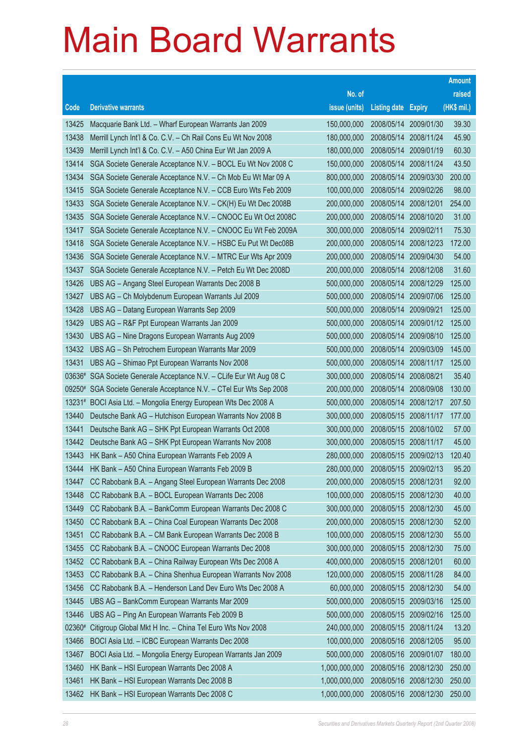|                 |                                                                                                                       |                            |                          |                          | <b>Amount</b>    |
|-----------------|-----------------------------------------------------------------------------------------------------------------------|----------------------------|--------------------------|--------------------------|------------------|
|                 |                                                                                                                       | No. of                     |                          |                          | raised           |
| Code            | <b>Derivative warrants</b>                                                                                            | issue (units)              | <b>Listing date</b>      | <b>Expiry</b>            | (HK\$ mil.)      |
| 13425           | Macquarie Bank Ltd. - Wharf European Warrants Jan 2009                                                                | 150,000,000                | 2008/05/14               | 2009/01/30               | 39.30            |
| 13438           | Merrill Lynch Int'l & Co. C.V. - Ch Rail Cons Eu Wt Nov 2008                                                          | 180,000,000                | 2008/05/14               | 2008/11/24               | 45.90            |
| 13439           | Merrill Lynch Int'l & Co. C.V. - A50 China Eur Wt Jan 2009 A                                                          | 180,000,000                | 2008/05/14               | 2009/01/19               | 60.30            |
| 13414           | SGA Societe Generale Acceptance N.V. - BOCL Eu Wt Nov 2008 C                                                          | 150,000,000                | 2008/05/14               | 2008/11/24               | 43.50            |
| 13434           | SGA Societe Generale Acceptance N.V. - Ch Mob Eu Wt Mar 09 A                                                          | 800,000,000                | 2008/05/14               | 2009/03/30               | 200.00           |
| 13415           | SGA Societe Generale Acceptance N.V. - CCB Euro Wts Feb 2009                                                          | 100,000,000                | 2008/05/14               | 2009/02/26               | 98.00            |
| 13433           | SGA Societe Generale Acceptance N.V. - CK(H) Eu Wt Dec 2008B                                                          | 200,000,000                | 2008/05/14               | 2008/12/01               | 254.00           |
| 13435           | SGA Societe Generale Acceptance N.V. - CNOOC Eu Wt Oct 2008C                                                          | 200,000,000                | 2008/05/14               | 2008/10/20               | 31.00            |
| 13417           | SGA Societe Generale Acceptance N.V. - CNOOC Eu Wt Feb 2009A                                                          | 300,000,000                | 2008/05/14               | 2009/02/11               | 75.30            |
| 13418           | SGA Societe Generale Acceptance N.V. - HSBC Eu Put Wt Dec08B                                                          | 200,000,000                | 2008/05/14               | 2008/12/23               | 172.00           |
| 13436           | SGA Societe Generale Acceptance N.V. - MTRC Eur Wts Apr 2009                                                          | 200,000,000                | 2008/05/14               | 2009/04/30               | 54.00            |
| 13437           | SGA Societe Generale Acceptance N.V. - Petch Eu Wt Dec 2008D                                                          | 200,000,000                | 2008/05/14               | 2008/12/08               | 31.60            |
| 13426           | UBS AG - Angang Steel European Warrants Dec 2008 B                                                                    | 500,000,000                | 2008/05/14               | 2008/12/29               | 125.00           |
| 13427           | UBS AG - Ch Molybdenum European Warrants Jul 2009                                                                     | 500,000,000                | 2008/05/14               | 2009/07/06               | 125.00           |
| 13428           | UBS AG - Datang European Warrants Sep 2009                                                                            | 500,000,000                | 2008/05/14               | 2009/09/21               | 125.00           |
| 13429           | UBS AG - R&F Ppt European Warrants Jan 2009                                                                           | 500,000,000                | 2008/05/14               | 2009/01/12               | 125.00           |
| 13430           | UBS AG - Nine Dragons European Warrants Aug 2009                                                                      | 500,000,000                | 2008/05/14               | 2009/08/10               | 125.00           |
| 13432           | UBS AG - Sh Petrochem European Warrants Mar 2009                                                                      | 500,000,000                | 2008/05/14               | 2009/03/09               | 145.00           |
| 13431           | UBS AG - Shimao Ppt European Warrants Nov 2008                                                                        | 500,000,000                | 2008/05/14               | 2008/11/17               | 125.00           |
| 03636#          | SGA Societe Generale Acceptance N.V. - CLife Eur Wt Aug 08 C                                                          | 300,000,000                | 2008/05/14               | 2008/08/21               | 35.40            |
|                 | 09250# SGA Societe Generale Acceptance N.V. - CTel Eur Wts Sep 2008                                                   | 200,000,000                | 2008/05/14               | 2008/09/08               | 130.00<br>207.50 |
| 13231#<br>13440 | BOCI Asia Ltd. - Mongolia Energy European Wts Dec 2008 A<br>Deutsche Bank AG - Hutchison European Warrants Nov 2008 B | 500,000,000<br>300,000,000 | 2008/05/14<br>2008/05/15 | 2008/12/17<br>2008/11/17 | 177.00           |
| 13441           | Deutsche Bank AG - SHK Ppt European Warrants Oct 2008                                                                 | 300,000,000                |                          | 2008/05/15 2008/10/02    | 57.00            |
| 13442           | Deutsche Bank AG - SHK Ppt European Warrants Nov 2008                                                                 | 300,000,000                | 2008/05/15               | 2008/11/17               | 45.00            |
| 13443           | HK Bank - A50 China European Warrants Feb 2009 A                                                                      | 280,000,000                |                          | 2008/05/15 2009/02/13    | 120.40           |
| 13444           | HK Bank - A50 China European Warrants Feb 2009 B                                                                      | 280,000,000                | 2008/05/15 2009/02/13    |                          | 95.20            |
| 13447           | CC Rabobank B.A. - Angang Steel European Warrants Dec 2008                                                            | 200,000,000                | 2008/05/15 2008/12/31    |                          | 92.00            |
| 13448           | CC Rabobank B.A. - BOCL European Warrants Dec 2008                                                                    | 100,000,000                | 2008/05/15               | 2008/12/30               | 40.00            |
| 13449           | CC Rabobank B.A. - BankComm European Warrants Dec 2008 C                                                              | 300,000,000                | 2008/05/15               | 2008/12/30               | 45.00            |
| 13450           | CC Rabobank B.A. - China Coal European Warrants Dec 2008                                                              | 200,000,000                | 2008/05/15               | 2008/12/30               | 52.00            |
| 13451           | CC Rabobank B.A. - CM Bank European Warrants Dec 2008 B                                                               | 100,000,000                | 2008/05/15               | 2008/12/30               | 55.00            |
| 13455           | CC Rabobank B.A. - CNOOC European Warrants Dec 2008                                                                   | 300,000,000                | 2008/05/15               | 2008/12/30               | 75.00            |
| 13452           | CC Rabobank B.A. - China Railway European Wts Dec 2008 A                                                              | 400,000,000                | 2008/05/15               | 2008/12/01               | 60.00            |
| 13453           | CC Rabobank B.A. - China Shenhua European Warrants Nov 2008                                                           | 120,000,000                |                          | 2008/05/15 2008/11/28    | 84.00            |
| 13456           | CC Rabobank B.A. - Henderson Land Dev Euro Wts Dec 2008 A                                                             | 60,000,000                 | 2008/05/15               | 2008/12/30               | 54.00            |
| 13445           | UBS AG - BankComm European Warrants Mar 2009                                                                          | 500,000,000                | 2008/05/15               | 2009/03/16               | 125.00           |
| 13446           | UBS AG - Ping An European Warrants Feb 2009 B                                                                         | 500,000,000                | 2008/05/15               | 2009/02/16               | 125.00           |
| 02360#          | Citigroup Global Mkt H Inc. - China Tel Euro Wts Nov 2008                                                             | 240,000,000                | 2008/05/15               | 2008/11/24               | 13.20            |
| 13466           | BOCI Asia Ltd. - ICBC European Warrants Dec 2008                                                                      | 100,000,000                | 2008/05/16               | 2008/12/05               | 95.00            |
| 13467           | BOCI Asia Ltd. - Mongolia Energy European Warrants Jan 2009                                                           | 500,000,000                | 2008/05/16               | 2009/01/07               | 180.00           |
| 13460           | HK Bank - HSI European Warrants Dec 2008 A                                                                            | 1,000,000,000              | 2008/05/16               | 2008/12/30               | 250.00           |
| 13461           | HK Bank - HSI European Warrants Dec 2008 B                                                                            | 1,000,000,000              | 2008/05/16               | 2008/12/30               | 250.00           |
| 13462           | HK Bank - HSI European Warrants Dec 2008 C                                                                            | 1,000,000,000              |                          | 2008/05/16 2008/12/30    | 250.00           |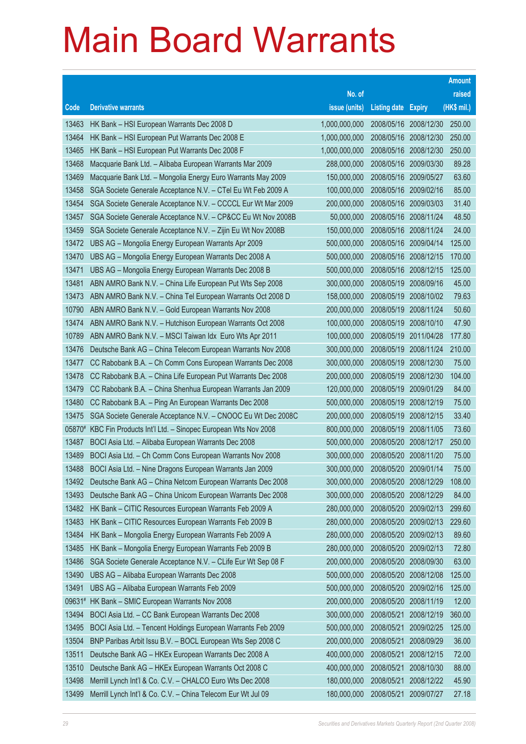|        |                                                              |               |                            |                       | <b>Amount</b> |
|--------|--------------------------------------------------------------|---------------|----------------------------|-----------------------|---------------|
|        |                                                              | No. of        |                            |                       | raised        |
| Code   | <b>Derivative warrants</b>                                   | issue (units) | <b>Listing date Expiry</b> |                       | (HK\$ mil.)   |
| 13463  | HK Bank - HSI European Warrants Dec 2008 D                   | 1,000,000,000 |                            | 2008/05/16 2008/12/30 | 250.00        |
| 13464  | HK Bank - HSI European Put Warrants Dec 2008 E               | 1,000,000,000 | 2008/05/16 2008/12/30      |                       | 250.00        |
| 13465  | HK Bank - HSI European Put Warrants Dec 2008 F               | 1,000,000,000 | 2008/05/16                 | 2008/12/30            | 250.00        |
| 13468  | Macquarie Bank Ltd. - Alibaba European Warrants Mar 2009     | 288,000,000   | 2008/05/16 2009/03/30      |                       | 89.28         |
| 13469  | Macquarie Bank Ltd. - Mongolia Energy Euro Warrants May 2009 | 150,000,000   | 2008/05/16 2009/05/27      |                       | 63.60         |
| 13458  | SGA Societe Generale Acceptance N.V. - CTel Eu Wt Feb 2009 A | 100,000,000   | 2008/05/16 2009/02/16      |                       | 85.00         |
| 13454  | SGA Societe Generale Acceptance N.V. - CCCCL Eur Wt Mar 2009 | 200,000,000   | 2008/05/16                 | 2009/03/03            | 31.40         |
| 13457  | SGA Societe Generale Acceptance N.V. - CP&CC Eu Wt Nov 2008B | 50,000,000    | 2008/05/16 2008/11/24      |                       | 48.50         |
| 13459  | SGA Societe Generale Acceptance N.V. - Zijin Eu Wt Nov 2008B | 150,000,000   | 2008/05/16 2008/11/24      |                       | 24.00         |
| 13472  | UBS AG - Mongolia Energy European Warrants Apr 2009          | 500,000,000   | 2008/05/16                 | 2009/04/14            | 125.00        |
| 13470  | UBS AG - Mongolia Energy European Warrants Dec 2008 A        | 500,000,000   | 2008/05/16                 | 2008/12/15            | 170.00        |
| 13471  | UBS AG - Mongolia Energy European Warrants Dec 2008 B        | 500,000,000   | 2008/05/16 2008/12/15      |                       | 125.00        |
| 13481  | ABN AMRO Bank N.V. - China Life European Put Wts Sep 2008    | 300,000,000   | 2008/05/19                 | 2008/09/16            | 45.00         |
| 13473  | ABN AMRO Bank N.V. - China Tel European Warrants Oct 2008 D  | 158,000,000   | 2008/05/19                 | 2008/10/02            | 79.63         |
| 10790  | ABN AMRO Bank N.V. - Gold European Warrants Nov 2008         | 200,000,000   | 2008/05/19                 | 2008/11/24            | 50.60         |
| 13474  | ABN AMRO Bank N.V. - Hutchison European Warrants Oct 2008    | 100,000,000   | 2008/05/19                 | 2008/10/10            | 47.90         |
| 10789  | ABN AMRO Bank N.V. - MSCI Taiwan Idx Euro Wts Apr 2011       | 100,000,000   | 2008/05/19                 | 2011/04/28            | 177.80        |
| 13476  | Deutsche Bank AG - China Telecom European Warrants Nov 2008  | 300,000,000   | 2008/05/19                 | 2008/11/24            | 210.00        |
| 13477  | CC Rabobank B.A. - Ch Comm Cons European Warrants Dec 2008   | 300,000,000   | 2008/05/19                 | 2008/12/30            | 75.00         |
| 13478  | CC Rabobank B.A. - China Life European Put Warrants Dec 2008 | 200,000,000   | 2008/05/19                 | 2008/12/30            | 104.00        |
| 13479  | CC Rabobank B.A. - China Shenhua European Warrants Jan 2009  | 120,000,000   | 2008/05/19                 | 2009/01/29            | 84.00         |
| 13480  | CC Rabobank B.A. - Ping An European Warrants Dec 2008        | 500,000,000   | 2008/05/19                 | 2008/12/19            | 75.00         |
| 13475  | SGA Societe Generale Acceptance N.V. - CNOOC Eu Wt Dec 2008C | 200,000,000   | 2008/05/19                 | 2008/12/15            | 33.40         |
| 05870# | KBC Fin Products Int'l Ltd. - Sinopec European Wts Nov 2008  | 800,000,000   | 2008/05/19                 | 2008/11/05            | 73.60         |
| 13487  | BOCI Asia Ltd. - Alibaba European Warrants Dec 2008          | 500,000,000   |                            | 2008/05/20 2008/12/17 | 250.00        |
| 13489  | BOCI Asia Ltd. - Ch Comm Cons European Warrants Nov 2008     | 300,000,000   | 2008/05/20                 | 2008/11/20            | 75.00         |
| 13488  | BOCI Asia Ltd. - Nine Dragons European Warrants Jan 2009     | 300,000,000   | 2008/05/20                 | 2009/01/14            | 75.00         |
| 13492  | Deutsche Bank AG - China Netcom European Warrants Dec 2008   | 300,000,000   | 2008/05/20 2008/12/29      |                       | 108.00        |
| 13493  | Deutsche Bank AG - China Unicom European Warrants Dec 2008   | 300,000,000   | 2008/05/20                 | 2008/12/29            | 84.00         |
| 13482  | HK Bank - CITIC Resources European Warrants Feb 2009 A       | 280,000,000   | 2008/05/20                 | 2009/02/13            | 299.60        |
| 13483  | HK Bank - CITIC Resources European Warrants Feb 2009 B       | 280,000,000   | 2008/05/20                 | 2009/02/13            | 229.60        |
| 13484  | HK Bank - Mongolia Energy European Warrants Feb 2009 A       | 280,000,000   | 2008/05/20                 | 2009/02/13            | 89.60         |
| 13485  | HK Bank - Mongolia Energy European Warrants Feb 2009 B       | 280,000,000   | 2008/05/20                 | 2009/02/13            | 72.80         |
| 13486  | SGA Societe Generale Acceptance N.V. - CLife Eur Wt Sep 08 F | 200,000,000   | 2008/05/20                 | 2008/09/30            | 63.00         |
| 13490  | UBS AG - Alibaba European Warrants Dec 2008                  | 500,000,000   | 2008/05/20                 | 2008/12/08            | 125.00        |
| 13491  | UBS AG - Alibaba European Warrants Feb 2009                  | 500,000,000   | 2008/05/20                 | 2009/02/16            | 125.00        |
| 09631# | HK Bank - SMIC European Warrants Nov 2008                    | 200,000,000   | 2008/05/20                 | 2008/11/19            | 12.00         |
| 13494  | BOCI Asia Ltd. - CC Bank European Warrants Dec 2008          | 300,000,000   | 2008/05/21                 | 2008/12/19            | 360.00        |
| 13495  | BOCI Asia Ltd. - Tencent Holdings European Warrants Feb 2009 | 500,000,000   | 2008/05/21                 | 2009/02/25            | 125.00        |
| 13504  | BNP Paribas Arbit Issu B.V. - BOCL European Wts Sep 2008 C   | 200,000,000   | 2008/05/21                 | 2008/09/29            | 36.00         |
| 13511  | Deutsche Bank AG - HKEx European Warrants Dec 2008 A         | 400,000,000   | 2008/05/21                 | 2008/12/15            | 72.00         |
| 13510  | Deutsche Bank AG - HKEx European Warrants Oct 2008 C         | 400,000,000   | 2008/05/21                 | 2008/10/30            | 88.00         |
| 13498  | Merrill Lynch Int'l & Co. C.V. - CHALCO Euro Wts Dec 2008    | 180,000,000   | 2008/05/21                 | 2008/12/22            | 45.90         |
| 13499  | Merrill Lynch Int'l & Co. C.V. - China Telecom Eur Wt Jul 09 | 180,000,000   | 2008/05/21                 | 2009/07/27            | 27.18         |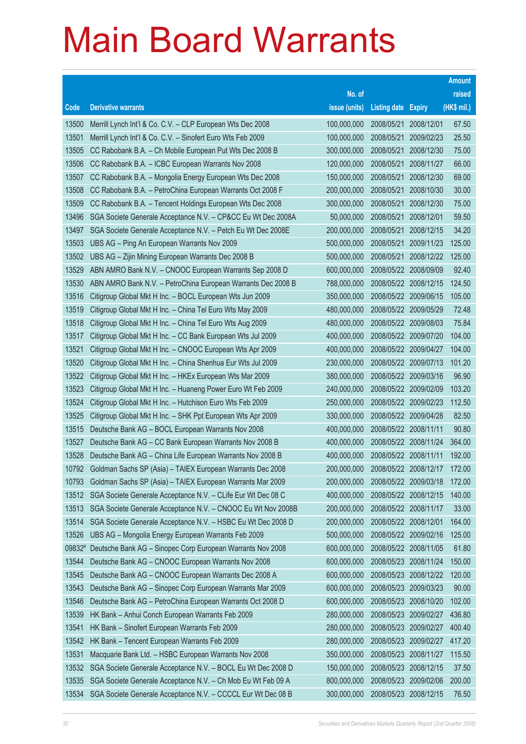|        |                                                              |               |                       |                       | <b>Amount</b> |
|--------|--------------------------------------------------------------|---------------|-----------------------|-----------------------|---------------|
|        |                                                              | No. of        |                       |                       | raised        |
| Code   | <b>Derivative warrants</b>                                   | issue (units) | <b>Listing date</b>   | <b>Expiry</b>         | (HK\$ mil.)   |
| 13500  | Merrill Lynch Int'l & Co. C.V. - CLP European Wts Dec 2008   | 100,000,000   | 2008/05/21            | 2008/12/01            | 67.50         |
| 13501  | Merrill Lynch Int'l & Co. C.V. - Sinofert Euro Wts Feb 2009  | 100,000,000   | 2008/05/21            | 2009/02/23            | 25.50         |
| 13505  | CC Rabobank B.A. - Ch Mobile European Put Wts Dec 2008 B     | 300,000,000   | 2008/05/21            | 2008/12/30            | 75.00         |
| 13506  | CC Rabobank B.A. - ICBC European Warrants Nov 2008           | 120,000,000   | 2008/05/21            | 2008/11/27            | 66.00         |
| 13507  | CC Rabobank B.A. - Mongolia Energy European Wts Dec 2008     | 150,000,000   | 2008/05/21            | 2008/12/30            | 69.00         |
| 13508  | CC Rabobank B.A. - PetroChina European Warrants Oct 2008 F   | 200,000,000   | 2008/05/21            | 2008/10/30            | 30.00         |
| 13509  | CC Rabobank B.A. - Tencent Holdings European Wts Dec 2008    | 300,000,000   | 2008/05/21            | 2008/12/30            | 75.00         |
| 13496  | SGA Societe Generale Acceptance N.V. - CP&CC Eu Wt Dec 2008A | 50,000,000    | 2008/05/21            | 2008/12/01            | 59.50         |
| 13497  | SGA Societe Generale Acceptance N.V. - Petch Eu Wt Dec 2008E | 200,000,000   | 2008/05/21            | 2008/12/15            | 34.20         |
| 13503  | UBS AG - Ping An European Warrants Nov 2009                  | 500,000,000   | 2008/05/21            | 2009/11/23            | 125.00        |
| 13502  | UBS AG - Zijin Mining European Warrants Dec 2008 B           | 500,000,000   | 2008/05/21            | 2008/12/22            | 125.00        |
| 13529  | ABN AMRO Bank N.V. - CNOOC European Warrants Sep 2008 D      | 600,000,000   |                       | 2008/05/22 2008/09/09 | 92.40         |
| 13530  | ABN AMRO Bank N.V. - PetroChina European Warrants Dec 2008 B | 788,000,000   |                       | 2008/05/22 2008/12/15 | 124.50        |
| 13516  | Citigroup Global Mkt H Inc. - BOCL European Wts Jun 2009     | 350,000,000   |                       | 2008/05/22 2009/06/15 | 105.00        |
| 13519  | Citigroup Global Mkt H Inc. - China Tel Euro Wts May 2009    | 480,000,000   |                       | 2008/05/22 2009/05/29 | 72.48         |
| 13518  | Citigroup Global Mkt H Inc. - China Tel Euro Wts Aug 2009    | 480,000,000   |                       | 2008/05/22 2009/08/03 | 75.84         |
| 13517  | Citigroup Global Mkt H Inc. - CC Bank European Wts Jul 2009  | 400,000,000   |                       | 2008/05/22 2009/07/20 | 104.00        |
| 13521  | Citigroup Global Mkt H Inc. - CNOOC European Wts Apr 2009    | 400,000,000   |                       | 2008/05/22 2009/04/27 | 104.00        |
| 13520  | Citigroup Global Mkt H Inc. - China Shenhua Eur Wts Jul 2009 | 230,000,000   |                       | 2008/05/22 2009/07/13 | 101.20        |
| 13522  | Citigroup Global Mkt H Inc. - HKEx European Wts Mar 2009     | 380,000,000   |                       | 2008/05/22 2009/03/16 | 96.90         |
| 13523  | Citigroup Global Mkt H Inc. - Huaneng Power Euro Wt Feb 2009 | 240,000,000   |                       | 2008/05/22 2009/02/09 | 103.20        |
| 13524  | Citigroup Global Mkt H Inc. - Hutchison Euro Wts Feb 2009    | 250,000,000   |                       | 2008/05/22 2009/02/23 | 112.50        |
| 13525  | Citigroup Global Mkt H Inc. - SHK Ppt European Wts Apr 2009  | 330,000,000   |                       | 2008/05/22 2009/04/28 | 82.50         |
| 13515  | Deutsche Bank AG - BOCL European Warrants Nov 2008           | 400,000,000   | 2008/05/22 2008/11/11 |                       | 90.80         |
| 13527  | Deutsche Bank AG - CC Bank European Warrants Nov 2008 B      | 400,000,000   |                       | 2008/05/22 2008/11/24 | 364.00        |
| 13528  | Deutsche Bank AG - China Life European Warrants Nov 2008 B   | 400,000,000   | 2008/05/22 2008/11/11 |                       | 192.00        |
| 10792  | Goldman Sachs SP (Asia) - TAIEX European Warrants Dec 2008   | 200,000,000   |                       | 2008/05/22 2008/12/17 | 172.00        |
| 10793  | Goldman Sachs SP (Asia) - TAIEX European Warrants Mar 2009   | 200,000,000   |                       | 2008/05/22 2009/03/18 | 172.00        |
| 13512  | SGA Societe Generale Acceptance N.V. - CLife Eur Wt Dec 08 C | 400,000,000   |                       | 2008/05/22 2008/12/15 | 140.00        |
| 13513  | SGA Societe Generale Acceptance N.V. - CNOOC Eu Wt Nov 2008B | 200,000,000   |                       | 2008/05/22 2008/11/17 | 33.00         |
| 13514  | SGA Societe Generale Acceptance N.V. - HSBC Eu Wt Dec 2008 D | 200,000,000   | 2008/05/22 2008/12/01 |                       | 164.00        |
| 13526  | UBS AG - Mongolia Energy European Warrants Feb 2009          | 500,000,000   |                       | 2008/05/22 2009/02/16 | 125.00        |
| 09832# | Deutsche Bank AG - Sinopec Corp European Warrants Nov 2008   | 600,000,000   |                       | 2008/05/22 2008/11/05 | 61.80         |
| 13544  | Deutsche Bank AG - CNOOC European Warrants Nov 2008          | 600,000,000   |                       | 2008/05/23 2008/11/24 | 150.00        |
| 13545  | Deutsche Bank AG - CNOOC European Warrants Dec 2008 A        | 600,000,000   |                       | 2008/05/23 2008/12/22 | 120.00        |
| 13543  | Deutsche Bank AG - Sinopec Corp European Warrants Mar 2009   | 600,000,000   |                       | 2008/05/23 2009/03/23 | 90.00         |
| 13546  | Deutsche Bank AG - PetroChina European Warrants Oct 2008 D   | 600,000,000   | 2008/05/23            | 2008/10/20            | 102.00        |
| 13539  | HK Bank - Anhui Conch European Warrants Feb 2009             | 280,000,000   |                       | 2008/05/23 2009/02/27 | 436.80        |
| 13541  | HK Bank - Sinofert European Warrants Feb 2009                | 280,000,000   |                       | 2008/05/23 2009/02/27 | 400.40        |
| 13542  | HK Bank - Tencent European Warrants Feb 2009                 | 280,000,000   |                       | 2008/05/23 2009/02/27 | 417.20        |
| 13531  | Macquarie Bank Ltd. - HSBC European Warrants Nov 2008        | 350,000,000   | 2008/05/23            | 2008/11/27            | 115.50        |
| 13532  | SGA Societe Generale Acceptance N.V. - BOCL Eu Wt Dec 2008 D | 150,000,000   |                       | 2008/05/23 2008/12/15 | 37.50         |
| 13535  | SGA Societe Generale Acceptance N.V. - Ch Mob Eu Wt Feb 09 A | 800,000,000   | 2008/05/23            | 2009/02/06            | 200.00        |
| 13534  | SGA Societe Generale Acceptance N.V. - CCCCL Eur Wt Dec 08 B | 300,000,000   |                       | 2008/05/23 2008/12/15 | 76.50         |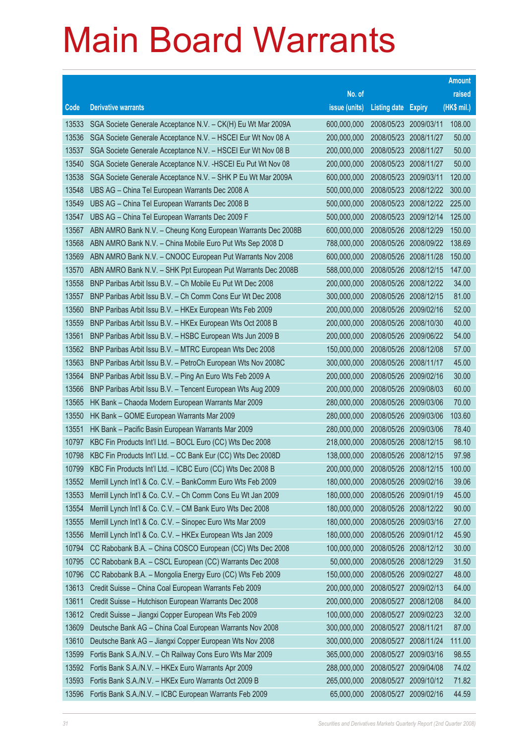|       |                                                               |               |                            |                       | <b>Amount</b> |
|-------|---------------------------------------------------------------|---------------|----------------------------|-----------------------|---------------|
|       |                                                               | No. of        |                            |                       | raised        |
| Code  | <b>Derivative warrants</b>                                    | issue (units) | <b>Listing date Expiry</b> |                       | (HK\$ mil.)   |
| 13533 | SGA Societe Generale Acceptance N.V. - CK(H) Eu Wt Mar 2009A  | 600,000,000   | 2008/05/23 2009/03/11      |                       | 108.00        |
| 13536 | SGA Societe Generale Acceptance N.V. - HSCEI Eur Wt Nov 08 A  | 200,000,000   | 2008/05/23 2008/11/27      |                       | 50.00         |
| 13537 | SGA Societe Generale Acceptance N.V. - HSCEI Eur Wt Nov 08 B  | 200,000,000   | 2008/05/23 2008/11/27      |                       | 50.00         |
| 13540 | SGA Societe Generale Acceptance N.V. - HSCEI Eu Put Wt Nov 08 | 200,000,000   | 2008/05/23 2008/11/27      |                       | 50.00         |
| 13538 | SGA Societe Generale Acceptance N.V. - SHK P Eu Wt Mar 2009A  | 600,000,000   | 2008/05/23 2009/03/11      |                       | 120.00        |
| 13548 | UBS AG - China Tel European Warrants Dec 2008 A               | 500,000,000   |                            | 2008/05/23 2008/12/22 | 300.00        |
| 13549 | UBS AG - China Tel European Warrants Dec 2008 B               | 500,000,000   |                            | 2008/05/23 2008/12/22 | 225.00        |
| 13547 | UBS AG - China Tel European Warrants Dec 2009 F               | 500,000,000   | 2008/05/23 2009/12/14      |                       | 125.00        |
| 13567 | ABN AMRO Bank N.V. - Cheung Kong European Warrants Dec 2008B  | 600,000,000   | 2008/05/26 2008/12/29      |                       | 150.00        |
| 13568 | ABN AMRO Bank N.V. - China Mobile Euro Put Wts Sep 2008 D     | 788,000,000   | 2008/05/26 2008/09/22      |                       | 138.69        |
| 13569 | ABN AMRO Bank N.V. - CNOOC European Put Warrants Nov 2008     | 600,000,000   | 2008/05/26                 | 2008/11/28            | 150.00        |
| 13570 | ABN AMRO Bank N.V. - SHK Ppt European Put Warrants Dec 2008B  | 588,000,000   | 2008/05/26 2008/12/15      |                       | 147.00        |
| 13558 | BNP Paribas Arbit Issu B.V. - Ch Mobile Eu Put Wt Dec 2008    | 200,000,000   | 2008/05/26 2008/12/22      |                       | 34.00         |
| 13557 | BNP Paribas Arbit Issu B.V. - Ch Comm Cons Eur Wt Dec 2008    | 300,000,000   | 2008/05/26 2008/12/15      |                       | 81.00         |
| 13560 | BNP Paribas Arbit Issu B.V. - HKEx European Wts Feb 2009      | 200,000,000   | 2008/05/26                 | 2009/02/16            | 52.00         |
| 13559 | BNP Paribas Arbit Issu B.V. - HKEx European Wts Oct 2008 B    | 200,000,000   | 2008/05/26 2008/10/30      |                       | 40.00         |
| 13561 | BNP Paribas Arbit Issu B.V. - HSBC European Wts Jun 2009 B    | 200,000,000   | 2008/05/26 2009/06/22      |                       | 54.00         |
| 13562 | BNP Paribas Arbit Issu B.V. - MTRC European Wts Dec 2008      | 150,000,000   | 2008/05/26 2008/12/08      |                       | 57.00         |
| 13563 | BNP Paribas Arbit Issu B.V. - PetroCh European Wts Nov 2008C  | 300,000,000   | 2008/05/26                 | 2008/11/17            | 45.00         |
| 13564 | BNP Paribas Arbit Issu B.V. - Ping An Euro Wts Feb 2009 A     | 200,000,000   | 2008/05/26 2009/02/16      |                       | 30.00         |
| 13566 | BNP Paribas Arbit Issu B.V. - Tencent European Wts Aug 2009   | 200,000,000   | 2008/05/26                 | 2009/08/03            | 60.00         |
| 13565 | HK Bank - Chaoda Modern European Warrants Mar 2009            | 280,000,000   | 2008/05/26                 | 2009/03/06            | 70.00         |
| 13550 | HK Bank - GOME European Warrants Mar 2009                     | 280,000,000   | 2008/05/26                 | 2009/03/06            | 103.60        |
| 13551 | HK Bank - Pacific Basin European Warrants Mar 2009            | 280,000,000   | 2008/05/26                 | 2009/03/06            | 78.40         |
| 10797 | KBC Fin Products Int'l Ltd. - BOCL Euro (CC) Wts Dec 2008     | 218,000,000   | 2008/05/26 2008/12/15      |                       | 98.10         |
| 10798 | KBC Fin Products Int'l Ltd. - CC Bank Eur (CC) Wts Dec 2008D  | 138,000,000   | 2008/05/26 2008/12/15      |                       | 97.98         |
| 10799 | KBC Fin Products Int'l Ltd. - ICBC Euro (CC) Wts Dec 2008 B   | 200,000,000   | 2008/05/26 2008/12/15      |                       | 100.00        |
| 13552 | Merrill Lynch Int'l & Co. C.V. - BankComm Euro Wts Feb 2009   | 180,000,000   | 2008/05/26 2009/02/16      |                       | 39.06         |
| 13553 | Merrill Lynch Int'l & Co. C.V. - Ch Comm Cons Eu Wt Jan 2009  | 180,000,000   | 2008/05/26 2009/01/19      |                       | 45.00         |
| 13554 | Merrill Lynch Int'l & Co. C.V. - CM Bank Euro Wts Dec 2008    | 180,000,000   | 2008/05/26 2008/12/22      |                       | 90.00         |
| 13555 | Merrill Lynch Int'l & Co. C.V. - Sinopec Euro Wts Mar 2009    | 180,000,000   | 2008/05/26 2009/03/16      |                       | 27.00         |
| 13556 | Merrill Lynch Int'l & Co. C.V. - HKEx European Wts Jan 2009   | 180,000,000   | 2008/05/26                 | 2009/01/12            | 45.90         |
| 10794 | CC Rabobank B.A. - China COSCO European (CC) Wts Dec 2008     | 100,000,000   | 2008/05/26                 | 2008/12/12            | 30.00         |
| 10795 | CC Rabobank B.A. - CSCL European (CC) Warrants Dec 2008       | 50,000,000    | 2008/05/26                 | 2008/12/29            | 31.50         |
| 10796 | CC Rabobank B.A. - Mongolia Energy Euro (CC) Wts Feb 2009     | 150,000,000   | 2008/05/26 2009/02/27      |                       | 48.00         |
| 13613 | Credit Suisse - China Coal European Warrants Feb 2009         | 200,000,000   | 2008/05/27                 | 2009/02/13            | 64.00         |
| 13611 | Credit Suisse - Hutchison European Warrants Dec 2008          | 200,000,000   | 2008/05/27                 | 2008/12/08            | 84.00         |
| 13612 | Credit Suisse - Jiangxi Copper European Wts Feb 2009          | 100,000,000   | 2008/05/27                 | 2009/02/23            | 32.00         |
| 13609 | Deutsche Bank AG - China Coal European Warrants Nov 2008      | 300,000,000   | 2008/05/27                 | 2008/11/21            | 87.00         |
| 13610 | Deutsche Bank AG - Jiangxi Copper European Wts Nov 2008       | 300,000,000   | 2008/05/27                 | 2008/11/24            | 111.00        |
| 13599 | Fortis Bank S.A./N.V. - Ch Railway Cons Euro Wts Mar 2009     | 365,000,000   | 2008/05/27                 | 2009/03/16            | 98.55         |
| 13592 | Fortis Bank S.A./N.V. - HKEx Euro Warrants Apr 2009           | 288,000,000   | 2008/05/27                 | 2009/04/08            | 74.02         |
| 13593 | Fortis Bank S.A./N.V. - HKEx Euro Warrants Oct 2009 B         | 265,000,000   | 2008/05/27                 | 2009/10/12            | 71.82         |
| 13596 | Fortis Bank S.A./N.V. - ICBC European Warrants Feb 2009       | 65,000,000    | 2008/05/27                 | 2009/02/16            | 44.59         |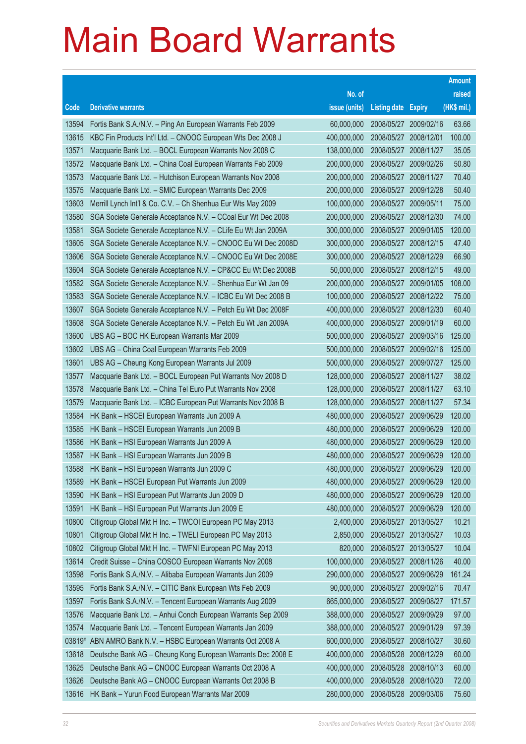|        |                                                              |               |                       |                       | <b>Amount</b> |
|--------|--------------------------------------------------------------|---------------|-----------------------|-----------------------|---------------|
|        |                                                              | No. of        |                       |                       | raised        |
| Code   | <b>Derivative warrants</b>                                   | issue (units) | <b>Listing date</b>   | <b>Expiry</b>         | (HK\$ mil.)   |
| 13594  | Fortis Bank S.A./N.V. - Ping An European Warrants Feb 2009   | 60,000,000    | 2008/05/27 2009/02/16 |                       | 63.66         |
| 13615  | KBC Fin Products Int'l Ltd. - CNOOC European Wts Dec 2008 J  | 400,000,000   | 2008/05/27 2008/12/01 |                       | 100.00        |
| 13571  | Macquarie Bank Ltd. - BOCL European Warrants Nov 2008 C      | 138,000,000   | 2008/05/27            | 2008/11/27            | 35.05         |
| 13572  | Macquarie Bank Ltd. - China Coal European Warrants Feb 2009  | 200,000,000   |                       | 2008/05/27 2009/02/26 | 50.80         |
| 13573  | Macquarie Bank Ltd. - Hutchison European Warrants Nov 2008   | 200,000,000   |                       | 2008/05/27 2008/11/27 | 70.40         |
| 13575  | Macquarie Bank Ltd. - SMIC European Warrants Dec 2009        | 200,000,000   | 2008/05/27            | 2009/12/28            | 50.40         |
| 13603  | Merrill Lynch Int'l & Co. C.V. - Ch Shenhua Eur Wts May 2009 | 100,000,000   | 2008/05/27            | 2009/05/11            | 75.00         |
| 13580  | SGA Societe Generale Acceptance N.V. - CCoal Eur Wt Dec 2008 | 200,000,000   | 2008/05/27            | 2008/12/30            | 74.00         |
| 13581  | SGA Societe Generale Acceptance N.V. - CLife Eu Wt Jan 2009A | 300,000,000   | 2008/05/27            | 2009/01/05            | 120.00        |
| 13605  | SGA Societe Generale Acceptance N.V. - CNOOC Eu Wt Dec 2008D | 300,000,000   | 2008/05/27            | 2008/12/15            | 47.40         |
| 13606  | SGA Societe Generale Acceptance N.V. - CNOOC Eu Wt Dec 2008E | 300,000,000   | 2008/05/27            | 2008/12/29            | 66.90         |
| 13604  | SGA Societe Generale Acceptance N.V. - CP&CC Eu Wt Dec 2008B | 50,000,000    |                       | 2008/05/27 2008/12/15 | 49.00         |
| 13582  | SGA Societe Generale Acceptance N.V. - Shenhua Eur Wt Jan 09 | 200,000,000   | 2008/05/27            | 2009/01/05            | 108.00        |
| 13583  | SGA Societe Generale Acceptance N.V. - ICBC Eu Wt Dec 2008 B | 100,000,000   |                       | 2008/05/27 2008/12/22 | 75.00         |
| 13607  | SGA Societe Generale Acceptance N.V. - Petch Eu Wt Dec 2008F | 400,000,000   | 2008/05/27            | 2008/12/30            | 60.40         |
| 13608  | SGA Societe Generale Acceptance N.V. - Petch Eu Wt Jan 2009A | 400,000,000   | 2008/05/27 2009/01/19 |                       | 60.00         |
| 13600  | UBS AG - BOC HK European Warrants Mar 2009                   | 500,000,000   | 2008/05/27            | 2009/03/16            | 125.00        |
| 13602  | UBS AG - China Coal European Warrants Feb 2009               | 500,000,000   | 2008/05/27            | 2009/02/16            | 125.00        |
| 13601  | UBS AG - Cheung Kong European Warrants Jul 2009              | 500,000,000   | 2008/05/27            | 2009/07/27            | 125.00        |
| 13577  | Macquarie Bank Ltd. - BOCL European Put Warrants Nov 2008 D  | 128,000,000   | 2008/05/27            | 2008/11/27            | 38.02         |
| 13578  | Macquarie Bank Ltd. - China Tel Euro Put Warrants Nov 2008   | 128,000,000   | 2008/05/27            | 2008/11/27            | 63.10         |
| 13579  | Macquarie Bank Ltd. - ICBC European Put Warrants Nov 2008 B  | 128,000,000   | 2008/05/27            | 2008/11/27            | 57.34         |
| 13584  | HK Bank - HSCEI European Warrants Jun 2009 A                 | 480,000,000   | 2008/05/27            | 2009/06/29            | 120.00        |
| 13585  | HK Bank - HSCEI European Warrants Jun 2009 B                 | 480,000,000   | 2008/05/27            | 2009/06/29            | 120.00        |
| 13586  | HK Bank - HSI European Warrants Jun 2009 A                   | 480,000,000   | 2008/05/27            | 2009/06/29            | 120.00        |
| 13587  | HK Bank - HSI European Warrants Jun 2009 B                   | 480,000,000   | 2008/05/27            | 2009/06/29            | 120.00        |
| 13588  | HK Bank - HSI European Warrants Jun 2009 C                   | 480,000,000   | 2008/05/27            | 2009/06/29            | 120.00        |
| 13589  | HK Bank - HSCEI European Put Warrants Jun 2009               | 480,000,000   | 2008/05/27 2009/06/29 |                       | 120.00        |
| 13590  | HK Bank - HSI European Put Warrants Jun 2009 D               | 480,000,000   | 2008/05/27            | 2009/06/29            | 120.00        |
| 13591  | HK Bank - HSI European Put Warrants Jun 2009 E               | 480,000,000   | 2008/05/27            | 2009/06/29            | 120.00        |
| 10800  | Citigroup Global Mkt H Inc. - TWCOI European PC May 2013     | 2,400,000     | 2008/05/27 2013/05/27 |                       | 10.21         |
| 10801  | Citigroup Global Mkt H Inc. - TWELI European PC May 2013     | 2,850,000     | 2008/05/27            | 2013/05/27            | 10.03         |
| 10802  | Citigroup Global Mkt H Inc. - TWFNI European PC May 2013     | 820,000       | 2008/05/27            | 2013/05/27            | 10.04         |
| 13614  | Credit Suisse - China COSCO European Warrants Nov 2008       | 100,000,000   | 2008/05/27            | 2008/11/26            | 40.00         |
| 13598  | Fortis Bank S.A./N.V. - Alibaba European Warrants Jun 2009   | 290,000,000   | 2008/05/27            | 2009/06/29            | 161.24        |
| 13595  | Fortis Bank S.A./N.V. - CITIC Bank European Wts Feb 2009     | 90,000,000    | 2008/05/27            | 2009/02/16            | 70.47         |
| 13597  | Fortis Bank S.A./N.V. - Tencent European Warrants Aug 2009   | 665,000,000   | 2008/05/27            | 2009/08/27            | 171.57        |
| 13576  | Macquarie Bank Ltd. - Anhui Conch European Warrants Sep 2009 | 388,000,000   | 2008/05/27            | 2009/09/29            | 97.00         |
| 13574  | Macquarie Bank Ltd. - Tencent European Warrants Jan 2009     | 388,000,000   | 2008/05/27            | 2009/01/29            | 97.39         |
| 03819# | ABN AMRO Bank N.V. - HSBC European Warrants Oct 2008 A       | 600,000,000   | 2008/05/27            | 2008/10/27            | 30.60         |
| 13618  | Deutsche Bank AG - Cheung Kong European Warrants Dec 2008 E  | 400,000,000   | 2008/05/28            | 2008/12/29            | 60.00         |
| 13625  | Deutsche Bank AG - CNOOC European Warrants Oct 2008 A        | 400,000,000   | 2008/05/28            | 2008/10/13            | 60.00         |
| 13626  | Deutsche Bank AG - CNOOC European Warrants Oct 2008 B        | 400,000,000   | 2008/05/28            | 2008/10/20            | 72.00         |
| 13616  | HK Bank - Yurun Food European Warrants Mar 2009              | 280,000,000   | 2008/05/28            | 2009/03/06            | 75.60         |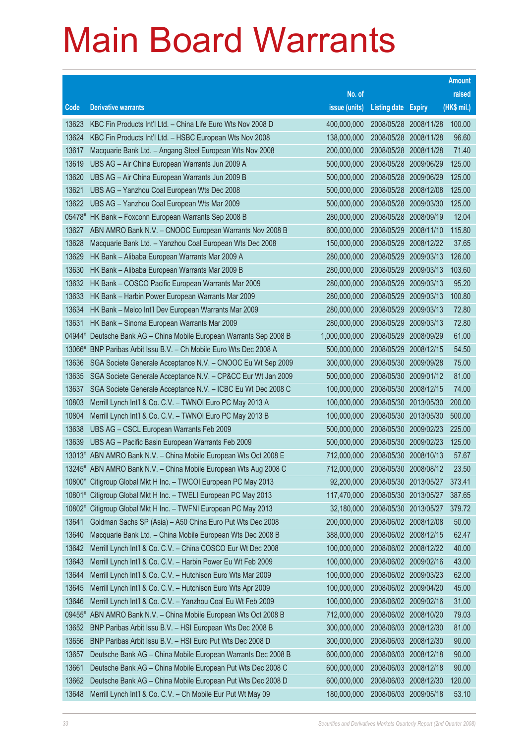|        |                                                                  |               |                            |            | <b>Amount</b> |
|--------|------------------------------------------------------------------|---------------|----------------------------|------------|---------------|
|        |                                                                  | No. of        |                            |            | raised        |
| Code   | <b>Derivative warrants</b>                                       | issue (units) | <b>Listing date Expiry</b> |            | (HK\$ mil.)   |
| 13623  | KBC Fin Products Int'l Ltd. - China Life Euro Wts Nov 2008 D     | 400,000,000   | 2008/05/28                 | 2008/11/28 | 100.00        |
| 13624  | KBC Fin Products Int'l Ltd. - HSBC European Wts Nov 2008         | 138,000,000   | 2008/05/28 2008/11/28      |            | 96.60         |
| 13617  | Macquarie Bank Ltd. - Angang Steel European Wts Nov 2008         | 200,000,000   | 2008/05/28                 | 2008/11/28 | 71.40         |
| 13619  | UBS AG - Air China European Warrants Jun 2009 A                  | 500,000,000   | 2008/05/28 2009/06/29      |            | 125.00        |
| 13620  | UBS AG - Air China European Warrants Jun 2009 B                  | 500,000,000   | 2008/05/28                 | 2009/06/29 | 125.00        |
| 13621  | UBS AG - Yanzhou Coal European Wts Dec 2008                      | 500,000,000   | 2008/05/28 2008/12/08      |            | 125.00        |
| 13622  | UBS AG - Yanzhou Coal European Wts Mar 2009                      | 500,000,000   | 2008/05/28                 | 2009/03/30 | 125.00        |
|        | 05478# HK Bank - Foxconn European Warrants Sep 2008 B            | 280,000,000   | 2008/05/28 2008/09/19      |            | 12.04         |
| 13627  | ABN AMRO Bank N.V. - CNOOC European Warrants Nov 2008 B          | 600,000,000   | 2008/05/29                 | 2008/11/10 | 115.80        |
| 13628  | Macquarie Bank Ltd. - Yanzhou Coal European Wts Dec 2008         | 150,000,000   | 2008/05/29                 | 2008/12/22 | 37.65         |
| 13629  | HK Bank - Alibaba European Warrants Mar 2009 A                   | 280,000,000   | 2008/05/29                 | 2009/03/13 | 126.00        |
| 13630  | HK Bank - Alibaba European Warrants Mar 2009 B                   | 280,000,000   | 2008/05/29                 | 2009/03/13 | 103.60        |
| 13632  | HK Bank - COSCO Pacific European Warrants Mar 2009               | 280,000,000   | 2008/05/29                 | 2009/03/13 | 95.20         |
| 13633  | HK Bank - Harbin Power European Warrants Mar 2009                | 280,000,000   | 2008/05/29                 | 2009/03/13 | 100.80        |
| 13634  | HK Bank - Melco Int'l Dev European Warrants Mar 2009             | 280,000,000   | 2008/05/29                 | 2009/03/13 | 72.80         |
| 13631  | HK Bank - Sinoma European Warrants Mar 2009                      | 280,000,000   | 2008/05/29                 | 2009/03/13 | 72.80         |
| 04944# | Deutsche Bank AG - China Mobile European Warrants Sep 2008 B     | 1,000,000,000 | 2008/05/29                 | 2008/09/29 | 61.00         |
| 13066# | BNP Paribas Arbit Issu B.V. - Ch Mobile Euro Wts Dec 2008 A      | 500,000,000   | 2008/05/29 2008/12/15      |            | 54.50         |
| 13636  | SGA Societe Generale Acceptance N.V. - CNOOC Eu Wt Sep 2009      | 300,000,000   | 2008/05/30                 | 2009/09/28 | 75.00         |
| 13635  | SGA Societe Generale Acceptance N.V. - CP&CC Eur Wt Jan 2009     | 500,000,000   | 2008/05/30 2009/01/12      |            | 81.00         |
| 13637  | SGA Societe Generale Acceptance N.V. - ICBC Eu Wt Dec 2008 C     | 100,000,000   | 2008/05/30                 | 2008/12/15 | 74.00         |
| 10803  | Merrill Lynch Int'l & Co. C.V. - TWNOI Euro PC May 2013 A        | 100,000,000   | 2008/05/30 2013/05/30      |            | 200.00        |
| 10804  | Merrill Lynch Int'l & Co. C.V. - TWNOI Euro PC May 2013 B        | 100,000,000   | 2008/05/30                 | 2013/05/30 | 500.00        |
| 13638  | UBS AG - CSCL European Warrants Feb 2009                         | 500,000,000   | 2008/05/30 2009/02/23      |            | 225.00        |
| 13639  | UBS AG - Pacific Basin European Warrants Feb 2009                | 500,000,000   | 2008/05/30 2009/02/23      |            | 125.00        |
|        | 13013# ABN AMRO Bank N.V. - China Mobile European Wts Oct 2008 E | 712,000,000   | 2008/05/30 2008/10/13      |            | 57.67         |
|        | 13245# ABN AMRO Bank N.V. - China Mobile European Wts Aug 2008 C | 712,000,000   | 2008/05/30 2008/08/12      |            | 23.50         |
|        | 10800# Citigroup Global Mkt H Inc. - TWCOI European PC May 2013  | 92,200,000    | 2008/05/30 2013/05/27      |            | 373.41        |
| 10801# | Citigroup Global Mkt H Inc. - TWELI European PC May 2013         | 117,470,000   | 2008/05/30                 | 2013/05/27 | 387.65        |
| 10802# | Citigroup Global Mkt H Inc. - TWFNI European PC May 2013         | 32,180,000    | 2008/05/30 2013/05/27      |            | 379.72        |
| 13641  | Goldman Sachs SP (Asia) - A50 China Euro Put Wts Dec 2008        | 200,000,000   | 2008/06/02 2008/12/08      |            | 50.00         |
| 13640  | Macquarie Bank Ltd. - China Mobile European Wts Dec 2008 B       | 388,000,000   | 2008/06/02 2008/12/15      |            | 62.47         |
| 13642  | Merrill Lynch Int'l & Co. C.V. - China COSCO Eur Wt Dec 2008     | 100,000,000   | 2008/06/02 2008/12/22      |            | 40.00         |
| 13643  | Merrill Lynch Int'l & Co. C.V. - Harbin Power Eu Wt Feb 2009     | 100,000,000   | 2008/06/02 2009/02/16      |            | 43.00         |
| 13644  | Merrill Lynch Int'l & Co. C.V. - Hutchison Euro Wts Mar 2009     | 100,000,000   | 2008/06/02 2009/03/23      |            | 62.00         |
| 13645  | Merrill Lynch Int'l & Co. C.V. - Hutchison Euro Wts Apr 2009     | 100,000,000   | 2008/06/02 2009/04/20      |            | 45.00         |
| 13646  | Merrill Lynch Int'l & Co. C.V. - Yanzhou Coal Eu Wt Feb 2009     | 100,000,000   | 2008/06/02                 | 2009/02/16 | 31.00         |
| 09455# | ABN AMRO Bank N.V. - China Mobile European Wts Oct 2008 B        | 712,000,000   | 2008/06/02 2008/10/20      |            | 79.03         |
| 13652  | BNP Paribas Arbit Issu B.V. - HSI European Wts Dec 2008 B        | 300,000,000   | 2008/06/03                 | 2008/12/30 | 81.00         |
| 13656  | BNP Paribas Arbit Issu B.V. - HSI Euro Put Wts Dec 2008 D        | 300,000,000   | 2008/06/03 2008/12/30      |            | 90.00         |
| 13657  | Deutsche Bank AG - China Mobile European Warrants Dec 2008 B     | 600,000,000   | 2008/06/03                 | 2008/12/18 | 90.00         |
| 13661  | Deutsche Bank AG - China Mobile European Put Wts Dec 2008 C      | 600,000,000   | 2008/06/03 2008/12/18      |            | 90.00         |
| 13662  | Deutsche Bank AG - China Mobile European Put Wts Dec 2008 D      | 600,000,000   | 2008/06/03                 | 2008/12/30 | 120.00        |
| 13648  | Merrill Lynch Int'l & Co. C.V. - Ch Mobile Eur Put Wt May 09     | 180,000,000   | 2008/06/03 2009/05/18      |            | 53.10         |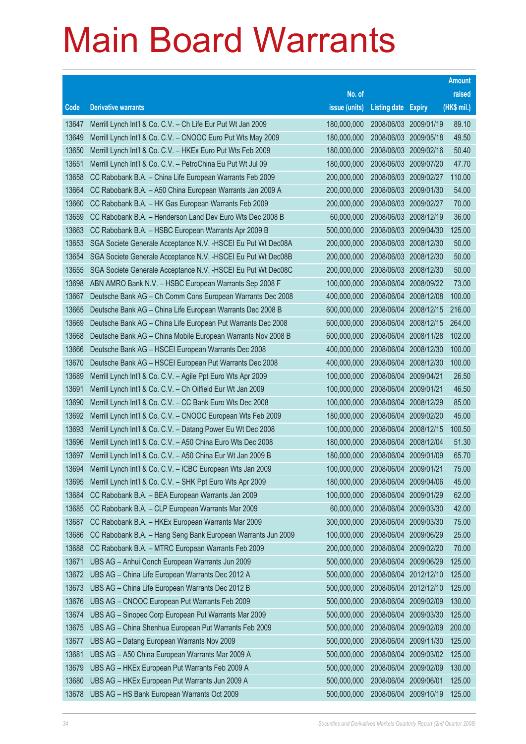|       |                                                               |               |                            |                       | <b>Amount</b> |
|-------|---------------------------------------------------------------|---------------|----------------------------|-----------------------|---------------|
|       |                                                               | No. of        |                            |                       | raised        |
| Code  | <b>Derivative warrants</b>                                    | issue (units) | <b>Listing date Expiry</b> |                       | (HK\$ mil.)   |
| 13647 | Merrill Lynch Int'l & Co. C.V. - Ch Life Eur Put Wt Jan 2009  | 180,000,000   | 2008/06/03 2009/01/19      |                       | 89.10         |
| 13649 | Merrill Lynch Int'l & Co. C.V. - CNOOC Euro Put Wts May 2009  | 180,000,000   | 2008/06/03 2009/05/18      |                       | 49.50         |
| 13650 | Merrill Lynch Int'l & Co. C.V. - HKEx Euro Put Wts Feb 2009   | 180,000,000   | 2008/06/03 2009/02/16      |                       | 50.40         |
| 13651 | Merrill Lynch Int'l & Co. C.V. - PetroChina Eu Put Wt Jul 09  | 180,000,000   |                            | 2008/06/03 2009/07/20 | 47.70         |
| 13658 | CC Rabobank B.A. - China Life European Warrants Feb 2009      | 200,000,000   |                            | 2008/06/03 2009/02/27 | 110.00        |
| 13664 | CC Rabobank B.A. - A50 China European Warrants Jan 2009 A     | 200,000,000   |                            | 2008/06/03 2009/01/30 | 54.00         |
| 13660 | CC Rabobank B.A. - HK Gas European Warrants Feb 2009          | 200,000,000   | 2008/06/03 2009/02/27      |                       | 70.00         |
| 13659 | CC Rabobank B.A. - Henderson Land Dev Euro Wts Dec 2008 B     | 60,000,000    |                            | 2008/06/03 2008/12/19 | 36.00         |
| 13663 | CC Rabobank B.A. - HSBC European Warrants Apr 2009 B          | 500,000,000   |                            | 2008/06/03 2009/04/30 | 125.00        |
| 13653 | SGA Societe Generale Acceptance N.V. - HSCEI Eu Put Wt Dec08A | 200,000,000   |                            | 2008/06/03 2008/12/30 | 50.00         |
| 13654 | SGA Societe Generale Acceptance N.V. - HSCEI Eu Put Wt Dec08B | 200,000,000   | 2008/06/03                 | 2008/12/30            | 50.00         |
| 13655 | SGA Societe Generale Acceptance N.V. - HSCEI Eu Put Wt Dec08C | 200,000,000   |                            | 2008/06/03 2008/12/30 | 50.00         |
| 13698 | ABN AMRO Bank N.V. - HSBC European Warrants Sep 2008 F        | 100,000,000   | 2008/06/04                 | 2008/09/22            | 73.00         |
| 13667 | Deutsche Bank AG - Ch Comm Cons European Warrants Dec 2008    | 400,000,000   | 2008/06/04                 | 2008/12/08            | 100.00        |
| 13665 | Deutsche Bank AG - China Life European Warrants Dec 2008 B    | 600,000,000   | 2008/06/04                 | 2008/12/15            | 216.00        |
| 13669 | Deutsche Bank AG - China Life European Put Warrants Dec 2008  | 600,000,000   | 2008/06/04                 | 2008/12/15            | 264.00        |
| 13668 | Deutsche Bank AG - China Mobile European Warrants Nov 2008 B  | 600,000,000   | 2008/06/04                 | 2008/11/28            | 102.00        |
| 13666 | Deutsche Bank AG - HSCEI European Warrants Dec 2008           | 400,000,000   | 2008/06/04                 | 2008/12/30            | 100.00        |
| 13670 | Deutsche Bank AG - HSCEI European Put Warrants Dec 2008       | 400,000,000   | 2008/06/04                 | 2008/12/30            | 100.00        |
| 13689 | Merrill Lynch Int'l & Co. C.V. - Agile Ppt Euro Wts Apr 2009  | 100,000,000   | 2008/06/04                 | 2009/04/21            | 26.50         |
| 13691 | Merrill Lynch Int'l & Co. C.V. - Ch Oilfield Eur Wt Jan 2009  | 100,000,000   | 2008/06/04                 | 2009/01/21            | 46.50         |
| 13690 | Merrill Lynch Int'l & Co. C.V. - CC Bank Euro Wts Dec 2008    | 100,000,000   | 2008/06/04                 | 2008/12/29            | 85.00         |
| 13692 | Merrill Lynch Int'l & Co. C.V. - CNOOC European Wts Feb 2009  | 180,000,000   | 2008/06/04                 | 2009/02/20            | 45.00         |
| 13693 | Merrill Lynch Int'l & Co. C.V. - Datang Power Eu Wt Dec 2008  | 100,000,000   |                            | 2008/06/04 2008/12/15 | 100.50        |
| 13696 | Merrill Lynch Int'l & Co. C.V. - A50 China Euro Wts Dec 2008  | 180,000,000   | 2008/06/04                 | 2008/12/04            | 51.30         |
| 13697 | Merrill Lynch Int'l & Co. C.V. - A50 China Eur Wt Jan 2009 B  | 180,000,000   | 2008/06/04                 | 2009/01/09            | 65.70         |
| 13694 | Merrill Lynch Int'l & Co. C.V. - ICBC European Wts Jan 2009   | 100,000,000   | 2008/06/04 2009/01/21      |                       | 75.00         |
| 13695 | Merrill Lynch Int'l & Co. C.V. - SHK Ppt Euro Wts Apr 2009    | 180,000,000   | 2008/06/04 2009/04/06      |                       | 45.00         |
| 13684 | CC Rabobank B.A. - BEA European Warrants Jan 2009             | 100,000,000   | 2008/06/04                 | 2009/01/29            | 62.00         |
| 13685 | CC Rabobank B.A. - CLP European Warrants Mar 2009             | 60,000,000    | 2008/06/04                 | 2009/03/30            | 42.00         |
| 13687 | CC Rabobank B.A. - HKEx European Warrants Mar 2009            | 300,000,000   | 2008/06/04                 | 2009/03/30            | 75.00         |
| 13686 | CC Rabobank B.A. - Hang Seng Bank European Warrants Jun 2009  | 100,000,000   | 2008/06/04                 | 2009/06/29            | 25.00         |
| 13688 | CC Rabobank B.A. - MTRC European Warrants Feb 2009            | 200,000,000   | 2008/06/04                 | 2009/02/20            | 70.00         |
| 13671 | UBS AG - Anhui Conch European Warrants Jun 2009               | 500,000,000   | 2008/06/04                 | 2009/06/29            | 125.00        |
| 13672 | UBS AG - China Life European Warrants Dec 2012 A              | 500,000,000   | 2008/06/04                 | 2012/12/10            | 125.00        |
| 13673 | UBS AG - China Life European Warrants Dec 2012 B              | 500,000,000   | 2008/06/04                 | 2012/12/10            | 125.00        |
| 13676 | UBS AG - CNOOC European Put Warrants Feb 2009                 | 500,000,000   | 2008/06/04                 | 2009/02/09            | 130.00        |
| 13674 | UBS AG - Sinopec Corp European Put Warrants Mar 2009          | 500,000,000   | 2008/06/04                 | 2009/03/30            | 125.00        |
| 13675 | UBS AG - China Shenhua European Put Warrants Feb 2009         | 500,000,000   | 2008/06/04                 | 2009/02/09            | 200.00        |
| 13677 | UBS AG - Datang European Warrants Nov 2009                    | 500,000,000   | 2008/06/04                 | 2009/11/30            | 125.00        |
| 13681 | UBS AG - A50 China European Warrants Mar 2009 A               | 500,000,000   | 2008/06/04                 | 2009/03/02            | 125.00        |
| 13679 | UBS AG - HKEx European Put Warrants Feb 2009 A                | 500,000,000   | 2008/06/04                 | 2009/02/09            | 130.00        |
| 13680 | UBS AG - HKEx European Put Warrants Jun 2009 A                | 500,000,000   | 2008/06/04                 | 2009/06/01            | 125.00        |
| 13678 | UBS AG - HS Bank European Warrants Oct 2009                   | 500,000,000   | 2008/06/04 2009/10/19      |                       | 125.00        |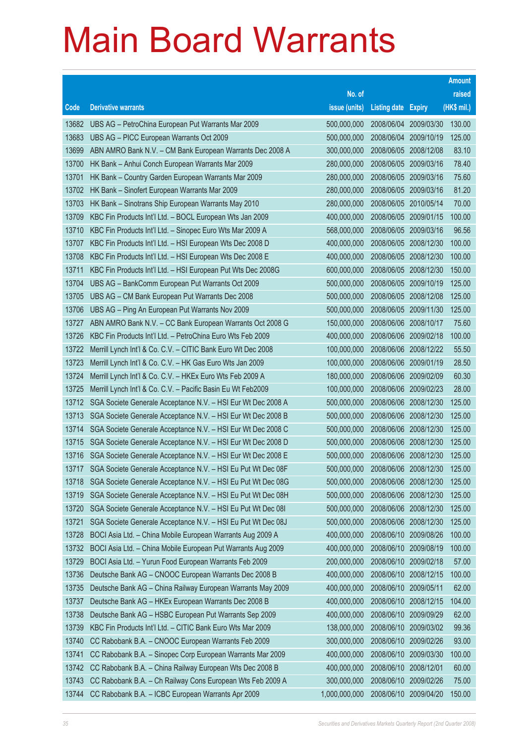|       |                                                              |               |                            |                       | <b>Amount</b> |
|-------|--------------------------------------------------------------|---------------|----------------------------|-----------------------|---------------|
|       |                                                              | No. of        |                            |                       | raised        |
| Code  | <b>Derivative warrants</b>                                   | issue (units) | <b>Listing date Expiry</b> |                       | (HK\$ mil.)   |
| 13682 | UBS AG - PetroChina European Put Warrants Mar 2009           | 500,000,000   | 2008/06/04                 | 2009/03/30            | 130.00        |
| 13683 | UBS AG - PICC European Warrants Oct 2009                     | 500,000,000   | 2008/06/04                 | 2009/10/19            | 125.00        |
| 13699 | ABN AMRO Bank N.V. - CM Bank European Warrants Dec 2008 A    | 300,000,000   | 2008/06/05                 | 2008/12/08            | 83.10         |
| 13700 | HK Bank - Anhui Conch European Warrants Mar 2009             | 280,000,000   |                            | 2008/06/05 2009/03/16 | 78.40         |
| 13701 | HK Bank - Country Garden European Warrants Mar 2009          | 280,000,000   |                            | 2008/06/05 2009/03/16 | 75.60         |
| 13702 | HK Bank - Sinofert European Warrants Mar 2009                | 280,000,000   |                            | 2008/06/05 2009/03/16 | 81.20         |
| 13703 | HK Bank - Sinotrans Ship European Warrants May 2010          | 280,000,000   | 2008/06/05 2010/05/14      |                       | 70.00         |
| 13709 | KBC Fin Products Int'l Ltd. - BOCL European Wts Jan 2009     | 400,000,000   |                            | 2008/06/05 2009/01/15 | 100.00        |
| 13710 | KBC Fin Products Int'l Ltd. - Sinopec Euro Wts Mar 2009 A    | 568,000,000   | 2008/06/05 2009/03/16      |                       | 96.56         |
| 13707 | KBC Fin Products Int'l Ltd. - HSI European Wts Dec 2008 D    | 400,000,000   |                            | 2008/06/05 2008/12/30 | 100.00        |
| 13708 | KBC Fin Products Int'l Ltd. - HSI European Wts Dec 2008 E    | 400,000,000   | 2008/06/05                 | 2008/12/30            | 100.00        |
| 13711 | KBC Fin Products Int'l Ltd. - HSI European Put Wts Dec 2008G | 600,000,000   |                            | 2008/06/05 2008/12/30 | 150.00        |
| 13704 | UBS AG - BankComm European Put Warrants Oct 2009             | 500,000,000   |                            | 2008/06/05 2009/10/19 | 125.00        |
| 13705 | UBS AG - CM Bank European Put Warrants Dec 2008              | 500,000,000   |                            | 2008/06/05 2008/12/08 | 125.00        |
| 13706 | UBS AG - Ping An European Put Warrants Nov 2009              | 500,000,000   | 2008/06/05                 | 2009/11/30            | 125.00        |
| 13727 | ABN AMRO Bank N.V. - CC Bank European Warrants Oct 2008 G    | 150,000,000   | 2008/06/06 2008/10/17      |                       | 75.60         |
| 13726 | KBC Fin Products Int'l Ltd. - PetroChina Euro Wts Feb 2009   | 400,000,000   |                            | 2008/06/06 2009/02/18 | 100.00        |
| 13722 | Merrill Lynch Int'l & Co. C.V. - CITIC Bank Euro Wt Dec 2008 | 100,000,000   |                            | 2008/06/06 2008/12/22 | 55.50         |
| 13723 | Merrill Lynch Int'l & Co. C.V. - HK Gas Euro Wts Jan 2009    | 100,000,000   | 2008/06/06 2009/01/19      |                       | 28.50         |
| 13724 | Merrill Lynch Int'l & Co. C.V. - HKEx Euro Wts Feb 2009 A    | 180,000,000   |                            | 2008/06/06 2009/02/09 | 60.30         |
| 13725 | Merrill Lynch Int'l & Co. C.V. - Pacific Basin Eu Wt Feb2009 | 100,000,000   |                            | 2008/06/06 2009/02/23 | 28.00         |
| 13712 | SGA Societe Generale Acceptance N.V. - HSI Eur Wt Dec 2008 A | 500,000,000   |                            | 2008/06/06 2008/12/30 | 125.00        |
| 13713 | SGA Societe Generale Acceptance N.V. - HSI Eur Wt Dec 2008 B | 500,000,000   | 2008/06/06                 | 2008/12/30            | 125.00        |
| 13714 | SGA Societe Generale Acceptance N.V. - HSI Eur Wt Dec 2008 C | 500,000,000   |                            | 2008/06/06 2008/12/30 | 125.00        |
| 13715 | SGA Societe Generale Acceptance N.V. - HSI Eur Wt Dec 2008 D | 500,000,000   |                            | 2008/06/06 2008/12/30 | 125.00        |
| 13716 | SGA Societe Generale Acceptance N.V. - HSI Eur Wt Dec 2008 E | 500,000,000   | 2008/06/06 2008/12/30      |                       | 125.00        |
| 13717 | SGA Societe Generale Acceptance N.V. - HSI Eu Put Wt Dec 08F | 500,000,000   |                            | 2008/06/06 2008/12/30 | 125.00        |
| 13718 | SGA Societe Generale Acceptance N.V. - HSI Eu Put Wt Dec 08G | 500,000,000   | 2008/06/06 2008/12/30      |                       | 125.00        |
| 13719 | SGA Societe Generale Acceptance N.V. - HSI Eu Put Wt Dec 08H | 500,000,000   | 2008/06/06                 | 2008/12/30            | 125.00        |
| 13720 | SGA Societe Generale Acceptance N.V. - HSI Eu Put Wt Dec 081 | 500,000,000   |                            | 2008/06/06 2008/12/30 | 125.00        |
| 13721 | SGA Societe Generale Acceptance N.V. - HSI Eu Put Wt Dec 08J | 500,000,000   | 2008/06/06 2008/12/30      |                       | 125.00        |
| 13728 | BOCI Asia Ltd. - China Mobile European Warrants Aug 2009 A   | 400,000,000   | 2008/06/10                 | 2009/08/26            | 100.00        |
| 13732 | BOCI Asia Ltd. - China Mobile European Put Warrants Aug 2009 | 400,000,000   | 2008/06/10                 | 2009/08/19            | 100.00        |
| 13729 | BOCI Asia Ltd. - Yurun Food European Warrants Feb 2009       | 200,000,000   | 2008/06/10                 | 2009/02/18            | 57.00         |
| 13736 | Deutsche Bank AG - CNOOC European Warrants Dec 2008 B        | 400,000,000   | 2008/06/10                 | 2008/12/15            | 100.00        |
| 13735 | Deutsche Bank AG - China Railway European Warrants May 2009  | 400,000,000   | 2008/06/10 2009/05/11      |                       | 62.00         |
| 13737 | Deutsche Bank AG - HKEx European Warrants Dec 2008 B         | 400,000,000   | 2008/06/10                 | 2008/12/15            | 104.00        |
| 13738 | Deutsche Bank AG - HSBC European Put Warrants Sep 2009       | 400,000,000   | 2008/06/10                 | 2009/09/29            | 62.00         |
| 13739 | KBC Fin Products Int'l Ltd. - CITIC Bank Euro Wts Mar 2009   | 138,000,000   | 2008/06/10                 | 2009/03/02            | 99.36         |
| 13740 | CC Rabobank B.A. - CNOOC European Warrants Feb 2009          | 300,000,000   | 2008/06/10                 | 2009/02/26            | 93.00         |
| 13741 | CC Rabobank B.A. - Sinopec Corp European Warrants Mar 2009   | 400,000,000   | 2008/06/10                 | 2009/03/30            | 100.00        |
| 13742 | CC Rabobank B.A. - China Railway European Wts Dec 2008 B     | 400,000,000   | 2008/06/10                 | 2008/12/01            | 60.00         |
| 13743 | CC Rabobank B.A. - Ch Railway Cons European Wts Feb 2009 A   | 300,000,000   | 2008/06/10                 | 2009/02/26            | 75.00         |
| 13744 | CC Rabobank B.A. - ICBC European Warrants Apr 2009           | 1,000,000,000 | 2008/06/10 2009/04/20      |                       | 150.00        |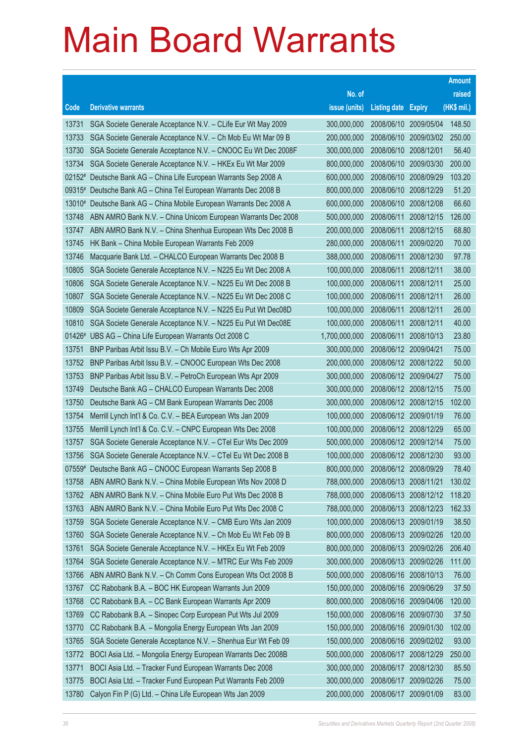| No. of<br>raised<br>(HK\$ mil.)<br><b>Derivative warrants</b><br>issue (units)<br>Code<br><b>Listing date</b><br><b>Expiry</b><br>148.50<br>SGA Societe Generale Acceptance N.V. - CLife Eur Wt May 2009<br>300,000,000<br>2008/06/10 2009/05/04<br>13731<br>2008/06/10 2009/03/02<br>250.00<br>13733<br>SGA Societe Generale Acceptance N.V. - Ch Mob Eu Wt Mar 09 B<br>200,000,000<br>56.40<br>SGA Societe Generale Acceptance N.V. - CNOOC Eu Wt Dec 2008F<br>300,000,000<br>2008/06/10<br>2008/12/01<br>13730<br>200.00<br>2008/06/10<br>13734<br>SGA Societe Generale Acceptance N.V. - HKEx Eu Wt Mar 2009<br>800,000,000<br>2009/03/30<br>600,000,000<br>103.20<br>02152# Deutsche Bank AG - China Life European Warrants Sep 2008 A<br>2008/06/10 2008/09/29<br>2008/06/10 2008/12/29<br>51.20<br>09315#<br>Deutsche Bank AG - China Tel European Warrants Dec 2008 B<br>800,000,000<br>66.60<br>Deutsche Bank AG - China Mobile European Warrants Dec 2008 A<br>600,000,000<br>2008/06/10<br>2008/12/08<br>13010#<br>500,000,000<br>2008/06/11<br>126.00<br>13748<br>ABN AMRO Bank N.V. - China Unicom European Warrants Dec 2008<br>2008/12/15<br>200,000,000<br>68.80<br>ABN AMRO Bank N.V. - China Shenhua European Wts Dec 2008 B<br>2008/06/11<br>2008/12/15<br>13747<br>2008/06/11<br>70.00<br>13745<br>HK Bank - China Mobile European Warrants Feb 2009<br>280,000,000<br>2009/02/20<br>97.78<br>13746<br>Macquarie Bank Ltd. - CHALCO European Warrants Dec 2008 B<br>388,000,000<br>2008/06/11<br>2008/12/30<br>38.00<br>10805<br>2008/06/11<br>SGA Societe Generale Acceptance N.V. - N225 Eu Wt Dec 2008 A<br>100,000,000<br>2008/12/11<br>100,000,000<br>25.00<br>10806<br>SGA Societe Generale Acceptance N.V. - N225 Eu Wt Dec 2008 B<br>2008/06/11<br>2008/12/11<br>2008/06/11<br>26.00<br>10807<br>SGA Societe Generale Acceptance N.V. - N225 Eu Wt Dec 2008 C<br>100,000,000<br>2008/12/11 |
|------------------------------------------------------------------------------------------------------------------------------------------------------------------------------------------------------------------------------------------------------------------------------------------------------------------------------------------------------------------------------------------------------------------------------------------------------------------------------------------------------------------------------------------------------------------------------------------------------------------------------------------------------------------------------------------------------------------------------------------------------------------------------------------------------------------------------------------------------------------------------------------------------------------------------------------------------------------------------------------------------------------------------------------------------------------------------------------------------------------------------------------------------------------------------------------------------------------------------------------------------------------------------------------------------------------------------------------------------------------------------------------------------------------------------------------------------------------------------------------------------------------------------------------------------------------------------------------------------------------------------------------------------------------------------------------------------------------------------------------------------------------------------------------------------------------------------------------------------------------------------------------------------------------------|
|                                                                                                                                                                                                                                                                                                                                                                                                                                                                                                                                                                                                                                                                                                                                                                                                                                                                                                                                                                                                                                                                                                                                                                                                                                                                                                                                                                                                                                                                                                                                                                                                                                                                                                                                                                                                                                                                                                                        |
|                                                                                                                                                                                                                                                                                                                                                                                                                                                                                                                                                                                                                                                                                                                                                                                                                                                                                                                                                                                                                                                                                                                                                                                                                                                                                                                                                                                                                                                                                                                                                                                                                                                                                                                                                                                                                                                                                                                        |
|                                                                                                                                                                                                                                                                                                                                                                                                                                                                                                                                                                                                                                                                                                                                                                                                                                                                                                                                                                                                                                                                                                                                                                                                                                                                                                                                                                                                                                                                                                                                                                                                                                                                                                                                                                                                                                                                                                                        |
|                                                                                                                                                                                                                                                                                                                                                                                                                                                                                                                                                                                                                                                                                                                                                                                                                                                                                                                                                                                                                                                                                                                                                                                                                                                                                                                                                                                                                                                                                                                                                                                                                                                                                                                                                                                                                                                                                                                        |
|                                                                                                                                                                                                                                                                                                                                                                                                                                                                                                                                                                                                                                                                                                                                                                                                                                                                                                                                                                                                                                                                                                                                                                                                                                                                                                                                                                                                                                                                                                                                                                                                                                                                                                                                                                                                                                                                                                                        |
|                                                                                                                                                                                                                                                                                                                                                                                                                                                                                                                                                                                                                                                                                                                                                                                                                                                                                                                                                                                                                                                                                                                                                                                                                                                                                                                                                                                                                                                                                                                                                                                                                                                                                                                                                                                                                                                                                                                        |
|                                                                                                                                                                                                                                                                                                                                                                                                                                                                                                                                                                                                                                                                                                                                                                                                                                                                                                                                                                                                                                                                                                                                                                                                                                                                                                                                                                                                                                                                                                                                                                                                                                                                                                                                                                                                                                                                                                                        |
|                                                                                                                                                                                                                                                                                                                                                                                                                                                                                                                                                                                                                                                                                                                                                                                                                                                                                                                                                                                                                                                                                                                                                                                                                                                                                                                                                                                                                                                                                                                                                                                                                                                                                                                                                                                                                                                                                                                        |
|                                                                                                                                                                                                                                                                                                                                                                                                                                                                                                                                                                                                                                                                                                                                                                                                                                                                                                                                                                                                                                                                                                                                                                                                                                                                                                                                                                                                                                                                                                                                                                                                                                                                                                                                                                                                                                                                                                                        |
|                                                                                                                                                                                                                                                                                                                                                                                                                                                                                                                                                                                                                                                                                                                                                                                                                                                                                                                                                                                                                                                                                                                                                                                                                                                                                                                                                                                                                                                                                                                                                                                                                                                                                                                                                                                                                                                                                                                        |
|                                                                                                                                                                                                                                                                                                                                                                                                                                                                                                                                                                                                                                                                                                                                                                                                                                                                                                                                                                                                                                                                                                                                                                                                                                                                                                                                                                                                                                                                                                                                                                                                                                                                                                                                                                                                                                                                                                                        |
|                                                                                                                                                                                                                                                                                                                                                                                                                                                                                                                                                                                                                                                                                                                                                                                                                                                                                                                                                                                                                                                                                                                                                                                                                                                                                                                                                                                                                                                                                                                                                                                                                                                                                                                                                                                                                                                                                                                        |
|                                                                                                                                                                                                                                                                                                                                                                                                                                                                                                                                                                                                                                                                                                                                                                                                                                                                                                                                                                                                                                                                                                                                                                                                                                                                                                                                                                                                                                                                                                                                                                                                                                                                                                                                                                                                                                                                                                                        |
|                                                                                                                                                                                                                                                                                                                                                                                                                                                                                                                                                                                                                                                                                                                                                                                                                                                                                                                                                                                                                                                                                                                                                                                                                                                                                                                                                                                                                                                                                                                                                                                                                                                                                                                                                                                                                                                                                                                        |
|                                                                                                                                                                                                                                                                                                                                                                                                                                                                                                                                                                                                                                                                                                                                                                                                                                                                                                                                                                                                                                                                                                                                                                                                                                                                                                                                                                                                                                                                                                                                                                                                                                                                                                                                                                                                                                                                                                                        |
|                                                                                                                                                                                                                                                                                                                                                                                                                                                                                                                                                                                                                                                                                                                                                                                                                                                                                                                                                                                                                                                                                                                                                                                                                                                                                                                                                                                                                                                                                                                                                                                                                                                                                                                                                                                                                                                                                                                        |
| 26.00<br>10809<br>SGA Societe Generale Acceptance N.V. - N225 Eu Put Wt Dec08D<br>100,000,000<br>2008/06/11<br>2008/12/11                                                                                                                                                                                                                                                                                                                                                                                                                                                                                                                                                                                                                                                                                                                                                                                                                                                                                                                                                                                                                                                                                                                                                                                                                                                                                                                                                                                                                                                                                                                                                                                                                                                                                                                                                                                              |
| 2008/06/11<br>40.00<br>10810<br>SGA Societe Generale Acceptance N.V. - N225 Eu Put Wt Dec08E<br>100,000,000<br>2008/12/11                                                                                                                                                                                                                                                                                                                                                                                                                                                                                                                                                                                                                                                                                                                                                                                                                                                                                                                                                                                                                                                                                                                                                                                                                                                                                                                                                                                                                                                                                                                                                                                                                                                                                                                                                                                              |
| 1,700,000,000<br>23.80<br>UBS AG - China Life European Warrants Oct 2008 C<br>2008/06/11<br>2008/10/13<br>$01426*$                                                                                                                                                                                                                                                                                                                                                                                                                                                                                                                                                                                                                                                                                                                                                                                                                                                                                                                                                                                                                                                                                                                                                                                                                                                                                                                                                                                                                                                                                                                                                                                                                                                                                                                                                                                                     |
| 75.00<br>13751<br>BNP Paribas Arbit Issu B.V. - Ch Mobile Euro Wts Apr 2009<br>300,000,000<br>2008/06/12 2009/04/21                                                                                                                                                                                                                                                                                                                                                                                                                                                                                                                                                                                                                                                                                                                                                                                                                                                                                                                                                                                                                                                                                                                                                                                                                                                                                                                                                                                                                                                                                                                                                                                                                                                                                                                                                                                                    |
| 50.00<br>BNP Paribas Arbit Issu B.V. - CNOOC European Wts Dec 2008<br>200,000,000<br>2008/06/12 2008/12/22<br>13752                                                                                                                                                                                                                                                                                                                                                                                                                                                                                                                                                                                                                                                                                                                                                                                                                                                                                                                                                                                                                                                                                                                                                                                                                                                                                                                                                                                                                                                                                                                                                                                                                                                                                                                                                                                                    |
| 300,000,000<br>2008/06/12 2009/04/27<br>75.00<br>13753<br>BNP Paribas Arbit Issu B.V. - PetroCh European Wts Apr 2009                                                                                                                                                                                                                                                                                                                                                                                                                                                                                                                                                                                                                                                                                                                                                                                                                                                                                                                                                                                                                                                                                                                                                                                                                                                                                                                                                                                                                                                                                                                                                                                                                                                                                                                                                                                                  |
| 75.00<br>13749<br>Deutsche Bank AG - CHALCO European Warrants Dec 2008<br>300,000,000<br>2008/06/12 2008/12/15                                                                                                                                                                                                                                                                                                                                                                                                                                                                                                                                                                                                                                                                                                                                                                                                                                                                                                                                                                                                                                                                                                                                                                                                                                                                                                                                                                                                                                                                                                                                                                                                                                                                                                                                                                                                         |
| 102.00<br>13750<br>Deutsche Bank AG - CM Bank European Warrants Dec 2008<br>300,000,000<br>2008/06/12 2008/12/15                                                                                                                                                                                                                                                                                                                                                                                                                                                                                                                                                                                                                                                                                                                                                                                                                                                                                                                                                                                                                                                                                                                                                                                                                                                                                                                                                                                                                                                                                                                                                                                                                                                                                                                                                                                                       |
| 76.00<br>Merrill Lynch Int'l & Co. C.V. - BEA European Wts Jan 2009<br>100,000,000<br>2008/06/12 2009/01/19<br>13754                                                                                                                                                                                                                                                                                                                                                                                                                                                                                                                                                                                                                                                                                                                                                                                                                                                                                                                                                                                                                                                                                                                                                                                                                                                                                                                                                                                                                                                                                                                                                                                                                                                                                                                                                                                                   |
| 100,000,000<br>2008/06/12 2008/12/29<br>65.00<br>13755<br>Merrill Lynch Int'l & Co. C.V. - CNPC European Wts Dec 2008                                                                                                                                                                                                                                                                                                                                                                                                                                                                                                                                                                                                                                                                                                                                                                                                                                                                                                                                                                                                                                                                                                                                                                                                                                                                                                                                                                                                                                                                                                                                                                                                                                                                                                                                                                                                  |
| 500,000,000<br>SGA Societe Generale Acceptance N.V. - CTel Eur Wts Dec 2009<br>2008/06/12 2009/12/14<br>75.00<br>13757                                                                                                                                                                                                                                                                                                                                                                                                                                                                                                                                                                                                                                                                                                                                                                                                                                                                                                                                                                                                                                                                                                                                                                                                                                                                                                                                                                                                                                                                                                                                                                                                                                                                                                                                                                                                 |
| 100,000,000<br>2008/06/12 2008/12/30<br>93.00<br>SGA Societe Generale Acceptance N.V. - CTel Eu Wt Dec 2008 B<br>13756<br>800,000,000<br>07559#<br>Deutsche Bank AG - CNOOC European Warrants Sep 2008 B                                                                                                                                                                                                                                                                                                                                                                                                                                                                                                                                                                                                                                                                                                                                                                                                                                                                                                                                                                                                                                                                                                                                                                                                                                                                                                                                                                                                                                                                                                                                                                                                                                                                                                               |
| 2008/06/12 2008/09/29<br>78.40<br>788,000,000<br>2008/06/13 2008/11/21<br>130.02<br>13758                                                                                                                                                                                                                                                                                                                                                                                                                                                                                                                                                                                                                                                                                                                                                                                                                                                                                                                                                                                                                                                                                                                                                                                                                                                                                                                                                                                                                                                                                                                                                                                                                                                                                                                                                                                                                              |
| ABN AMRO Bank N.V. - China Mobile European Wts Nov 2008 D<br>ABN AMRO Bank N.V. - China Mobile Euro Put Wts Dec 2008 B<br>788,000,000<br>2008/06/13 2008/12/12<br>118.20<br>13762                                                                                                                                                                                                                                                                                                                                                                                                                                                                                                                                                                                                                                                                                                                                                                                                                                                                                                                                                                                                                                                                                                                                                                                                                                                                                                                                                                                                                                                                                                                                                                                                                                                                                                                                      |
| 788,000,000<br>162.33<br>13763<br>ABN AMRO Bank N.V. - China Mobile Euro Put Wts Dec 2008 C<br>2008/06/13 2008/12/23                                                                                                                                                                                                                                                                                                                                                                                                                                                                                                                                                                                                                                                                                                                                                                                                                                                                                                                                                                                                                                                                                                                                                                                                                                                                                                                                                                                                                                                                                                                                                                                                                                                                                                                                                                                                   |
| 38.50<br>SGA Societe Generale Acceptance N.V. - CMB Euro Wts Jan 2009<br>100,000,000<br>2008/06/13 2009/01/19<br>13759                                                                                                                                                                                                                                                                                                                                                                                                                                                                                                                                                                                                                                                                                                                                                                                                                                                                                                                                                                                                                                                                                                                                                                                                                                                                                                                                                                                                                                                                                                                                                                                                                                                                                                                                                                                                 |
| 13760<br>SGA Societe Generale Acceptance N.V. - Ch Mob Eu Wt Feb 09 B<br>800,000,000<br>2008/06/13<br>120.00<br>2009/02/26                                                                                                                                                                                                                                                                                                                                                                                                                                                                                                                                                                                                                                                                                                                                                                                                                                                                                                                                                                                                                                                                                                                                                                                                                                                                                                                                                                                                                                                                                                                                                                                                                                                                                                                                                                                             |
| SGA Societe Generale Acceptance N.V. - HKEx Eu Wt Feb 2009<br>800,000,000<br>2008/06/13<br>206.40<br>13761<br>2009/02/26                                                                                                                                                                                                                                                                                                                                                                                                                                                                                                                                                                                                                                                                                                                                                                                                                                                                                                                                                                                                                                                                                                                                                                                                                                                                                                                                                                                                                                                                                                                                                                                                                                                                                                                                                                                               |
| 300,000,000<br>111.00<br>13764<br>SGA Societe Generale Acceptance N.V. - MTRC Eur Wts Feb 2009<br>2008/06/13<br>2009/02/26                                                                                                                                                                                                                                                                                                                                                                                                                                                                                                                                                                                                                                                                                                                                                                                                                                                                                                                                                                                                                                                                                                                                                                                                                                                                                                                                                                                                                                                                                                                                                                                                                                                                                                                                                                                             |
| 500,000,000<br>ABN AMRO Bank N.V. - Ch Comm Cons European Wts Oct 2008 B<br>2008/06/16<br>2008/10/13<br>76.00<br>13766                                                                                                                                                                                                                                                                                                                                                                                                                                                                                                                                                                                                                                                                                                                                                                                                                                                                                                                                                                                                                                                                                                                                                                                                                                                                                                                                                                                                                                                                                                                                                                                                                                                                                                                                                                                                 |
| CC Rabobank B.A. - BOC HK European Warrants Jun 2009<br>37.50<br>13767<br>150,000,000<br>2008/06/16<br>2009/06/29                                                                                                                                                                                                                                                                                                                                                                                                                                                                                                                                                                                                                                                                                                                                                                                                                                                                                                                                                                                                                                                                                                                                                                                                                                                                                                                                                                                                                                                                                                                                                                                                                                                                                                                                                                                                      |
| 13768<br>CC Rabobank B.A. - CC Bank European Warrants Apr 2009<br>800,000,000<br>2008/06/16<br>120.00<br>2009/04/06                                                                                                                                                                                                                                                                                                                                                                                                                                                                                                                                                                                                                                                                                                                                                                                                                                                                                                                                                                                                                                                                                                                                                                                                                                                                                                                                                                                                                                                                                                                                                                                                                                                                                                                                                                                                    |
| 150,000,000<br>37.50<br>13769<br>CC Rabobank B.A. - Sinopec Corp European Put Wts Jul 2009<br>2008/06/16<br>2009/07/30                                                                                                                                                                                                                                                                                                                                                                                                                                                                                                                                                                                                                                                                                                                                                                                                                                                                                                                                                                                                                                                                                                                                                                                                                                                                                                                                                                                                                                                                                                                                                                                                                                                                                                                                                                                                 |
| 13770<br>CC Rabobank B.A. - Mongolia Energy European Wts Jan 2009<br>150,000,000<br>2008/06/16<br>102.00<br>2009/01/30                                                                                                                                                                                                                                                                                                                                                                                                                                                                                                                                                                                                                                                                                                                                                                                                                                                                                                                                                                                                                                                                                                                                                                                                                                                                                                                                                                                                                                                                                                                                                                                                                                                                                                                                                                                                 |
| SGA Societe Generale Acceptance N.V. - Shenhua Eur Wt Feb 09<br>150,000,000<br>2008/06/16<br>93.00<br>13765<br>2009/02/02                                                                                                                                                                                                                                                                                                                                                                                                                                                                                                                                                                                                                                                                                                                                                                                                                                                                                                                                                                                                                                                                                                                                                                                                                                                                                                                                                                                                                                                                                                                                                                                                                                                                                                                                                                                              |
| BOCI Asia Ltd. - Mongolia Energy European Warrants Dec 2008B<br>500,000,000<br>2008/06/17<br>250.00<br>13772<br>2008/12/29                                                                                                                                                                                                                                                                                                                                                                                                                                                                                                                                                                                                                                                                                                                                                                                                                                                                                                                                                                                                                                                                                                                                                                                                                                                                                                                                                                                                                                                                                                                                                                                                                                                                                                                                                                                             |
| BOCI Asia Ltd. - Tracker Fund European Warrants Dec 2008<br>300,000,000<br>85.50<br>13771<br>2008/06/17<br>2008/12/30                                                                                                                                                                                                                                                                                                                                                                                                                                                                                                                                                                                                                                                                                                                                                                                                                                                                                                                                                                                                                                                                                                                                                                                                                                                                                                                                                                                                                                                                                                                                                                                                                                                                                                                                                                                                  |
| 300,000,000<br>BOCI Asia Ltd. - Tracker Fund European Put Warrants Feb 2009<br>2008/06/17<br>75.00<br>13775<br>2009/02/26                                                                                                                                                                                                                                                                                                                                                                                                                                                                                                                                                                                                                                                                                                                                                                                                                                                                                                                                                                                                                                                                                                                                                                                                                                                                                                                                                                                                                                                                                                                                                                                                                                                                                                                                                                                              |
| Calyon Fin P (G) Ltd. - China Life European Wts Jan 2009<br>13780<br>200,000,000<br>83.00<br>2008/06/17<br>2009/01/09                                                                                                                                                                                                                                                                                                                                                                                                                                                                                                                                                                                                                                                                                                                                                                                                                                                                                                                                                                                                                                                                                                                                                                                                                                                                                                                                                                                                                                                                                                                                                                                                                                                                                                                                                                                                  |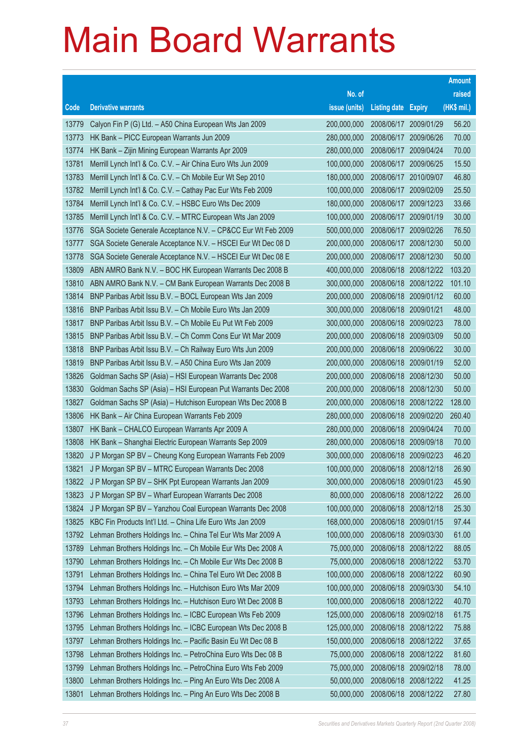|       |                                                              |               |                            |                       | <b>Amount</b> |
|-------|--------------------------------------------------------------|---------------|----------------------------|-----------------------|---------------|
|       |                                                              | No. of        |                            |                       | raised        |
| Code  | <b>Derivative warrants</b>                                   | issue (units) | <b>Listing date Expiry</b> |                       | (HK\$ mil.)   |
| 13779 | Calyon Fin P (G) Ltd. - A50 China European Wts Jan 2009      | 200,000,000   | 2008/06/17                 | 2009/01/29            | 56.20         |
| 13773 | HK Bank - PICC European Warrants Jun 2009                    | 280,000,000   | 2008/06/17                 | 2009/06/26            | 70.00         |
| 13774 | HK Bank - Zijin Mining European Warrants Apr 2009            | 280,000,000   | 2008/06/17                 | 2009/04/24            | 70.00         |
| 13781 | Merrill Lynch Int'l & Co. C.V. - Air China Euro Wts Jun 2009 | 100,000,000   |                            | 2008/06/17 2009/06/25 | 15.50         |
| 13783 | Merrill Lynch Int'l & Co. C.V. - Ch Mobile Eur Wt Sep 2010   | 180,000,000   | 2008/06/17                 | 2010/09/07            | 46.80         |
| 13782 | Merrill Lynch Int'l & Co. C.V. - Cathay Pac Eur Wts Feb 2009 | 100,000,000   |                            | 2008/06/17 2009/02/09 | 25.50         |
| 13784 | Merrill Lynch Int'l & Co. C.V. - HSBC Euro Wts Dec 2009      | 180,000,000   | 2008/06/17                 | 2009/12/23            | 33.66         |
| 13785 | Merrill Lynch Int'l & Co. C.V. - MTRC European Wts Jan 2009  | 100,000,000   |                            | 2008/06/17 2009/01/19 | 30.00         |
| 13776 | SGA Societe Generale Acceptance N.V. - CP&CC Eur Wt Feb 2009 | 500,000,000   |                            | 2008/06/17 2009/02/26 | 76.50         |
| 13777 | SGA Societe Generale Acceptance N.V. - HSCEI Eur Wt Dec 08 D | 200,000,000   |                            | 2008/06/17 2008/12/30 | 50.00         |
| 13778 | SGA Societe Generale Acceptance N.V. - HSCEI Eur Wt Dec 08 E | 200,000,000   | 2008/06/17                 | 2008/12/30            | 50.00         |
| 13809 | ABN AMRO Bank N.V. - BOC HK European Warrants Dec 2008 B     | 400,000,000   |                            | 2008/06/18 2008/12/22 | 103.20        |
| 13810 | ABN AMRO Bank N.V. - CM Bank European Warrants Dec 2008 B    | 300,000,000   |                            | 2008/06/18 2008/12/22 | 101.10        |
| 13814 | BNP Paribas Arbit Issu B.V. - BOCL European Wts Jan 2009     | 200,000,000   |                            | 2008/06/18 2009/01/12 | 60.00         |
| 13816 | BNP Paribas Arbit Issu B.V. - Ch Mobile Euro Wts Jan 2009    | 300,000,000   | 2008/06/18 2009/01/21      |                       | 48.00         |
| 13817 | BNP Paribas Arbit Issu B.V. - Ch Mobile Eu Put Wt Feb 2009   | 300,000,000   |                            | 2008/06/18 2009/02/23 | 78.00         |
| 13815 | BNP Paribas Arbit Issu B.V. - Ch Comm Cons Eur Wt Mar 2009   | 200,000,000   |                            | 2008/06/18 2009/03/09 | 50.00         |
| 13818 | BNP Paribas Arbit Issu B.V. - Ch Railway Euro Wts Jun 2009   | 200,000,000   |                            | 2008/06/18 2009/06/22 | 30.00         |
| 13819 | BNP Paribas Arbit Issu B.V. - A50 China Euro Wts Jan 2009    | 200,000,000   | 2008/06/18 2009/01/19      |                       | 52.00         |
| 13826 | Goldman Sachs SP (Asia) - HSI European Warrants Dec 2008     | 200,000,000   | 2008/06/18 2008/12/30      |                       | 50.00         |
| 13830 | Goldman Sachs SP (Asia) - HSI European Put Warrants Dec 2008 | 200,000,000   |                            | 2008/06/18 2008/12/30 | 50.00         |
| 13827 | Goldman Sachs SP (Asia) - Hutchison European Wts Dec 2008 B  | 200,000,000   |                            | 2008/06/18 2008/12/22 | 128.00        |
| 13806 | HK Bank - Air China European Warrants Feb 2009               | 280,000,000   |                            | 2008/06/18 2009/02/20 | 260.40        |
| 13807 | HK Bank - CHALCO European Warrants Apr 2009 A                | 280,000,000   |                            | 2008/06/18 2009/04/24 | 70.00         |
| 13808 | HK Bank - Shanghai Electric European Warrants Sep 2009       | 280,000,000   |                            | 2008/06/18 2009/09/18 | 70.00         |
| 13820 | J P Morgan SP BV - Cheung Kong European Warrants Feb 2009    | 300,000,000   | 2008/06/18 2009/02/23      |                       | 46.20         |
| 13821 | J P Morgan SP BV - MTRC European Warrants Dec 2008           | 100,000,000   |                            | 2008/06/18 2008/12/18 | 26.90         |
|       | 13822 J P Morgan SP BV - SHK Ppt European Warrants Jan 2009  | 300,000,000   | 2008/06/18 2009/01/23      |                       | 45.90         |
| 13823 | J P Morgan SP BV - Wharf European Warrants Dec 2008          | 80,000,000    |                            | 2008/06/18 2008/12/22 | 26.00         |
| 13824 | J P Morgan SP BV - Yanzhou Coal European Warrants Dec 2008   | 100,000,000   | 2008/06/18 2008/12/18      |                       | 25.30         |
| 13825 | KBC Fin Products Int'l Ltd. - China Life Euro Wts Jan 2009   | 168,000,000   | 2008/06/18 2009/01/15      |                       | 97.44         |
| 13792 | Lehman Brothers Holdings Inc. - China Tel Eur Wts Mar 2009 A | 100,000,000   | 2008/06/18 2009/03/30      |                       | 61.00         |
| 13789 | Lehman Brothers Holdings Inc. - Ch Mobile Eur Wts Dec 2008 A | 75,000,000    |                            | 2008/06/18 2008/12/22 | 88.05         |
| 13790 | Lehman Brothers Holdings Inc. - Ch Mobile Eur Wts Dec 2008 B | 75,000,000    |                            | 2008/06/18 2008/12/22 | 53.70         |
| 13791 | Lehman Brothers Holdings Inc. - China Tel Euro Wt Dec 2008 B | 100,000,000   |                            | 2008/06/18 2008/12/22 | 60.90         |
| 13794 | Lehman Brothers Holdings Inc. - Hutchison Euro Wts Mar 2009  | 100,000,000   |                            | 2008/06/18 2009/03/30 | 54.10         |
| 13793 | Lehman Brothers Holdings Inc. - Hutchison Euro Wt Dec 2008 B | 100,000,000   |                            | 2008/06/18 2008/12/22 | 40.70         |
| 13796 | Lehman Brothers Holdings Inc. - ICBC European Wts Feb 2009   | 125,000,000   | 2008/06/18 2009/02/18      |                       | 61.75         |
| 13795 | Lehman Brothers Holdings Inc. - ICBC European Wts Dec 2008 B | 125,000,000   |                            | 2008/06/18 2008/12/22 | 75.88         |
| 13797 | Lehman Brothers Holdings Inc. - Pacific Basin Eu Wt Dec 08 B | 150,000,000   |                            | 2008/06/18 2008/12/22 | 37.65         |
| 13798 | Lehman Brothers Holdings Inc. - PetroChina Euro Wts Dec 08 B | 75,000,000    |                            | 2008/06/18 2008/12/22 | 81.60         |
| 13799 | Lehman Brothers Holdings Inc. - PetroChina Euro Wts Feb 2009 | 75,000,000    | 2008/06/18 2009/02/18      |                       | 78.00         |
| 13800 | Lehman Brothers Holdings Inc. - Ping An Euro Wts Dec 2008 A  | 50,000,000    |                            | 2008/06/18 2008/12/22 | 41.25         |
| 13801 | Lehman Brothers Holdings Inc. - Ping An Euro Wts Dec 2008 B  | 50,000,000    |                            | 2008/06/18 2008/12/22 | 27.80         |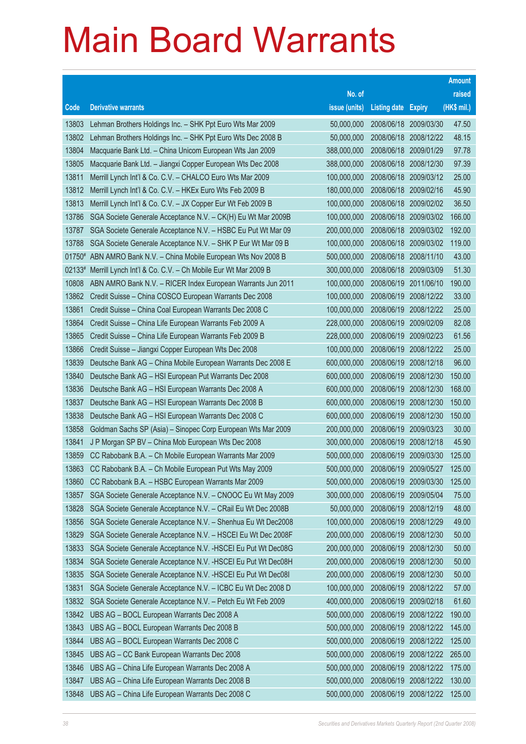|       |                                                                     |               |                            |                       | <b>Amount</b> |
|-------|---------------------------------------------------------------------|---------------|----------------------------|-----------------------|---------------|
|       |                                                                     | No. of        |                            |                       | raised        |
| Code  | <b>Derivative warrants</b>                                          | issue (units) | <b>Listing date Expiry</b> |                       | (HK\$ mil.)   |
| 13803 | Lehman Brothers Holdings Inc. - SHK Ppt Euro Wts Mar 2009           | 50,000,000    |                            | 2008/06/18 2009/03/30 | 47.50         |
| 13802 | Lehman Brothers Holdings Inc. - SHK Ppt Euro Wts Dec 2008 B         | 50,000,000    |                            | 2008/06/18 2008/12/22 | 48.15         |
| 13804 | Macquarie Bank Ltd. - China Unicom European Wts Jan 2009            | 388,000,000   | 2008/06/18                 | 2009/01/29            | 97.78         |
| 13805 | Macquarie Bank Ltd. - Jiangxi Copper European Wts Dec 2008          | 388,000,000   |                            | 2008/06/18 2008/12/30 | 97.39         |
| 13811 | Merrill Lynch Int'l & Co. C.V. - CHALCO Euro Wts Mar 2009           | 100,000,000   |                            | 2008/06/18 2009/03/12 | 25.00         |
| 13812 | Merrill Lynch Int'l & Co. C.V. - HKEx Euro Wts Feb 2009 B           | 180,000,000   |                            | 2008/06/18 2009/02/16 | 45.90         |
| 13813 | Merrill Lynch Int'l & Co. C.V. - JX Copper Eur Wt Feb 2009 B        | 100,000,000   | 2008/06/18                 | 2009/02/02            | 36.50         |
| 13786 | SGA Societe Generale Acceptance N.V. - CK(H) Eu Wt Mar 2009B        | 100,000,000   |                            | 2008/06/18 2009/03/02 | 166.00        |
| 13787 | SGA Societe Generale Acceptance N.V. - HSBC Eu Put Wt Mar 09        | 200,000,000   |                            | 2008/06/18 2009/03/02 | 192.00        |
| 13788 | SGA Societe Generale Acceptance N.V. - SHK P Eur Wt Mar 09 B        | 100,000,000   |                            | 2008/06/18 2009/03/02 | 119.00        |
|       | 01750# ABN AMRO Bank N.V. - China Mobile European Wts Nov 2008 B    | 500,000,000   | 2008/06/18                 | 2008/11/10            | 43.00         |
|       | 02133# Merrill Lynch Int'l & Co. C.V. - Ch Mobile Eur Wt Mar 2009 B | 300,000,000   |                            | 2008/06/18 2009/03/09 | 51.30         |
| 10808 | ABN AMRO Bank N.V. - RICER Index European Warrants Jun 2011         | 100,000,000   | 2008/06/19                 | 2011/06/10            | 190.00        |
| 13862 | Credit Suisse - China COSCO European Warrants Dec 2008              | 100,000,000   |                            | 2008/06/19 2008/12/22 | 33.00         |
| 13861 | Credit Suisse - China Coal European Warrants Dec 2008 C             | 100,000,000   | 2008/06/19                 | 2008/12/22            | 25.00         |
| 13864 | Credit Suisse - China Life European Warrants Feb 2009 A             | 228,000,000   |                            | 2008/06/19 2009/02/09 | 82.08         |
| 13865 | Credit Suisse - China Life European Warrants Feb 2009 B             | 228,000,000   | 2008/06/19                 | 2009/02/23            | 61.56         |
| 13866 | Credit Suisse - Jiangxi Copper European Wts Dec 2008                | 100,000,000   |                            | 2008/06/19 2008/12/22 | 25.00         |
| 13839 | Deutsche Bank AG - China Mobile European Warrants Dec 2008 E        | 600,000,000   | 2008/06/19                 | 2008/12/18            | 96.00         |
| 13840 | Deutsche Bank AG - HSI European Put Warrants Dec 2008               | 600,000,000   |                            | 2008/06/19 2008/12/30 | 150.00        |
| 13836 | Deutsche Bank AG - HSI European Warrants Dec 2008 A                 | 600,000,000   | 2008/06/19                 | 2008/12/30            | 168.00        |
| 13837 | Deutsche Bank AG - HSI European Warrants Dec 2008 B                 | 600,000,000   |                            | 2008/06/19 2008/12/30 | 150.00        |
| 13838 | Deutsche Bank AG - HSI European Warrants Dec 2008 C                 | 600,000,000   | 2008/06/19                 | 2008/12/30            | 150.00        |
| 13858 | Goldman Sachs SP (Asia) - Sinopec Corp European Wts Mar 2009        | 200,000,000   |                            | 2008/06/19 2009/03/23 | 30.00         |
| 13841 | J P Morgan SP BV - China Mob European Wts Dec 2008                  | 300,000,000   | 2008/06/19                 | 2008/12/18            | 45.90         |
| 13859 | CC Rabobank B.A. - Ch Mobile European Warrants Mar 2009             | 500,000,000   |                            | 2008/06/19 2009/03/30 | 125.00        |
| 13863 | CC Rabobank B.A. - Ch Mobile European Put Wts May 2009              | 500,000,000   | 2008/06/19 2009/05/27      |                       | 125.00        |
| 13860 | CC Rabobank B.A. - HSBC European Warrants Mar 2009                  | 500,000,000   | 2008/06/19 2009/03/30      |                       | 125.00        |
| 13857 | SGA Societe Generale Acceptance N.V. - CNOOC Eu Wt May 2009         | 300,000,000   | 2008/06/19                 | 2009/05/04            | 75.00         |
| 13828 | SGA Societe Generale Acceptance N.V. - CRail Eu Wt Dec 2008B        | 50,000,000    | 2008/06/19                 | 2008/12/19            | 48.00         |
| 13856 | SGA Societe Generale Acceptance N.V. - Shenhua Eu Wt Dec2008        | 100,000,000   | 2008/06/19                 | 2008/12/29            | 49.00         |
| 13829 | SGA Societe Generale Acceptance N.V. - HSCEI Eu Wt Dec 2008F        | 200,000,000   | 2008/06/19                 | 2008/12/30            | 50.00         |
| 13833 | SGA Societe Generale Acceptance N.V. - HSCEI Eu Put Wt Dec08G       | 200,000,000   | 2008/06/19                 | 2008/12/30            | 50.00         |
| 13834 | SGA Societe Generale Acceptance N.V. - HSCEI Eu Put Wt Dec08H       | 200,000,000   | 2008/06/19                 | 2008/12/30            | 50.00         |
| 13835 | SGA Societe Generale Acceptance N.V. - HSCEI Eu Put Wt Dec08I       | 200,000,000   | 2008/06/19                 | 2008/12/30            | 50.00         |
| 13831 | SGA Societe Generale Acceptance N.V. - ICBC Eu Wt Dec 2008 D        | 100,000,000   | 2008/06/19                 | 2008/12/22            | 57.00         |
| 13832 | SGA Societe Generale Acceptance N.V. - Petch Eu Wt Feb 2009         | 400,000,000   | 2008/06/19                 | 2009/02/18            | 61.60         |
| 13842 | UBS AG - BOCL European Warrants Dec 2008 A                          | 500,000,000   | 2008/06/19                 | 2008/12/22            | 190.00        |
| 13843 | UBS AG - BOCL European Warrants Dec 2008 B                          | 500,000,000   | 2008/06/19                 | 2008/12/22            | 145.00        |
| 13844 | UBS AG - BOCL European Warrants Dec 2008 C                          | 500,000,000   | 2008/06/19                 | 2008/12/22            | 125.00        |
| 13845 | UBS AG - CC Bank European Warrants Dec 2008                         | 500,000,000   | 2008/06/19                 | 2008/12/22            | 265.00        |
| 13846 | UBS AG - China Life European Warrants Dec 2008 A                    | 500,000,000   | 2008/06/19                 | 2008/12/22            | 175.00        |
| 13847 | UBS AG - China Life European Warrants Dec 2008 B                    | 500,000,000   | 2008/06/19                 | 2008/12/22            | 130.00        |
| 13848 | UBS AG - China Life European Warrants Dec 2008 C                    | 500,000,000   |                            | 2008/06/19 2008/12/22 | 125.00        |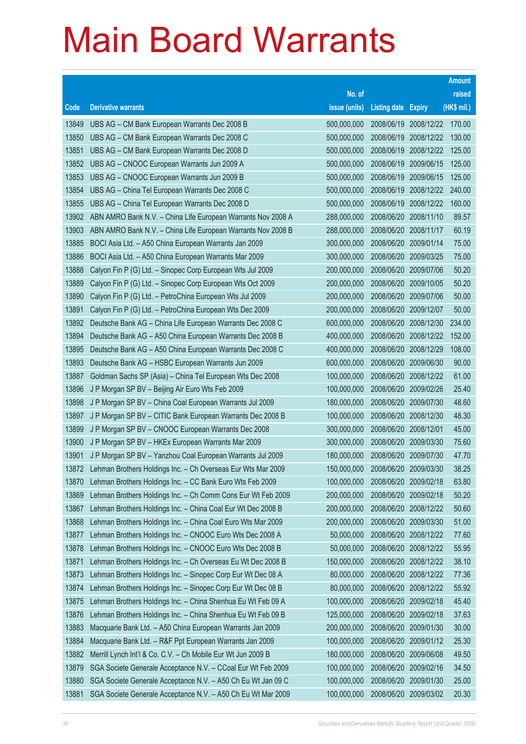|                |                                                                                                                  | No. of                     |                            |                                     | raised         |
|----------------|------------------------------------------------------------------------------------------------------------------|----------------------------|----------------------------|-------------------------------------|----------------|
| Code           | <b>Derivative warrants</b>                                                                                       | issue (units)              | <b>Listing date Expiry</b> |                                     | (HK\$ mil.)    |
| 13849          | UBS AG - CM Bank European Warrants Dec 2008 B                                                                    | 500,000,000                |                            | 2008/06/19 2008/12/22               | 170.00         |
| 13850          | UBS AG - CM Bank European Warrants Dec 2008 C                                                                    | 500,000,000                |                            | 2008/06/19 2008/12/22               | 130.00         |
| 13851          | UBS AG - CM Bank European Warrants Dec 2008 D<br>500,000,000                                                     |                            | 2008/06/19                 | 2008/12/22                          | 125.00         |
| 13852          | UBS AG - CNOOC European Warrants Jun 2009 A<br>500,000,000                                                       |                            | 2008/06/19                 | 2009/06/15                          | 125.00         |
| 13853          | UBS AG - CNOOC European Warrants Jun 2009 B                                                                      | 500,000,000                | 2008/06/19                 | 2009/06/15                          | 125.00         |
| 13854          | UBS AG - China Tel European Warrants Dec 2008 C                                                                  | 500,000,000                |                            | 2008/06/19 2008/12/22               | 240.00         |
| 13855          | UBS AG - China Tel European Warrants Dec 2008 D                                                                  | 500,000,000                | 2008/06/19                 | 2008/12/22                          | 160.00         |
| 13902          | ABN AMRO Bank N.V. - China Life European Warrants Nov 2008 A                                                     | 288,000,000                |                            | 2008/06/20 2008/11/10               | 89.57          |
| 13903          | ABN AMRO Bank N.V. - China Life European Warrants Nov 2008 B                                                     | 288,000,000                |                            | 2008/06/20 2008/11/17               | 60.19          |
| 13885          | BOCI Asia Ltd. - A50 China European Warrants Jan 2009                                                            | 300,000,000                |                            | 2008/06/20 2009/01/14               | 75.00          |
| 13886          | BOCI Asia Ltd. - A50 China European Warrants Mar 2009                                                            | 300,000,000                | 2008/06/20                 | 2009/03/25                          | 75.00          |
| 13888          | Calyon Fin P (G) Ltd. - Sinopec Corp European Wts Jul 2009                                                       | 200,000,000                |                            | 2008/06/20 2009/07/06               | 50.20          |
| 13889          | Calyon Fin P (G) Ltd. - Sinopec Corp European Wts Oct 2009                                                       | 200,000,000                |                            | 2008/06/20 2009/10/05               | 50.20          |
| 13890          | Calyon Fin P (G) Ltd. - PetroChina European Wts Jul 2009                                                         | 200,000,000                |                            | 2008/06/20 2009/07/06               | 50.00          |
| 13891          | Calyon Fin P (G) Ltd. - PetroChina European Wts Dec 2009                                                         | 200,000,000                | 2008/06/20                 | 2009/12/07                          | 50.00          |
| 13892          | Deutsche Bank AG - China Life European Warrants Dec 2008 C                                                       | 600,000,000                |                            | 2008/06/20 2008/12/30               | 234.00         |
| 13894          | Deutsche Bank AG - A50 China European Warrants Dec 2008 B                                                        | 400,000,000                |                            | 2008/06/20 2008/12/22               | 152.00         |
| 13895          | Deutsche Bank AG - A50 China European Warrants Dec 2008 C                                                        | 400,000,000                |                            | 2008/06/20 2008/12/29               | 108.00         |
| 13893          | Deutsche Bank AG - HSBC European Warrants Jun 2009                                                               | 600,000,000                | 2008/06/20                 | 2009/06/30                          | 90.00          |
| 13887          | Goldman Sachs SP (Asia) - China Tel European Wts Dec 2008                                                        | 100,000,000                |                            | 2008/06/20 2008/12/22               | 61.00          |
| 13896          | J P Morgan SP BV - Beijing Air Euro Wts Feb 2009                                                                 | 100,000,000                |                            | 2008/06/20 2009/02/26               | 25.40          |
| 13898          | J P Morgan SP BV - China Coal European Warrants Jul 2009                                                         | 180,000,000                |                            | 2008/06/20 2009/07/30               | 48.60          |
| 13897          | J P Morgan SP BV - CITIC Bank European Warrants Dec 2008 B                                                       | 100,000,000                | 2008/06/20                 | 2008/12/30                          | 48.30          |
| 13899          | J P Morgan SP BV - CNOOC European Warrants Dec 2008                                                              | 300,000,000                | 2008/06/20                 | 2008/12/01                          | 45.00          |
| 13900<br>13901 | J P Morgan SP BV - HKEx European Warrants Mar 2009<br>J P Morgan SP BV - Yanzhou Coal European Warrants Jul 2009 | 300,000,000<br>180,000,000 | 2008/06/20                 | 2008/06/20 2009/03/30<br>2009/07/30 | 75.60<br>47.70 |
| 13872          | Lehman Brothers Holdings Inc. - Ch Overseas Eur Wts Mar 2009                                                     | 150,000,000                | 2008/06/20                 | 2009/03/30                          | 38.25          |
| 13870          | Lehman Brothers Holdings Inc. - CC Bank Euro Wts Feb 2009                                                        | 100,000,000                | 2008/06/20 2009/02/18      |                                     | 63.80          |
| 13869          | Lehman Brothers Holdings Inc. - Ch Comm Cons Eur Wt Feb 2009                                                     | 200,000,000                | 2008/06/20                 | 2009/02/18                          | 50.20          |
| 13867          | Lehman Brothers Holdings Inc. - China Coal Eur Wt Dec 2008 B                                                     | 200,000,000                | 2008/06/20                 | 2008/12/22                          | 50.60          |
| 13868          | Lehman Brothers Holdings Inc. - China Coal Euro Wts Mar 2009                                                     | 200,000,000                | 2008/06/20                 | 2009/03/30                          | 51.00          |
| 13877          | Lehman Brothers Holdings Inc. - CNOOC Euro Wts Dec 2008 A                                                        | 50,000,000                 | 2008/06/20                 | 2008/12/22                          | 77.60          |
| 13878          | Lehman Brothers Holdings Inc. - CNOOC Euro Wts Dec 2008 B                                                        | 50,000,000                 | 2008/06/20                 | 2008/12/22                          | 55.95          |
| 13871          | Lehman Brothers Holdings Inc. - Ch Overseas Eu Wt Dec 2008 B                                                     | 150,000,000                | 2008/06/20                 | 2008/12/22                          | 38.10          |
| 13873          | Lehman Brothers Holdings Inc. - Sinopec Corp Eur Wt Dec 08 A                                                     | 80,000,000                 | 2008/06/20                 | 2008/12/22                          | 77.36          |
| 13874          | Lehman Brothers Holdings Inc. - Sinopec Corp Eur Wt Dec 08 B                                                     | 80,000,000                 | 2008/06/20                 | 2008/12/22                          | 55.92          |
| 13875          | Lehman Brothers Holdings Inc. - China Shenhua Eu Wt Feb 09 A                                                     | 100,000,000                | 2008/06/20                 | 2009/02/18                          | 45.40          |
| 13876          | Lehman Brothers Holdings Inc. - China Shenhua Eu Wt Feb 09 B                                                     | 125,000,000                | 2008/06/20                 | 2009/02/18                          | 37.63          |
| 13883          | Macquarie Bank Ltd. - A50 China European Warrants Jan 2009                                                       | 200,000,000                | 2008/06/20                 | 2009/01/30                          | 30.00          |
| 13884          | Macquarie Bank Ltd. - R&F Ppt European Warrants Jan 2009                                                         | 100,000,000                | 2008/06/20                 | 2009/01/12                          | 25.30          |
| 13882          | Merrill Lynch Int'l & Co. C.V. - Ch Mobile Eur Wt Jun 2009 B                                                     | 180,000,000                | 2008/06/20                 | 2009/06/08                          | 49.50          |
| 13879          | SGA Societe Generale Acceptance N.V. - CCoal Eur Wt Feb 2009                                                     | 100,000,000                | 2008/06/20                 | 2009/02/16                          | 34.50          |
| 13880          | SGA Societe Generale Acceptance N.V. - A50 Ch Eu Wt Jan 09 C                                                     | 100,000,000                | 2008/06/20                 | 2009/01/30                          | 25.00          |
| 13881          | SGA Societe Generale Acceptance N.V. - A50 Ch Eu Wt Mar 2009                                                     | 100,000,000                | 2008/06/20                 | 2009/03/02                          | 20.30          |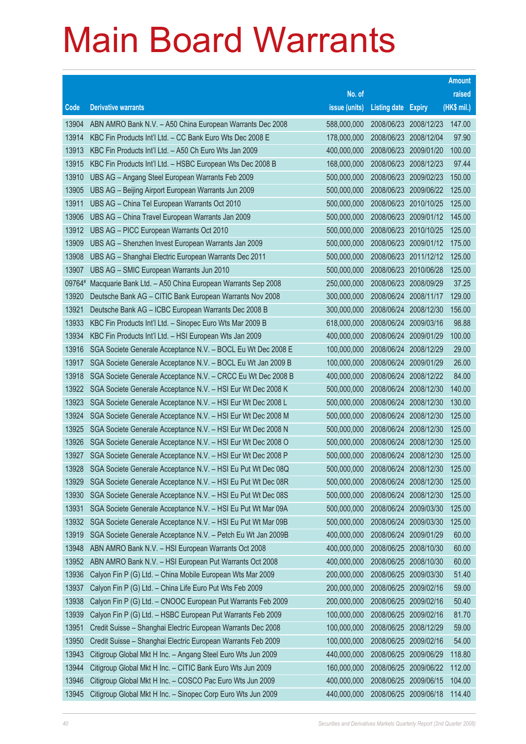|                |                                                                                                                              | No. of                     |                            |                                                | raised           |
|----------------|------------------------------------------------------------------------------------------------------------------------------|----------------------------|----------------------------|------------------------------------------------|------------------|
| Code           | <b>Derivative warrants</b>                                                                                                   | issue (units)              | <b>Listing date Expiry</b> |                                                | (HK\$ mil.)      |
| 13904          | ABN AMRO Bank N.V. - A50 China European Warrants Dec 2008                                                                    | 588,000,000                |                            | 2008/06/23 2008/12/23                          | 147.00           |
| 13914          | KBC Fin Products Int'l Ltd. - CC Bank Euro Wts Dec 2008 E                                                                    | 178,000,000                |                            | 2008/06/23 2008/12/04                          | 97.90            |
| 13913          | KBC Fin Products Int'l Ltd. - A50 Ch Euro Wts Jan 2009                                                                       | 400,000,000                | 2008/06/23                 | 2009/01/20                                     | 100.00           |
| 13915          | KBC Fin Products Int'l Ltd. - HSBC European Wts Dec 2008 B                                                                   | 168,000,000                |                            | 2008/06/23 2008/12/23                          | 97.44            |
| 13910          | UBS AG - Angang Steel European Warrants Feb 2009                                                                             | 500,000,000                |                            | 2008/06/23 2009/02/23                          | 150.00           |
| 13905          | UBS AG - Beijing Airport European Warrants Jun 2009                                                                          | 500,000,000                |                            | 2008/06/23 2009/06/22                          | 125.00           |
| 13911          | UBS AG - China Tel European Warrants Oct 2010                                                                                | 500,000,000                | 2008/06/23                 | 2010/10/25                                     | 125.00           |
| 13906          | UBS AG - China Travel European Warrants Jan 2009                                                                             | 500,000,000                |                            | 2008/06/23 2009/01/12                          | 145.00           |
| 13912          | UBS AG - PICC European Warrants Oct 2010                                                                                     | 500,000,000                |                            | 2008/06/23 2010/10/25                          | 125.00           |
| 13909          | UBS AG - Shenzhen Invest European Warrants Jan 2009                                                                          | 500,000,000                |                            | 2008/06/23 2009/01/12                          | 175.00           |
| 13908          | UBS AG - Shanghai Electric European Warrants Dec 2011                                                                        | 500,000,000                | 2008/06/23                 | 2011/12/12                                     | 125.00           |
| 13907          | UBS AG - SMIC European Warrants Jun 2010                                                                                     | 500,000,000                |                            | 2008/06/23 2010/06/28                          | 125.00           |
| 09764#         | Macquarie Bank Ltd. - A50 China European Warrants Sep 2008                                                                   | 250,000,000                |                            | 2008/06/23 2008/09/29                          | 37.25            |
| 13920          | Deutsche Bank AG - CITIC Bank European Warrants Nov 2008                                                                     | 300,000,000                |                            | 2008/06/24 2008/11/17                          | 129.00           |
| 13921          | Deutsche Bank AG - ICBC European Warrants Dec 2008 B                                                                         | 300,000,000                | 2008/06/24                 | 2008/12/30                                     | 156.00           |
| 13933          | KBC Fin Products Int'l Ltd. - Sinopec Euro Wts Mar 2009 B                                                                    | 618,000,000                |                            | 2008/06/24 2009/03/16                          | 98.88            |
| 13934          | KBC Fin Products Int'l Ltd. - HSI European Wts Jan 2009                                                                      | 400,000,000                | 2008/06/24                 | 2009/01/29                                     | 100.00           |
| 13916          | SGA Societe Generale Acceptance N.V. - BOCL Eu Wt Dec 2008 E                                                                 | 100,000,000                |                            | 2008/06/24 2008/12/29                          | 29.00            |
| 13917          | SGA Societe Generale Acceptance N.V. - BOCL Eu Wt Jan 2009 B                                                                 | 100,000,000                | 2008/06/24                 | 2009/01/29                                     | 26.00            |
| 13918          | SGA Societe Generale Acceptance N.V. - CRCC Eu Wt Dec 2008 B                                                                 | 400,000,000                |                            | 2008/06/24 2008/12/22                          | 84.00            |
| 13922          | SGA Societe Generale Acceptance N.V. - HSI Eur Wt Dec 2008 K                                                                 | 500,000,000                | 2008/06/24                 | 2008/12/30                                     | 140.00           |
| 13923          | SGA Societe Generale Acceptance N.V. - HSI Eur Wt Dec 2008 L                                                                 | 500,000,000                | 2008/06/24                 | 2008/12/30                                     | 130.00           |
| 13924          | SGA Societe Generale Acceptance N.V. - HSI Eur Wt Dec 2008 M                                                                 | 500,000,000                | 2008/06/24                 | 2008/12/30                                     | 125.00           |
| 13925          | SGA Societe Generale Acceptance N.V. - HSI Eur Wt Dec 2008 N                                                                 | 500,000,000                |                            | 2008/06/24 2008/12/30                          | 125.00           |
| 13926          | SGA Societe Generale Acceptance N.V. - HSI Eur Wt Dec 2008 O                                                                 | 500,000,000                | 2008/06/24                 | 2008/12/30                                     | 125.00<br>125.00 |
| 13927          | SGA Societe Generale Acceptance N.V. - HSI Eur Wt Dec 2008 P                                                                 | 500,000,000<br>500,000,000 |                            | 2008/06/24 2008/12/30<br>2008/06/24 2008/12/30 |                  |
| 13928<br>13929 | SGA Societe Generale Acceptance N.V. - HSI Eu Put Wt Dec 08Q<br>SGA Societe Generale Acceptance N.V. - HSI Eu Put Wt Dec 08R | 500,000,000                |                            |                                                | 125.00<br>125.00 |
| 13930          | SGA Societe Generale Acceptance N.V. - HSI Eu Put Wt Dec 08S                                                                 | 500,000,000                | 2008/06/24                 | 2008/06/24 2008/12/30<br>2008/12/30            | 125.00           |
| 13931          | SGA Societe Generale Acceptance N.V. - HSI Eu Put Wt Mar 09A                                                                 | 500,000,000                | 2008/06/24                 | 2009/03/30                                     | 125.00           |
| 13932          | SGA Societe Generale Acceptance N.V. - HSI Eu Put Wt Mar 09B                                                                 | 500,000,000                | 2008/06/24                 | 2009/03/30                                     | 125.00           |
| 13919          | SGA Societe Generale Acceptance N.V. - Petch Eu Wt Jan 2009B                                                                 | 400,000,000                | 2008/06/24                 | 2009/01/29                                     | 60.00            |
| 13948          | ABN AMRO Bank N.V. - HSI European Warrants Oct 2008                                                                          | 400,000,000                | 2008/06/25                 | 2008/10/30                                     | 60.00            |
| 13952          | ABN AMRO Bank N.V. - HSI European Put Warrants Oct 2008                                                                      | 400,000,000                | 2008/06/25                 | 2008/10/30                                     | 60.00            |
| 13936          | Calyon Fin P (G) Ltd. - China Mobile European Wts Mar 2009                                                                   | 200,000,000                | 2008/06/25                 | 2009/03/30                                     | 51.40            |
| 13937          | Calyon Fin P (G) Ltd. - China Life Euro Put Wts Feb 2009                                                                     | 200,000,000                | 2008/06/25                 | 2009/02/16                                     | 59.00            |
| 13938          | Calyon Fin P (G) Ltd. - CNOOC European Put Warrants Feb 2009                                                                 | 200,000,000                | 2008/06/25                 | 2009/02/16                                     | 50.40            |
| 13939          | Calyon Fin P (G) Ltd. - HSBC European Put Warrants Feb 2009                                                                  | 100,000,000                | 2008/06/25                 | 2009/02/16                                     | 81.70            |
| 13951          | Credit Suisse - Shanghai Electric European Warrants Dec 2008                                                                 | 100,000,000                | 2008/06/25                 | 2008/12/29                                     | 59.00            |
| 13950          | Credit Suisse - Shanghai Electric European Warrants Feb 2009                                                                 | 100,000,000                | 2008/06/25                 | 2009/02/16                                     | 54.00            |
| 13943          | Citigroup Global Mkt H Inc. - Angang Steel Euro Wts Jun 2009                                                                 | 440,000,000                | 2008/06/25                 | 2009/06/29                                     | 118.80           |
| 13944          | Citigroup Global Mkt H Inc. - CITIC Bank Euro Wts Jun 2009                                                                   | 160,000,000                | 2008/06/25                 | 2009/06/22                                     | 112.00           |
| 13946          | Citigroup Global Mkt H Inc. - COSCO Pac Euro Wts Jun 2009                                                                    | 400,000,000                | 2008/06/25                 | 2009/06/15                                     | 104.00           |
| 13945          | Citigroup Global Mkt H Inc. - Sinopec Corp Euro Wts Jun 2009                                                                 | 440,000,000                |                            | 2008/06/25 2009/06/18                          | 114.40           |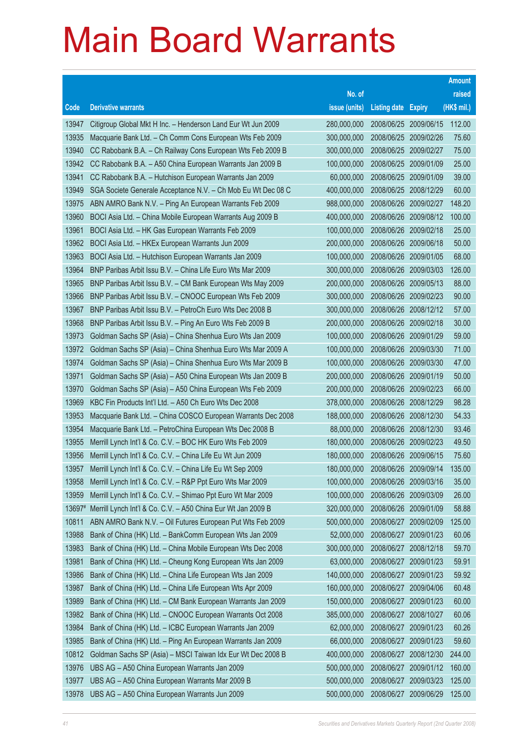|        |                                                              | No. of                    |                            |                       | raised      |  |
|--------|--------------------------------------------------------------|---------------------------|----------------------------|-----------------------|-------------|--|
| Code   | <b>Derivative warrants</b>                                   | issue (units)             | <b>Listing date Expiry</b> |                       | (HK\$ mil.) |  |
| 13947  | Citigroup Global Mkt H Inc. - Henderson Land Eur Wt Jun 2009 | 280,000,000               |                            | 2008/06/25 2009/06/15 | 112.00      |  |
| 13935  | Macquarie Bank Ltd. - Ch Comm Cons European Wts Feb 2009     | 300,000,000               |                            | 2008/06/25 2009/02/26 | 75.60       |  |
| 13940  | CC Rabobank B.A. - Ch Railway Cons European Wts Feb 2009 B   | 300,000,000<br>2008/06/25 |                            | 2009/02/27            | 75.00       |  |
| 13942  | CC Rabobank B.A. - A50 China European Warrants Jan 2009 B    | 100,000,000               | 2008/06/25                 | 2009/01/09            | 25.00       |  |
| 13941  | CC Rabobank B.A. - Hutchison European Warrants Jan 2009      | 60,000,000                | 2008/06/25                 | 2009/01/09            | 39.00       |  |
| 13949  | SGA Societe Generale Acceptance N.V. - Ch Mob Eu Wt Dec 08 C | 400,000,000               | 2008/06/25                 | 2008/12/29            | 60.00       |  |
| 13975  | ABN AMRO Bank N.V. - Ping An European Warrants Feb 2009      | 988,000,000               | 2008/06/26                 | 2009/02/27            | 148.20      |  |
| 13960  | BOCI Asia Ltd. - China Mobile European Warrants Aug 2009 B   | 400,000,000               | 2008/06/26                 | 2009/08/12            | 100.00      |  |
| 13961  | BOCI Asia Ltd. - HK Gas European Warrants Feb 2009           | 100,000,000               | 2008/06/26 2009/02/18      |                       | 25.00       |  |
| 13962  | BOCI Asia Ltd. - HKEx European Warrants Jun 2009             | 200,000,000               |                            | 2008/06/26 2009/06/18 | 50.00       |  |
| 13963  | BOCI Asia Ltd. - Hutchison European Warrants Jan 2009        | 100,000,000               | 2008/06/26                 | 2009/01/05            | 68.00       |  |
| 13964  | BNP Paribas Arbit Issu B.V. - China Life Euro Wts Mar 2009   | 300,000,000               | 2008/06/26                 | 2009/03/03            | 126.00      |  |
| 13965  | BNP Paribas Arbit Issu B.V. - CM Bank European Wts May 2009  | 200,000,000               |                            | 2008/06/26 2009/05/13 | 88.00       |  |
| 13966  | BNP Paribas Arbit Issu B.V. - CNOOC European Wts Feb 2009    | 300,000,000               |                            | 2008/06/26 2009/02/23 | 90.00       |  |
| 13967  | BNP Paribas Arbit Issu B.V. - PetroCh Euro Wts Dec 2008 B    | 300,000,000               | 2008/06/26                 | 2008/12/12            | 57.00       |  |
| 13968  | BNP Paribas Arbit Issu B.V. - Ping An Euro Wts Feb 2009 B    | 200,000,000               |                            | 2008/06/26 2009/02/18 | 30.00       |  |
| 13973  | Goldman Sachs SP (Asia) - China Shenhua Euro Wts Jan 2009    | 100,000,000               |                            | 2008/06/26 2009/01/29 | 59.00       |  |
| 13972  | Goldman Sachs SP (Asia) - China Shenhua Euro Wts Mar 2009 A  | 100,000,000               |                            | 2008/06/26 2009/03/30 | 71.00       |  |
| 13974  | Goldman Sachs SP (Asia) - China Shenhua Euro Wts Mar 2009 B  | 100,000,000               | 2008/06/26                 | 2009/03/30            | 47.00       |  |
| 13971  | Goldman Sachs SP (Asia) - A50 China European Wts Jan 2009 B  | 200,000,000               | 2008/06/26                 | 2009/01/19            | 50.00       |  |
| 13970  | Goldman Sachs SP (Asia) - A50 China European Wts Feb 2009    | 200,000,000               | 2008/06/26                 | 2009/02/23            | 66.00       |  |
| 13969  | KBC Fin Products Int'l Ltd. - A50 Ch Euro Wts Dec 2008       | 378,000,000               |                            | 2008/06/26 2008/12/29 | 98.28       |  |
| 13953  | Macquarie Bank Ltd. - China COSCO European Warrants Dec 2008 | 188,000,000               | 2008/06/26                 | 2008/12/30            | 54.33       |  |
| 13954  | Macquarie Bank Ltd. - PetroChina European Wts Dec 2008 B     | 88,000,000                |                            | 2008/06/26 2008/12/30 | 93.46       |  |
| 13955  | Merrill Lynch Int'l & Co. C.V. - BOC HK Euro Wts Feb 2009    | 180,000,000               |                            | 2008/06/26 2009/02/23 | 49.50       |  |
| 13956  | Merrill Lynch Int'l & Co. C.V. - China Life Eu Wt Jun 2009   | 180,000,000               |                            | 2008/06/26 2009/06/15 | 75.60       |  |
| 13957  | Merrill Lynch Int'l & Co. C.V. - China Life Eu Wt Sep 2009   | 180,000,000               | 2008/06/26                 | 2009/09/14            | 135.00      |  |
| 13958  | Merrill Lynch Int'l & Co. C.V. - R&P Ppt Euro Wts Mar 2009   | 100,000,000               | 2008/06/26 2009/03/16      |                       | 35.00       |  |
| 13959  | Merrill Lynch Int'l & Co. C.V. - Shimao Ppt Euro Wt Mar 2009 | 100,000,000               | 2008/06/26                 | 2009/03/09            | 26.00       |  |
| 13697# | Merrill Lynch Int'l & Co. C.V. - A50 China Eur Wt Jan 2009 B | 320,000,000               | 2008/06/26                 | 2009/01/09            | 58.88       |  |
| 10811  | ABN AMRO Bank N.V. - Oil Futures European Put Wts Feb 2009   | 500,000,000               | 2008/06/27                 | 2009/02/09            | 125.00      |  |
| 13988  | Bank of China (HK) Ltd. - BankComm European Wts Jan 2009     | 52,000,000                | 2008/06/27                 | 2009/01/23            | 60.06       |  |
| 13983  | Bank of China (HK) Ltd. - China Mobile European Wts Dec 2008 | 300,000,000               | 2008/06/27                 | 2008/12/18            | 59.70       |  |
| 13981  | Bank of China (HK) Ltd. - Cheung Kong European Wts Jan 2009  | 63,000,000                | 2008/06/27                 | 2009/01/23            | 59.91       |  |
| 13986  | Bank of China (HK) Ltd. - China Life European Wts Jan 2009   | 140,000,000               | 2008/06/27                 | 2009/01/23            | 59.92       |  |
| 13987  | Bank of China (HK) Ltd. - China Life European Wts Apr 2009   | 160,000,000               | 2008/06/27                 | 2009/04/06            | 60.48       |  |
| 13989  | Bank of China (HK) Ltd. - CM Bank European Warrants Jan 2009 | 150,000,000               | 2008/06/27                 | 2009/01/23            | 60.00       |  |
| 13982  | Bank of China (HK) Ltd. - CNOOC European Warrants Oct 2008   | 385,000,000               | 2008/06/27                 | 2008/10/27            | 60.06       |  |
| 13984  | Bank of China (HK) Ltd. - ICBC European Warrants Jan 2009    | 62,000,000                | 2008/06/27                 | 2009/01/23            | 60.26       |  |
| 13985  | Bank of China (HK) Ltd. - Ping An European Warrants Jan 2009 | 66,000,000                | 2008/06/27                 | 2009/01/23            | 59.60       |  |
| 10812  | Goldman Sachs SP (Asia) - MSCI Taiwan Idx Eur Wt Dec 2008 B  | 400,000,000               | 2008/06/27                 | 2008/12/30            | 244.00      |  |
| 13976  | UBS AG - A50 China European Warrants Jan 2009                | 500,000,000               | 2008/06/27                 | 2009/01/12            | 160.00      |  |
| 13977  | UBS AG - A50 China European Warrants Mar 2009 B              | 500,000,000               | 2008/06/27                 | 2009/03/23            | 125.00      |  |
| 13978  | UBS AG - A50 China European Warrants Jun 2009                | 500,000,000               | 2008/06/27                 | 2009/06/29            | 125.00      |  |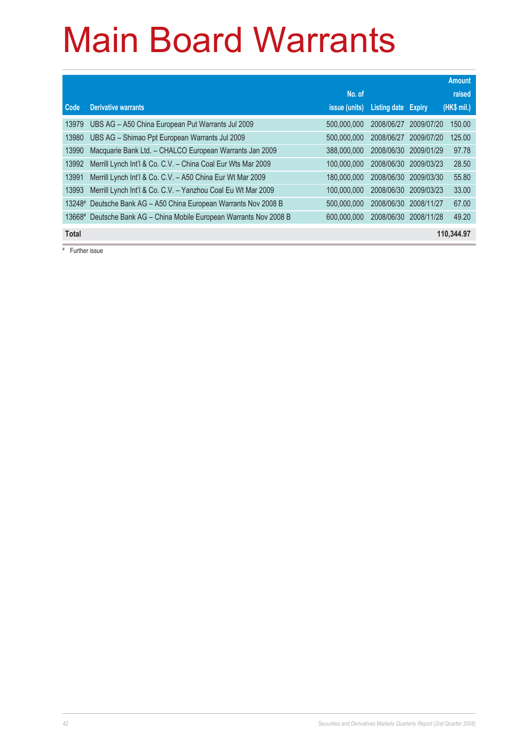|              |                                                              |                      |              |               | <b>Amount</b> |
|--------------|--------------------------------------------------------------|----------------------|--------------|---------------|---------------|
|              |                                                              | No. of               |              |               | raised        |
| Code         | <b>Derivative warrants</b>                                   | <i>issue (units)</i> | Listing date | <b>Expiry</b> | (HK\$ mil.)   |
| 13979        | UBS AG - A50 China European Put Warrants Jul 2009            | 500,000,000          | 2008/06/27   | 2009/07/20    | 150.00        |
| 13980        | UBS AG - Shimao Ppt European Warrants Jul 2009               | 500.000.000          | 2008/06/27   | 2009/07/20    | 125.00        |
| 13990        | Macquarie Bank Ltd. - CHALCO European Warrants Jan 2009      | 388,000,000          | 2008/06/30   | 2009/01/29    | 97.78         |
| 13992        | Merrill Lynch Int'l & Co. C.V. - China Coal Eur Wts Mar 2009 | 100.000.000          | 2008/06/30   | 2009/03/23    | 28.50         |
| 13991        | Merrill Lynch Int'l & Co. C.V. - A50 China Eur Wt Mar 2009   | 180,000,000          | 2008/06/30   | 2009/03/30    | 55.80         |
| 13993        | Merrill Lynch Int'l & Co. C.V. - Yanzhou Coal Eu Wt Mar 2009 | 100.000.000          | 2008/06/30   | 2009/03/23    | 33.00         |
| 13248#       | Deutsche Bank AG - A50 China European Warrants Nov 2008 B    | 500.000.000          | 2008/06/30   | 2008/11/27    | 67.00         |
| 13668#       | Deutsche Bank AG - China Mobile European Warrants Nov 2008 B | 600,000,000          | 2008/06/30   | 2008/11/28    | 49.20         |
| <b>Total</b> |                                                              |                      |              |               | 110,344.97    |

# Further issue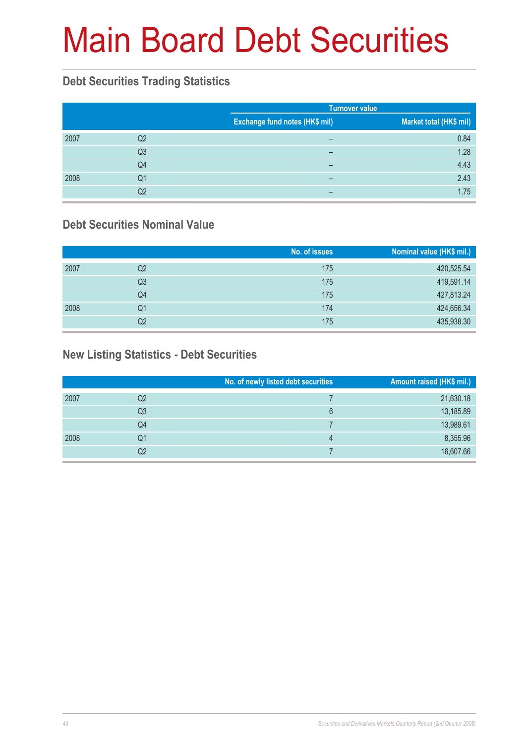# Main Board Debt Securities

#### **Debt Securities Trading Statistics**

|      |                |                                | <b>Turnover value</b>   |  |  |
|------|----------------|--------------------------------|-------------------------|--|--|
|      |                | Exchange fund notes (HK\$ mil) | Market total (HK\$ mil) |  |  |
| 2007 | Q2             | -                              | 0.84                    |  |  |
|      | Q <sub>3</sub> | $\overline{\phantom{0}}$       | 1.28                    |  |  |
|      | Q4             | -                              | 4.43                    |  |  |
| 2008 | Q1             | -                              | 2.43                    |  |  |
|      | Q2             | -                              | 1.75                    |  |  |

#### **Debt Securities Nominal Value**

|      |    | No. of issues | Nominal value (HK\$ mil.) |
|------|----|---------------|---------------------------|
| 2007 | Q2 | 175           | 420,525.54                |
|      | Q3 | 175           | 419,591.14                |
|      | Q4 | 175           | 427,813.24                |
| 2008 | Q1 | 174           | 424,656.34                |
|      | Q2 | 175           | 435,938.30                |

#### **New Listing Statistics - Debt Securities**

|      |    | No. of newly listed debt securities | Amount raised (HK\$ mil.) |
|------|----|-------------------------------------|---------------------------|
| 2007 | Q2 |                                     | 21,630.18                 |
|      | Q3 | ჩ                                   | 13,185.89                 |
|      | Q4 |                                     | 13,989.61                 |
| 2008 | Q1 | 4                                   | 8,355.96                  |
|      | Q2 |                                     | 16,607.66                 |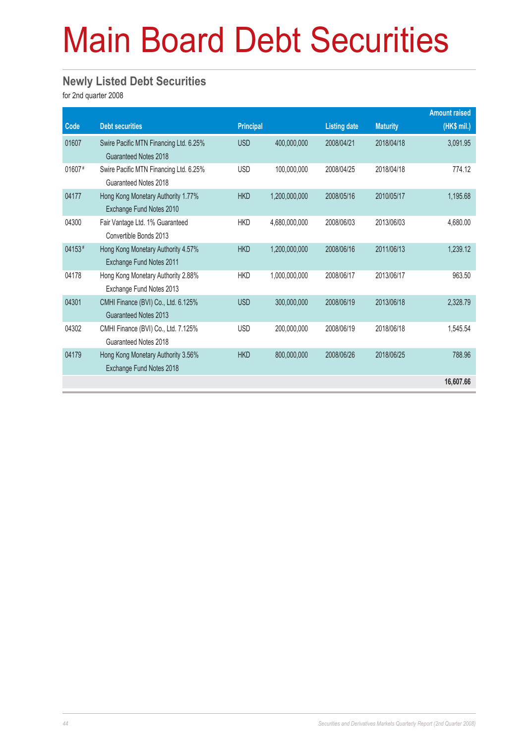# Main Board Debt Securities

#### **Newly Listed Debt Securities**

for 2nd quarter 2008

|          |                                                                 |                  |               |                     |                 | <b>Amount raised</b> |
|----------|-----------------------------------------------------------------|------------------|---------------|---------------------|-----------------|----------------------|
| Code     | <b>Debt securities</b>                                          | <b>Principal</b> |               | <b>Listing date</b> | <b>Maturity</b> | (HK\$ mil.)          |
| 01607    | Swire Pacific MTN Financing Ltd. 6.25%<br>Guaranteed Notes 2018 | <b>USD</b>       | 400,000,000   | 2008/04/21          | 2018/04/18      | 3,091.95             |
| $01607*$ | Swire Pacific MTN Financing Ltd. 6.25%<br>Guaranteed Notes 2018 | <b>USD</b>       | 100,000,000   | 2008/04/25          | 2018/04/18      | 774.12               |
| 04177    | Hong Kong Monetary Authority 1.77%<br>Exchange Fund Notes 2010  | <b>HKD</b>       | 1,200,000,000 | 2008/05/16          | 2010/05/17      | 1,195.68             |
| 04300    | Fair Vantage Ltd. 1% Guaranteed<br>Convertible Bonds 2013       | <b>HKD</b>       | 4,680,000,000 | 2008/06/03          | 2013/06/03      | 4,680.00             |
| 04153#   | Hong Kong Monetary Authority 4.57%<br>Exchange Fund Notes 2011  | <b>HKD</b>       | 1,200,000,000 | 2008/06/16          | 2011/06/13      | 1,239.12             |
| 04178    | Hong Kong Monetary Authority 2.88%<br>Exchange Fund Notes 2013  | <b>HKD</b>       | 1,000,000,000 | 2008/06/17          | 2013/06/17      | 963.50               |
| 04301    | CMHI Finance (BVI) Co., Ltd. 6.125%<br>Guaranteed Notes 2013    | <b>USD</b>       | 300,000,000   | 2008/06/19          | 2013/06/18      | 2,328.79             |
| 04302    | CMHI Finance (BVI) Co., Ltd. 7.125%<br>Guaranteed Notes 2018    | <b>USD</b>       | 200,000,000   | 2008/06/19          | 2018/06/18      | 1,545.54             |
| 04179    | Hong Kong Monetary Authority 3.56%<br>Exchange Fund Notes 2018  | <b>HKD</b>       | 800,000,000   | 2008/06/26          | 2018/06/25      | 788.96               |
|          |                                                                 |                  |               |                     |                 | 16,607.66            |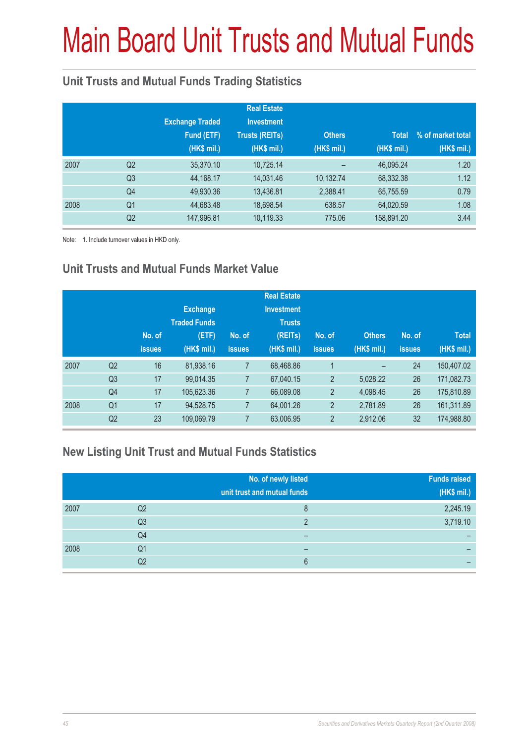# Main Board Unit Trusts and Mutual Funds

#### **Unit Trusts and Mutual Funds Trading Statistics**

|      |                | <b>Exchange Traded</b><br>Fund (ETF)<br>(HK\$ mil.) | <b>Real Estate</b><br><b>Investment</b><br><b>Trusts (REITs)</b><br>(HK\$ mil.) | <b>Others</b><br>(HK\$ mil.) | <b>Total</b><br>(HK\$ mil.) | % of market total<br>(HK\$ mil.) |
|------|----------------|-----------------------------------------------------|---------------------------------------------------------------------------------|------------------------------|-----------------------------|----------------------------------|
| 2007 | Q <sub>2</sub> | 35,370.10                                           | 10,725.14                                                                       |                              | 46,095.24                   | 1.20                             |
|      | Q <sub>3</sub> | 44,168.17                                           | 14,031.46                                                                       | 10,132.74                    | 68,332.38                   | 1.12                             |
|      | Q4             | 49,930.36                                           | 13,436.81                                                                       | 2,388.41                     | 65,755.59                   | 0.79                             |
| 2008 | Q <sub>1</sub> | 44,683.48                                           | 18,698.54                                                                       | 638.57                       | 64,020.59                   | 1.08                             |
|      | Q <sub>2</sub> | 147,996.81                                          | 10,119.33                                                                       | 775.06                       | 158,891.20                  | 3.44                             |

Note: 1. Include turnover values in HKD only.

#### **Unit Trusts and Mutual Funds Market Value**

|      |                | No. of<br><b>issues</b> | <b>Exchange</b><br><b>Traded Funds</b><br>(ETF)<br>(HK\$ mil.) | No. of<br><b>issues</b> | <b>Real Estate</b><br><b>Investment</b><br><b>Trusts</b><br>(REITs)<br>(HK\$ mil.) | No. of<br><b>issues</b> | <b>Others</b><br>(HK\$ mil.) | No. of<br><b>issues</b> | <b>Total</b><br>(HK\$ mil.) |
|------|----------------|-------------------------|----------------------------------------------------------------|-------------------------|------------------------------------------------------------------------------------|-------------------------|------------------------------|-------------------------|-----------------------------|
| 2007 | Q <sub>2</sub> | 16                      | 81,938.16                                                      | $\overline{7}$          | 68,468.86                                                                          | 1                       | -                            | 24                      | 150.407.02                  |
|      | Q <sub>3</sub> | 17                      | 99.014.35                                                      | 7                       | 67,040.15                                                                          | $\overline{2}$          | 5,028.22                     | 26                      | 171,082.73                  |
|      | Q4             | 17                      | 105,623.36                                                     | 7                       | 66,089.08                                                                          | $\overline{2}$          | 4.098.45                     | 26                      | 175,810.89                  |
| 2008 | Q <sub>1</sub> | 17                      | 94,528.75                                                      | 7                       | 64,001.26                                                                          | $\overline{2}$          | 2,781.89                     | 26                      | 161,311.89                  |
|      | Q <sub>2</sub> | 23                      | 109,069.79                                                     | 7                       | 63,006.95                                                                          | $\overline{2}$          | 2,912.06                     | 32                      | 174,988.80                  |

#### **New Listing Unit Trust and Mutual Funds Statistics**

|      |                | No. of newly listed<br>unit trust and mutual funds | <b>Funds raised</b><br>(HK\$ mil.) |
|------|----------------|----------------------------------------------------|------------------------------------|
| 2007 | Q2             | 8                                                  | 2,245.19                           |
|      | Q <sub>3</sub> | ŋ                                                  | 3,719.10                           |
|      | Q4             |                                                    | -                                  |
| 2008 | Q1             | -                                                  |                                    |
|      | Q2             | 6                                                  |                                    |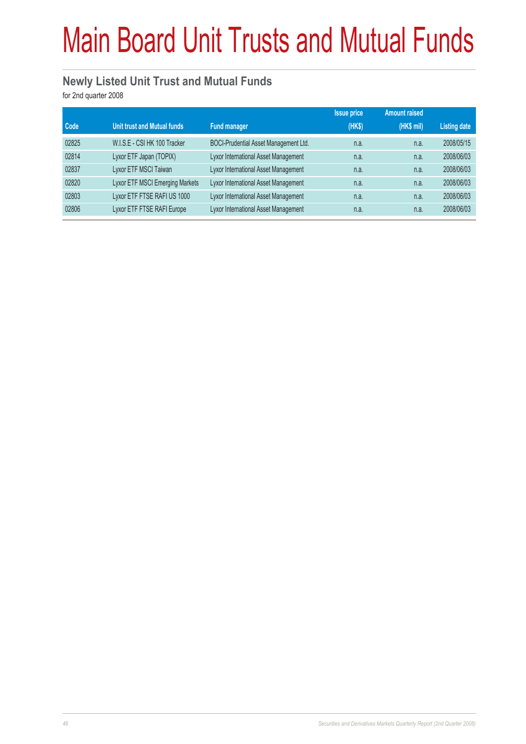# Main Board Unit Trusts and Mutual Funds

#### **Newly Listed Unit Trust and Mutual Funds**

for 2nd quarter 2008

|       |                                    |                                       | <b>Issue price</b> | <b>Amount raised</b> |                     |
|-------|------------------------------------|---------------------------------------|--------------------|----------------------|---------------------|
| Code  | <b>Unit trust and Mutual funds</b> | <b>Fund manager</b>                   | (HKS)              | $(HK$$ mil)          | <b>Listing date</b> |
| 02825 | W.I.S.E - CSI HK 100 Tracker       | BOCI-Prudential Asset Management Ltd. | n.a.               | n.a.                 | 2008/05/15          |
| 02814 | Lyxor ETF Japan (TOPIX)            | Lyxor International Asset Management  | n.a.               | n.a.                 | 2008/06/03          |
| 02837 | Lyxor ETF MSCI Taiwan              | Lyxor International Asset Management  | n.a.               | n.a.                 | 2008/06/03          |
| 02820 | Lyxor ETF MSCI Emerging Markets    | Lyxor International Asset Management  | n.a.               | n.a.                 | 2008/06/03          |
| 02803 | Lyxor ETF FTSE RAFI US 1000        | Lyxor International Asset Management  | n.a.               | n.a.                 | 2008/06/03          |
| 02806 | Lyxor ETF FTSE RAFI Europe         | Lyxor International Asset Management  | n.a.               | n.a.                 | 2008/06/03          |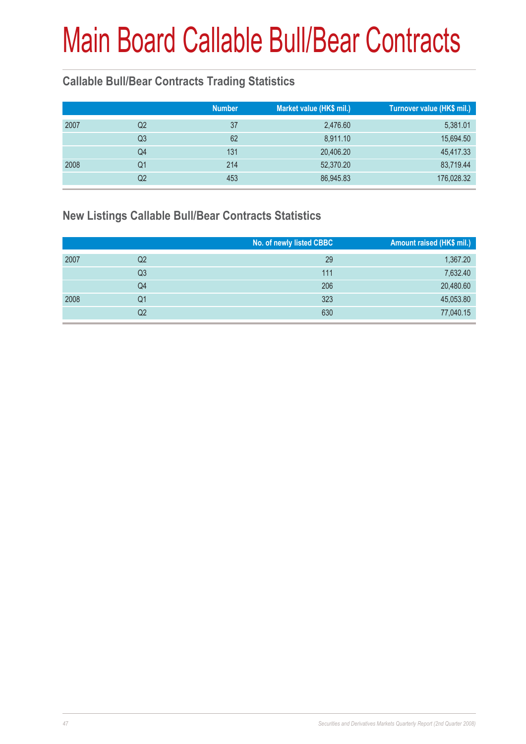#### **Callable Bull/Bear Contracts Trading Statistics**

|      | <b>Number</b> | Market value (HK\$ mil.) |           | Turnover value (HK\$ mil.) |
|------|---------------|--------------------------|-----------|----------------------------|
| 2007 | Q2            | 37                       | 2,476.60  | 5,381.01                   |
|      | Q3            | 62                       | 8,911.10  | 15,694.50                  |
|      | Q4            | 131                      | 20,406.20 | 45,417.33                  |
| 2008 | Q1            | 214                      | 52,370.20 | 83,719.44                  |
|      | Q2            | 453                      | 86,945.83 | 176,028.32                 |

#### **New Listings Callable Bull/Bear Contracts Statistics**

|      |                | No. of newly listed CBBC | Amount raised (HK\$ mil.) |
|------|----------------|--------------------------|---------------------------|
| 2007 | Q2             | 29                       | 1,367.20                  |
|      | Q <sub>3</sub> | 111                      | 7,632.40                  |
|      | Q4             | 206                      | 20,480.60                 |
| 2008 | Q1             | 323                      | 45,053.80                 |
|      | Q2             | 630                      | 77,040.15                 |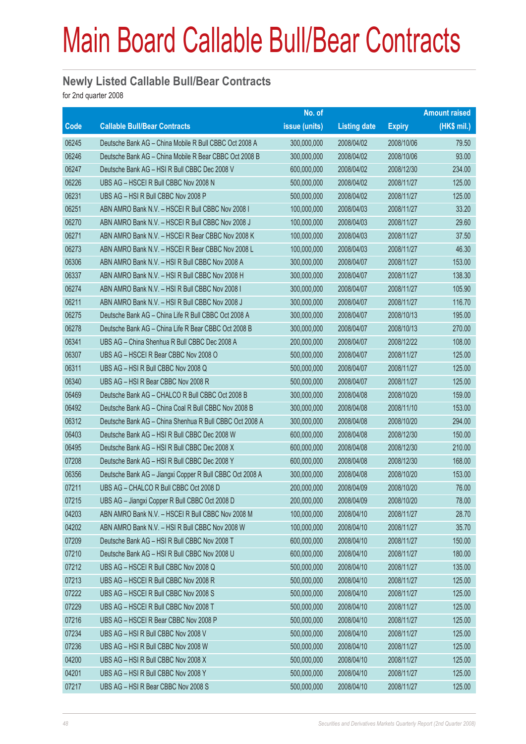#### **Newly Listed Callable Bull/Bear Contracts**

for 2nd quarter 2008

|       |                                                          | No. of        |                     |               | <b>Amount raised</b> |
|-------|----------------------------------------------------------|---------------|---------------------|---------------|----------------------|
| Code  | <b>Callable Bull/Bear Contracts</b>                      | issue (units) | <b>Listing date</b> | <b>Expiry</b> | $(HK$$ mil.)         |
| 06245 | Deutsche Bank AG - China Mobile R Bull CBBC Oct 2008 A   | 300,000,000   | 2008/04/02          | 2008/10/06    | 79.50                |
| 06246 | Deutsche Bank AG - China Mobile R Bear CBBC Oct 2008 B   | 300,000,000   | 2008/04/02          | 2008/10/06    | 93.00                |
| 06247 | Deutsche Bank AG - HSI R Bull CBBC Dec 2008 V            | 600,000,000   | 2008/04/02          | 2008/12/30    | 234.00               |
| 06226 | UBS AG - HSCEI R Bull CBBC Nov 2008 N                    | 500,000,000   | 2008/04/02          | 2008/11/27    | 125.00               |
| 06231 | UBS AG - HSI R Bull CBBC Nov 2008 P                      | 500,000,000   | 2008/04/02          | 2008/11/27    | 125.00               |
| 06251 | ABN AMRO Bank N.V. - HSCEI R Bull CBBC Nov 2008 I        | 100,000,000   | 2008/04/03          | 2008/11/27    | 33.20                |
| 06270 | ABN AMRO Bank N.V. - HSCEI R Bull CBBC Nov 2008 J        | 100,000,000   | 2008/04/03          | 2008/11/27    | 29.60                |
| 06271 | ABN AMRO Bank N.V. - HSCEI R Bear CBBC Nov 2008 K        | 100,000,000   | 2008/04/03          | 2008/11/27    | 37.50                |
| 06273 | ABN AMRO Bank N.V. - HSCEI R Bear CBBC Nov 2008 L        | 100,000,000   | 2008/04/03          | 2008/11/27    | 46.30                |
| 06306 | ABN AMRO Bank N.V. - HSI R Bull CBBC Nov 2008 A          | 300,000,000   | 2008/04/07          | 2008/11/27    | 153.00               |
| 06337 | ABN AMRO Bank N.V. - HSI R Bull CBBC Nov 2008 H          | 300,000,000   | 2008/04/07          | 2008/11/27    | 138.30               |
| 06274 | ABN AMRO Bank N.V. - HSI R Bull CBBC Nov 2008 I          | 300,000,000   | 2008/04/07          | 2008/11/27    | 105.90               |
| 06211 | ABN AMRO Bank N.V. - HSI R Bull CBBC Nov 2008 J          | 300,000,000   | 2008/04/07          | 2008/11/27    | 116.70               |
| 06275 | Deutsche Bank AG - China Life R Bull CBBC Oct 2008 A     | 300,000,000   | 2008/04/07          | 2008/10/13    | 195.00               |
| 06278 | Deutsche Bank AG - China Life R Bear CBBC Oct 2008 B     | 300,000,000   | 2008/04/07          | 2008/10/13    | 270.00               |
| 06341 | UBS AG - China Shenhua R Bull CBBC Dec 2008 A            | 200,000,000   | 2008/04/07          | 2008/12/22    | 108.00               |
| 06307 | UBS AG - HSCEI R Bear CBBC Nov 2008 O                    | 500,000,000   | 2008/04/07          | 2008/11/27    | 125.00               |
| 06311 | UBS AG - HSI R Bull CBBC Nov 2008 Q                      | 500,000,000   | 2008/04/07          | 2008/11/27    | 125.00               |
| 06340 | UBS AG - HSI R Bear CBBC Nov 2008 R                      | 500,000,000   | 2008/04/07          | 2008/11/27    | 125.00               |
| 06469 | Deutsche Bank AG - CHALCO R Bull CBBC Oct 2008 B         | 300,000,000   | 2008/04/08          | 2008/10/20    | 159.00               |
| 06492 | Deutsche Bank AG - China Coal R Bull CBBC Nov 2008 B     | 300,000,000   | 2008/04/08          | 2008/11/10    | 153.00               |
| 06312 | Deutsche Bank AG - China Shenhua R Bull CBBC Oct 2008 A  | 300,000,000   | 2008/04/08          | 2008/10/20    | 294.00               |
| 06403 | Deutsche Bank AG - HSI R Bull CBBC Dec 2008 W            | 600,000,000   | 2008/04/08          | 2008/12/30    | 150.00               |
| 06495 | Deutsche Bank AG - HSI R Bull CBBC Dec 2008 X            | 600,000,000   | 2008/04/08          | 2008/12/30    | 210.00               |
| 07208 | Deutsche Bank AG - HSI R Bull CBBC Dec 2008 Y            | 600,000,000   | 2008/04/08          | 2008/12/30    | 168.00               |
| 06356 | Deutsche Bank AG - Jiangxi Copper R Bull CBBC Oct 2008 A | 300,000,000   | 2008/04/08          | 2008/10/20    | 153.00               |
| 07211 | UBS AG - CHALCO R Bull CBBC Oct 2008 D                   | 200,000,000   | 2008/04/09          | 2008/10/20    | 76.00                |
| 07215 | UBS AG - Jiangxi Copper R Bull CBBC Oct 2008 D           | 200,000,000   | 2008/04/09          | 2008/10/20    | 78.00                |
| 04203 | ABN AMRO Bank N.V. - HSCEI R Bull CBBC Nov 2008 M        | 100,000,000   | 2008/04/10          | 2008/11/27    | 28.70                |
| 04202 | ABN AMRO Bank N.V. - HSI R Bull CBBC Nov 2008 W          | 100,000,000   | 2008/04/10          | 2008/11/27    | 35.70                |
| 07209 | Deutsche Bank AG - HSI R Bull CBBC Nov 2008 T            | 600,000,000   | 2008/04/10          | 2008/11/27    | 150.00               |
| 07210 | Deutsche Bank AG - HSI R Bull CBBC Nov 2008 U            | 600,000,000   | 2008/04/10          | 2008/11/27    | 180.00               |
| 07212 | UBS AG - HSCEI R Bull CBBC Nov 2008 Q                    | 500,000,000   | 2008/04/10          | 2008/11/27    | 135.00               |
| 07213 | UBS AG - HSCEI R Bull CBBC Nov 2008 R                    | 500,000,000   | 2008/04/10          | 2008/11/27    | 125.00               |
| 07222 | UBS AG - HSCEI R Bull CBBC Nov 2008 S                    | 500,000,000   | 2008/04/10          | 2008/11/27    | 125.00               |
| 07229 | UBS AG - HSCEI R Bull CBBC Nov 2008 T                    | 500,000,000   | 2008/04/10          | 2008/11/27    | 125.00               |
| 07216 | UBS AG - HSCEI R Bear CBBC Nov 2008 P                    | 500,000,000   | 2008/04/10          | 2008/11/27    | 125.00               |
| 07234 | UBS AG - HSI R Bull CBBC Nov 2008 V                      | 500,000,000   | 2008/04/10          | 2008/11/27    | 125.00               |
| 07236 | UBS AG - HSI R Bull CBBC Nov 2008 W                      | 500,000,000   | 2008/04/10          | 2008/11/27    | 125.00               |
| 04200 | UBS AG - HSI R Bull CBBC Nov 2008 X                      | 500,000,000   | 2008/04/10          | 2008/11/27    | 125.00               |
| 04201 | UBS AG - HSI R Bull CBBC Nov 2008 Y                      | 500,000,000   | 2008/04/10          | 2008/11/27    | 125.00               |
| 07217 | UBS AG - HSI R Bear CBBC Nov 2008 S                      | 500,000,000   | 2008/04/10          | 2008/11/27    | 125.00               |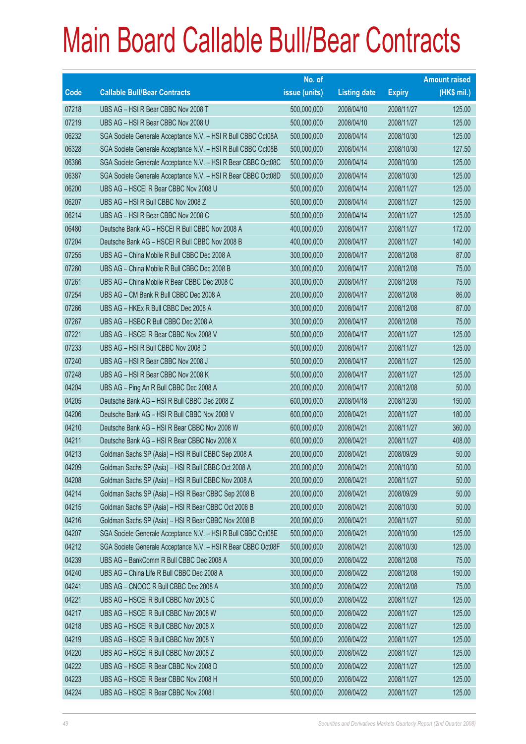|       |                                                               | No. of        |                     |               | <b>Amount raised</b> |
|-------|---------------------------------------------------------------|---------------|---------------------|---------------|----------------------|
| Code  | <b>Callable Bull/Bear Contracts</b>                           | issue (units) | <b>Listing date</b> | <b>Expiry</b> | $(HK$$ mil.)         |
| 07218 | UBS AG - HSI R Bear CBBC Nov 2008 T                           | 500,000,000   | 2008/04/10          | 2008/11/27    | 125.00               |
| 07219 | UBS AG - HSI R Bear CBBC Nov 2008 U                           | 500,000,000   | 2008/04/10          | 2008/11/27    | 125.00               |
| 06232 | SGA Societe Generale Acceptance N.V. - HSI R Bull CBBC Oct08A | 500,000,000   | 2008/04/14          | 2008/10/30    | 125.00               |
| 06328 | SGA Societe Generale Acceptance N.V. - HSI R Bull CBBC Oct08B | 500,000,000   | 2008/04/14          | 2008/10/30    | 127.50               |
| 06386 | SGA Societe Generale Acceptance N.V. - HSI R Bear CBBC Oct08C | 500,000,000   | 2008/04/14          | 2008/10/30    | 125.00               |
| 06387 | SGA Societe Generale Acceptance N.V. - HSI R Bear CBBC Oct08D | 500,000,000   | 2008/04/14          | 2008/10/30    | 125.00               |
| 06200 | UBS AG - HSCEI R Bear CBBC Nov 2008 U                         | 500,000,000   | 2008/04/14          | 2008/11/27    | 125.00               |
| 06207 | UBS AG - HSI R Bull CBBC Nov 2008 Z                           | 500,000,000   | 2008/04/14          | 2008/11/27    | 125.00               |
| 06214 | UBS AG - HSI R Bear CBBC Nov 2008 C                           | 500,000,000   | 2008/04/14          | 2008/11/27    | 125.00               |
| 06480 | Deutsche Bank AG - HSCEI R Bull CBBC Nov 2008 A               | 400,000,000   | 2008/04/17          | 2008/11/27    | 172.00               |
| 07204 | Deutsche Bank AG - HSCEI R Bull CBBC Nov 2008 B               | 400,000,000   | 2008/04/17          | 2008/11/27    | 140.00               |
| 07255 | UBS AG - China Mobile R Bull CBBC Dec 2008 A                  | 300,000,000   | 2008/04/17          | 2008/12/08    | 87.00                |
| 07260 | UBS AG - China Mobile R Bull CBBC Dec 2008 B                  | 300,000,000   | 2008/04/17          | 2008/12/08    | 75.00                |
| 07261 | UBS AG - China Mobile R Bear CBBC Dec 2008 C                  | 300,000,000   | 2008/04/17          | 2008/12/08    | 75.00                |
| 07254 | UBS AG - CM Bank R Bull CBBC Dec 2008 A                       | 200,000,000   | 2008/04/17          | 2008/12/08    | 86.00                |
| 07266 | UBS AG - HKEx R Bull CBBC Dec 2008 A                          | 300,000,000   | 2008/04/17          | 2008/12/08    | 87.00                |
| 07267 | UBS AG - HSBC R Bull CBBC Dec 2008 A                          | 300,000,000   | 2008/04/17          | 2008/12/08    | 75.00                |
| 07221 | UBS AG - HSCEI R Bear CBBC Nov 2008 V                         | 500,000,000   | 2008/04/17          | 2008/11/27    | 125.00               |
| 07233 | UBS AG - HSI R Bull CBBC Nov 2008 D                           | 500,000,000   | 2008/04/17          | 2008/11/27    | 125.00               |
| 07240 | UBS AG - HSI R Bear CBBC Nov 2008 J                           | 500,000,000   | 2008/04/17          | 2008/11/27    | 125.00               |
| 07248 | UBS AG - HSI R Bear CBBC Nov 2008 K                           | 500,000,000   | 2008/04/17          | 2008/11/27    | 125.00               |
| 04204 | UBS AG - Ping An R Bull CBBC Dec 2008 A                       | 200,000,000   | 2008/04/17          | 2008/12/08    | 50.00                |
| 04205 | Deutsche Bank AG - HSI R Bull CBBC Dec 2008 Z                 | 600,000,000   | 2008/04/18          | 2008/12/30    | 150.00               |
| 04206 | Deutsche Bank AG - HSI R Bull CBBC Nov 2008 V                 | 600,000,000   | 2008/04/21          | 2008/11/27    | 180.00               |
| 04210 | Deutsche Bank AG - HSI R Bear CBBC Nov 2008 W                 | 600,000,000   | 2008/04/21          | 2008/11/27    | 360.00               |
| 04211 | Deutsche Bank AG - HSI R Bear CBBC Nov 2008 X                 | 600,000,000   | 2008/04/21          | 2008/11/27    | 408.00               |
| 04213 | Goldman Sachs SP (Asia) - HSI R Bull CBBC Sep 2008 A          | 200,000,000   | 2008/04/21          | 2008/09/29    | 50.00                |
| 04209 | Goldman Sachs SP (Asia) - HSI R Bull CBBC Oct 2008 A          | 200,000,000   | 2008/04/21          | 2008/10/30    | 50.00                |
| 04208 | Goldman Sachs SP (Asia) - HSI R Bull CBBC Nov 2008 A          | 200,000,000   | 2008/04/21          | 2008/11/27    | 50.00                |
| 04214 | Goldman Sachs SP (Asia) - HSI R Bear CBBC Sep 2008 B          | 200,000,000   | 2008/04/21          | 2008/09/29    | 50.00                |
| 04215 | Goldman Sachs SP (Asia) - HSI R Bear CBBC Oct 2008 B          | 200,000,000   | 2008/04/21          | 2008/10/30    | 50.00                |
| 04216 | Goldman Sachs SP (Asia) - HSI R Bear CBBC Nov 2008 B          | 200,000,000   | 2008/04/21          | 2008/11/27    | 50.00                |
| 04207 | SGA Societe Generale Acceptance N.V. - HSI R Bull CBBC Oct08E | 500,000,000   | 2008/04/21          | 2008/10/30    | 125.00               |
| 04212 | SGA Societe Generale Acceptance N.V. - HSI R Bear CBBC Oct08F | 500,000,000   | 2008/04/21          | 2008/10/30    | 125.00               |
| 04239 | UBS AG - BankComm R Bull CBBC Dec 2008 A                      | 300,000,000   | 2008/04/22          | 2008/12/08    | 75.00                |
| 04240 | UBS AG - China Life R Bull CBBC Dec 2008 A                    | 300,000,000   | 2008/04/22          | 2008/12/08    | 150.00               |
| 04241 | UBS AG - CNOOC R Bull CBBC Dec 2008 A                         | 300,000,000   | 2008/04/22          | 2008/12/08    | 75.00                |
| 04221 | UBS AG - HSCEI R Bull CBBC Nov 2008 C                         | 500,000,000   | 2008/04/22          | 2008/11/27    | 125.00               |
| 04217 | UBS AG - HSCEI R Bull CBBC Nov 2008 W                         | 500,000,000   | 2008/04/22          | 2008/11/27    | 125.00               |
| 04218 | UBS AG - HSCEI R Bull CBBC Nov 2008 X                         | 500,000,000   | 2008/04/22          | 2008/11/27    | 125.00               |
| 04219 | UBS AG - HSCEI R Bull CBBC Nov 2008 Y                         | 500,000,000   | 2008/04/22          | 2008/11/27    | 125.00               |
| 04220 | UBS AG - HSCEI R Bull CBBC Nov 2008 Z                         | 500,000,000   | 2008/04/22          | 2008/11/27    | 125.00               |
| 04222 | UBS AG - HSCEI R Bear CBBC Nov 2008 D                         | 500,000,000   | 2008/04/22          | 2008/11/27    | 125.00               |
| 04223 | UBS AG - HSCEI R Bear CBBC Nov 2008 H                         | 500,000,000   | 2008/04/22          | 2008/11/27    | 125.00               |
| 04224 | UBS AG - HSCEIR Bear CBBC Nov 2008 I                          | 500,000,000   | 2008/04/22          | 2008/11/27    | 125.00               |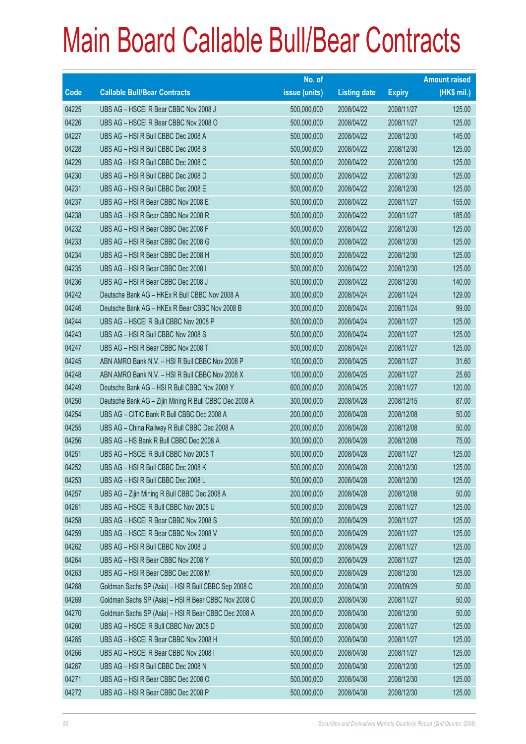|       |                                                        | No. of        |                     |               | <b>Amount raised</b> |
|-------|--------------------------------------------------------|---------------|---------------------|---------------|----------------------|
| Code  | <b>Callable Bull/Bear Contracts</b>                    | issue (units) | <b>Listing date</b> | <b>Expiry</b> | $(HK$$ mil.)         |
| 04225 | UBS AG - HSCEI R Bear CBBC Nov 2008 J                  | 500,000,000   | 2008/04/22          | 2008/11/27    | 125.00               |
| 04226 | UBS AG - HSCEI R Bear CBBC Nov 2008 O                  | 500,000,000   | 2008/04/22          | 2008/11/27    | 125.00               |
| 04227 | UBS AG - HSI R Bull CBBC Dec 2008 A                    | 500,000,000   | 2008/04/22          | 2008/12/30    | 145.00               |
| 04228 | UBS AG - HSI R Bull CBBC Dec 2008 B                    | 500,000,000   | 2008/04/22          | 2008/12/30    | 125.00               |
| 04229 | UBS AG - HSI R Bull CBBC Dec 2008 C                    | 500,000,000   | 2008/04/22          | 2008/12/30    | 125.00               |
| 04230 | UBS AG - HSI R Bull CBBC Dec 2008 D                    | 500,000,000   | 2008/04/22          | 2008/12/30    | 125.00               |
| 04231 | UBS AG - HSI R Bull CBBC Dec 2008 E                    | 500,000,000   | 2008/04/22          | 2008/12/30    | 125.00               |
| 04237 | UBS AG - HSI R Bear CBBC Nov 2008 E                    | 500,000,000   | 2008/04/22          | 2008/11/27    | 155.00               |
| 04238 | UBS AG - HSI R Bear CBBC Nov 2008 R                    | 500,000,000   | 2008/04/22          | 2008/11/27    | 185.00               |
| 04232 | UBS AG - HSI R Bear CBBC Dec 2008 F                    | 500,000,000   | 2008/04/22          | 2008/12/30    | 125.00               |
| 04233 | UBS AG - HSI R Bear CBBC Dec 2008 G                    | 500,000,000   | 2008/04/22          | 2008/12/30    | 125.00               |
| 04234 | UBS AG - HSI R Bear CBBC Dec 2008 H                    | 500,000,000   | 2008/04/22          | 2008/12/30    | 125.00               |
| 04235 | UBS AG - HSI R Bear CBBC Dec 2008 I                    | 500,000,000   | 2008/04/22          | 2008/12/30    | 125.00               |
| 04236 | UBS AG - HSI R Bear CBBC Dec 2008 J                    | 500,000,000   | 2008/04/22          | 2008/12/30    | 140.00               |
| 04242 | Deutsche Bank AG - HKEx R Bull CBBC Nov 2008 A         | 300,000,000   | 2008/04/24          | 2008/11/24    | 129.00               |
| 04246 | Deutsche Bank AG - HKEx R Bear CBBC Nov 2008 B         | 300,000,000   | 2008/04/24          | 2008/11/24    | 99.00                |
| 04244 | UBS AG - HSCEI R Bull CBBC Nov 2008 P                  | 500,000,000   | 2008/04/24          | 2008/11/27    | 125.00               |
| 04243 | UBS AG - HSI R Bull CBBC Nov 2008 S                    | 500,000,000   | 2008/04/24          | 2008/11/27    | 125.00               |
| 04247 | UBS AG - HSI R Bear CBBC Nov 2008 T                    | 500,000,000   | 2008/04/24          | 2008/11/27    | 125.00               |
| 04245 | ABN AMRO Bank N.V. - HSI R Bull CBBC Nov 2008 P        | 100,000,000   | 2008/04/25          | 2008/11/27    | 31.60                |
| 04248 | ABN AMRO Bank N.V. - HSI R Bull CBBC Nov 2008 X        | 100,000,000   | 2008/04/25          | 2008/11/27    | 25.60                |
| 04249 | Deutsche Bank AG - HSI R Bull CBBC Nov 2008 Y          | 600,000,000   | 2008/04/25          | 2008/11/27    | 120.00               |
| 04250 | Deutsche Bank AG - Zijin Mining R Bull CBBC Dec 2008 A | 300,000,000   | 2008/04/28          | 2008/12/15    | 87.00                |
| 04254 | UBS AG - CITIC Bank R Bull CBBC Dec 2008 A             | 200,000,000   | 2008/04/28          | 2008/12/08    | 50.00                |
| 04255 | UBS AG - China Railway R Bull CBBC Dec 2008 A          | 200,000,000   | 2008/04/28          | 2008/12/08    | 50.00                |
| 04256 | UBS AG - HS Bank R Bull CBBC Dec 2008 A                | 300,000,000   | 2008/04/28          | 2008/12/08    | 75.00                |
| 04251 | UBS AG - HSCEI R Bull CBBC Nov 2008 T                  | 500,000,000   | 2008/04/28          | 2008/11/27    | 125.00               |
| 04252 | UBS AG - HSI R Bull CBBC Dec 2008 K                    | 500,000,000   | 2008/04/28          | 2008/12/30    | 125.00               |
| 04253 | UBS AG - HSI R Bull CBBC Dec 2008 L                    | 500,000,000   | 2008/04/28          | 2008/12/30    | 125.00               |
| 04257 | UBS AG - Zijin Mining R Bull CBBC Dec 2008 A           | 200,000,000   | 2008/04/28          | 2008/12/08    | 50.00                |
| 04261 | UBS AG - HSCEI R Bull CBBC Nov 2008 U                  | 500,000,000   | 2008/04/29          | 2008/11/27    | 125.00               |
| 04258 | UBS AG - HSCEI R Bear CBBC Nov 2008 S                  | 500,000,000   | 2008/04/29          | 2008/11/27    | 125.00               |
| 04259 | UBS AG - HSCEI R Bear CBBC Nov 2008 V                  | 500,000,000   | 2008/04/29          | 2008/11/27    | 125.00               |
| 04262 | UBS AG - HSI R Bull CBBC Nov 2008 U                    | 500,000,000   | 2008/04/29          | 2008/11/27    | 125.00               |
| 04264 | UBS AG - HSI R Bear CBBC Nov 2008 Y                    | 500,000,000   | 2008/04/29          | 2008/11/27    | 125.00               |
| 04263 | UBS AG - HSI R Bear CBBC Dec 2008 M                    | 500,000,000   | 2008/04/29          | 2008/12/30    | 125.00               |
| 04268 | Goldman Sachs SP (Asia) - HSI R Bull CBBC Sep 2008 C   | 200,000,000   | 2008/04/30          | 2008/09/29    | 50.00                |
| 04269 | Goldman Sachs SP (Asia) - HSI R Bear CBBC Nov 2008 C   | 200,000,000   | 2008/04/30          | 2008/11/27    | 50.00                |
| 04270 | Goldman Sachs SP (Asia) - HSI R Bear CBBC Dec 2008 A   | 200,000,000   | 2008/04/30          | 2008/12/30    | 50.00                |
| 04260 | UBS AG - HSCEI R Bull CBBC Nov 2008 D                  | 500,000,000   | 2008/04/30          | 2008/11/27    | 125.00               |
| 04265 | UBS AG - HSCEI R Bear CBBC Nov 2008 H                  | 500,000,000   | 2008/04/30          | 2008/11/27    | 125.00               |
| 04266 | UBS AG - HSCEI R Bear CBBC Nov 2008 I                  | 500,000,000   | 2008/04/30          | 2008/11/27    | 125.00               |
| 04267 | UBS AG - HSI R Bull CBBC Dec 2008 N                    | 500,000,000   | 2008/04/30          | 2008/12/30    | 125.00               |
| 04271 | UBS AG - HSI R Bear CBBC Dec 2008 O                    | 500,000,000   | 2008/04/30          | 2008/12/30    | 125.00               |
| 04272 | UBS AG - HSI R Bear CBBC Dec 2008 P                    | 500,000,000   | 2008/04/30          | 2008/12/30    | 125.00               |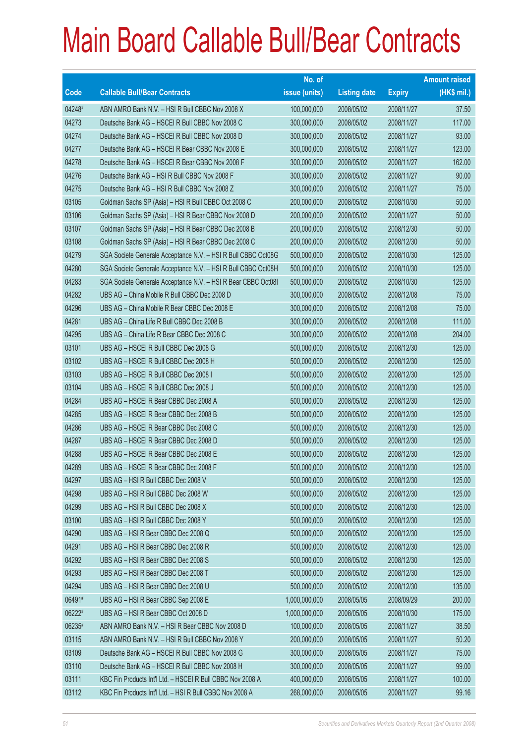|        |                                                               | No. of        |                     |               | <b>Amount raised</b> |
|--------|---------------------------------------------------------------|---------------|---------------------|---------------|----------------------|
| Code   | <b>Callable Bull/Bear Contracts</b>                           | issue (units) | <b>Listing date</b> | <b>Expiry</b> | (HK\$ mil.)          |
| 04248# | ABN AMRO Bank N.V. - HSI R Bull CBBC Nov 2008 X               | 100,000,000   | 2008/05/02          | 2008/11/27    | 37.50                |
| 04273  | Deutsche Bank AG - HSCEI R Bull CBBC Nov 2008 C               | 300,000,000   | 2008/05/02          | 2008/11/27    | 117.00               |
| 04274  | Deutsche Bank AG - HSCEI R Bull CBBC Nov 2008 D               | 300,000,000   | 2008/05/02          | 2008/11/27    | 93.00                |
| 04277  | Deutsche Bank AG - HSCEI R Bear CBBC Nov 2008 E               | 300,000,000   | 2008/05/02          | 2008/11/27    | 123.00               |
| 04278  | Deutsche Bank AG - HSCEI R Bear CBBC Nov 2008 F               | 300,000,000   | 2008/05/02          | 2008/11/27    | 162.00               |
| 04276  | Deutsche Bank AG - HSI R Bull CBBC Nov 2008 F                 | 300,000,000   | 2008/05/02          | 2008/11/27    | 90.00                |
| 04275  | Deutsche Bank AG - HSI R Bull CBBC Nov 2008 Z                 | 300,000,000   | 2008/05/02          | 2008/11/27    | 75.00                |
| 03105  | Goldman Sachs SP (Asia) - HSI R Bull CBBC Oct 2008 C          | 200,000,000   | 2008/05/02          | 2008/10/30    | 50.00                |
| 03106  | Goldman Sachs SP (Asia) - HSI R Bear CBBC Nov 2008 D          | 200,000,000   | 2008/05/02          | 2008/11/27    | 50.00                |
| 03107  | Goldman Sachs SP (Asia) - HSI R Bear CBBC Dec 2008 B          | 200,000,000   | 2008/05/02          | 2008/12/30    | 50.00                |
| 03108  | Goldman Sachs SP (Asia) - HSI R Bear CBBC Dec 2008 C          | 200,000,000   | 2008/05/02          | 2008/12/30    | 50.00                |
| 04279  | SGA Societe Generale Acceptance N.V. - HSI R Bull CBBC Oct08G | 500,000,000   | 2008/05/02          | 2008/10/30    | 125.00               |
| 04280  | SGA Societe Generale Acceptance N.V. - HSI R Bull CBBC Oct08H | 500,000,000   | 2008/05/02          | 2008/10/30    | 125.00               |
| 04283  | SGA Societe Generale Acceptance N.V. - HSI R Bear CBBC Oct081 | 500,000,000   | 2008/05/02          | 2008/10/30    | 125.00               |
| 04282  | UBS AG - China Mobile R Bull CBBC Dec 2008 D                  | 300,000,000   | 2008/05/02          | 2008/12/08    | 75.00                |
| 04296  | UBS AG - China Mobile R Bear CBBC Dec 2008 E                  | 300,000,000   | 2008/05/02          | 2008/12/08    | 75.00                |
| 04281  | UBS AG - China Life R Bull CBBC Dec 2008 B                    | 300,000,000   | 2008/05/02          | 2008/12/08    | 111.00               |
| 04295  | UBS AG - China Life R Bear CBBC Dec 2008 C                    | 300,000,000   | 2008/05/02          | 2008/12/08    | 204.00               |
| 03101  | UBS AG - HSCEI R Bull CBBC Dec 2008 G                         | 500,000,000   | 2008/05/02          | 2008/12/30    | 125.00               |
| 03102  | UBS AG - HSCEI R Bull CBBC Dec 2008 H                         | 500,000,000   | 2008/05/02          | 2008/12/30    | 125.00               |
| 03103  | UBS AG - HSCEI R Bull CBBC Dec 2008 I                         | 500,000,000   | 2008/05/02          | 2008/12/30    | 125.00               |
| 03104  | UBS AG - HSCEI R Bull CBBC Dec 2008 J                         | 500,000,000   | 2008/05/02          | 2008/12/30    | 125.00               |
| 04284  | UBS AG - HSCEI R Bear CBBC Dec 2008 A                         | 500,000,000   | 2008/05/02          | 2008/12/30    | 125.00               |
| 04285  | UBS AG - HSCEI R Bear CBBC Dec 2008 B                         | 500,000,000   | 2008/05/02          | 2008/12/30    | 125.00               |
| 04286  | UBS AG - HSCEI R Bear CBBC Dec 2008 C                         | 500,000,000   | 2008/05/02          | 2008/12/30    | 125.00               |
| 04287  | UBS AG - HSCEI R Bear CBBC Dec 2008 D                         | 500,000,000   | 2008/05/02          | 2008/12/30    | 125.00               |
| 04288  | UBS AG - HSCEI R Bear CBBC Dec 2008 E                         | 500,000,000   | 2008/05/02          | 2008/12/30    | 125.00               |
| 04289  | UBS AG - HSCEI R Bear CBBC Dec 2008 F                         | 500,000,000   | 2008/05/02          | 2008/12/30    | 125.00               |
| 04297  | UBS AG - HSI R Bull CBBC Dec 2008 V                           | 500,000,000   | 2008/05/02          | 2008/12/30    | 125.00               |
| 04298  | UBS AG - HSI R Bull CBBC Dec 2008 W                           | 500,000,000   | 2008/05/02          | 2008/12/30    | 125.00               |
| 04299  | UBS AG - HSI R Bull CBBC Dec 2008 X                           | 500,000,000   | 2008/05/02          | 2008/12/30    | 125.00               |
| 03100  | UBS AG - HSI R Bull CBBC Dec 2008 Y                           | 500,000,000   | 2008/05/02          | 2008/12/30    | 125.00               |
| 04290  | UBS AG - HSI R Bear CBBC Dec 2008 Q                           | 500,000,000   | 2008/05/02          | 2008/12/30    | 125.00               |
| 04291  | UBS AG - HSI R Bear CBBC Dec 2008 R                           | 500,000,000   | 2008/05/02          | 2008/12/30    | 125.00               |
| 04292  | UBS AG - HSI R Bear CBBC Dec 2008 S                           | 500,000,000   | 2008/05/02          | 2008/12/30    | 125.00               |
| 04293  | UBS AG - HSI R Bear CBBC Dec 2008 T                           | 500,000,000   | 2008/05/02          | 2008/12/30    | 125.00               |
| 04294  | UBS AG - HSI R Bear CBBC Dec 2008 U                           | 500,000,000   | 2008/05/02          | 2008/12/30    | 135.00               |
| 06491# | UBS AG - HSI R Bear CBBC Sep 2008 E                           | 1,000,000,000 | 2008/05/05          | 2008/09/29    | 200.00               |
| 06222# | UBS AG - HSI R Bear CBBC Oct 2008 D                           | 1,000,000,000 | 2008/05/05          | 2008/10/30    | 175.00               |
| 06235# | ABN AMRO Bank N.V. - HSI R Bear CBBC Nov 2008 D               | 100,000,000   | 2008/05/05          | 2008/11/27    | 38.50                |
| 03115  | ABN AMRO Bank N.V. - HSI R Bull CBBC Nov 2008 Y               | 200,000,000   | 2008/05/05          | 2008/11/27    | 50.20                |
| 03109  | Deutsche Bank AG - HSCEI R Bull CBBC Nov 2008 G               | 300,000,000   | 2008/05/05          | 2008/11/27    | 75.00                |
| 03110  | Deutsche Bank AG - HSCEI R Bull CBBC Nov 2008 H               | 300,000,000   | 2008/05/05          | 2008/11/27    | 99.00                |
| 03111  | KBC Fin Products Int'l Ltd. - HSCEI R Bull CBBC Nov 2008 A    | 400,000,000   | 2008/05/05          | 2008/11/27    | 100.00               |
| 03112  | KBC Fin Products Int'l Ltd. - HSI R Bull CBBC Nov 2008 A      | 268,000,000   | 2008/05/05          | 2008/11/27    | 99.16                |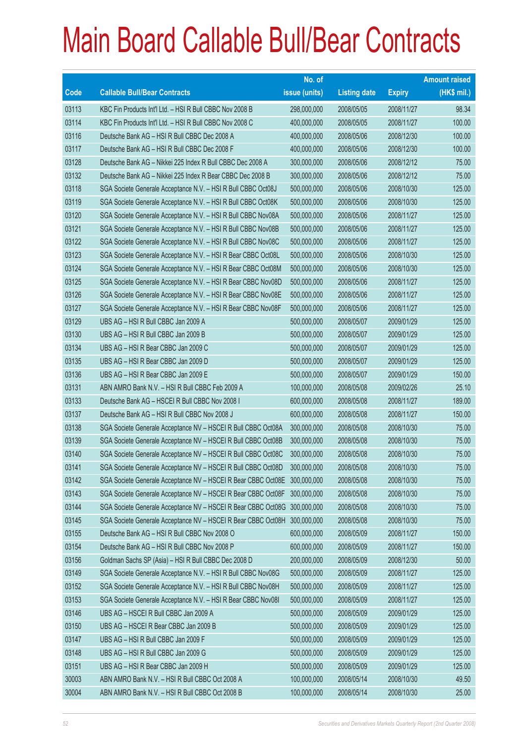|             |                                                                           | No. of        |                     |               | <b>Amount raised</b> |
|-------------|---------------------------------------------------------------------------|---------------|---------------------|---------------|----------------------|
| <b>Code</b> | <b>Callable Bull/Bear Contracts</b>                                       | issue (units) | <b>Listing date</b> | <b>Expiry</b> | (HK\$ mil.)          |
| 03113       | KBC Fin Products Int'l Ltd. - HSI R Bull CBBC Nov 2008 B                  | 298,000,000   | 2008/05/05          | 2008/11/27    | 98.34                |
| 03114       | KBC Fin Products Int'l Ltd. - HSI R Bull CBBC Nov 2008 C                  | 400,000,000   | 2008/05/05          | 2008/11/27    | 100.00               |
| 03116       | Deutsche Bank AG - HSI R Bull CBBC Dec 2008 A                             | 400,000,000   | 2008/05/06          | 2008/12/30    | 100.00               |
| 03117       | Deutsche Bank AG - HSI R Bull CBBC Dec 2008 F                             | 400,000,000   | 2008/05/06          | 2008/12/30    | 100.00               |
| 03128       | Deutsche Bank AG - Nikkei 225 Index R Bull CBBC Dec 2008 A                | 300,000,000   | 2008/05/06          | 2008/12/12    | 75.00                |
| 03132       | Deutsche Bank AG - Nikkei 225 Index R Bear CBBC Dec 2008 B                | 300,000,000   | 2008/05/06          | 2008/12/12    | 75.00                |
| 03118       | SGA Societe Generale Acceptance N.V. - HSI R Bull CBBC Oct08J             | 500,000,000   | 2008/05/06          | 2008/10/30    | 125.00               |
| 03119       | SGA Societe Generale Acceptance N.V. - HSI R Bull CBBC Oct08K             | 500,000,000   | 2008/05/06          | 2008/10/30    | 125.00               |
| 03120       | SGA Societe Generale Acceptance N.V. - HSI R Bull CBBC Nov08A             | 500,000,000   | 2008/05/06          | 2008/11/27    | 125.00               |
| 03121       | SGA Societe Generale Acceptance N.V. - HSI R Bull CBBC Nov08B             | 500,000,000   | 2008/05/06          | 2008/11/27    | 125.00               |
| 03122       | SGA Societe Generale Acceptance N.V. - HSI R Bull CBBC Nov08C             | 500,000,000   | 2008/05/06          | 2008/11/27    | 125.00               |
| 03123       | SGA Societe Generale Acceptance N.V. - HSI R Bear CBBC Oct08L             | 500,000,000   | 2008/05/06          | 2008/10/30    | 125.00               |
| 03124       | SGA Societe Generale Acceptance N.V. - HSI R Bear CBBC Oct08M             | 500,000,000   | 2008/05/06          | 2008/10/30    | 125.00               |
| 03125       | SGA Societe Generale Acceptance N.V. - HSI R Bear CBBC Nov08D             | 500,000,000   | 2008/05/06          | 2008/11/27    | 125.00               |
| 03126       | SGA Societe Generale Acceptance N.V. - HSI R Bear CBBC Nov08E             | 500,000,000   | 2008/05/06          | 2008/11/27    | 125.00               |
| 03127       | SGA Societe Generale Acceptance N.V. - HSI R Bear CBBC Nov08F             | 500,000,000   | 2008/05/06          | 2008/11/27    | 125.00               |
| 03129       | UBS AG - HSI R Bull CBBC Jan 2009 A                                       | 500,000,000   | 2008/05/07          | 2009/01/29    | 125.00               |
| 03130       | UBS AG - HSI R Bull CBBC Jan 2009 B                                       | 500,000,000   | 2008/05/07          | 2009/01/29    | 125.00               |
| 03134       | UBS AG - HSI R Bear CBBC Jan 2009 C                                       | 500,000,000   | 2008/05/07          | 2009/01/29    | 125.00               |
| 03135       | UBS AG - HSI R Bear CBBC Jan 2009 D                                       | 500,000,000   | 2008/05/07          | 2009/01/29    | 125.00               |
| 03136       | UBS AG - HSI R Bear CBBC Jan 2009 E                                       | 500,000,000   | 2008/05/07          | 2009/01/29    | 150.00               |
| 03131       | ABN AMRO Bank N.V. - HSI R Bull CBBC Feb 2009 A                           | 100,000,000   | 2008/05/08          | 2009/02/26    | 25.10                |
| 03133       | Deutsche Bank AG - HSCEI R Bull CBBC Nov 2008 I                           | 600,000,000   | 2008/05/08          | 2008/11/27    | 189.00               |
| 03137       | Deutsche Bank AG - HSI R Bull CBBC Nov 2008 J                             | 600,000,000   | 2008/05/08          | 2008/11/27    | 150.00               |
| 03138       | SGA Societe Generale Acceptance NV - HSCEI R Bull CBBC Oct08A             | 300,000,000   | 2008/05/08          | 2008/10/30    | 75.00                |
| 03139       | SGA Societe Generale Acceptance NV - HSCEI R Bull CBBC Oct08B             | 300,000,000   | 2008/05/08          | 2008/10/30    | 75.00                |
| 03140       | SGA Societe Generale Acceptance NV - HSCEI R Bull CBBC Oct08C             | 300,000,000   | 2008/05/08          | 2008/10/30    | 75.00                |
| 03141       | SGA Societe Generale Acceptance NV - HSCEI R Bull CBBC Oct08D             | 300,000,000   | 2008/05/08          | 2008/10/30    | 75.00                |
| 03142       | SGA Societe Generale Acceptance NV - HSCEI R Bear CBBC Oct08E 300,000,000 |               | 2008/05/08          | 2008/10/30    | 75.00                |
| 03143       | SGA Societe Generale Acceptance NV - HSCEI R Bear CBBC Oct08F             | 300,000,000   | 2008/05/08          | 2008/10/30    | 75.00                |
| 03144       | SGA Societe Generale Acceptance NV - HSCEI R Bear CBBC Oct08G             | 300,000,000   | 2008/05/08          | 2008/10/30    | 75.00                |
| 03145       | SGA Societe Generale Acceptance NV - HSCEI R Bear CBBC Oct08H 300,000,000 |               | 2008/05/08          | 2008/10/30    | 75.00                |
| 03155       | Deutsche Bank AG - HSI R Bull CBBC Nov 2008 O                             | 600,000,000   | 2008/05/09          | 2008/11/27    | 150.00               |
| 03154       | Deutsche Bank AG - HSI R Bull CBBC Nov 2008 P                             | 600,000,000   | 2008/05/09          | 2008/11/27    | 150.00               |
| 03156       | Goldman Sachs SP (Asia) - HSI R Bull CBBC Dec 2008 D                      | 200,000,000   | 2008/05/09          | 2008/12/30    | 50.00                |
| 03149       | SGA Societe Generale Acceptance N.V. - HSI R Bull CBBC Nov08G             | 500,000,000   | 2008/05/09          | 2008/11/27    | 125.00               |
| 03152       | SGA Societe Generale Acceptance N.V. - HSI R Bull CBBC Nov08H             | 500,000,000   | 2008/05/09          | 2008/11/27    | 125.00               |
| 03153       | SGA Societe Generale Acceptance N.V. - HSI R Bear CBBC Nov08I             | 500,000,000   | 2008/05/09          | 2008/11/27    | 125.00               |
| 03146       | UBS AG - HSCEI R Bull CBBC Jan 2009 A                                     | 500,000,000   | 2008/05/09          | 2009/01/29    | 125.00               |
| 03150       | UBS AG - HSCEI R Bear CBBC Jan 2009 B                                     | 500,000,000   | 2008/05/09          | 2009/01/29    | 125.00               |
| 03147       | UBS AG - HSI R Bull CBBC Jan 2009 F                                       | 500,000,000   | 2008/05/09          | 2009/01/29    | 125.00               |
| 03148       | UBS AG - HSI R Bull CBBC Jan 2009 G                                       | 500,000,000   | 2008/05/09          | 2009/01/29    | 125.00               |
| 03151       | UBS AG - HSI R Bear CBBC Jan 2009 H                                       | 500,000,000   | 2008/05/09          | 2009/01/29    | 125.00               |
| 30003       | ABN AMRO Bank N.V. - HSI R Bull CBBC Oct 2008 A                           | 100,000,000   | 2008/05/14          | 2008/10/30    | 49.50                |
| 30004       | ABN AMRO Bank N.V. - HSI R Bull CBBC Oct 2008 B                           | 100,000,000   | 2008/05/14          | 2008/10/30    | 25.00                |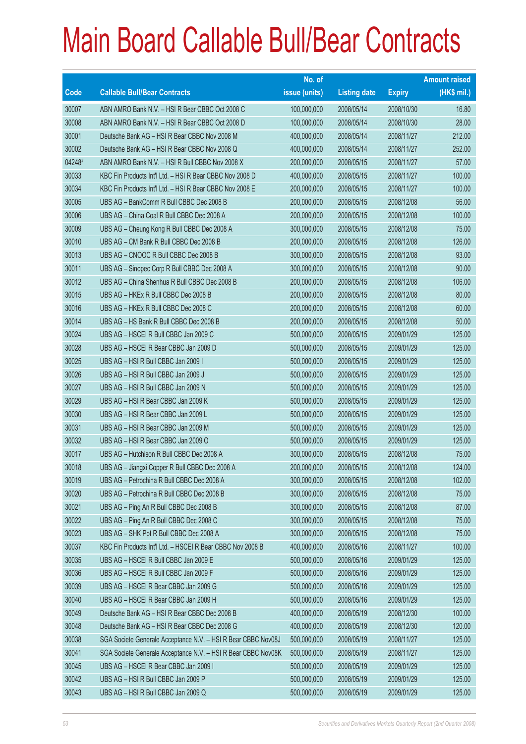|             |                                                               | No. of        |                     |               | <b>Amount raised</b> |
|-------------|---------------------------------------------------------------|---------------|---------------------|---------------|----------------------|
| <b>Code</b> | <b>Callable Bull/Bear Contracts</b>                           | issue (units) | <b>Listing date</b> | <b>Expiry</b> | $(HK$$ mil.)         |
| 30007       | ABN AMRO Bank N.V. - HSI R Bear CBBC Oct 2008 C               | 100,000,000   | 2008/05/14          | 2008/10/30    | 16.80                |
| 30008       | ABN AMRO Bank N.V. - HSI R Bear CBBC Oct 2008 D               | 100,000,000   | 2008/05/14          | 2008/10/30    | 28.00                |
| 30001       | Deutsche Bank AG - HSI R Bear CBBC Nov 2008 M                 | 400,000,000   | 2008/05/14          | 2008/11/27    | 212.00               |
| 30002       | Deutsche Bank AG - HSI R Bear CBBC Nov 2008 Q                 | 400,000,000   | 2008/05/14          | 2008/11/27    | 252.00               |
| 04248#      | ABN AMRO Bank N.V. - HSI R Bull CBBC Nov 2008 X               | 200,000,000   | 2008/05/15          | 2008/11/27    | 57.00                |
| 30033       | KBC Fin Products Int'l Ltd. - HSI R Bear CBBC Nov 2008 D      | 400,000,000   | 2008/05/15          | 2008/11/27    | 100.00               |
| 30034       | KBC Fin Products Int'l Ltd. - HSI R Bear CBBC Nov 2008 E      | 200,000,000   | 2008/05/15          | 2008/11/27    | 100.00               |
| 30005       | UBS AG - BankComm R Bull CBBC Dec 2008 B                      | 200,000,000   | 2008/05/15          | 2008/12/08    | 56.00                |
| 30006       | UBS AG - China Coal R Bull CBBC Dec 2008 A                    | 200,000,000   | 2008/05/15          | 2008/12/08    | 100.00               |
| 30009       | UBS AG - Cheung Kong R Bull CBBC Dec 2008 A                   | 300,000,000   | 2008/05/15          | 2008/12/08    | 75.00                |
| 30010       | UBS AG - CM Bank R Bull CBBC Dec 2008 B                       | 200,000,000   | 2008/05/15          | 2008/12/08    | 126.00               |
| 30013       | UBS AG - CNOOC R Bull CBBC Dec 2008 B                         | 300,000,000   | 2008/05/15          | 2008/12/08    | 93.00                |
| 30011       | UBS AG - Sinopec Corp R Bull CBBC Dec 2008 A                  | 300,000,000   | 2008/05/15          | 2008/12/08    | 90.00                |
| 30012       | UBS AG - China Shenhua R Bull CBBC Dec 2008 B                 | 200,000,000   | 2008/05/15          | 2008/12/08    | 106.00               |
| 30015       | UBS AG - HKEx R Bull CBBC Dec 2008 B                          | 200,000,000   | 2008/05/15          | 2008/12/08    | 80.00                |
| 30016       | UBS AG - HKEx R Bull CBBC Dec 2008 C                          | 200,000,000   | 2008/05/15          | 2008/12/08    | 60.00                |
| 30014       | UBS AG - HS Bank R Bull CBBC Dec 2008 B                       | 200,000,000   | 2008/05/15          | 2008/12/08    | 50.00                |
| 30024       | UBS AG - HSCEI R Bull CBBC Jan 2009 C                         | 500,000,000   | 2008/05/15          | 2009/01/29    | 125.00               |
| 30028       | UBS AG - HSCEI R Bear CBBC Jan 2009 D                         | 500,000,000   | 2008/05/15          | 2009/01/29    | 125.00               |
| 30025       | UBS AG - HSI R Bull CBBC Jan 2009 I                           | 500,000,000   | 2008/05/15          | 2009/01/29    | 125.00               |
| 30026       | UBS AG - HSI R Bull CBBC Jan 2009 J                           | 500,000,000   | 2008/05/15          | 2009/01/29    | 125.00               |
| 30027       | UBS AG - HSI R Bull CBBC Jan 2009 N                           | 500,000,000   | 2008/05/15          | 2009/01/29    | 125.00               |
| 30029       | UBS AG - HSI R Bear CBBC Jan 2009 K                           | 500,000,000   | 2008/05/15          | 2009/01/29    | 125.00               |
| 30030       | UBS AG - HSI R Bear CBBC Jan 2009 L                           | 500,000,000   | 2008/05/15          | 2009/01/29    | 125.00               |
| 30031       | UBS AG - HSI R Bear CBBC Jan 2009 M                           | 500,000,000   | 2008/05/15          | 2009/01/29    | 125.00               |
| 30032       | UBS AG - HSI R Bear CBBC Jan 2009 O                           | 500,000,000   | 2008/05/15          | 2009/01/29    | 125.00               |
| 30017       | UBS AG - Hutchison R Bull CBBC Dec 2008 A                     | 300,000,000   | 2008/05/15          | 2008/12/08    | 75.00                |
| 30018       | UBS AG - Jiangxi Copper R Bull CBBC Dec 2008 A                | 200,000,000   | 2008/05/15          | 2008/12/08    | 124.00               |
| 30019       | UBS AG - Petrochina R Bull CBBC Dec 2008 A                    | 300,000,000   | 2008/05/15          | 2008/12/08    | 102.00               |
| 30020       | UBS AG - Petrochina R Bull CBBC Dec 2008 B                    | 300,000,000   | 2008/05/15          | 2008/12/08    | 75.00                |
| 30021       | UBS AG - Ping An R Bull CBBC Dec 2008 B                       | 300,000,000   | 2008/05/15          | 2008/12/08    | 87.00                |
| 30022       | UBS AG - Ping An R Bull CBBC Dec 2008 C                       | 300,000,000   | 2008/05/15          | 2008/12/08    | 75.00                |
| 30023       | UBS AG - SHK Ppt R Bull CBBC Dec 2008 A                       | 300,000,000   | 2008/05/15          | 2008/12/08    | 75.00                |
| 30037       | KBC Fin Products Int'l Ltd. - HSCEI R Bear CBBC Nov 2008 B    | 400,000,000   | 2008/05/16          | 2008/11/27    | 100.00               |
| 30035       | UBS AG - HSCEI R Bull CBBC Jan 2009 E                         | 500,000,000   | 2008/05/16          | 2009/01/29    | 125.00               |
| 30036       | UBS AG - HSCEI R Bull CBBC Jan 2009 F                         | 500,000,000   | 2008/05/16          | 2009/01/29    | 125.00               |
| 30039       | UBS AG - HSCEI R Bear CBBC Jan 2009 G                         | 500,000,000   | 2008/05/16          | 2009/01/29    | 125.00               |
| 30040       | UBS AG - HSCEI R Bear CBBC Jan 2009 H                         | 500,000,000   | 2008/05/16          | 2009/01/29    | 125.00               |
| 30049       | Deutsche Bank AG - HSI R Bear CBBC Dec 2008 B                 | 400,000,000   | 2008/05/19          | 2008/12/30    | 100.00               |
| 30048       | Deutsche Bank AG - HSI R Bear CBBC Dec 2008 G                 | 400,000,000   | 2008/05/19          | 2008/12/30    | 120.00               |
| 30038       | SGA Societe Generale Acceptance N.V. - HSI R Bear CBBC Nov08J | 500,000,000   | 2008/05/19          | 2008/11/27    | 125.00               |
| 30041       | SGA Societe Generale Acceptance N.V. - HSI R Bear CBBC Nov08K | 500,000,000   | 2008/05/19          | 2008/11/27    | 125.00               |
| 30045       | UBS AG - HSCEI R Bear CBBC Jan 2009 I                         | 500,000,000   | 2008/05/19          | 2009/01/29    | 125.00               |
| 30042       | UBS AG - HSI R Bull CBBC Jan 2009 P                           | 500,000,000   | 2008/05/19          | 2009/01/29    | 125.00               |
| 30043       | UBS AG - HSI R Bull CBBC Jan 2009 Q                           | 500,000,000   | 2008/05/19          | 2009/01/29    | 125.00               |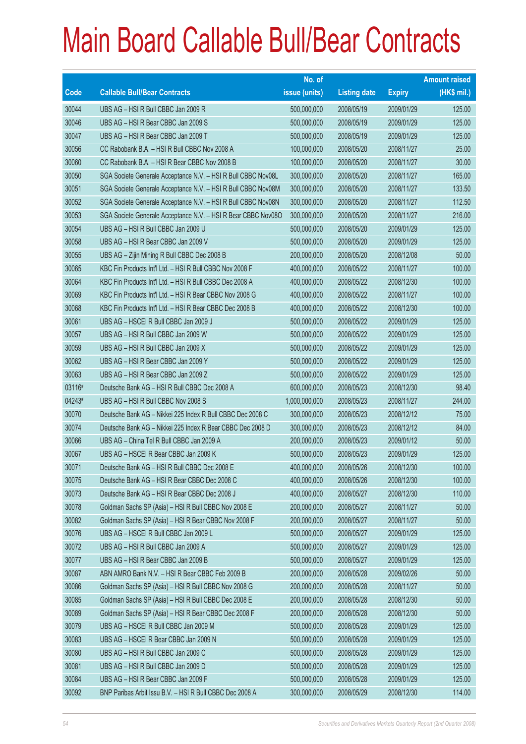|             |                                                               | No. of        |                     |               | <b>Amount raised</b> |
|-------------|---------------------------------------------------------------|---------------|---------------------|---------------|----------------------|
| <b>Code</b> | <b>Callable Bull/Bear Contracts</b>                           | issue (units) | <b>Listing date</b> | <b>Expiry</b> | (HK\$ mil.)          |
| 30044       | UBS AG - HSI R Bull CBBC Jan 2009 R                           | 500,000,000   | 2008/05/19          | 2009/01/29    | 125.00               |
| 30046       | UBS AG - HSI R Bear CBBC Jan 2009 S                           | 500,000,000   | 2008/05/19          | 2009/01/29    | 125.00               |
| 30047       | UBS AG - HSI R Bear CBBC Jan 2009 T                           | 500,000,000   | 2008/05/19          | 2009/01/29    | 125.00               |
| 30056       | CC Rabobank B.A. - HSI R Bull CBBC Nov 2008 A                 | 100,000,000   | 2008/05/20          | 2008/11/27    | 25.00                |
| 30060       | CC Rabobank B.A. - HSI R Bear CBBC Nov 2008 B                 | 100,000,000   | 2008/05/20          | 2008/11/27    | 30.00                |
| 30050       | SGA Societe Generale Acceptance N.V. - HSI R Bull CBBC Nov08L | 300,000,000   | 2008/05/20          | 2008/11/27    | 165.00               |
| 30051       | SGA Societe Generale Acceptance N.V. - HSI R Bull CBBC Nov08M | 300,000,000   | 2008/05/20          | 2008/11/27    | 133.50               |
| 30052       | SGA Societe Generale Acceptance N.V. - HSI R Bull CBBC Nov08N | 300,000,000   | 2008/05/20          | 2008/11/27    | 112.50               |
| 30053       | SGA Societe Generale Acceptance N.V. - HSI R Bear CBBC Nov08O | 300,000,000   | 2008/05/20          | 2008/11/27    | 216.00               |
| 30054       | UBS AG - HSI R Bull CBBC Jan 2009 U                           | 500,000,000   | 2008/05/20          | 2009/01/29    | 125.00               |
| 30058       | UBS AG - HSI R Bear CBBC Jan 2009 V                           | 500,000,000   | 2008/05/20          | 2009/01/29    | 125.00               |
| 30055       | UBS AG - Zijin Mining R Bull CBBC Dec 2008 B                  | 200,000,000   | 2008/05/20          | 2008/12/08    | 50.00                |
| 30065       | KBC Fin Products Int'l Ltd. - HSI R Bull CBBC Nov 2008 F      | 400,000,000   | 2008/05/22          | 2008/11/27    | 100.00               |
| 30064       | KBC Fin Products Int'l Ltd. - HSI R Bull CBBC Dec 2008 A      | 400,000,000   | 2008/05/22          | 2008/12/30    | 100.00               |
| 30069       | KBC Fin Products Int'l Ltd. - HSI R Bear CBBC Nov 2008 G      | 400,000,000   | 2008/05/22          | 2008/11/27    | 100.00               |
| 30068       | KBC Fin Products Int'l Ltd. - HSI R Bear CBBC Dec 2008 B      | 400,000,000   | 2008/05/22          | 2008/12/30    | 100.00               |
| 30061       | UBS AG - HSCEI R Bull CBBC Jan 2009 J                         | 500,000,000   | 2008/05/22          | 2009/01/29    | 125.00               |
| 30057       | UBS AG - HSI R Bull CBBC Jan 2009 W                           | 500,000,000   | 2008/05/22          | 2009/01/29    | 125.00               |
| 30059       | UBS AG - HSI R Bull CBBC Jan 2009 X                           | 500,000,000   | 2008/05/22          | 2009/01/29    | 125.00               |
| 30062       | UBS AG - HSI R Bear CBBC Jan 2009 Y                           | 500,000,000   | 2008/05/22          | 2009/01/29    | 125.00               |
| 30063       | UBS AG - HSI R Bear CBBC Jan 2009 Z                           | 500,000,000   | 2008/05/22          | 2009/01/29    | 125.00               |
| 03116#      | Deutsche Bank AG - HSI R Bull CBBC Dec 2008 A                 | 600,000,000   | 2008/05/23          | 2008/12/30    | 98.40                |
| 04243#      | UBS AG - HSI R Bull CBBC Nov 2008 S                           | 1,000,000,000 | 2008/05/23          | 2008/11/27    | 244.00               |
| 30070       | Deutsche Bank AG - Nikkei 225 Index R Bull CBBC Dec 2008 C    | 300,000,000   | 2008/05/23          | 2008/12/12    | 75.00                |
| 30074       | Deutsche Bank AG - Nikkei 225 Index R Bear CBBC Dec 2008 D    | 300,000,000   | 2008/05/23          | 2008/12/12    | 84.00                |
| 30066       | UBS AG - China Tel R Bull CBBC Jan 2009 A                     | 200,000,000   | 2008/05/23          | 2009/01/12    | 50.00                |
| 30067       | UBS AG - HSCEI R Bear CBBC Jan 2009 K                         | 500,000,000   | 2008/05/23          | 2009/01/29    | 125.00               |
| 30071       | Deutsche Bank AG - HSI R Bull CBBC Dec 2008 E                 | 400,000,000   | 2008/05/26          | 2008/12/30    | 100.00               |
| 30075       | Deutsche Bank AG - HSI R Bear CBBC Dec 2008 C                 | 400,000,000   | 2008/05/26          | 2008/12/30    | 100.00               |
| 30073       | Deutsche Bank AG - HSI R Bear CBBC Dec 2008 J                 | 400,000,000   | 2008/05/27          | 2008/12/30    | 110.00               |
| 30078       | Goldman Sachs SP (Asia) - HSI R Bull CBBC Nov 2008 E          | 200,000,000   | 2008/05/27          | 2008/11/27    | 50.00                |
| 30082       | Goldman Sachs SP (Asia) - HSI R Bear CBBC Nov 2008 F          | 200,000,000   | 2008/05/27          | 2008/11/27    | 50.00                |
| 30076       | UBS AG - HSCEI R Bull CBBC Jan 2009 L                         | 500,000,000   | 2008/05/27          | 2009/01/29    | 125.00               |
| 30072       | UBS AG - HSI R Bull CBBC Jan 2009 A                           | 500,000,000   | 2008/05/27          | 2009/01/29    | 125.00               |
| 30077       | UBS AG - HSI R Bear CBBC Jan 2009 B                           | 500,000,000   | 2008/05/27          | 2009/01/29    | 125.00               |
| 30087       | ABN AMRO Bank N.V. - HSI R Bear CBBC Feb 2009 B               | 200,000,000   | 2008/05/28          | 2009/02/26    | 50.00                |
| 30086       | Goldman Sachs SP (Asia) - HSI R Bull CBBC Nov 2008 G          | 200,000,000   | 2008/05/28          | 2008/11/27    | 50.00                |
| 30085       | Goldman Sachs SP (Asia) - HSI R Bull CBBC Dec 2008 E          | 200,000,000   | 2008/05/28          | 2008/12/30    | 50.00                |
| 30089       | Goldman Sachs SP (Asia) - HSI R Bear CBBC Dec 2008 F          | 200,000,000   | 2008/05/28          | 2008/12/30    | 50.00                |
| 30079       | UBS AG - HSCEI R Bull CBBC Jan 2009 M                         | 500,000,000   | 2008/05/28          | 2009/01/29    | 125.00               |
| 30083       | UBS AG - HSCEI R Bear CBBC Jan 2009 N                         | 500,000,000   | 2008/05/28          | 2009/01/29    | 125.00               |
| 30080       | UBS AG - HSI R Bull CBBC Jan 2009 C                           | 500,000,000   | 2008/05/28          | 2009/01/29    | 125.00               |
| 30081       | UBS AG - HSI R Bull CBBC Jan 2009 D                           | 500,000,000   | 2008/05/28          | 2009/01/29    | 125.00               |
| 30084       | UBS AG - HSI R Bear CBBC Jan 2009 F                           | 500,000,000   | 2008/05/28          | 2009/01/29    | 125.00               |
| 30092       | BNP Paribas Arbit Issu B.V. - HSI R Bull CBBC Dec 2008 A      | 300,000,000   | 2008/05/29          | 2008/12/30    | 114.00               |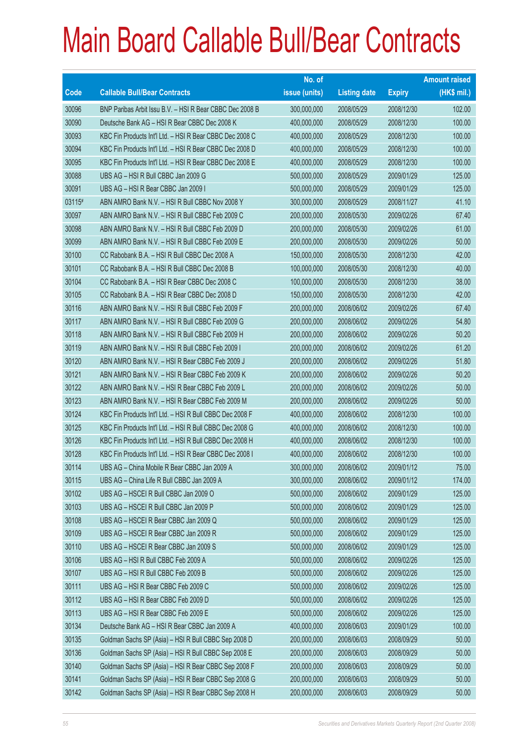|        |                                                          | No. of        |                     |               | <b>Amount raised</b> |
|--------|----------------------------------------------------------|---------------|---------------------|---------------|----------------------|
| Code   | <b>Callable Bull/Bear Contracts</b>                      | issue (units) | <b>Listing date</b> | <b>Expiry</b> | $(HK$$ mil.)         |
| 30096  | BNP Paribas Arbit Issu B.V. - HSI R Bear CBBC Dec 2008 B | 300,000,000   | 2008/05/29          | 2008/12/30    | 102.00               |
| 30090  | Deutsche Bank AG - HSI R Bear CBBC Dec 2008 K            | 400,000,000   | 2008/05/29          | 2008/12/30    | 100.00               |
| 30093  | KBC Fin Products Int'l Ltd. - HSI R Bear CBBC Dec 2008 C | 400,000,000   | 2008/05/29          | 2008/12/30    | 100.00               |
| 30094  | KBC Fin Products Int'l Ltd. - HSI R Bear CBBC Dec 2008 D | 400,000,000   | 2008/05/29          | 2008/12/30    | 100.00               |
| 30095  | KBC Fin Products Int'l Ltd. - HSI R Bear CBBC Dec 2008 E | 400,000,000   | 2008/05/29          | 2008/12/30    | 100.00               |
| 30088  | UBS AG - HSI R Bull CBBC Jan 2009 G                      | 500,000,000   | 2008/05/29          | 2009/01/29    | 125.00               |
| 30091  | UBS AG - HSI R Bear CBBC Jan 2009 I                      | 500,000,000   | 2008/05/29          | 2009/01/29    | 125.00               |
| 03115# | ABN AMRO Bank N.V. - HSI R Bull CBBC Nov 2008 Y          | 300,000,000   | 2008/05/29          | 2008/11/27    | 41.10                |
| 30097  | ABN AMRO Bank N.V. - HSI R Bull CBBC Feb 2009 C          | 200,000,000   | 2008/05/30          | 2009/02/26    | 67.40                |
| 30098  | ABN AMRO Bank N.V. - HSI R Bull CBBC Feb 2009 D          | 200,000,000   | 2008/05/30          | 2009/02/26    | 61.00                |
| 30099  | ABN AMRO Bank N.V. - HSI R Bull CBBC Feb 2009 E          | 200,000,000   | 2008/05/30          | 2009/02/26    | 50.00                |
| 30100  | CC Rabobank B.A. - HSI R Bull CBBC Dec 2008 A            | 150,000,000   | 2008/05/30          | 2008/12/30    | 42.00                |
| 30101  | CC Rabobank B.A. - HSI R Bull CBBC Dec 2008 B            | 100,000,000   | 2008/05/30          | 2008/12/30    | 40.00                |
| 30104  | CC Rabobank B.A. - HSI R Bear CBBC Dec 2008 C            | 100,000,000   | 2008/05/30          | 2008/12/30    | 38.00                |
| 30105  | CC Rabobank B.A. - HSI R Bear CBBC Dec 2008 D            | 150,000,000   | 2008/05/30          | 2008/12/30    | 42.00                |
| 30116  | ABN AMRO Bank N.V. - HSI R Bull CBBC Feb 2009 F          | 200,000,000   | 2008/06/02          | 2009/02/26    | 67.40                |
| 30117  | ABN AMRO Bank N.V. - HSI R Bull CBBC Feb 2009 G          | 200,000,000   | 2008/06/02          | 2009/02/26    | 54.80                |
| 30118  | ABN AMRO Bank N.V. - HSI R Bull CBBC Feb 2009 H          | 200,000,000   | 2008/06/02          | 2009/02/26    | 50.20                |
| 30119  | ABN AMRO Bank N.V. - HSI R Bull CBBC Feb 2009 I          | 200,000,000   | 2008/06/02          | 2009/02/26    | 61.20                |
| 30120  | ABN AMRO Bank N.V. - HSI R Bear CBBC Feb 2009 J          | 200,000,000   | 2008/06/02          | 2009/02/26    | 51.80                |
| 30121  | ABN AMRO Bank N.V. - HSI R Bear CBBC Feb 2009 K          | 200,000,000   | 2008/06/02          | 2009/02/26    | 50.20                |
| 30122  | ABN AMRO Bank N.V. - HSI R Bear CBBC Feb 2009 L          | 200,000,000   | 2008/06/02          | 2009/02/26    | 50.00                |
| 30123  | ABN AMRO Bank N.V. - HSI R Bear CBBC Feb 2009 M          | 200,000,000   | 2008/06/02          | 2009/02/26    | 50.00                |
| 30124  | KBC Fin Products Int'l Ltd. - HSI R Bull CBBC Dec 2008 F | 400,000,000   | 2008/06/02          | 2008/12/30    | 100.00               |
| 30125  | KBC Fin Products Int'l Ltd. - HSI R Bull CBBC Dec 2008 G | 400,000,000   | 2008/06/02          | 2008/12/30    | 100.00               |
| 30126  | KBC Fin Products Int'l Ltd. - HSI R Bull CBBC Dec 2008 H | 400,000,000   | 2008/06/02          | 2008/12/30    | 100.00               |
| 30128  | KBC Fin Products Int'l Ltd. - HSI R Bear CBBC Dec 2008 I | 400,000,000   | 2008/06/02          | 2008/12/30    | 100.00               |
| 30114  | UBS AG - China Mobile R Bear CBBC Jan 2009 A             | 300,000,000   | 2008/06/02          | 2009/01/12    | 75.00                |
| 30115  | UBS AG - China Life R Bull CBBC Jan 2009 A               | 300,000,000   | 2008/06/02          | 2009/01/12    | 174.00               |
| 30102  | UBS AG - HSCEI R Bull CBBC Jan 2009 O                    | 500,000,000   | 2008/06/02          | 2009/01/29    | 125.00               |
| 30103  | UBS AG - HSCEI R Bull CBBC Jan 2009 P                    | 500,000,000   | 2008/06/02          | 2009/01/29    | 125.00               |
| 30108  | UBS AG - HSCEI R Bear CBBC Jan 2009 Q                    | 500,000,000   | 2008/06/02          | 2009/01/29    | 125.00               |
| 30109  | UBS AG - HSCEI R Bear CBBC Jan 2009 R                    | 500,000,000   | 2008/06/02          | 2009/01/29    | 125.00               |
| 30110  | UBS AG - HSCEI R Bear CBBC Jan 2009 S                    | 500,000,000   | 2008/06/02          | 2009/01/29    | 125.00               |
| 30106  | UBS AG - HSI R Bull CBBC Feb 2009 A                      | 500,000,000   | 2008/06/02          | 2009/02/26    | 125.00               |
| 30107  | UBS AG - HSI R Bull CBBC Feb 2009 B                      | 500,000,000   | 2008/06/02          | 2009/02/26    | 125.00               |
| 30111  | UBS AG - HSI R Bear CBBC Feb 2009 C                      | 500,000,000   | 2008/06/02          | 2009/02/26    | 125.00               |
| 30112  | UBS AG - HSI R Bear CBBC Feb 2009 D                      | 500,000,000   | 2008/06/02          | 2009/02/26    | 125.00               |
| 30113  | UBS AG - HSI R Bear CBBC Feb 2009 E                      | 500,000,000   | 2008/06/02          | 2009/02/26    | 125.00               |
| 30134  | Deutsche Bank AG - HSI R Bear CBBC Jan 2009 A            | 400,000,000   | 2008/06/03          | 2009/01/29    | 100.00               |
| 30135  | Goldman Sachs SP (Asia) - HSI R Bull CBBC Sep 2008 D     | 200,000,000   | 2008/06/03          | 2008/09/29    | 50.00                |
| 30136  | Goldman Sachs SP (Asia) - HSI R Bull CBBC Sep 2008 E     | 200,000,000   | 2008/06/03          | 2008/09/29    | 50.00                |
| 30140  | Goldman Sachs SP (Asia) - HSI R Bear CBBC Sep 2008 F     | 200,000,000   | 2008/06/03          | 2008/09/29    | 50.00                |
| 30141  | Goldman Sachs SP (Asia) - HSI R Bear CBBC Sep 2008 G     | 200,000,000   | 2008/06/03          | 2008/09/29    | 50.00                |
| 30142  | Goldman Sachs SP (Asia) - HSI R Bear CBBC Sep 2008 H     | 200,000,000   | 2008/06/03          | 2008/09/29    | 50.00                |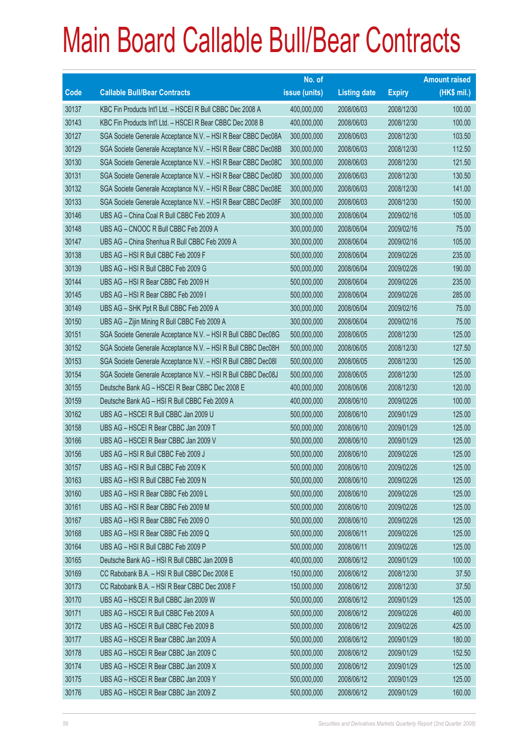|       |                                                               | No. of        |                     |               | <b>Amount raised</b> |
|-------|---------------------------------------------------------------|---------------|---------------------|---------------|----------------------|
| Code  | <b>Callable Bull/Bear Contracts</b>                           | issue (units) | <b>Listing date</b> | <b>Expiry</b> | (HK\$ mil.)          |
| 30137 | KBC Fin Products Int'l Ltd. - HSCEI R Bull CBBC Dec 2008 A    | 400,000,000   | 2008/06/03          | 2008/12/30    | 100.00               |
| 30143 | KBC Fin Products Int'l Ltd. - HSCEI R Bear CBBC Dec 2008 B    | 400,000,000   | 2008/06/03          | 2008/12/30    | 100.00               |
| 30127 | SGA Societe Generale Acceptance N.V. - HSI R Bear CBBC Dec08A | 300,000,000   | 2008/06/03          | 2008/12/30    | 103.50               |
| 30129 | SGA Societe Generale Acceptance N.V. - HSI R Bear CBBC Dec08B | 300,000,000   | 2008/06/03          | 2008/12/30    | 112.50               |
| 30130 | SGA Societe Generale Acceptance N.V. - HSI R Bear CBBC Dec08C | 300,000,000   | 2008/06/03          | 2008/12/30    | 121.50               |
| 30131 | SGA Societe Generale Acceptance N.V. - HSI R Bear CBBC Dec08D | 300,000,000   | 2008/06/03          | 2008/12/30    | 130.50               |
| 30132 | SGA Societe Generale Acceptance N.V. - HSI R Bear CBBC Dec08E | 300,000,000   | 2008/06/03          | 2008/12/30    | 141.00               |
| 30133 | SGA Societe Generale Acceptance N.V. - HSI R Bear CBBC Dec08F | 300,000,000   | 2008/06/03          | 2008/12/30    | 150.00               |
| 30146 | UBS AG - China Coal R Bull CBBC Feb 2009 A                    | 300,000,000   | 2008/06/04          | 2009/02/16    | 105.00               |
| 30148 | UBS AG - CNOOC R Bull CBBC Feb 2009 A                         | 300,000,000   | 2008/06/04          | 2009/02/16    | 75.00                |
| 30147 | UBS AG - China Shenhua R Bull CBBC Feb 2009 A                 | 300,000,000   | 2008/06/04          | 2009/02/16    | 105.00               |
| 30138 | UBS AG - HSI R Bull CBBC Feb 2009 F                           | 500,000,000   | 2008/06/04          | 2009/02/26    | 235.00               |
| 30139 | UBS AG - HSI R Bull CBBC Feb 2009 G                           | 500,000,000   | 2008/06/04          | 2009/02/26    | 190.00               |
| 30144 | UBS AG - HSI R Bear CBBC Feb 2009 H                           | 500,000,000   | 2008/06/04          | 2009/02/26    | 235.00               |
| 30145 | UBS AG - HSI R Bear CBBC Feb 2009 I                           | 500,000,000   | 2008/06/04          | 2009/02/26    | 285.00               |
| 30149 | UBS AG - SHK Ppt R Bull CBBC Feb 2009 A                       | 300,000,000   | 2008/06/04          | 2009/02/16    | 75.00                |
| 30150 | UBS AG - Zijin Mining R Bull CBBC Feb 2009 A                  | 300,000,000   | 2008/06/04          | 2009/02/16    | 75.00                |
| 30151 | SGA Societe Generale Acceptance N.V. - HSI R Bull CBBC Dec08G | 500,000,000   | 2008/06/05          | 2008/12/30    | 125.00               |
| 30152 | SGA Societe Generale Acceptance N.V. - HSI R Bull CBBC Dec08H | 500,000,000   | 2008/06/05          | 2008/12/30    | 127.50               |
| 30153 | SGA Societe Generale Acceptance N.V. - HSI R Bull CBBC Dec081 | 500,000,000   | 2008/06/05          | 2008/12/30    | 125.00               |
| 30154 | SGA Societe Generale Acceptance N.V. - HSI R Bull CBBC Dec08J | 500,000,000   | 2008/06/05          | 2008/12/30    | 125.00               |
| 30155 | Deutsche Bank AG - HSCEI R Bear CBBC Dec 2008 E               | 400,000,000   | 2008/06/06          | 2008/12/30    | 120.00               |
| 30159 | Deutsche Bank AG - HSI R Bull CBBC Feb 2009 A                 | 400,000,000   | 2008/06/10          | 2009/02/26    | 100.00               |
| 30162 | UBS AG - HSCEI R Bull CBBC Jan 2009 U                         | 500,000,000   | 2008/06/10          | 2009/01/29    | 125.00               |
| 30158 | UBS AG - HSCEI R Bear CBBC Jan 2009 T                         | 500,000,000   | 2008/06/10          | 2009/01/29    | 125.00               |
| 30166 | UBS AG - HSCEI R Bear CBBC Jan 2009 V                         | 500,000,000   | 2008/06/10          | 2009/01/29    | 125.00               |
| 30156 | UBS AG - HSI R Bull CBBC Feb 2009 J                           | 500,000,000   | 2008/06/10          | 2009/02/26    | 125.00               |
| 30157 | UBS AG – HSI R Bull CBBC Feb 2009 K                           | 500,000,000   | 2008/06/10          | 2009/02/26    | 125.00               |
| 30163 | UBS AG - HSI R Bull CBBC Feb 2009 N                           | 500,000,000   | 2008/06/10          | 2009/02/26    | 125.00               |
| 30160 | UBS AG - HSI R Bear CBBC Feb 2009 L                           | 500,000,000   | 2008/06/10          | 2009/02/26    | 125.00               |
| 30161 | UBS AG - HSI R Bear CBBC Feb 2009 M                           | 500,000,000   | 2008/06/10          | 2009/02/26    | 125.00               |
| 30167 | UBS AG - HSI R Bear CBBC Feb 2009 O                           | 500,000,000   | 2008/06/10          | 2009/02/26    | 125.00               |
| 30168 | UBS AG - HSI R Bear CBBC Feb 2009 Q                           | 500,000,000   | 2008/06/11          | 2009/02/26    | 125.00               |
| 30164 | UBS AG - HSI R Bull CBBC Feb 2009 P                           | 500,000,000   | 2008/06/11          | 2009/02/26    | 125.00               |
| 30165 | Deutsche Bank AG - HSI R Bull CBBC Jan 2009 B                 | 400,000,000   | 2008/06/12          | 2009/01/29    | 100.00               |
| 30169 | CC Rabobank B.A. - HSI R Bull CBBC Dec 2008 E                 | 150,000,000   | 2008/06/12          | 2008/12/30    | 37.50                |
| 30173 | CC Rabobank B.A. - HSI R Bear CBBC Dec 2008 F                 | 150,000,000   | 2008/06/12          | 2008/12/30    | 37.50                |
| 30170 | UBS AG - HSCEI R Bull CBBC Jan 2009 W                         | 500,000,000   | 2008/06/12          | 2009/01/29    | 125.00               |
| 30171 | UBS AG - HSCEI R Bull CBBC Feb 2009 A                         | 500,000,000   | 2008/06/12          | 2009/02/26    | 460.00               |
| 30172 | UBS AG - HSCEI R Bull CBBC Feb 2009 B                         | 500,000,000   | 2008/06/12          | 2009/02/26    | 425.00               |
| 30177 | UBS AG - HSCEI R Bear CBBC Jan 2009 A                         | 500,000,000   | 2008/06/12          | 2009/01/29    | 180.00               |
| 30178 | UBS AG - HSCEI R Bear CBBC Jan 2009 C                         | 500,000,000   | 2008/06/12          | 2009/01/29    | 152.50               |
| 30174 | UBS AG - HSCEI R Bear CBBC Jan 2009 X                         | 500,000,000   | 2008/06/12          | 2009/01/29    | 125.00               |
| 30175 | UBS AG - HSCEI R Bear CBBC Jan 2009 Y                         | 500,000,000   | 2008/06/12          | 2009/01/29    | 125.00               |
| 30176 | UBS AG - HSCEI R Bear CBBC Jan 2009 Z                         | 500,000,000   | 2008/06/12          | 2009/01/29    | 160.00               |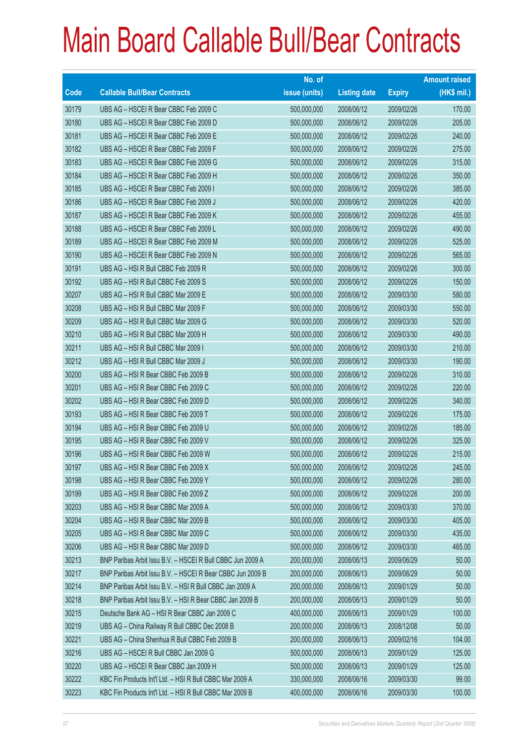|             |                                                            | No. of        |                     |               | <b>Amount raised</b> |
|-------------|------------------------------------------------------------|---------------|---------------------|---------------|----------------------|
| <b>Code</b> | <b>Callable Bull/Bear Contracts</b>                        | issue (units) | <b>Listing date</b> | <b>Expiry</b> | (HK\$ mil.)          |
| 30179       | UBS AG - HSCEI R Bear CBBC Feb 2009 C                      | 500,000,000   | 2008/06/12          | 2009/02/26    | 170.00               |
| 30180       | UBS AG - HSCEI R Bear CBBC Feb 2009 D                      | 500,000,000   | 2008/06/12          | 2009/02/26    | 205.00               |
| 30181       | UBS AG - HSCEI R Bear CBBC Feb 2009 E                      | 500,000,000   | 2008/06/12          | 2009/02/26    | 240.00               |
| 30182       | UBS AG - HSCEI R Bear CBBC Feb 2009 F                      | 500,000,000   | 2008/06/12          | 2009/02/26    | 275.00               |
| 30183       | UBS AG - HSCEI R Bear CBBC Feb 2009 G                      | 500,000,000   | 2008/06/12          | 2009/02/26    | 315.00               |
| 30184       | UBS AG - HSCEIR Bear CBBC Feb 2009 H                       | 500,000,000   | 2008/06/12          | 2009/02/26    | 350.00               |
| 30185       | UBS AG - HSCEI R Bear CBBC Feb 2009 I                      | 500,000,000   | 2008/06/12          | 2009/02/26    | 385.00               |
| 30186       | UBS AG - HSCEI R Bear CBBC Feb 2009 J                      | 500,000,000   | 2008/06/12          | 2009/02/26    | 420.00               |
| 30187       | UBS AG - HSCEI R Bear CBBC Feb 2009 K                      | 500,000,000   | 2008/06/12          | 2009/02/26    | 455.00               |
| 30188       | UBS AG - HSCEI R Bear CBBC Feb 2009 L                      | 500,000,000   | 2008/06/12          | 2009/02/26    | 490.00               |
| 30189       | UBS AG - HSCEI R Bear CBBC Feb 2009 M                      | 500,000,000   | 2008/06/12          | 2009/02/26    | 525.00               |
| 30190       | UBS AG - HSCEI R Bear CBBC Feb 2009 N                      | 500,000,000   | 2008/06/12          | 2009/02/26    | 565.00               |
| 30191       | UBS AG - HSI R Bull CBBC Feb 2009 R                        | 500,000,000   | 2008/06/12          | 2009/02/26    | 300.00               |
| 30192       | UBS AG - HSI R Bull CBBC Feb 2009 S                        | 500,000,000   | 2008/06/12          | 2009/02/26    | 150.00               |
| 30207       | UBS AG - HSI R Bull CBBC Mar 2009 E                        | 500,000,000   | 2008/06/12          | 2009/03/30    | 580.00               |
| 30208       | UBS AG - HSI R Bull CBBC Mar 2009 F                        | 500,000,000   | 2008/06/12          | 2009/03/30    | 550.00               |
| 30209       | UBS AG - HSI R Bull CBBC Mar 2009 G                        | 500,000,000   | 2008/06/12          | 2009/03/30    | 520.00               |
| 30210       | UBS AG - HSI R Bull CBBC Mar 2009 H                        | 500,000,000   | 2008/06/12          | 2009/03/30    | 490.00               |
| 30211       | UBS AG - HSI R Bull CBBC Mar 2009 I                        | 500,000,000   | 2008/06/12          | 2009/03/30    | 210.00               |
| 30212       | UBS AG - HSI R Bull CBBC Mar 2009 J                        | 500,000,000   | 2008/06/12          | 2009/03/30    | 190.00               |
| 30200       | UBS AG - HSI R Bear CBBC Feb 2009 B                        | 500,000,000   | 2008/06/12          | 2009/02/26    | 310.00               |
| 30201       | UBS AG - HSI R Bear CBBC Feb 2009 C                        | 500,000,000   | 2008/06/12          | 2009/02/26    | 220.00               |
| 30202       | UBS AG - HSI R Bear CBBC Feb 2009 D                        | 500,000,000   | 2008/06/12          | 2009/02/26    | 340.00               |
| 30193       | UBS AG - HSI R Bear CBBC Feb 2009 T                        | 500,000,000   | 2008/06/12          | 2009/02/26    | 175.00               |
| 30194       | UBS AG - HSI R Bear CBBC Feb 2009 U                        | 500,000,000   | 2008/06/12          | 2009/02/26    | 185.00               |
| 30195       | UBS AG - HSI R Bear CBBC Feb 2009 V                        | 500,000,000   | 2008/06/12          | 2009/02/26    | 325.00               |
| 30196       | UBS AG - HSI R Bear CBBC Feb 2009 W                        | 500,000,000   | 2008/06/12          | 2009/02/26    | 215.00               |
| 30197       | UBS AG - HSI R Bear CBBC Feb 2009 X                        | 500,000,000   | 2008/06/12          | 2009/02/26    | 245.00               |
| 30198       | UBS AG - HSI R Bear CBBC Feb 2009 Y                        | 500,000,000   | 2008/06/12          | 2009/02/26    | 280.00               |
| 30199       | UBS AG - HSI R Bear CBBC Feb 2009 Z                        | 500,000,000   | 2008/06/12          | 2009/02/26    | 200.00               |
| 30203       | UBS AG - HSI R Bear CBBC Mar 2009 A                        | 500,000,000   | 2008/06/12          | 2009/03/30    | 370.00               |
| 30204       | UBS AG - HSI R Bear CBBC Mar 2009 B                        | 500,000,000   | 2008/06/12          | 2009/03/30    | 405.00               |
| 30205       | UBS AG - HSI R Bear CBBC Mar 2009 C                        | 500,000,000   | 2008/06/12          | 2009/03/30    | 435.00               |
| 30206       | UBS AG - HSI R Bear CBBC Mar 2009 D                        | 500,000,000   | 2008/06/12          | 2009/03/30    | 465.00               |
| 30213       | BNP Paribas Arbit Issu B.V. - HSCEI R Bull CBBC Jun 2009 A | 200,000,000   | 2008/06/13          | 2009/06/29    | 50.00                |
| 30217       | BNP Paribas Arbit Issu B.V. - HSCEI R Bear CBBC Jun 2009 B | 200,000,000   | 2008/06/13          | 2009/06/29    | 50.00                |
| 30214       | BNP Paribas Arbit Issu B.V. - HSI R Bull CBBC Jan 2009 A   | 200,000,000   | 2008/06/13          | 2009/01/29    | 50.00                |
| 30218       | BNP Paribas Arbit Issu B.V. - HSI R Bear CBBC Jan 2009 B   | 200,000,000   | 2008/06/13          | 2009/01/29    | 50.00                |
| 30215       | Deutsche Bank AG - HSI R Bear CBBC Jan 2009 C              | 400,000,000   | 2008/06/13          | 2009/01/29    | 100.00               |
| 30219       | UBS AG - China Railway R Bull CBBC Dec 2008 B              | 200,000,000   | 2008/06/13          | 2008/12/08    | 50.00                |
| 30221       | UBS AG - China Shenhua R Bull CBBC Feb 2009 B              | 200,000,000   | 2008/06/13          | 2009/02/16    | 104.00               |
| 30216       | UBS AG - HSCEI R Bull CBBC Jan 2009 G                      | 500,000,000   | 2008/06/13          | 2009/01/29    | 125.00               |
| 30220       | UBS AG - HSCEI R Bear CBBC Jan 2009 H                      | 500,000,000   | 2008/06/13          | 2009/01/29    | 125.00               |
| 30222       | KBC Fin Products Int'l Ltd. - HSI R Bull CBBC Mar 2009 A   | 330,000,000   | 2008/06/16          | 2009/03/30    | 99.00                |
| 30223       | KBC Fin Products Int'l Ltd. - HSI R Bull CBBC Mar 2009 B   | 400,000,000   | 2008/06/16          | 2009/03/30    | 100.00               |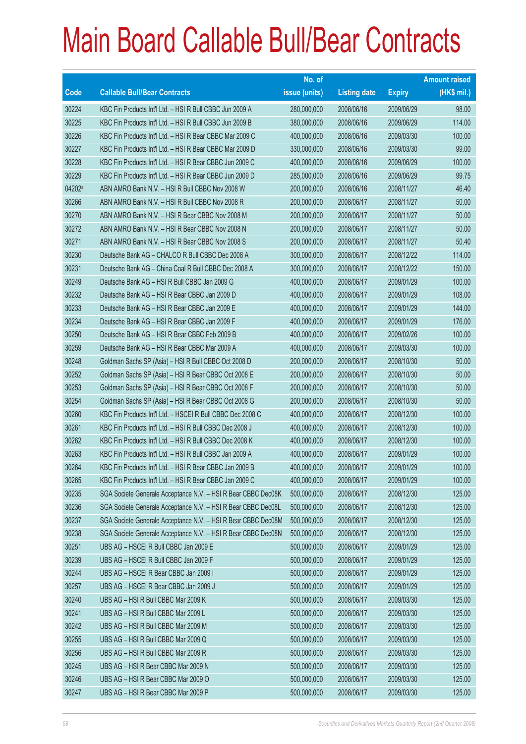|        |                                                               | No. of        |                     |               | <b>Amount raised</b> |
|--------|---------------------------------------------------------------|---------------|---------------------|---------------|----------------------|
| Code   | <b>Callable Bull/Bear Contracts</b>                           | issue (units) | <b>Listing date</b> | <b>Expiry</b> | (HK\$ mil.)          |
| 30224  | KBC Fin Products Int'l Ltd. - HSI R Bull CBBC Jun 2009 A      | 280,000,000   | 2008/06/16          | 2009/06/29    | 98.00                |
| 30225  | KBC Fin Products Int'l Ltd. - HSI R Bull CBBC Jun 2009 B      | 380,000,000   | 2008/06/16          | 2009/06/29    | 114.00               |
| 30226  | KBC Fin Products Int'l Ltd. - HSI R Bear CBBC Mar 2009 C      | 400,000,000   | 2008/06/16          | 2009/03/30    | 100.00               |
| 30227  | KBC Fin Products Int'l Ltd. - HSI R Bear CBBC Mar 2009 D      | 330,000,000   | 2008/06/16          | 2009/03/30    | 99.00                |
| 30228  | KBC Fin Products Int'l Ltd. - HSI R Bear CBBC Jun 2009 C      | 400,000,000   | 2008/06/16          | 2009/06/29    | 100.00               |
| 30229  | KBC Fin Products Int'l Ltd. - HSI R Bear CBBC Jun 2009 D      | 285,000,000   | 2008/06/16          | 2009/06/29    | 99.75                |
| 04202# | ABN AMRO Bank N.V. - HSI R Bull CBBC Nov 2008 W               | 200,000,000   | 2008/06/16          | 2008/11/27    | 46.40                |
| 30266  | ABN AMRO Bank N.V. - HSI R Bull CBBC Nov 2008 R               | 200,000,000   | 2008/06/17          | 2008/11/27    | 50.00                |
| 30270  | ABN AMRO Bank N.V. - HSI R Bear CBBC Nov 2008 M               | 200,000,000   | 2008/06/17          | 2008/11/27    | 50.00                |
| 30272  | ABN AMRO Bank N.V. - HSI R Bear CBBC Nov 2008 N               | 200,000,000   | 2008/06/17          | 2008/11/27    | 50.00                |
| 30271  | ABN AMRO Bank N.V. - HSI R Bear CBBC Nov 2008 S               | 200,000,000   | 2008/06/17          | 2008/11/27    | 50.40                |
| 30230  | Deutsche Bank AG - CHALCO R Bull CBBC Dec 2008 A              | 300,000,000   | 2008/06/17          | 2008/12/22    | 114.00               |
| 30231  | Deutsche Bank AG - China Coal R Bull CBBC Dec 2008 A          | 300,000,000   | 2008/06/17          | 2008/12/22    | 150.00               |
| 30249  | Deutsche Bank AG - HSI R Bull CBBC Jan 2009 G                 | 400,000,000   | 2008/06/17          | 2009/01/29    | 100.00               |
| 30232  | Deutsche Bank AG - HSI R Bear CBBC Jan 2009 D                 | 400,000,000   | 2008/06/17          | 2009/01/29    | 108.00               |
| 30233  | Deutsche Bank AG - HSI R Bear CBBC Jan 2009 E                 | 400,000,000   | 2008/06/17          | 2009/01/29    | 144.00               |
| 30234  | Deutsche Bank AG - HSI R Bear CBBC Jan 2009 F                 | 400,000,000   | 2008/06/17          | 2009/01/29    | 176.00               |
| 30250  | Deutsche Bank AG - HSI R Bear CBBC Feb 2009 B                 | 400,000,000   | 2008/06/17          | 2009/02/26    | 100.00               |
| 30259  | Deutsche Bank AG - HSI R Bear CBBC Mar 2009 A                 | 400,000,000   | 2008/06/17          | 2009/03/30    | 100.00               |
| 30248  | Goldman Sachs SP (Asia) - HSI R Bull CBBC Oct 2008 D          | 200,000,000   | 2008/06/17          | 2008/10/30    | 50.00                |
| 30252  | Goldman Sachs SP (Asia) - HSI R Bear CBBC Oct 2008 E          | 200,000,000   | 2008/06/17          | 2008/10/30    | 50.00                |
| 30253  | Goldman Sachs SP (Asia) - HSI R Bear CBBC Oct 2008 F          | 200,000,000   | 2008/06/17          | 2008/10/30    | 50.00                |
| 30254  | Goldman Sachs SP (Asia) - HSI R Bear CBBC Oct 2008 G          | 200,000,000   | 2008/06/17          | 2008/10/30    | 50.00                |
| 30260  | KBC Fin Products Int'l Ltd. - HSCEI R Bull CBBC Dec 2008 C    | 400,000,000   | 2008/06/17          | 2008/12/30    | 100.00               |
| 30261  | KBC Fin Products Int'l Ltd. - HSI R Bull CBBC Dec 2008 J      | 400,000,000   | 2008/06/17          | 2008/12/30    | 100.00               |
| 30262  | KBC Fin Products Int'l Ltd. - HSI R Bull CBBC Dec 2008 K      | 400,000,000   | 2008/06/17          | 2008/12/30    | 100.00               |
| 30263  | KBC Fin Products Int'l Ltd. - HSI R Bull CBBC Jan 2009 A      | 400,000,000   | 2008/06/17          | 2009/01/29    | 100.00               |
| 30264  | KBC Fin Products Int'l Ltd. - HSI R Bear CBBC Jan 2009 B      | 400,000,000   | 2008/06/17          | 2009/01/29    | 100.00               |
| 30265  | KBC Fin Products Int'l Ltd. - HSI R Bear CBBC Jan 2009 C      | 400,000,000   | 2008/06/17          | 2009/01/29    | 100.00               |
| 30235  | SGA Societe Generale Acceptance N.V. - HSI R Bear CBBC Dec08K | 500,000,000   | 2008/06/17          | 2008/12/30    | 125.00               |
| 30236  | SGA Societe Generale Acceptance N.V. - HSI R Bear CBBC Dec08L | 500,000,000   | 2008/06/17          | 2008/12/30    | 125.00               |
| 30237  | SGA Societe Generale Acceptance N.V. - HSI R Bear CBBC Dec08M | 500,000,000   | 2008/06/17          | 2008/12/30    | 125.00               |
| 30238  | SGA Societe Generale Acceptance N.V. - HSI R Bear CBBC Dec08N | 500,000,000   | 2008/06/17          | 2008/12/30    | 125.00               |
| 30251  | UBS AG - HSCEI R Bull CBBC Jan 2009 E                         | 500,000,000   | 2008/06/17          | 2009/01/29    | 125.00               |
| 30239  | UBS AG - HSCEI R Bull CBBC Jan 2009 F                         | 500,000,000   | 2008/06/17          | 2009/01/29    | 125.00               |
| 30244  | UBS AG - HSCEI R Bear CBBC Jan 2009 I                         | 500,000,000   | 2008/06/17          | 2009/01/29    | 125.00               |
| 30257  | UBS AG - HSCEI R Bear CBBC Jan 2009 J                         | 500,000,000   | 2008/06/17          | 2009/01/29    | 125.00               |
| 30240  | UBS AG - HSI R Bull CBBC Mar 2009 K                           | 500,000,000   | 2008/06/17          | 2009/03/30    | 125.00               |
| 30241  | UBS AG - HSI R Bull CBBC Mar 2009 L                           | 500,000,000   | 2008/06/17          | 2009/03/30    | 125.00               |
| 30242  | UBS AG - HSI R Bull CBBC Mar 2009 M                           | 500,000,000   | 2008/06/17          | 2009/03/30    | 125.00               |
| 30255  | UBS AG - HSI R Bull CBBC Mar 2009 Q                           | 500,000,000   | 2008/06/17          | 2009/03/30    | 125.00               |
| 30256  | UBS AG - HSI R Bull CBBC Mar 2009 R                           | 500,000,000   | 2008/06/17          | 2009/03/30    | 125.00               |
| 30245  | UBS AG - HSI R Bear CBBC Mar 2009 N                           | 500,000,000   | 2008/06/17          | 2009/03/30    | 125.00               |
| 30246  | UBS AG - HSI R Bear CBBC Mar 2009 O                           | 500,000,000   | 2008/06/17          | 2009/03/30    | 125.00               |
| 30247  | UBS AG - HSI R Bear CBBC Mar 2009 P                           | 500,000,000   | 2008/06/17          | 2009/03/30    | 125.00               |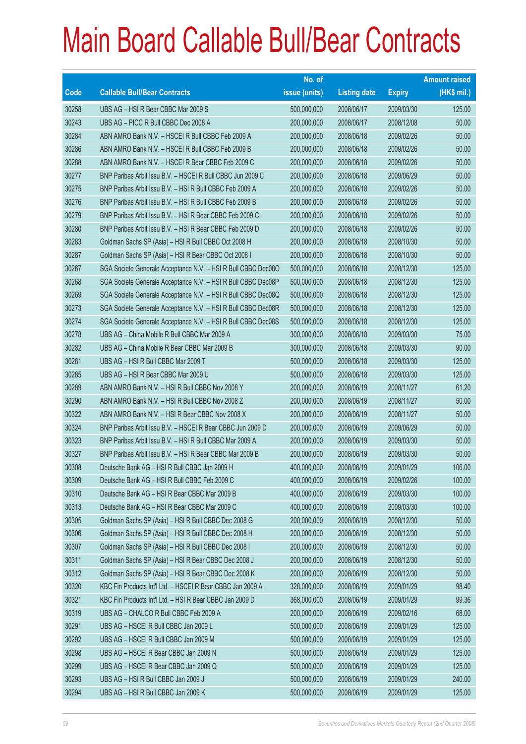|       |                                                               | No. of        |                     |               | <b>Amount raised</b> |
|-------|---------------------------------------------------------------|---------------|---------------------|---------------|----------------------|
| Code  | <b>Callable Bull/Bear Contracts</b>                           | issue (units) | <b>Listing date</b> | <b>Expiry</b> | (HK\$ mil.)          |
| 30258 | UBS AG - HSI R Bear CBBC Mar 2009 S                           | 500,000,000   | 2008/06/17          | 2009/03/30    | 125.00               |
| 30243 | UBS AG - PICC R Bull CBBC Dec 2008 A                          | 200,000,000   | 2008/06/17          | 2008/12/08    | 50.00                |
| 30284 | ABN AMRO Bank N.V. - HSCEI R Bull CBBC Feb 2009 A             | 200,000,000   | 2008/06/18          | 2009/02/26    | 50.00                |
| 30286 | ABN AMRO Bank N.V. - HSCEI R Bull CBBC Feb 2009 B             | 200,000,000   | 2008/06/18          | 2009/02/26    | 50.00                |
| 30288 | ABN AMRO Bank N.V. - HSCEI R Bear CBBC Feb 2009 C             | 200,000,000   | 2008/06/18          | 2009/02/26    | 50.00                |
| 30277 | BNP Paribas Arbit Issu B.V. - HSCEI R Bull CBBC Jun 2009 C    | 200,000,000   | 2008/06/18          | 2009/06/29    | 50.00                |
| 30275 | BNP Paribas Arbit Issu B.V. - HSI R Bull CBBC Feb 2009 A      | 200,000,000   | 2008/06/18          | 2009/02/26    | 50.00                |
| 30276 | BNP Paribas Arbit Issu B.V. - HSI R Bull CBBC Feb 2009 B      | 200,000,000   | 2008/06/18          | 2009/02/26    | 50.00                |
| 30279 | BNP Paribas Arbit Issu B.V. - HSI R Bear CBBC Feb 2009 C      | 200,000,000   | 2008/06/18          | 2009/02/26    | 50.00                |
| 30280 | BNP Paribas Arbit Issu B.V. - HSI R Bear CBBC Feb 2009 D      | 200,000,000   | 2008/06/18          | 2009/02/26    | 50.00                |
| 30283 | Goldman Sachs SP (Asia) - HSI R Bull CBBC Oct 2008 H          | 200,000,000   | 2008/06/18          | 2008/10/30    | 50.00                |
| 30287 | Goldman Sachs SP (Asia) - HSI R Bear CBBC Oct 2008 I          | 200,000,000   | 2008/06/18          | 2008/10/30    | 50.00                |
| 30267 | SGA Societe Generale Acceptance N.V. - HSI R Bull CBBC Dec08O | 500,000,000   | 2008/06/18          | 2008/12/30    | 125.00               |
| 30268 | SGA Societe Generale Acceptance N.V. - HSI R Bull CBBC Dec08P | 500,000,000   | 2008/06/18          | 2008/12/30    | 125.00               |
| 30269 | SGA Societe Generale Acceptance N.V. - HSI R Bull CBBC Dec08Q | 500,000,000   | 2008/06/18          | 2008/12/30    | 125.00               |
| 30273 | SGA Societe Generale Acceptance N.V. - HSI R Bull CBBC Dec08R | 500,000,000   | 2008/06/18          | 2008/12/30    | 125.00               |
| 30274 | SGA Societe Generale Acceptance N.V. - HSI R Bull CBBC Dec08S | 500,000,000   | 2008/06/18          | 2008/12/30    | 125.00               |
| 30278 | UBS AG - China Mobile R Bull CBBC Mar 2009 A                  | 300,000,000   | 2008/06/18          | 2009/03/30    | 75.00                |
| 30282 | UBS AG - China Mobile R Bear CBBC Mar 2009 B                  | 300,000,000   | 2008/06/18          | 2009/03/30    | 90.00                |
| 30281 | UBS AG - HSI R Bull CBBC Mar 2009 T                           | 500,000,000   | 2008/06/18          | 2009/03/30    | 125.00               |
| 30285 | UBS AG - HSI R Bear CBBC Mar 2009 U                           | 500,000,000   | 2008/06/18          | 2009/03/30    | 125.00               |
| 30289 | ABN AMRO Bank N.V. - HSI R Bull CBBC Nov 2008 Y               | 200,000,000   | 2008/06/19          | 2008/11/27    | 61.20                |
| 30290 | ABN AMRO Bank N.V. - HSI R Bull CBBC Nov 2008 Z               | 200,000,000   | 2008/06/19          | 2008/11/27    | 50.00                |
| 30322 | ABN AMRO Bank N.V. - HSI R Bear CBBC Nov 2008 X               | 200,000,000   | 2008/06/19          | 2008/11/27    | 50.00                |
| 30324 | BNP Paribas Arbit Issu B.V. - HSCEI R Bear CBBC Jun 2009 D    | 200,000,000   | 2008/06/19          | 2009/06/29    | 50.00                |
| 30323 | BNP Paribas Arbit Issu B.V. - HSI R Bull CBBC Mar 2009 A      | 200,000,000   | 2008/06/19          | 2009/03/30    | 50.00                |
| 30327 | BNP Paribas Arbit Issu B.V. - HSI R Bear CBBC Mar 2009 B      | 200,000,000   | 2008/06/19          | 2009/03/30    | 50.00                |
| 30308 | Deutsche Bank AG - HSI R Bull CBBC Jan 2009 H                 | 400,000,000   | 2008/06/19          | 2009/01/29    | 106.00               |
| 30309 | Deutsche Bank AG - HSI R Bull CBBC Feb 2009 C                 | 400,000,000   | 2008/06/19          | 2009/02/26    | 100.00               |
| 30310 | Deutsche Bank AG - HSI R Bear CBBC Mar 2009 B                 | 400,000,000   | 2008/06/19          | 2009/03/30    | 100.00               |
| 30313 | Deutsche Bank AG - HSI R Bear CBBC Mar 2009 C                 | 400,000,000   | 2008/06/19          | 2009/03/30    | 100.00               |
| 30305 | Goldman Sachs SP (Asia) - HSI R Bull CBBC Dec 2008 G          | 200,000,000   | 2008/06/19          | 2008/12/30    | 50.00                |
| 30306 | Goldman Sachs SP (Asia) - HSI R Bull CBBC Dec 2008 H          | 200,000,000   | 2008/06/19          | 2008/12/30    | 50.00                |
| 30307 | Goldman Sachs SP (Asia) - HSI R Bull CBBC Dec 2008 I          | 200,000,000   | 2008/06/19          | 2008/12/30    | 50.00                |
| 30311 | Goldman Sachs SP (Asia) - HSI R Bear CBBC Dec 2008 J          | 200,000,000   | 2008/06/19          | 2008/12/30    | 50.00                |
| 30312 | Goldman Sachs SP (Asia) - HSI R Bear CBBC Dec 2008 K          | 200,000,000   | 2008/06/19          | 2008/12/30    | 50.00                |
| 30320 | KBC Fin Products Int'l Ltd. - HSCEI R Bear CBBC Jan 2009 A    | 328,000,000   | 2008/06/19          | 2009/01/29    | 98.40                |
| 30321 | KBC Fin Products Int'l Ltd. - HSI R Bear CBBC Jan 2009 D      | 368,000,000   | 2008/06/19          | 2009/01/29    | 99.36                |
| 30319 | UBS AG - CHALCO R Bull CBBC Feb 2009 A                        | 200,000,000   | 2008/06/19          | 2009/02/16    | 68.00                |
| 30291 | UBS AG - HSCEI R Bull CBBC Jan 2009 L                         | 500,000,000   | 2008/06/19          | 2009/01/29    | 125.00               |
| 30292 | UBS AG - HSCEI R Bull CBBC Jan 2009 M                         | 500,000,000   | 2008/06/19          | 2009/01/29    | 125.00               |
| 30298 | UBS AG - HSCEI R Bear CBBC Jan 2009 N                         | 500,000,000   | 2008/06/19          | 2009/01/29    | 125.00               |
| 30299 | UBS AG - HSCEI R Bear CBBC Jan 2009 Q                         | 500,000,000   | 2008/06/19          | 2009/01/29    | 125.00               |
| 30293 | UBS AG - HSI R Bull CBBC Jan 2009 J                           | 500,000,000   | 2008/06/19          | 2009/01/29    | 240.00               |
| 30294 | UBS AG - HSI R Bull CBBC Jan 2009 K                           | 500,000,000   | 2008/06/19          | 2009/01/29    | 125.00               |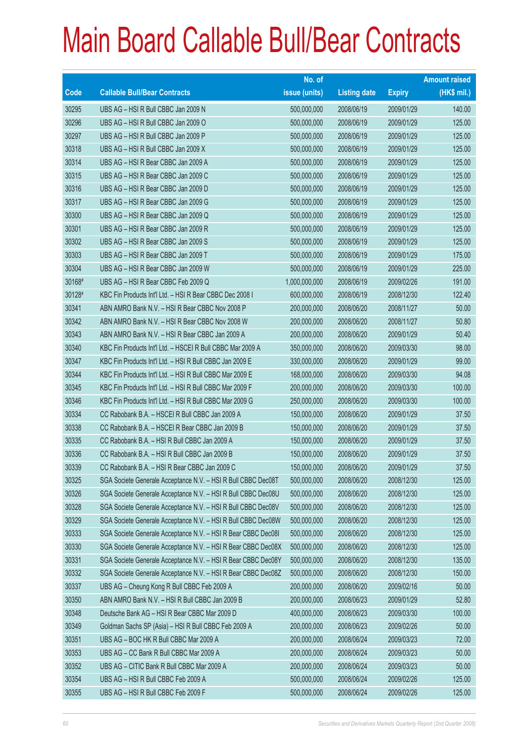|             |                                                               | No. of        |                     |               | <b>Amount raised</b> |
|-------------|---------------------------------------------------------------|---------------|---------------------|---------------|----------------------|
| <b>Code</b> | <b>Callable Bull/Bear Contracts</b>                           | issue (units) | <b>Listing date</b> | <b>Expiry</b> | (HK\$ mil.)          |
| 30295       | UBS AG - HSI R Bull CBBC Jan 2009 N                           | 500,000,000   | 2008/06/19          | 2009/01/29    | 140.00               |
| 30296       | UBS AG - HSI R Bull CBBC Jan 2009 O                           | 500,000,000   | 2008/06/19          | 2009/01/29    | 125.00               |
| 30297       | UBS AG - HSI R Bull CBBC Jan 2009 P                           | 500,000,000   | 2008/06/19          | 2009/01/29    | 125.00               |
| 30318       | UBS AG - HSI R Bull CBBC Jan 2009 X                           | 500,000,000   | 2008/06/19          | 2009/01/29    | 125.00               |
| 30314       | UBS AG - HSI R Bear CBBC Jan 2009 A                           | 500,000,000   | 2008/06/19          | 2009/01/29    | 125.00               |
| 30315       | UBS AG - HSI R Bear CBBC Jan 2009 C                           | 500,000,000   | 2008/06/19          | 2009/01/29    | 125.00               |
| 30316       | UBS AG - HSI R Bear CBBC Jan 2009 D                           | 500,000,000   | 2008/06/19          | 2009/01/29    | 125.00               |
| 30317       | UBS AG - HSI R Bear CBBC Jan 2009 G                           | 500,000,000   | 2008/06/19          | 2009/01/29    | 125.00               |
| 30300       | UBS AG - HSI R Bear CBBC Jan 2009 Q                           | 500,000,000   | 2008/06/19          | 2009/01/29    | 125.00               |
| 30301       | UBS AG - HSI R Bear CBBC Jan 2009 R                           | 500,000,000   | 2008/06/19          | 2009/01/29    | 125.00               |
| 30302       | UBS AG - HSI R Bear CBBC Jan 2009 S                           | 500,000,000   | 2008/06/19          | 2009/01/29    | 125.00               |
| 30303       | UBS AG - HSI R Bear CBBC Jan 2009 T                           | 500,000,000   | 2008/06/19          | 2009/01/29    | 175.00               |
| 30304       | UBS AG - HSI R Bear CBBC Jan 2009 W                           | 500,000,000   | 2008/06/19          | 2009/01/29    | 225.00               |
| 30168#      | UBS AG - HSI R Bear CBBC Feb 2009 Q                           | 1,000,000,000 | 2008/06/19          | 2009/02/26    | 191.00               |
| 30128#      | KBC Fin Products Int'l Ltd. – HSI R Bear CBBC Dec 2008 I      | 600,000,000   | 2008/06/19          | 2008/12/30    | 122.40               |
| 30341       | ABN AMRO Bank N.V. - HSI R Bear CBBC Nov 2008 P               | 200,000,000   | 2008/06/20          | 2008/11/27    | 50.00                |
| 30342       | ABN AMRO Bank N.V. - HSI R Bear CBBC Nov 2008 W               | 200,000,000   | 2008/06/20          | 2008/11/27    | 50.80                |
| 30343       | ABN AMRO Bank N.V. - HSI R Bear CBBC Jan 2009 A               | 200,000,000   | 2008/06/20          | 2009/01/29    | 50.40                |
| 30340       | KBC Fin Products Int'l Ltd. - HSCEI R Bull CBBC Mar 2009 A    | 350,000,000   | 2008/06/20          | 2009/03/30    | 98.00                |
| 30347       | KBC Fin Products Int'l Ltd. - HSI R Bull CBBC Jan 2009 E      | 330,000,000   | 2008/06/20          | 2009/01/29    | 99.00                |
| 30344       | KBC Fin Products Int'l Ltd. - HSI R Bull CBBC Mar 2009 E      | 168,000,000   | 2008/06/20          | 2009/03/30    | 94.08                |
| 30345       | KBC Fin Products Int'l Ltd. - HSI R Bull CBBC Mar 2009 F      | 200,000,000   | 2008/06/20          | 2009/03/30    | 100.00               |
| 30346       | KBC Fin Products Int'l Ltd. - HSI R Bull CBBC Mar 2009 G      | 250,000,000   | 2008/06/20          | 2009/03/30    | 100.00               |
| 30334       | CC Rabobank B.A. - HSCEI R Bull CBBC Jan 2009 A               | 150,000,000   | 2008/06/20          | 2009/01/29    | 37.50                |
| 30338       | CC Rabobank B.A. - HSCEI R Bear CBBC Jan 2009 B               | 150,000,000   | 2008/06/20          | 2009/01/29    | 37.50                |
| 30335       | CC Rabobank B.A. - HSI R Bull CBBC Jan 2009 A                 | 150,000,000   | 2008/06/20          | 2009/01/29    | 37.50                |
| 30336       | CC Rabobank B.A. - HSI R Bull CBBC Jan 2009 B                 | 150,000,000   | 2008/06/20          | 2009/01/29    | 37.50                |
| 30339       | CC Rabobank B.A. - HSI R Bear CBBC Jan 2009 C                 | 150,000,000   | 2008/06/20          | 2009/01/29    | 37.50                |
| 30325       | SGA Societe Generale Acceptance N.V. - HSI R Bull CBBC Dec08T | 500,000,000   | 2008/06/20          | 2008/12/30    | 125.00               |
| 30326       | SGA Societe Generale Acceptance N.V. - HSI R Bull CBBC Dec08U | 500,000,000   | 2008/06/20          | 2008/12/30    | 125.00               |
| 30328       | SGA Societe Generale Acceptance N.V. - HSI R Bull CBBC Dec08V | 500,000,000   | 2008/06/20          | 2008/12/30    | 125.00               |
| 30329       | SGA Societe Generale Acceptance N.V. - HSI R Bull CBBC Dec08W | 500,000,000   | 2008/06/20          | 2008/12/30    | 125.00               |
| 30333       | SGA Societe Generale Acceptance N.V. - HSI R Bear CBBC Dec081 | 500,000,000   | 2008/06/20          | 2008/12/30    | 125.00               |
| 30330       | SGA Societe Generale Acceptance N.V. - HSI R Bear CBBC Dec08X | 500,000,000   | 2008/06/20          | 2008/12/30    | 125.00               |
| 30331       | SGA Societe Generale Acceptance N.V. - HSI R Bear CBBC Dec08Y | 500,000,000   | 2008/06/20          | 2008/12/30    | 135.00               |
| 30332       | SGA Societe Generale Acceptance N.V. - HSI R Bear CBBC Dec08Z | 500,000,000   | 2008/06/20          | 2008/12/30    | 150.00               |
| 30337       | UBS AG - Cheung Kong R Bull CBBC Feb 2009 A                   | 200,000,000   | 2008/06/20          | 2009/02/16    | 50.00                |
| 30350       | ABN AMRO Bank N.V. - HSI R Bull CBBC Jan 2009 B               | 200,000,000   | 2008/06/23          | 2009/01/29    | 52.80                |
| 30348       | Deutsche Bank AG - HSI R Bear CBBC Mar 2009 D                 | 400,000,000   | 2008/06/23          | 2009/03/30    | 100.00               |
| 30349       | Goldman Sachs SP (Asia) - HSI R Bull CBBC Feb 2009 A          | 200,000,000   | 2008/06/23          | 2009/02/26    | 50.00                |
| 30351       | UBS AG - BOC HK R Bull CBBC Mar 2009 A                        | 200,000,000   | 2008/06/24          | 2009/03/23    | 72.00                |
| 30353       | UBS AG - CC Bank R Bull CBBC Mar 2009 A                       | 200,000,000   | 2008/06/24          | 2009/03/23    | 50.00                |
| 30352       | UBS AG - CITIC Bank R Bull CBBC Mar 2009 A                    | 200,000,000   | 2008/06/24          | 2009/03/23    | 50.00                |
| 30354       | UBS AG - HSI R Bull CBBC Feb 2009 A                           | 500,000,000   | 2008/06/24          | 2009/02/26    | 125.00               |
| 30355       | UBS AG - HSI R Bull CBBC Feb 2009 F                           | 500,000,000   | 2008/06/24          | 2009/02/26    | 125.00               |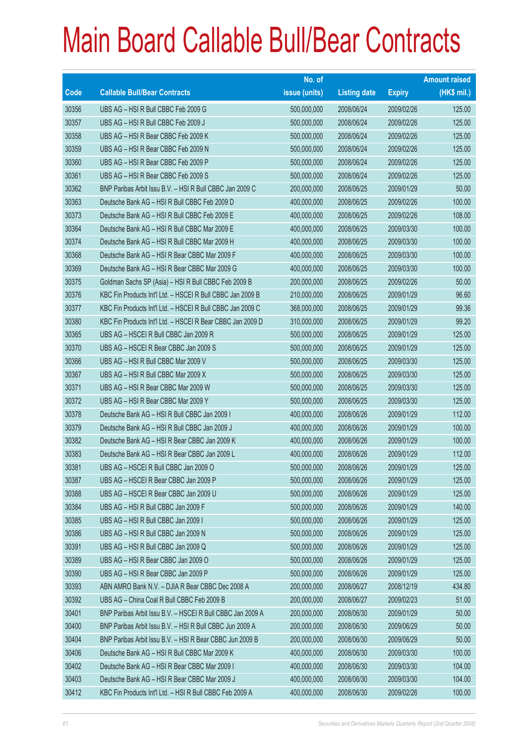|             |                                                            | No. of        |                     |               | <b>Amount raised</b> |
|-------------|------------------------------------------------------------|---------------|---------------------|---------------|----------------------|
| <b>Code</b> | <b>Callable Bull/Bear Contracts</b>                        | issue (units) | <b>Listing date</b> | <b>Expiry</b> | (HK\$ mil.)          |
| 30356       | UBS AG - HSI R Bull CBBC Feb 2009 G                        | 500,000,000   | 2008/06/24          | 2009/02/26    | 125.00               |
| 30357       | UBS AG - HSI R Bull CBBC Feb 2009 J                        | 500,000,000   | 2008/06/24          | 2009/02/26    | 125.00               |
| 30358       | UBS AG - HSI R Bear CBBC Feb 2009 K                        | 500,000,000   | 2008/06/24          | 2009/02/26    | 125.00               |
| 30359       | UBS AG - HSI R Bear CBBC Feb 2009 N                        | 500,000,000   | 2008/06/24          | 2009/02/26    | 125.00               |
| 30360       | UBS AG - HSI R Bear CBBC Feb 2009 P                        | 500,000,000   | 2008/06/24          | 2009/02/26    | 125.00               |
| 30361       | UBS AG - HSI R Bear CBBC Feb 2009 S                        | 500,000,000   | 2008/06/24          | 2009/02/26    | 125.00               |
| 30362       | BNP Paribas Arbit Issu B.V. - HSI R Bull CBBC Jan 2009 C   | 200,000,000   | 2008/06/25          | 2009/01/29    | 50.00                |
| 30363       | Deutsche Bank AG - HSI R Bull CBBC Feb 2009 D              | 400,000,000   | 2008/06/25          | 2009/02/26    | 100.00               |
| 30373       | Deutsche Bank AG - HSI R Bull CBBC Feb 2009 E              | 400,000,000   | 2008/06/25          | 2009/02/26    | 108.00               |
| 30364       | Deutsche Bank AG - HSI R Bull CBBC Mar 2009 E              | 400,000,000   | 2008/06/25          | 2009/03/30    | 100.00               |
| 30374       | Deutsche Bank AG - HSI R Bull CBBC Mar 2009 H              | 400,000,000   | 2008/06/25          | 2009/03/30    | 100.00               |
| 30368       | Deutsche Bank AG - HSI R Bear CBBC Mar 2009 F              | 400,000,000   | 2008/06/25          | 2009/03/30    | 100.00               |
| 30369       | Deutsche Bank AG - HSI R Bear CBBC Mar 2009 G              | 400,000,000   | 2008/06/25          | 2009/03/30    | 100.00               |
| 30375       | Goldman Sachs SP (Asia) - HSI R Bull CBBC Feb 2009 B       | 200,000,000   | 2008/06/25          | 2009/02/26    | 50.00                |
| 30376       | KBC Fin Products Int'l Ltd. - HSCEI R Bull CBBC Jan 2009 B | 210,000,000   | 2008/06/25          | 2009/01/29    | 96.60                |
| 30377       | KBC Fin Products Int'l Ltd. - HSCEI R Bull CBBC Jan 2009 C | 368,000,000   | 2008/06/25          | 2009/01/29    | 99.36                |
| 30380       | KBC Fin Products Int'l Ltd. - HSCEI R Bear CBBC Jan 2009 D | 310,000,000   | 2008/06/25          | 2009/01/29    | 99.20                |
| 30365       | UBS AG - HSCEI R Bull CBBC Jan 2009 R                      | 500,000,000   | 2008/06/25          | 2009/01/29    | 125.00               |
| 30370       | UBS AG - HSCEI R Bear CBBC Jan 2009 S                      | 500,000,000   | 2008/06/25          | 2009/01/29    | 125.00               |
| 30366       | UBS AG - HSI R Bull CBBC Mar 2009 V                        | 500,000,000   | 2008/06/25          | 2009/03/30    | 125.00               |
| 30367       | UBS AG - HSI R Bull CBBC Mar 2009 X                        | 500,000,000   | 2008/06/25          | 2009/03/30    | 125.00               |
| 30371       | UBS AG - HSI R Bear CBBC Mar 2009 W                        | 500,000,000   | 2008/06/25          | 2009/03/30    | 125.00               |
| 30372       | UBS AG - HSI R Bear CBBC Mar 2009 Y                        | 500,000,000   | 2008/06/25          | 2009/03/30    | 125.00               |
| 30378       | Deutsche Bank AG - HSI R Bull CBBC Jan 2009 I              | 400,000,000   | 2008/06/26          | 2009/01/29    | 112.00               |
| 30379       | Deutsche Bank AG - HSI R Bull CBBC Jan 2009 J              | 400,000,000   | 2008/06/26          | 2009/01/29    | 100.00               |
| 30382       | Deutsche Bank AG - HSI R Bear CBBC Jan 2009 K              | 400,000,000   | 2008/06/26          | 2009/01/29    | 100.00               |
| 30383       | Deutsche Bank AG - HSI R Bear CBBC Jan 2009 L              | 400.000.000   | 2008/06/26          | 2009/01/29    | 112.00               |
| 30381       | UBS AG - HSCEI R Bull CBBC Jan 2009 O                      | 500,000,000   | 2008/06/26          | 2009/01/29    | 125.00               |
| 30387       | UBS AG - HSCEI R Bear CBBC Jan 2009 P                      | 500,000,000   | 2008/06/26          | 2009/01/29    | 125.00               |
| 30388       | UBS AG - HSCEI R Bear CBBC Jan 2009 U                      | 500,000,000   | 2008/06/26          | 2009/01/29    | 125.00               |
| 30384       | UBS AG - HSI R Bull CBBC Jan 2009 F                        | 500,000,000   | 2008/06/26          | 2009/01/29    | 140.00               |
| 30385       | UBS AG - HSI R Bull CBBC Jan 2009 I                        | 500,000,000   | 2008/06/26          | 2009/01/29    | 125.00               |
| 30386       | UBS AG - HSI R Bull CBBC Jan 2009 N                        | 500,000,000   | 2008/06/26          | 2009/01/29    | 125.00               |
| 30391       | UBS AG - HSI R Bull CBBC Jan 2009 Q                        | 500,000,000   | 2008/06/26          | 2009/01/29    | 125.00               |
| 30389       | UBS AG - HSI R Bear CBBC Jan 2009 O                        | 500,000,000   | 2008/06/26          | 2009/01/29    | 125.00               |
| 30390       | UBS AG - HSI R Bear CBBC Jan 2009 P                        | 500,000,000   | 2008/06/26          | 2009/01/29    | 125.00               |
| 30393       | ABN AMRO Bank N.V. - DJIA R Bear CBBC Dec 2008 A           | 200,000,000   | 2008/06/27          | 2008/12/19    | 434.80               |
| 30392       | UBS AG - China Coal R Bull CBBC Feb 2009 B                 | 200,000,000   | 2008/06/27          | 2009/02/23    | 51.00                |
| 30401       | BNP Paribas Arbit Issu B.V. - HSCEI R Bull CBBC Jan 2009 A | 200,000,000   | 2008/06/30          | 2009/01/29    | 50.00                |
| 30400       | BNP Paribas Arbit Issu B.V. - HSI R Bull CBBC Jun 2009 A   | 200,000,000   | 2008/06/30          | 2009/06/29    | 50.00                |
| 30404       | BNP Paribas Arbit Issu B.V. - HSI R Bear CBBC Jun 2009 B   | 200,000,000   | 2008/06/30          | 2009/06/29    | 50.00                |
| 30406       | Deutsche Bank AG - HSI R Bull CBBC Mar 2009 K              | 400,000,000   | 2008/06/30          | 2009/03/30    | 100.00               |
| 30402       | Deutsche Bank AG - HSI R Bear CBBC Mar 2009 I              | 400,000,000   | 2008/06/30          | 2009/03/30    | 104.00               |
| 30403       | Deutsche Bank AG - HSI R Bear CBBC Mar 2009 J              | 400,000,000   | 2008/06/30          | 2009/03/30    | 104.00               |
| 30412       | KBC Fin Products Int'l Ltd. - HSI R Bull CBBC Feb 2009 A   | 400,000,000   | 2008/06/30          | 2009/02/26    | 100.00               |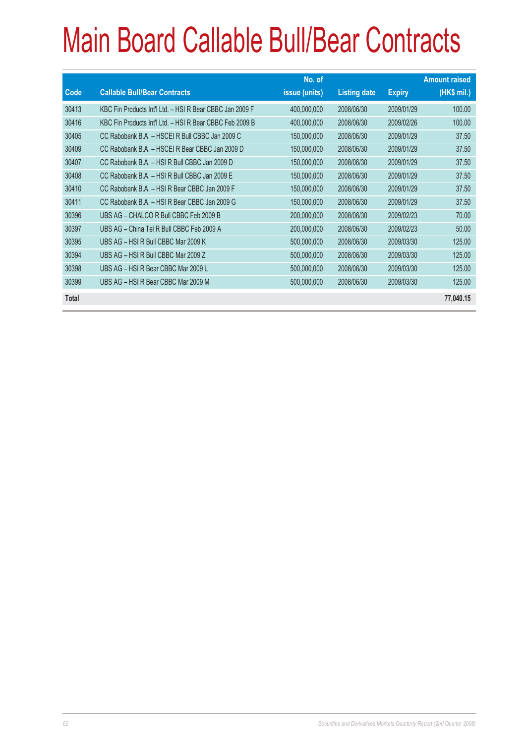|              |                                                          | No. of        |                     |               | <b>Amount raised</b> |
|--------------|----------------------------------------------------------|---------------|---------------------|---------------|----------------------|
| Code         | <b>Callable Bull/Bear Contracts</b>                      | issue (units) | <b>Listing date</b> | <b>Expiry</b> | (HK\$ mil.)          |
| 30413        | KBC Fin Products Int'l Ltd. - HSI R Bear CBBC Jan 2009 F | 400,000,000   | 2008/06/30          | 2009/01/29    | 100.00               |
| 30416        | KBC Fin Products Int'l Ltd. - HSI R Bear CBBC Feb 2009 B | 400,000,000   | 2008/06/30          | 2009/02/26    | 100.00               |
| 30405        | CC Rabobank B.A. - HSCEI R Bull CBBC Jan 2009 C          | 150,000,000   | 2008/06/30          | 2009/01/29    | 37.50                |
| 30409        | CC Rabobank B.A. - HSCEI R Bear CBBC Jan 2009 D          | 150,000,000   | 2008/06/30          | 2009/01/29    | 37.50                |
| 30407        | CC Rabobank B.A. - HSI R Bull CBBC Jan 2009 D            | 150,000,000   | 2008/06/30          | 2009/01/29    | 37.50                |
| 30408        | CC Rabobank B.A. - HSI R Bull CBBC Jan 2009 E            | 150,000,000   | 2008/06/30          | 2009/01/29    | 37.50                |
| 30410        | CC Rabobank B.A. - HSI R Bear CBBC Jan 2009 F            | 150,000,000   | 2008/06/30          | 2009/01/29    | 37.50                |
| 30411        | CC Rabobank B.A. - HSI R Bear CBBC Jan 2009 G            | 150,000,000   | 2008/06/30          | 2009/01/29    | 37.50                |
| 30396        | UBS AG - CHALCO R Bull CBBC Feb 2009 B                   | 200,000,000   | 2008/06/30          | 2009/02/23    | 70.00                |
| 30397        | UBS AG - China Tel R Bull CBBC Feb 2009 A                | 200,000,000   | 2008/06/30          | 2009/02/23    | 50.00                |
| 30395        | UBS AG - HSI R Bull CBBC Mar 2009 K                      | 500,000,000   | 2008/06/30          | 2009/03/30    | 125.00               |
| 30394        | UBS AG - HSI R Bull CBBC Mar 2009 Z                      | 500,000,000   | 2008/06/30          | 2009/03/30    | 125.00               |
| 30398        | UBS AG - HSI R Bear CBBC Mar 2009 L                      | 500,000,000   | 2008/06/30          | 2009/03/30    | 125.00               |
| 30399        | UBS AG - HSI R Bear CBBC Mar 2009 M                      | 500,000,000   | 2008/06/30          | 2009/03/30    | 125.00               |
| <b>Total</b> |                                                          |               |                     |               | 77,040.15            |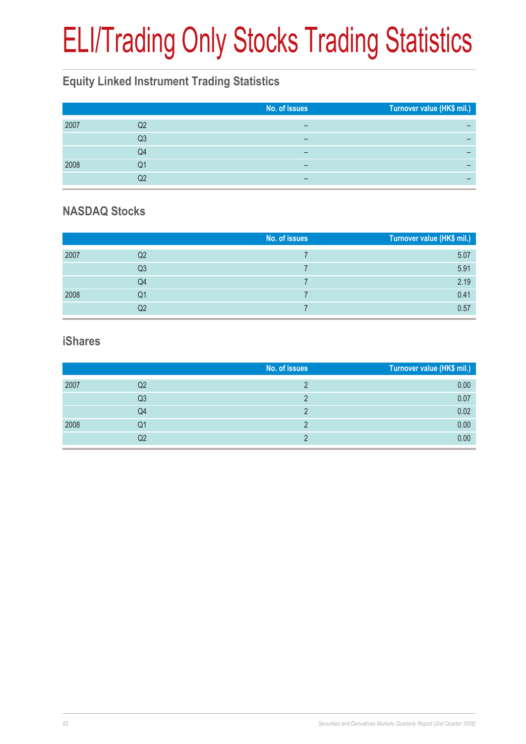# ELI/Trading Only Stocks Trading Statistics

### **Equity Linked Instrument Trading Statistics**

|      |    | No. of issues | Turnover value (HK\$ mil.) |
|------|----|---------------|----------------------------|
| 2007 | Q2 | -             |                            |
|      | Q3 | -             |                            |
|      | Q4 | -             |                            |
| 2008 | Q1 | -             |                            |
|      |    | -             |                            |

#### **NASDAQ Stocks**

|      |                | No. of issues | Turnover value (HK\$ mil.) |
|------|----------------|---------------|----------------------------|
| 2007 | Q2             |               | 5.07                       |
|      | Q <sub>3</sub> |               | 5.91                       |
|      | Q4             |               | 2.19                       |
| 2008 | Q1             |               | 0.41                       |
|      | Q2             |               | 0.57                       |

#### **iShares**

|      |    | No. of issues | Turnover value (HK\$ mil.) |
|------|----|---------------|----------------------------|
| 2007 | Q2 |               | 0.00                       |
|      | Q3 |               | 0.07                       |
|      | Q4 |               | 0.02                       |
| 2008 | Q1 |               | 0.00                       |
|      | Q2 |               | 0.00                       |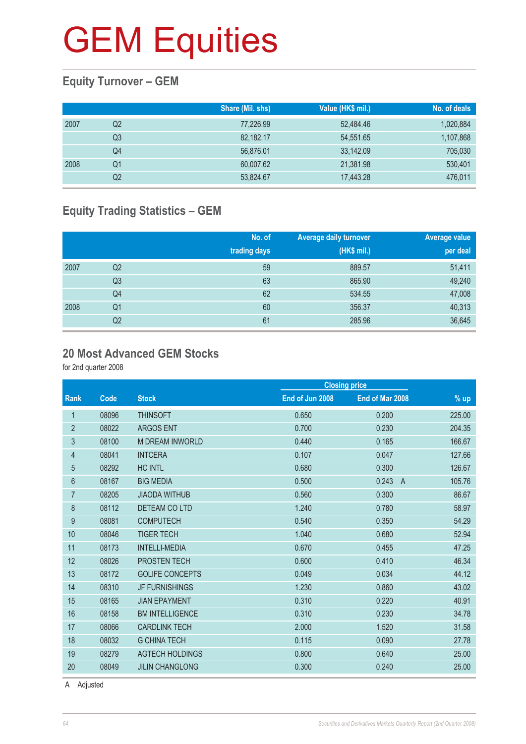#### **Equity Turnover – GEM**

|      |    | Share (Mil. shs) | Value (HK\$ mil.) | No. of deals |
|------|----|------------------|-------------------|--------------|
| 2007 | Q2 | 77,226.99        | 52,484.46         | 1,020,884    |
|      | Q3 | 82,182.17        | 54,551.65         | 1,107,868    |
|      | Q4 | 56.876.01        | 33.142.09         | 705,030      |
| 2008 | Q1 | 60,007.62        | 21,381.98         | 530,401      |
|      | Q2 | 53,824.67        | 17,443.28         | 476,011      |

#### **Equity Trading Statistics – GEM**

|      |                | No. of<br>trading days | <b>Average daily turnover</b><br>(HK\$ mil.) | Average value<br>per deal |
|------|----------------|------------------------|----------------------------------------------|---------------------------|
| 2007 | Q2             | 59                     | 889.57                                       | 51,411                    |
|      | Q <sub>3</sub> | 63                     | 865.90                                       | 49,240                    |
|      | Q4             | 62                     | 534.55                                       | 47,008                    |
| 2008 | Q <sub>1</sub> | 60                     | 356.37                                       | 40,313                    |
|      | Q2             | 61                     | 285.96                                       | 36,645                    |

#### **20 Most Advanced GEM Stocks**

for 2nd quarter 2008

|                  |       |                        | <b>Closing price</b> |                         |        |
|------------------|-------|------------------------|----------------------|-------------------------|--------|
| Rank             | Code  | <b>Stock</b>           | End of Jun 2008      | End of Mar 2008         | $%$ up |
| 1                | 08096 | <b>THINSOFT</b>        | 0.650                | 0.200                   | 225.00 |
| $\overline{2}$   | 08022 | <b>ARGOS ENT</b>       | 0.700                | 0.230                   | 204.35 |
| $\sqrt{3}$       | 08100 | <b>M DREAM INWORLD</b> | 0.440                | 0.165                   | 166.67 |
| 4                | 08041 | <b>INTCERA</b>         | 0.107                | 0.047                   | 127.66 |
| 5                | 08292 | <b>HC INTL</b>         | 0.680                | 0.300                   | 126.67 |
| 6                | 08167 | <b>BIG MEDIA</b>       | 0.500                | 0.243<br>$\overline{A}$ | 105.76 |
| $\overline{7}$   | 08205 | <b>JIAODA WITHUB</b>   | 0.560                | 0.300                   | 86.67  |
| 8                | 08112 | DETEAM COLTD           | 1.240                | 0.780                   | 58.97  |
| $\boldsymbol{9}$ | 08081 | <b>COMPUTECH</b>       | 0.540                | 0.350                   | 54.29  |
| 10               | 08046 | <b>TIGER TECH</b>      | 1.040                | 0.680                   | 52.94  |
| 11               | 08173 | <b>INTELLI-MEDIA</b>   | 0.670                | 0.455                   | 47.25  |
| 12               | 08026 | PROSTEN TECH           | 0.600                | 0.410                   | 46.34  |
| 13               | 08172 | <b>GOLIFE CONCEPTS</b> | 0.049                | 0.034                   | 44.12  |
| 14               | 08310 | <b>JF FURNISHINGS</b>  | 1.230                | 0.860                   | 43.02  |
| 15               | 08165 | <b>JIAN EPAYMENT</b>   | 0.310                | 0.220                   | 40.91  |
| 16               | 08158 | <b>BM INTELLIGENCE</b> | 0.310                | 0.230                   | 34.78  |
| 17               | 08066 | <b>CARDLINK TECH</b>   | 2.000                | 1.520                   | 31.58  |
| 18               | 08032 | <b>G CHINA TECH</b>    | 0.115                | 0.090                   | 27.78  |
| 19               | 08279 | <b>AGTECH HOLDINGS</b> | 0.800                | 0.640                   | 25.00  |
| 20               | 08049 | <b>JILIN CHANGLONG</b> | 0.300                | 0.240                   | 25.00  |
|                  |       |                        |                      |                         |        |

A Adjusted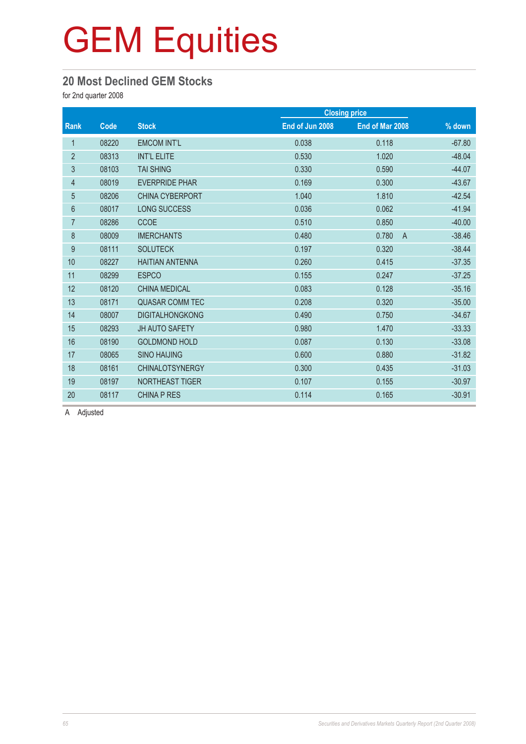#### **20 Most Declined GEM Stocks**

for 2nd quarter 2008

|                |       |                        |                 | <b>Closing price</b>    |          |
|----------------|-------|------------------------|-----------------|-------------------------|----------|
| Rank           | Code  | <b>Stock</b>           | End of Jun 2008 | End of Mar 2008         | % down   |
| 1              | 08220 | <b>EMCOM INT'L</b>     | 0.038           | 0.118                   | $-67.80$ |
| $\overline{2}$ | 08313 | <b>INT'L ELITE</b>     | 0.530           | 1.020                   | $-48.04$ |
| 3              | 08103 | <b>TAI SHING</b>       | 0.330           | 0.590                   | $-44.07$ |
| 4              | 08019 | <b>EVERPRIDE PHAR</b>  | 0.169           | 0.300                   | $-43.67$ |
| $\overline{5}$ | 08206 | <b>CHINA CYBERPORT</b> | 1.040           | 1.810                   | $-42.54$ |
| 6              | 08017 | <b>LONG SUCCESS</b>    | 0.036           | 0.062                   | $-41.94$ |
| $\overline{7}$ | 08286 | <b>CCOE</b>            | 0.510           | 0.850                   | $-40.00$ |
| 8              | 08009 | <b>IMERCHANTS</b>      | 0.480           | 0.780<br>$\overline{A}$ | $-38.46$ |
| 9              | 08111 | <b>SOLUTECK</b>        | 0.197           | 0.320                   | $-38.44$ |
| 10             | 08227 | <b>HAITIAN ANTENNA</b> | 0.260           | 0.415                   | $-37.35$ |
| 11             | 08299 | <b>ESPCO</b>           | 0.155           | 0.247                   | $-37.25$ |
| 12             | 08120 | <b>CHINA MEDICAL</b>   | 0.083           | 0.128                   | $-35.16$ |
| 13             | 08171 | <b>QUASAR COMM TEC</b> | 0.208           | 0.320                   | $-35.00$ |
| 14             | 08007 | <b>DIGITALHONGKONG</b> | 0.490           | 0.750                   | $-34.67$ |
| 15             | 08293 | <b>JH AUTO SAFETY</b>  | 0.980           | 1.470                   | $-33.33$ |
| 16             | 08190 | <b>GOLDMOND HOLD</b>   | 0.087           | 0.130                   | $-33.08$ |
| 17             | 08065 | <b>SINO HAIJING</b>    | 0.600           | 0.880                   | $-31.82$ |
| 18             | 08161 | <b>CHINALOTSYNERGY</b> | 0.300           | 0.435                   | $-31.03$ |
| 19             | 08197 | <b>NORTHEAST TIGER</b> | 0.107           | 0.155                   | $-30.97$ |
| 20             | 08117 | <b>CHINA P RES</b>     | 0.114           | 0.165                   | $-30.91$ |

A Adjusted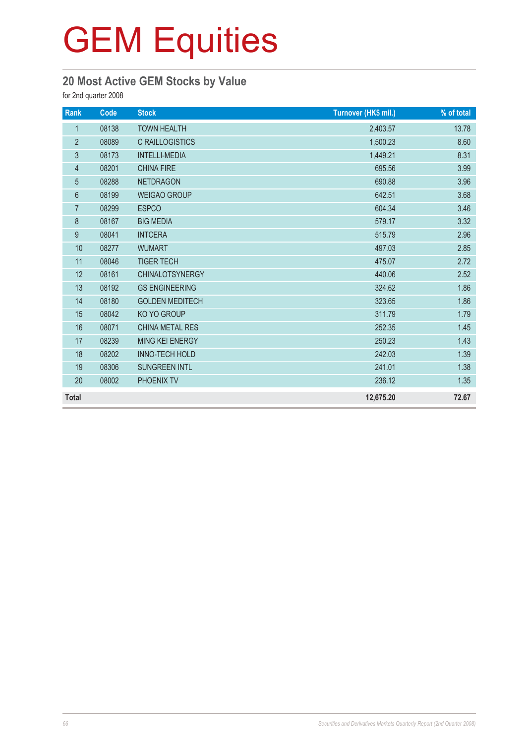#### **20 Most Active GEM Stocks by Value**

for 2nd quarter 2008

| Rank             | Code  | <b>Stock</b>           | Turnover (HK\$ mil.) | % of total |
|------------------|-------|------------------------|----------------------|------------|
| $\mathbf{1}$     | 08138 | <b>TOWN HEALTH</b>     | 2,403.57             | 13.78      |
| $\sqrt{2}$       | 08089 | <b>C RAILLOGISTICS</b> | 1,500.23             | 8.60       |
| $\mathfrak{Z}$   | 08173 | <b>INTELLI-MEDIA</b>   | 1,449.21             | 8.31       |
| $\overline{4}$   | 08201 | <b>CHINA FIRE</b>      | 695.56               | 3.99       |
| $\overline{5}$   | 08288 | <b>NETDRAGON</b>       | 690.88               | 3.96       |
| 6                | 08199 | <b>WEIGAO GROUP</b>    | 642.51               | 3.68       |
| $\overline{7}$   | 08299 | <b>ESPCO</b>           | 604.34               | 3.46       |
| 8                | 08167 | <b>BIG MEDIA</b>       | 579.17               | 3.32       |
| $\boldsymbol{9}$ | 08041 | <b>INTCERA</b>         | 515.79               | 2.96       |
| 10               | 08277 | <b>WUMART</b>          | 497.03               | 2.85       |
| 11               | 08046 | <b>TIGER TECH</b>      | 475.07               | 2.72       |
| 12               | 08161 | <b>CHINALOTSYNERGY</b> | 440.06               | 2.52       |
| 13               | 08192 | <b>GS ENGINEERING</b>  | 324.62               | 1.86       |
| 14               | 08180 | <b>GOLDEN MEDITECH</b> | 323.65               | 1.86       |
| 15               | 08042 | KO YO GROUP            | 311.79               | 1.79       |
| 16               | 08071 | CHINA METAL RES        | 252.35               | 1.45       |
| 17               | 08239 | MING KEI ENERGY        | 250.23               | 1.43       |
| 18               | 08202 | <b>INNO-TECH HOLD</b>  | 242.03               | 1.39       |
| 19               | 08306 | <b>SUNGREEN INTL</b>   | 241.01               | 1.38       |
| 20               | 08002 | PHOENIX TV             | 236.12               | 1.35       |
| <b>Total</b>     |       |                        | 12,675.20            | 72.67      |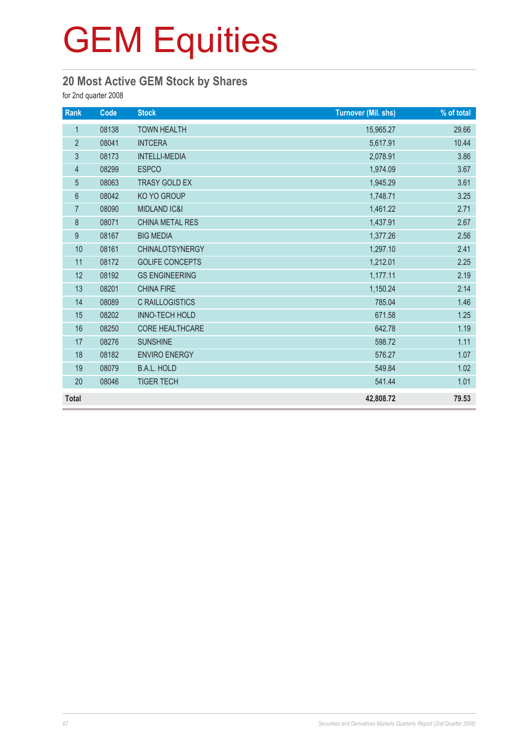#### **20 Most Active GEM Stock by Shares**

for 2nd quarter 2008

| Rank           | Code  | <b>Stock</b>            | <b>Turnover (Mil. shs)</b> | % of total |
|----------------|-------|-------------------------|----------------------------|------------|
| $\mathbf{1}$   | 08138 | <b>TOWN HEALTH</b>      | 15,965.27                  | 29.66      |
| $\overline{2}$ | 08041 | <b>INTCERA</b>          | 5,617.91                   | 10.44      |
| 3              | 08173 | <b>INTELLI-MEDIA</b>    | 2,078.91                   | 3.86       |
| 4              | 08299 | <b>ESPCO</b>            | 1,974.09                   | 3.67       |
| $\overline{5}$ | 08063 | TRASY GOLD EX           | 1,945.29                   | 3.61       |
| $6\,$          | 08042 | KO YO GROUP             | 1,748.71                   | 3.25       |
| $\overline{7}$ | 08090 | <b>MIDLAND IC&amp;I</b> | 1,461.22                   | 2.71       |
| 8              | 08071 | <b>CHINA METAL RES</b>  | 1,437.91                   | 2.67       |
| 9              | 08167 | <b>BIG MEDIA</b>        | 1,377.26                   | 2.56       |
| 10             | 08161 | CHINALOTSYNERGY         | 1,297.10                   | 2.41       |
| 11             | 08172 | <b>GOLIFE CONCEPTS</b>  | 1,212.01                   | 2.25       |
| 12             | 08192 | <b>GS ENGINEERING</b>   | 1,177.11                   | 2.19       |
| 13             | 08201 | <b>CHINA FIRE</b>       | 1,150.24                   | 2.14       |
| 14             | 08089 | <b>C RAILLOGISTICS</b>  | 785.04                     | 1.46       |
| 15             | 08202 | <b>INNO-TECH HOLD</b>   | 671.58                     | 1.25       |
| 16             | 08250 | <b>CORE HEALTHCARE</b>  | 642.78                     | 1.19       |
| 17             | 08276 | <b>SUNSHINE</b>         | 598.72                     | 1.11       |
| 18             | 08182 | <b>ENVIRO ENERGY</b>    | 576.27                     | 1.07       |
| 19             | 08079 | <b>B.A.L. HOLD</b>      | 549.84                     | 1.02       |
| 20             | 08046 | <b>TIGER TECH</b>       | 541.44                     | 1.01       |
| <b>Total</b>   |       |                         | 42,808.72                  | 79.53      |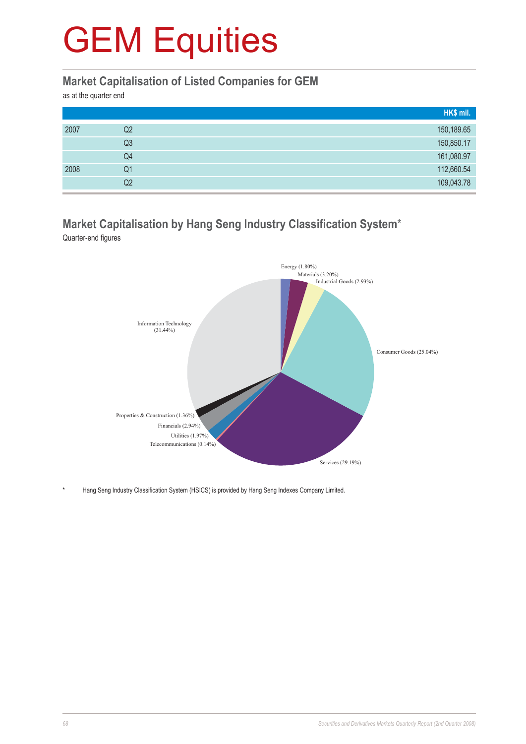#### **Market Capitalisation of Listed Companies for GEM**

as at the quarter end

|      |    | HK\$ mil.  |
|------|----|------------|
| 2007 | Q2 | 150,189.65 |
|      | Q3 | 150,850.17 |
|      | Q4 | 161,080.97 |
| 2008 | Q1 | 112,660.54 |
|      | Q2 | 109,043.78 |

#### **Market Capitalisation by Hang Seng Industry Classification System**\* Quarter-end figures



Hang Seng Industry Classification System (HSICS) is provided by Hang Seng Indexes Company Limited.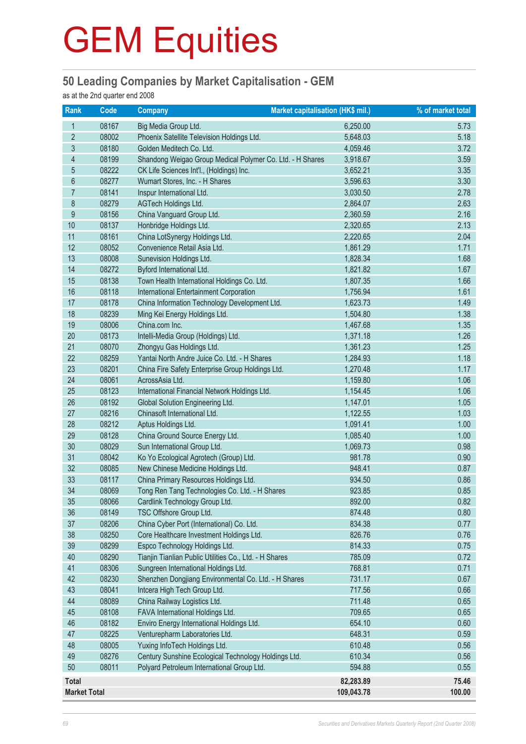#### **50 Leading Companies by Market Capitalisation - GEM**

as at the 2nd quarter end 2008

| <b>Rank</b>              | Code  | <b>Company</b>                                            | Market capitalisation (HK\$ mil.) | % of market total |
|--------------------------|-------|-----------------------------------------------------------|-----------------------------------|-------------------|
| 1                        | 08167 | Big Media Group Ltd.                                      | 6,250.00                          | 5.73              |
| $\overline{2}$           | 08002 | Phoenix Satellite Television Holdings Ltd.                | 5,648.03                          | 5.18              |
| 3                        | 08180 | Golden Meditech Co. Ltd.                                  | 4,059.46                          | 3.72              |
| $\overline{\mathcal{A}}$ | 08199 | Shandong Weigao Group Medical Polymer Co. Ltd. - H Shares | 3,918.67                          | 3.59              |
| 5                        | 08222 | CK Life Sciences Int'l., (Holdings) Inc.                  | 3,652.21                          | 3.35              |
| $6\phantom{a}$           | 08277 | Wumart Stores, Inc. - H Shares                            | 3,596.63                          | 3.30              |
| $\overline{7}$           | 08141 | Inspur International Ltd.                                 | 3,030.50                          | 2.78              |
| 8                        | 08279 | <b>AGTech Holdings Ltd.</b>                               | 2,864.07                          | 2.63              |
| $\boldsymbol{9}$         | 08156 | China Vanguard Group Ltd.                                 | 2,360.59                          | 2.16              |
| 10                       | 08137 | Honbridge Holdings Ltd.                                   | 2,320.65                          | 2.13              |
| 11                       | 08161 | China LotSynergy Holdings Ltd.                            | 2,220.65                          | 2.04              |
| 12                       | 08052 | Convenience Retail Asia Ltd.                              | 1,861.29                          | 1.71              |
| 13                       | 08008 | Sunevision Holdings Ltd.                                  | 1,828.34                          | 1.68              |
| 14                       | 08272 | Byford International Ltd.                                 | 1,821.82                          | 1.67              |
| 15                       | 08138 | Town Health International Holdings Co. Ltd.               | 1,807.35                          | 1.66              |
| 16                       | 08118 | <b>International Entertainment Corporation</b>            | 1,756.94                          | 1.61              |
| 17                       | 08178 | China Information Technology Development Ltd.             | 1,623.73                          | 1.49              |
| 18                       | 08239 | Ming Kei Energy Holdings Ltd.                             | 1,504.80                          | 1.38              |
| 19                       | 08006 | China.com Inc.                                            | 1,467.68                          | 1.35              |
| 20                       | 08173 | Intelli-Media Group (Holdings) Ltd.                       | 1,371.18                          | 1.26              |
| 21                       | 08070 | Zhongyu Gas Holdings Ltd.                                 | 1,361.23                          | 1.25              |
| 22                       | 08259 | Yantai North Andre Juice Co. Ltd. - H Shares              | 1,284.93                          | 1.18              |
| 23                       | 08201 | China Fire Safety Enterprise Group Holdings Ltd.          | 1,270.48                          | 1.17              |
| 24                       | 08061 | AcrossAsia Ltd.                                           | 1,159.80                          | 1.06              |
| 25                       | 08123 | International Financial Network Holdings Ltd.             | 1,154.45                          | 1.06              |
| 26                       | 08192 | Global Solution Engineering Ltd.                          | 1,147.01                          | 1.05              |
| 27                       | 08216 | Chinasoft International Ltd.                              | 1,122.55                          | 1.03              |
| 28                       | 08212 | Aptus Holdings Ltd.                                       | 1,091.41                          | 1.00              |
| 29                       | 08128 | China Ground Source Energy Ltd.                           | 1,085.40                          | 1.00              |
| 30                       | 08029 | Sun International Group Ltd.                              | 1,069.73                          | 0.98              |
| 31                       | 08042 | Ko Yo Ecological Agrotech (Group) Ltd.                    | 981.78                            | 0.90              |
| 32                       | 08085 | New Chinese Medicine Holdings Ltd.                        | 948.41                            | 0.87              |
| 33                       | 08117 | China Primary Resources Holdings Ltd.                     | 934.50                            | 0.86              |
| 34                       | 08069 | Tong Ren Tang Technologies Co. Ltd. - H Shares            | 923.85                            | 0.85              |
| 35                       | 08066 | Cardlink Technology Group Ltd.                            | 892.00                            | 0.82              |
| 36                       | 08149 | TSC Offshore Group Ltd.                                   | 874.48                            | 0.80              |
| 37                       | 08206 | China Cyber Port (International) Co. Ltd.                 | 834.38                            | 0.77              |
| 38                       | 08250 | Core Healthcare Investment Holdings Ltd.                  | 826.76                            | 0.76              |
| 39                       | 08299 | Espco Technology Holdings Ltd.                            | 814.33                            | 0.75              |
| 40                       | 08290 | Tianjin Tianlian Public Utilities Co., Ltd. - H Shares    | 785.09                            | 0.72              |
| 41                       | 08306 | Sungreen International Holdings Ltd.                      | 768.81                            | 0.71              |
| 42                       | 08230 | Shenzhen Dongjiang Environmental Co. Ltd. - H Shares      | 731.17                            | 0.67              |
| 43                       | 08041 | Intcera High Tech Group Ltd.                              | 717.56                            | 0.66              |
| 44                       | 08089 | China Railway Logistics Ltd.                              | 711.48                            | 0.65              |
| 45                       | 08108 | FAVA International Holdings Ltd.                          | 709.65                            | 0.65              |
| 46                       | 08182 | Enviro Energy International Holdings Ltd.                 | 654.10                            | 0.60              |
| 47                       | 08225 | Venturepharm Laboratories Ltd.                            | 648.31                            | 0.59              |
| 48                       | 08005 | Yuxing InfoTech Holdings Ltd.                             | 610.48                            | 0.56              |
| 49                       | 08276 | Century Sunshine Ecological Technology Holdings Ltd.      | 610.34                            | 0.56              |
| 50                       | 08011 | Polyard Petroleum International Group Ltd.                | 594.88                            | 0.55              |
| Total                    |       |                                                           | 82,283.89                         | 75.46             |
| <b>Market Total</b>      |       |                                                           | 109,043.78                        | 100.00            |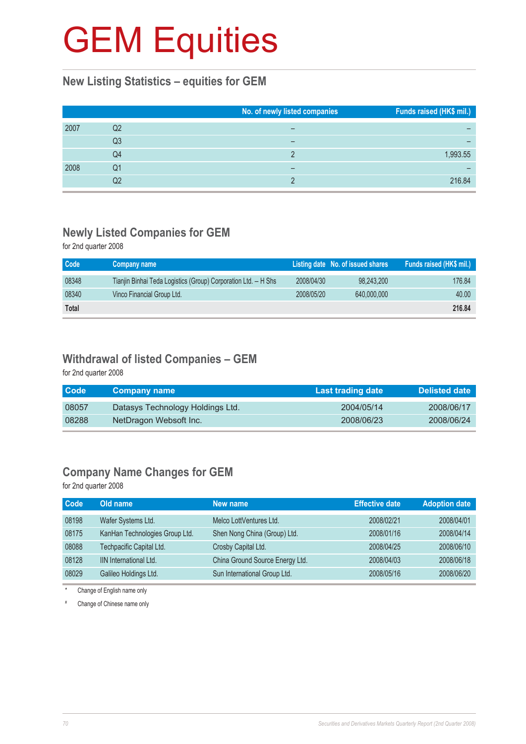#### **New Listing Statistics – equities for GEM**

|      |    | No. of newly listed companies | Funds raised (HK\$ mil.) |
|------|----|-------------------------------|--------------------------|
| 2007 | Q2 |                               |                          |
|      | Q3 |                               |                          |
|      | Q4 |                               | 1,993.55                 |
| 2008 | Q1 |                               |                          |
|      | Q2 |                               | 216.84                   |

#### **Newly Listed Companies for GEM**

for 2nd quarter 2008

| Code         | Company name                                                   |            | Listing date No. of issued shares | Funds raised (HK\$ mil.) |
|--------------|----------------------------------------------------------------|------------|-----------------------------------|--------------------------|
| 08348        | Tianjin Binhai Teda Logistics (Group) Corporation Ltd. - H Shs | 2008/04/30 | 98.243.200                        | 176.84                   |
| 08340        | Vinco Financial Group Ltd.                                     | 2008/05/20 | 640,000,000                       | 40.00                    |
| <b>Total</b> |                                                                |            |                                   | 216,84                   |

#### **Withdrawal of listed Companies – GEM**

for 2nd quarter 2008

| <b>Code</b> | <b>Company name</b>              | Last trading date | <b>Delisted date</b> |
|-------------|----------------------------------|-------------------|----------------------|
| 08057       | Datasys Technology Holdings Ltd. | 2004/05/14        | 2008/06/17           |
| 08288       | NetDragon Websoft Inc.           | 2008/06/23        | 2008/06/24           |

#### **Company Name Changes for GEM**

for 2nd quarter 2008

| <b>Code</b> | Old name                       | New name                        | <b>Effective date</b> | <b>Adoption date</b> |
|-------------|--------------------------------|---------------------------------|-----------------------|----------------------|
| 08198       | Wafer Systems Ltd.             | Melco LottVentures Ltd.         | 2008/02/21            | 2008/04/01           |
| 08175       | KanHan Technologies Group Ltd. | Shen Nong China (Group) Ltd.    | 2008/01/16            | 2008/04/14           |
| 08088       | Techpacific Capital Ltd.       | Crosby Capital Ltd.             | 2008/04/25            | 2008/06/10           |
| 08128       | <b>IIN International Ltd.</b>  | China Ground Source Energy Ltd. | 2008/04/03            | 2008/06/18           |
| 08029       | Galileo Holdings Ltd.          | Sun International Group Ltd.    | 2008/05/16            | 2008/06/20           |

\* Change of English name only

# Change of Chinese name only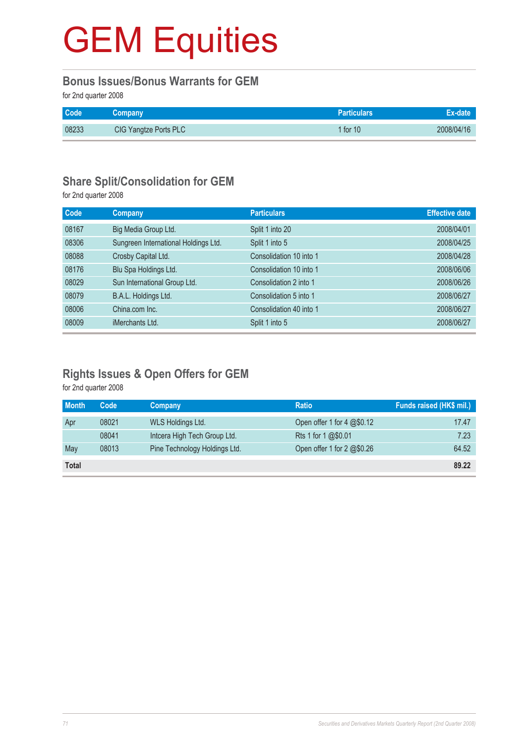#### **Bonus Issues/Bonus Warrants for GEM**

for 2nd quarter 2008

| <b>Code</b> | Company               | <b>Particulars</b> | Ex-date    |
|-------------|-----------------------|--------------------|------------|
| 08233       | CIG Yangtze Ports PLC | 1 for $101$        | 2008/04/16 |

#### **Share Split/Consolidation for GEM**

for 2nd quarter 2008

| <b>Code</b> | <b>Company</b>                       | <b>Particulars</b>      | <b>Effective date</b> |
|-------------|--------------------------------------|-------------------------|-----------------------|
| 08167       | Big Media Group Ltd.                 | Split 1 into 20         | 2008/04/01            |
| 08306       | Sungreen International Holdings Ltd. | Split 1 into 5          | 2008/04/25            |
| 08088       | Crosby Capital Ltd.                  | Consolidation 10 into 1 | 2008/04/28            |
| 08176       | Blu Spa Holdings Ltd.                | Consolidation 10 into 1 | 2008/06/06            |
| 08029       | Sun International Group Ltd.         | Consolidation 2 into 1  | 2008/06/26            |
| 08079       | B.A.L. Holdings Ltd.                 | Consolidation 5 into 1  | 2008/06/27            |
| 08006       | China.com Inc.                       | Consolidation 40 into 1 | 2008/06/27            |
| 08009       | iMerchants Ltd.                      | Split 1 into 5          | 2008/06/27            |

#### **Rights Issues & Open Offers for GEM**

for 2nd quarter 2008

| <b>Month</b> | Code  | Company                       | <b>Ratio</b>                                         | Funds raised (HK\$ mil.) |
|--------------|-------|-------------------------------|------------------------------------------------------|--------------------------|
| Apr          | 08021 | WLS Holdings Ltd.             | Open offer 1 for 4 @\$0.12                           | 17.47                    |
|              | 08041 | Intcera High Tech Group Ltd.  | Rts 1 for 1 @\$0.01                                  | 7.23                     |
| May          | 08013 | Pine Technology Holdings Ltd. | Open offer 1 for $2 \text{ } \textcircled{a}$ \$0.26 | 64.52                    |
| <b>Total</b> |       |                               |                                                      | 89.22                    |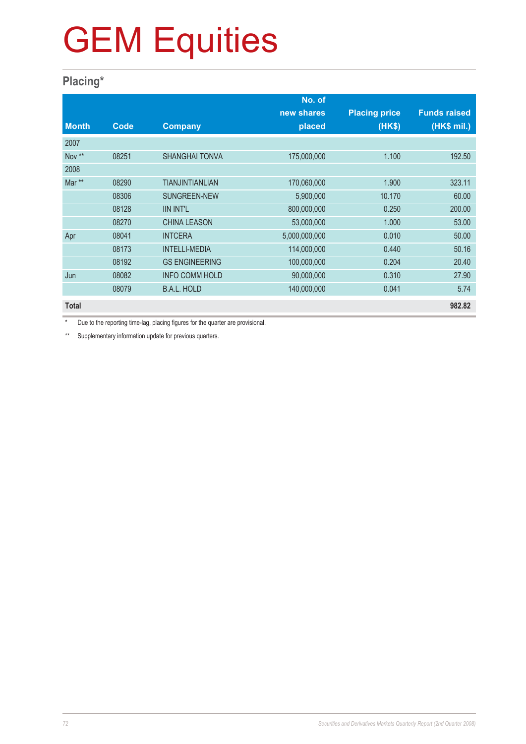### **Placing\***

|              |       |                        | No. of        |                      |                     |
|--------------|-------|------------------------|---------------|----------------------|---------------------|
|              |       |                        | new shares    | <b>Placing price</b> | <b>Funds raised</b> |
| <b>Month</b> | Code  | <b>Company</b>         | placed        | (HK\$)               | (HK\$ mil.)         |
| 2007         |       |                        |               |                      |                     |
| Nov **       | 08251 | <b>SHANGHAI TONVA</b>  | 175,000,000   | 1.100                | 192.50              |
| 2008         |       |                        |               |                      |                     |
| Mar **       | 08290 | <b>TIANJINTIANLIAN</b> | 170,060,000   | 1.900                | 323.11              |
|              | 08306 | SUNGREEN-NEW           | 5,900,000     | 10.170               | 60.00               |
|              | 08128 | <b>IIN INT'L</b>       | 800,000,000   | 0.250                | 200.00              |
|              | 08270 | <b>CHINA LEASON</b>    | 53,000,000    | 1.000                | 53.00               |
| Apr          | 08041 | <b>INTCERA</b>         | 5,000,000,000 | 0.010                | 50.00               |
|              | 08173 | <b>INTELLI-MEDIA</b>   | 114,000,000   | 0.440                | 50.16               |
|              | 08192 | <b>GS ENGINEERING</b>  | 100,000,000   | 0.204                | 20.40               |
| Jun          | 08082 | <b>INFO COMM HOLD</b>  | 90,000,000    | 0.310                | 27.90               |
|              | 08079 | <b>B.A.L. HOLD</b>     | 140,000,000   | 0.041                | 5.74                |
| <b>Total</b> |       |                        |               |                      | 982.82              |

Due to the reporting time-lag, placing figures for the quarter are provisional.

\*\* Supplementary information update for previous quarters.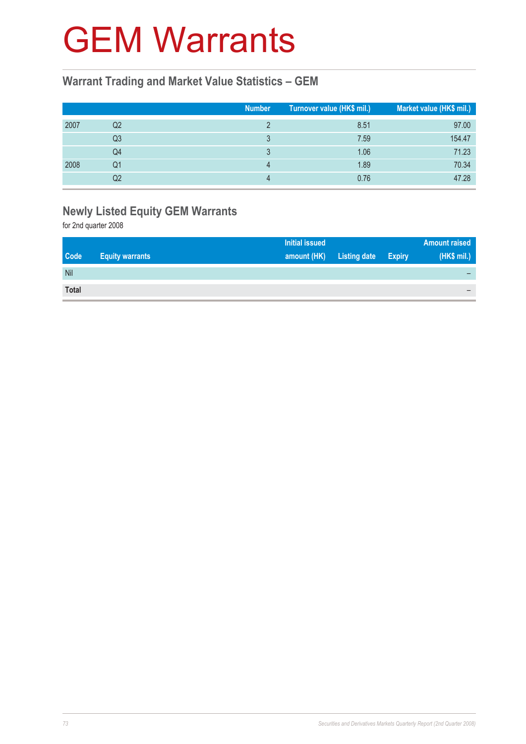## GEM Warrants

### **Warrant Trading and Market Value Statistics – GEM**

|      |                | <b>Number</b> | Turnover value (HK\$ mil.) | Market value (HK\$ mil.) |
|------|----------------|---------------|----------------------------|--------------------------|
| 2007 | Q2             |               | 8.51                       | 97.00                    |
|      | Q <sub>3</sub> |               | 7.59                       | 154.47                   |
|      | Q4             |               | 1.06                       | 71.23                    |
| 2008 | Q1             |               | 1.89                       | 70.34                    |
|      | Q2             |               | 0.76                       | 47.28                    |

## **Newly Listed Equity GEM Warrants**

for 2nd quarter 2008

|              |                        | <b>Initial issued</b> |                     |               | <b>Amount raised</b> |
|--------------|------------------------|-----------------------|---------------------|---------------|----------------------|
| <b>Code</b>  | <b>Equity warrants</b> | amount (HK)           | <b>Listing date</b> | <b>Expiry</b> | (HK\$ mil.)          |
| Nil          |                        |                       |                     |               |                      |
| <b>Total</b> |                        |                       |                     |               |                      |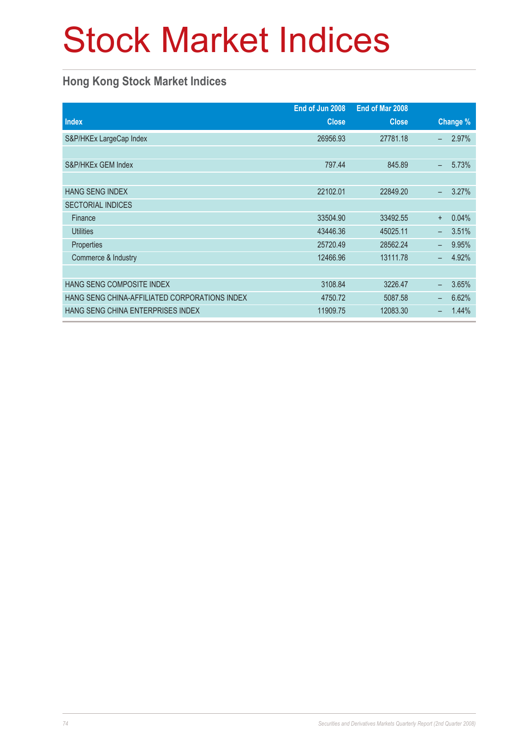# Stock Market Indices

### **Hong Kong Stock Market Indices**

|                                               | End of Jun 2008 | End of Mar 2008 |          |       |
|-----------------------------------------------|-----------------|-----------------|----------|-------|
| <b>Index</b>                                  | <b>Close</b>    | <b>Close</b>    | Change % |       |
| S&P/HKEx LargeCap Index                       | 26956.93        | 27781.18        |          | 2.97% |
|                                               |                 |                 |          |       |
| S&P/HKEx GEM Index                            | 797.44          | 845.89          |          | 5.73% |
|                                               |                 |                 |          |       |
| <b>HANG SENG INDEX</b>                        | 22102.01        | 22849.20        |          | 3.27% |
| <b>SECTORIAL INDICES</b>                      |                 |                 |          |       |
| Finance                                       | 33504.90        | 33492.55        | $+$      | 0.04% |
| <b>Utilities</b>                              | 43446.36        | 45025.11        |          | 3.51% |
| Properties                                    | 25720.49        | 28562.24        |          | 9.95% |
| Commerce & Industry                           | 12466.96        | 13111.78        |          | 4.92% |
|                                               |                 |                 |          |       |
| HANG SENG COMPOSITE INDEX                     | 3108.84         | 3226.47         |          | 3.65% |
| HANG SENG CHINA-AFFILIATED CORPORATIONS INDEX | 4750.72         | 5087.58         | -        | 6.62% |
| HANG SENG CHINA ENTERPRISES INDEX             | 11909.75        | 12083.30        |          | 1.44% |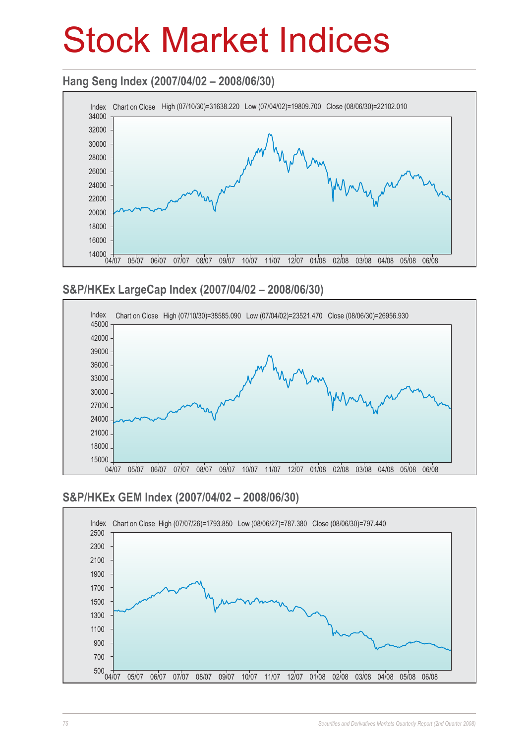# Stock Market Indices

### **Hang Seng Index (2007/04/02 – 2008/06/30)**



### **S&P/HKEx LargeCap Index (2007/04/02 – 2008/06/30)**



### **S&P/HKEx GEM Index (2007/04/02 – 2008/06/30)**

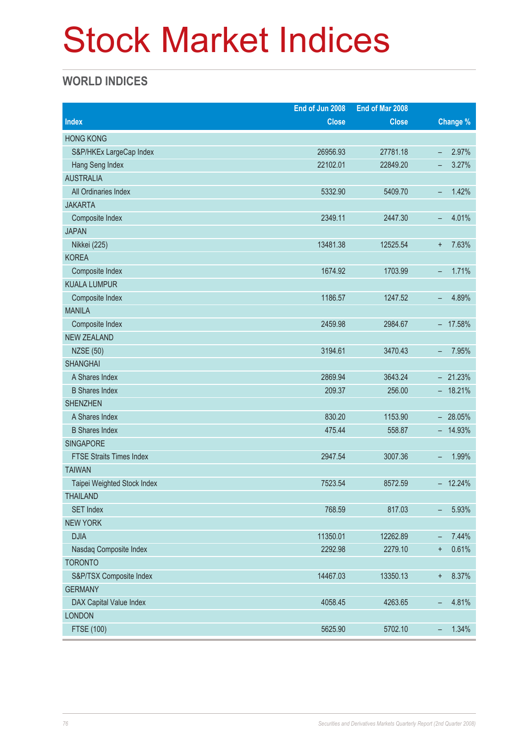# Stock Market Indices

### **WORLD INDICES**

|                                 | End of Jun 2008 | End of Mar 2008 |                                   |
|---------------------------------|-----------------|-----------------|-----------------------------------|
| <b>Index</b>                    | <b>Close</b>    | <b>Close</b>    | Change %                          |
| <b>HONG KONG</b>                |                 |                 |                                   |
| S&P/HKEx LargeCap Index         | 26956.93        | 27781.18        | 2.97%<br>$\overline{\phantom{0}}$ |
| Hang Seng Index                 | 22102.01        | 22849.20        | 3.27%<br>-                        |
| <b>AUSTRALIA</b>                |                 |                 |                                   |
| All Ordinaries Index            | 5332.90         | 5409.70         | 1.42%<br>-                        |
| <b>JAKARTA</b>                  |                 |                 |                                   |
| Composite Index                 | 2349.11         | 2447.30         | 4.01%<br>$\qquad \qquad -$        |
| <b>JAPAN</b>                    |                 |                 |                                   |
| Nikkei (225)                    | 13481.38        | 12525.54        | 7.63%<br>$\ddot{}$                |
| <b>KOREA</b>                    |                 |                 |                                   |
| Composite Index                 | 1674.92         | 1703.99         | 1.71%<br>-                        |
| <b>KUALA LUMPUR</b>             |                 |                 |                                   |
| Composite Index                 | 1186.57         | 1247.52         | 4.89%<br>$\overline{\phantom{0}}$ |
| <b>MANILA</b>                   |                 |                 |                                   |
| Composite Index                 | 2459.98         | 2984.67         | $-17.58%$                         |
| <b>NEW ZEALAND</b>              |                 |                 |                                   |
| <b>NZSE (50)</b>                | 3194.61         | 3470.43         | 7.95%<br>$\qquad \qquad -$        |
| <b>SHANGHAI</b>                 |                 |                 |                                   |
| A Shares Index                  | 2869.94         | 3643.24         | $-21.23%$                         |
| <b>B</b> Shares Index           | 209.37          | 256.00          | $-18.21%$                         |
| <b>SHENZHEN</b>                 |                 |                 |                                   |
| A Shares Index                  | 830.20          | 1153.90         | $-28.05%$                         |
| <b>B</b> Shares Index           | 475.44          | 558.87          | $-14.93%$                         |
| <b>SINGAPORE</b>                |                 |                 |                                   |
| <b>FTSE Straits Times Index</b> | 2947.54         | 3007.36         | 1.99%<br>-                        |
| <b>TAIWAN</b>                   |                 |                 |                                   |
| Taipei Weighted Stock Index     | 7523.54         | 8572.59         | $-12.24%$                         |
| <b>THAILAND</b>                 |                 |                 |                                   |
| <b>SET Index</b>                | 768.59          | 817.03          | 5.93%<br>-                        |
| <b>NEW YORK</b>                 |                 |                 |                                   |
| <b>DJIA</b>                     | 11350.01        | 12262.89        | 7.44%<br>-                        |
| Nasdaq Composite Index          | 2292.98         | 2279.10         | 0.61%<br>$\ddot{}$                |
| <b>TORONTO</b>                  |                 |                 |                                   |
| S&P/TSX Composite Index         | 14467.03        | 13350.13        | 8.37%<br>$^{\mathrm{+}}$          |
| <b>GERMANY</b>                  |                 |                 |                                   |
| DAX Capital Value Index         | 4058.45         | 4263.65         | 4.81%<br>$\qquad \qquad -$        |
| <b>LONDON</b>                   |                 |                 |                                   |
| <b>FTSE (100)</b>               | 5625.90         | 5702.10         | 1.34%<br>$\overline{\phantom{a}}$ |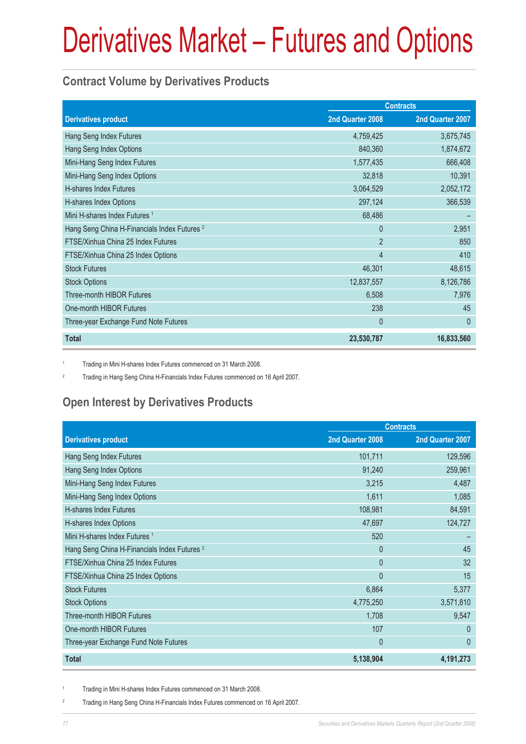### **Contract Volume by Derivatives Products**

|                                                         | <b>Contracts</b> |                  |
|---------------------------------------------------------|------------------|------------------|
| <b>Derivatives product</b>                              | 2nd Quarter 2008 | 2nd Quarter 2007 |
| Hang Seng Index Futures                                 | 4,759,425        | 3,675,745        |
| Hang Seng Index Options                                 | 840,360          | 1,874,672        |
| Mini-Hang Seng Index Futures                            | 1,577,435        | 666,408          |
| Mini-Hang Seng Index Options                            | 32,818           | 10,391           |
| H-shares Index Futures                                  | 3,064,529        | 2,052,172        |
| H-shares Index Options                                  | 297,124          | 366,539          |
| Mini H-shares Index Futures <sup>1</sup>                | 68,486           |                  |
| Hang Seng China H-Financials Index Futures <sup>2</sup> | $\Omega$         | 2,951            |
| FTSE/Xinhua China 25 Index Futures                      | $\overline{2}$   | 850              |
| FTSE/Xinhua China 25 Index Options                      | 4                | 410              |
| <b>Stock Futures</b>                                    | 46,301           | 48,615           |
| <b>Stock Options</b>                                    | 12,837,557       | 8,126,786        |
| <b>Three-month HIBOR Futures</b>                        | 6,508            | 7,976            |
| One-month HIBOR Futures                                 | 238              | 45               |
| Three-year Exchange Fund Note Futures                   | $\mathbf{0}$     | $\mathbf{0}$     |
| <b>Total</b>                                            | 23,530,787       | 16,833,560       |

1 Trading in Mini H-shares Index Futures commenced on 31 March 2008.

2 Trading in Hang Seng China H-Financials Index Futures commenced on 16 April 2007.

## **Open Interest by Derivatives Products**

|                                                         | <b>Contracts</b> |                  |
|---------------------------------------------------------|------------------|------------------|
| <b>Derivatives product</b>                              | 2nd Quarter 2008 | 2nd Quarter 2007 |
| Hang Seng Index Futures                                 | 101,711          | 129,596          |
| Hang Seng Index Options                                 | 91,240           | 259,961          |
| Mini-Hang Seng Index Futures                            | 3,215            | 4,487            |
| Mini-Hang Seng Index Options                            | 1,611            | 1,085            |
| <b>H-shares Index Futures</b>                           | 108,981          | 84,591           |
| H-shares Index Options                                  | 47,697           | 124,727          |
| Mini H-shares Index Futures <sup>1</sup>                | 520              |                  |
| Hang Seng China H-Financials Index Futures <sup>2</sup> | $\Omega$         | 45               |
| FTSE/Xinhua China 25 Index Futures                      | $\mathbf{0}$     | 32               |
| FTSE/Xinhua China 25 Index Options                      | $\mathbf{0}$     | 15               |
| <b>Stock Futures</b>                                    | 6,864            | 5,377            |
| <b>Stock Options</b>                                    | 4,775,250        | 3,571,810        |
| Three-month HIBOR Futures                               | 1,708            | 9,547            |
| One-month HIBOR Futures                                 | 107              | $\overline{0}$   |
| Three-year Exchange Fund Note Futures                   | $\mathbf{0}$     | $\mathbf{0}$     |
| <b>Total</b>                                            | 5,138,904        | 4,191,273        |

1 Trading in Mini H-shares Index Futures commenced on 31 March 2008.

2 Trading in Hang Seng China H-Financials Index Futures commenced on 16 April 2007.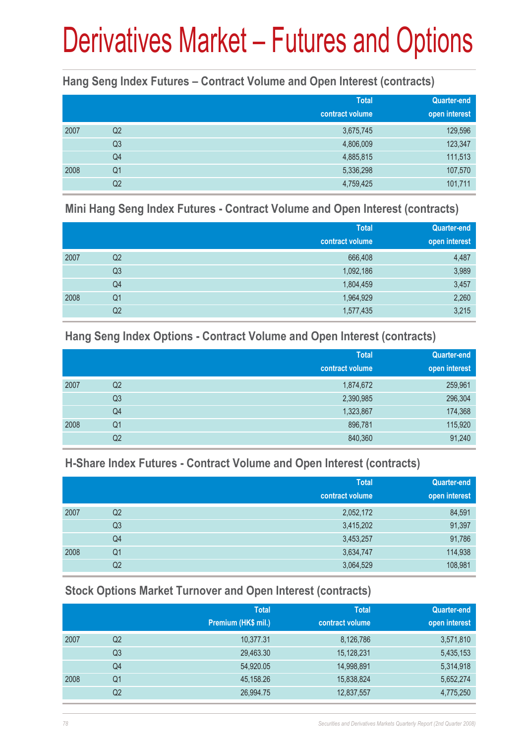### **Hang Seng Index Futures – Contract Volume and Open Interest (contracts)**

|      |                | <b>Total</b><br>contract volume | Quarter-end<br>open interest |
|------|----------------|---------------------------------|------------------------------|
| 2007 | Q2             | 3,675,745                       | 129,596                      |
|      | Q <sub>3</sub> | 4,806,009                       | 123,347                      |
|      | Q4             | 4,885,815                       | 111,513                      |
| 2008 | Q <sub>1</sub> | 5,336,298                       | 107,570                      |
|      | Q <sub>2</sub> | 4,759,425                       | 101,711                      |

### **Mini Hang Seng Index Futures - Contract Volume and Open Interest (contracts)**

|      |                | <b>Total</b><br>contract volume | Quarter-end<br>open interest |
|------|----------------|---------------------------------|------------------------------|
| 2007 | Q2             | 666,408                         | 4,487                        |
|      | Q <sub>3</sub> | 1,092,186                       | 3,989                        |
|      | Q4             | 1,804,459                       | 3,457                        |
| 2008 | Q <sub>1</sub> | 1,964,929                       | 2,260                        |
|      | Q <sub>2</sub> | 1,577,435                       | 3,215                        |

### **Hang Seng Index Options - Contract Volume and Open Interest (contracts)**

|      |                | <b>Total</b>    | Quarter-end   |
|------|----------------|-----------------|---------------|
|      |                | contract volume | open interest |
| 2007 | Q2             | 1,874,672       | 259,961       |
|      | Q <sub>3</sub> | 2,390,985       | 296,304       |
|      | Q4             | 1,323,867       | 174,368       |
| 2008 | Q <sub>1</sub> | 896,781         | 115,920       |
|      | Q2             | 840,360         | 91,240        |

### **H-Share Index Futures - Contract Volume and Open Interest (contracts)**

|      |                | <b>Total</b>    | <b>Quarter-end</b> |
|------|----------------|-----------------|--------------------|
|      |                | contract volume | open interest      |
| 2007 | Q <sub>2</sub> | 2,052,172       | 84,591             |
|      | Q <sub>3</sub> | 3,415,202       | 91,397             |
|      | Q4             | 3,453,257       | 91,786             |
| 2008 | Q <sub>1</sub> | 3,634,747       | 114,938            |
|      | Q2             | 3,064,529       | 108,981            |

### **Stock Options Market Turnover and Open Interest (contracts)**

|      |    | <b>Total</b>        | <b>Total</b>    | <b>Quarter-end</b> |
|------|----|---------------------|-----------------|--------------------|
|      |    | Premium (HK\$ mil.) | contract volume | open interest      |
| 2007 | Q2 | 10,377.31           | 8,126,786       | 3,571,810          |
|      | Q3 | 29,463.30           | 15,128,231      | 5,435,153          |
|      | Q4 | 54,920.05           | 14,998,891      | 5,314,918          |
| 2008 | Q1 | 45,158.26           | 15,838,824      | 5,652,274          |
|      | Q2 | 26,994.75           | 12,837,557      | 4,775,250          |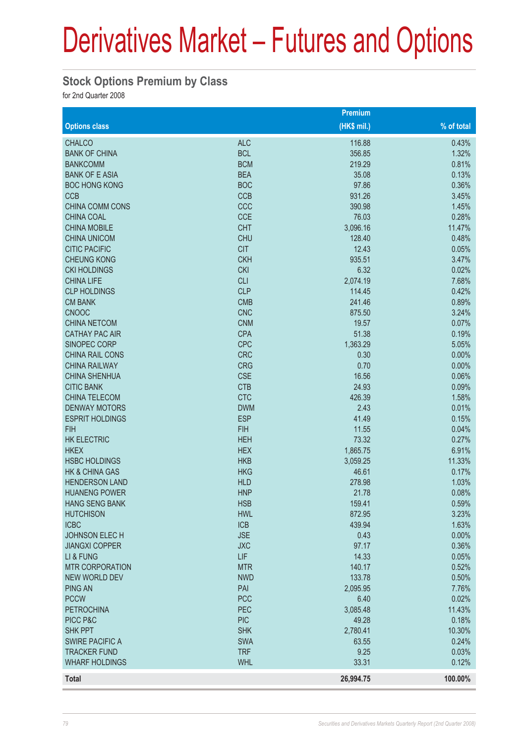### **Stock Options Premium by Class**

for 2nd Quarter 2008

|                                      |                          | Premium              |                |
|--------------------------------------|--------------------------|----------------------|----------------|
| <b>Options class</b>                 |                          | $(HK$$ mil.)         | % of total     |
| <b>CHALCO</b>                        | <b>ALC</b>               | 116.88               | 0.43%          |
| <b>BANK OF CHINA</b>                 | <b>BCL</b>               | 356.85               | 1.32%          |
| <b>BANKCOMM</b>                      | <b>BCM</b>               | 219.29               | 0.81%          |
| <b>BANK OF E ASIA</b>                | <b>BEA</b>               | 35.08                | 0.13%          |
| <b>BOC HONG KONG</b>                 | <b>BOC</b>               | 97.86                | 0.36%          |
| <b>CCB</b>                           | <b>CCB</b>               | 931.26               | 3.45%          |
| <b>CHINA COMM CONS</b>               | CCC                      | 390.98               | 1.45%          |
| <b>CHINA COAL</b>                    | <b>CCE</b>               | 76.03                | 0.28%          |
| <b>CHINA MOBILE</b>                  | <b>CHT</b>               | 3,096.16             | 11.47%         |
| <b>CHINA UNICOM</b>                  | <b>CHU</b>               | 128.40               | 0.48%          |
| <b>CITIC PACIFIC</b>                 | <b>CIT</b>               | 12.43                | 0.05%          |
| <b>CHEUNG KONG</b>                   | <b>CKH</b>               | 935.51               | 3.47%          |
| <b>CKI HOLDINGS</b>                  | <b>CKI</b>               | 6.32                 | 0.02%          |
| <b>CHINA LIFE</b>                    | <b>CLI</b>               | 2,074.19             | 7.68%          |
| <b>CLP HOLDINGS</b>                  | <b>CLP</b>               | 114.45               | 0.42%          |
| <b>CM BANK</b>                       | <b>CMB</b>               | 241.46               | 0.89%          |
| <b>CNOOC</b>                         | <b>CNC</b>               | 875.50               | 3.24%          |
| <b>CHINA NETCOM</b>                  | <b>CNM</b>               | 19.57                | 0.07%          |
| <b>CATHAY PAC AIR</b>                | <b>CPA</b>               | 51.38                | 0.19%          |
| <b>SINOPEC CORP</b>                  | <b>CPC</b>               | 1,363.29             | 5.05%          |
| CHINA RAIL CONS                      | <b>CRC</b>               | 0.30                 | 0.00%          |
| <b>CHINA RAILWAY</b>                 | <b>CRG</b>               | 0.70                 | 0.00%          |
| <b>CHINA SHENHUA</b>                 | <b>CSE</b>               | 16.56                | 0.06%          |
| <b>CITIC BANK</b>                    | <b>CTB</b>               | 24.93                | 0.09%          |
| <b>CHINA TELECOM</b>                 | <b>CTC</b>               | 426.39               | 1.58%          |
| <b>DENWAY MOTORS</b>                 | <b>DWM</b>               | 2.43                 | 0.01%          |
| <b>ESPRIT HOLDINGS</b><br><b>FIH</b> | <b>ESP</b>               | 41.49                | 0.15%          |
|                                      | <b>FIH</b>               | 11.55<br>73.32       | 0.04%          |
| <b>HK ELECTRIC</b><br><b>HKEX</b>    | <b>HEH</b><br><b>HEX</b> |                      | 0.27%<br>6.91% |
| <b>HSBC HOLDINGS</b>                 | <b>HKB</b>               | 1,865.75<br>3,059.25 | 11.33%         |
| HK & CHINA GAS                       | <b>HKG</b>               | 46.61                | 0.17%          |
| <b>HENDERSON LAND</b>                | <b>HLD</b>               | 278.98               | 1.03%          |
| <b>HUANENG POWER</b>                 | <b>HNP</b>               | 21.78                | 0.08%          |
| <b>HANG SENG BANK</b>                | <b>HSB</b>               | 159.41               | 0.59%          |
| <b>HUTCHISON</b>                     | <b>HWL</b>               | 872.95               | 3.23%          |
| <b>ICBC</b>                          | <b>ICB</b>               | 439.94               | 1.63%          |
| <b>JOHNSON ELECH</b>                 | <b>JSE</b>               | 0.43                 | 0.00%          |
| <b>JIANGXI COPPER</b>                | <b>JXC</b>               | 97.17                | 0.36%          |
| LI & FUNG                            | <b>LIF</b>               | 14.33                | 0.05%          |
| <b>MTR CORPORATION</b>               | <b>MTR</b>               | 140.17               | 0.52%          |
| <b>NEW WORLD DEV</b>                 | <b>NWD</b>               | 133.78               | 0.50%          |
| <b>PING AN</b>                       | PAI                      | 2,095.95             | 7.76%          |
| <b>PCCW</b>                          | <b>PCC</b>               | 6.40                 | 0.02%          |
| <b>PETROCHINA</b>                    | PEC                      | 3,085.48             | 11.43%         |
| PICC P&C                             | <b>PIC</b>               | 49.28                | 0.18%          |
| <b>SHK PPT</b>                       | <b>SHK</b>               | 2,780.41             | 10.30%         |
| <b>SWIRE PACIFIC A</b>               | <b>SWA</b>               | 63.55                | 0.24%          |
| <b>TRACKER FUND</b>                  | <b>TRF</b>               | 9.25                 | 0.03%          |
| <b>WHARF HOLDINGS</b>                | <b>WHL</b>               | 33.31                | 0.12%          |
| Total                                |                          | 26,994.75            | 100.00%        |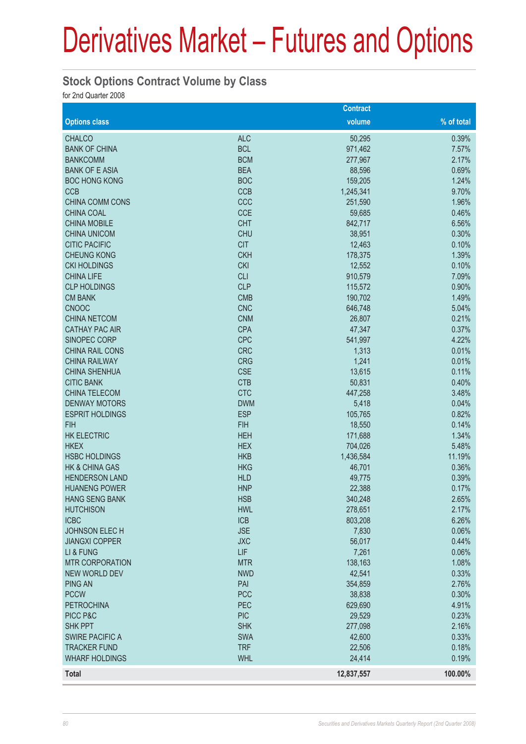### **Stock Options Contract Volume by Class**

for 2nd Quarter 2008

|                                        |                          | <b>Contract</b>  |                |
|----------------------------------------|--------------------------|------------------|----------------|
| <b>Options class</b>                   |                          | volume           | % of total     |
| <b>CHALCO</b>                          | <b>ALC</b>               | 50,295           | 0.39%          |
| <b>BANK OF CHINA</b>                   | <b>BCL</b>               | 971,462          | 7.57%          |
| <b>BANKCOMM</b>                        | <b>BCM</b>               | 277,967          | 2.17%          |
| <b>BANK OF E ASIA</b>                  | <b>BEA</b>               | 88,596           | 0.69%          |
| <b>BOC HONG KONG</b>                   | <b>BOC</b>               | 159,205          | 1.24%          |
| <b>CCB</b>                             | <b>CCB</b>               | 1,245,341        | 9.70%          |
| <b>CHINA COMM CONS</b>                 | CCC                      | 251,590          | 1.96%          |
| <b>CHINA COAL</b>                      | <b>CCE</b>               | 59,685           | 0.46%          |
| <b>CHINA MOBILE</b>                    | <b>CHT</b>               | 842,717          | 6.56%          |
| <b>CHINA UNICOM</b>                    | <b>CHU</b>               | 38,951           | 0.30%          |
| <b>CITIC PACIFIC</b>                   | <b>CIT</b>               | 12,463           | 0.10%          |
| <b>CHEUNG KONG</b>                     | <b>CKH</b>               | 178,375          | 1.39%          |
| <b>CKI HOLDINGS</b>                    | <b>CKI</b>               | 12,552           | 0.10%          |
| <b>CHINA LIFE</b>                      | <b>CLI</b>               | 910,579          | 7.09%          |
| <b>CLP HOLDINGS</b>                    | <b>CLP</b>               | 115,572          | 0.90%          |
| <b>CM BANK</b>                         | <b>CMB</b>               | 190,702          | 1.49%          |
| <b>CNOOC</b>                           | <b>CNC</b>               | 646,748          | 5.04%          |
| <b>CHINA NETCOM</b>                    | <b>CNM</b>               | 26,807           | 0.21%          |
| <b>CATHAY PAC AIR</b>                  | <b>CPA</b>               | 47,347           | 0.37%          |
| SINOPEC CORP                           | <b>CPC</b>               | 541,997          | 4.22%          |
| CHINA RAIL CONS                        | <b>CRC</b>               | 1,313            | 0.01%          |
| <b>CHINA RAILWAY</b>                   | <b>CRG</b>               | 1,241            | 0.01%          |
| <b>CHINA SHENHUA</b>                   | <b>CSE</b>               | 13,615           | 0.11%          |
| <b>CITIC BANK</b>                      | <b>CTB</b>               | 50,831           | 0.40%          |
| <b>CHINA TELECOM</b>                   | <b>CTC</b>               | 447,258          | 3.48%          |
| <b>DENWAY MOTORS</b>                   | <b>DWM</b>               | 5,418            | 0.04%          |
| <b>ESPRIT HOLDINGS</b>                 | <b>ESP</b>               | 105,765          | 0.82%          |
| <b>FIH</b>                             | <b>FIH</b>               | 18,550           | 0.14%          |
| <b>HK ELECTRIC</b>                     | <b>HEH</b>               | 171,688          | 1.34%          |
| <b>HKEX</b>                            | <b>HEX</b>               | 704,026          | 5.48%          |
| <b>HSBC HOLDINGS</b>                   | <b>HKB</b>               | 1,436,584        | 11.19%         |
| <b>HK &amp; CHINA GAS</b>              | <b>HKG</b>               | 46,701           | 0.36%          |
| <b>HENDERSON LAND</b>                  | <b>HLD</b>               | 49,775           | 0.39%          |
| <b>HUANENG POWER</b>                   | <b>HNP</b>               | 22,388           | 0.17%          |
| HANG SENG BANK                         | <b>HSB</b>               | 340,248          | 2.65%          |
| <b>HUTCHISON</b>                       | <b>HWL</b>               | 278,651          | 2.17%          |
| <b>ICBC</b>                            | <b>ICB</b><br><b>JSE</b> | 803,208          | 6.26%          |
| JOHNSON ELECH<br><b>JIANGXI COPPER</b> | <b>JXC</b>               | 7,830            | 0.06%<br>0.44% |
| LI & FUNG                              | <b>LIF</b>               | 56,017           | 0.06%          |
| <b>MTR CORPORATION</b>                 | <b>MTR</b>               | 7,261<br>138,163 | 1.08%          |
| <b>NEW WORLD DEV</b>                   | <b>NWD</b>               | 42,541           | 0.33%          |
| <b>PING AN</b>                         | PAI                      | 354,859          | 2.76%          |
| <b>PCCW</b>                            | <b>PCC</b>               | 38,838           | 0.30%          |
| <b>PETROCHINA</b>                      | PEC                      | 629,690          | 4.91%          |
| PICC P&C                               | <b>PIC</b>               | 29,529           | 0.23%          |
| <b>SHK PPT</b>                         | <b>SHK</b>               | 277,098          | 2.16%          |
| <b>SWIRE PACIFIC A</b>                 | <b>SWA</b>               | 42,600           | 0.33%          |
| <b>TRACKER FUND</b>                    | <b>TRF</b>               | 22,506           | 0.18%          |
| <b>WHARF HOLDINGS</b>                  | <b>WHL</b>               | 24,414           | 0.19%          |
| <b>Total</b>                           |                          |                  | 100.00%        |
|                                        |                          | 12,837,557       |                |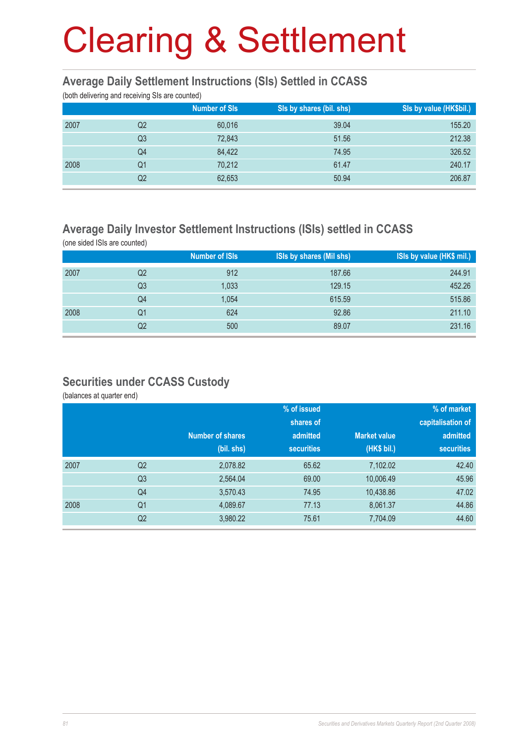### **Average Daily Settlement Instructions (SIs) Settled in CCASS**

(both delivering and receiving SIs are counted)

| $\mathcal{L}$<br>$\tilde{\phantom{a}}$ | $\tilde{\phantom{a}}$ |                      |                          |                         |
|----------------------------------------|-----------------------|----------------------|--------------------------|-------------------------|
|                                        |                       | <b>Number of SIs</b> | SIs by shares (bil. shs) | Sis by value (HK\$bil.) |
| 2007                                   | Q2                    | 60,016               | 39.04                    | 155.20                  |
|                                        | Q <sub>3</sub>        | 72,843               | 51.56                    | 212.38                  |
|                                        | Q4                    | 84,422               | 74.95                    | 326.52                  |
| 2008                                   | Q1                    | 70,212               | 61.47                    | 240.17                  |
|                                        | Q <sub>2</sub>        | 62,653               | 50.94                    | 206.87                  |
|                                        |                       |                      |                          |                         |

### **Average Daily Investor Settlement Instructions (ISIs) settled in CCASS**

(one sided ISIs are counted)

|      |                | <b>Number of ISIs</b> | ISIs by shares (Mil shs) | ISIs by value (HK\$ mil.) |
|------|----------------|-----------------------|--------------------------|---------------------------|
| 2007 | Q <sub>2</sub> | 912                   | 187.66                   | 244.91                    |
|      | Q3             | 1,033                 | 129.15                   | 452.26                    |
|      | Q4             | 1,054                 | 615.59                   | 515.86                    |
| 2008 | Q1             | 624                   | 92.86                    | 211.10                    |
|      | Q2             | 500                   | 89.07                    | 231.16                    |

### **Securities under CCASS Custody**

(balances at quarter end)

|      |                | % of issued             |                   |                     | % of market       |  |
|------|----------------|-------------------------|-------------------|---------------------|-------------------|--|
|      |                |                         | shares of         |                     | capitalisation of |  |
|      |                | <b>Number of shares</b> | admitted          | <b>Market value</b> | admitted          |  |
|      |                | (bil. shs)              | <b>securities</b> | (HK\$ bil.)         | <b>securities</b> |  |
| 2007 | Q <sub>2</sub> | 2,078.82                | 65.62             | 7,102.02            | 42.40             |  |
|      | Q <sub>3</sub> | 2,564.04                | 69.00             | 10,006.49           | 45.96             |  |
|      | Q4             | 3,570.43                | 74.95             | 10,438.86           | 47.02             |  |
| 2008 | Q <sub>1</sub> | 4,089.67                | 77.13             | 8,061.37            | 44.86             |  |
|      | Q <sub>2</sub> | 3,980.22                | 75.61             | 7,704.09            | 44.60             |  |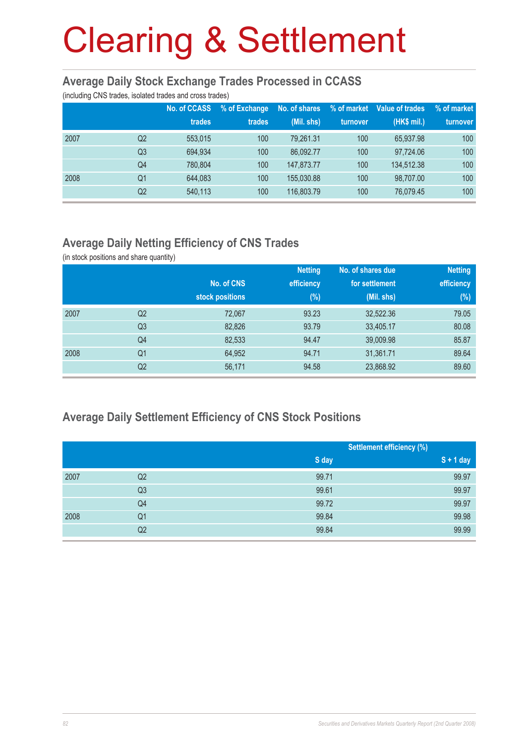#### **Average Daily Stock Exchange Trades Processed in CCASS**

(including CNS trades, isolated trades and cross trades)

|      |                | No. of CCASS<br>trades | % of Exchange<br>trades | No. of shares<br>(Mil. shs) | % of market<br>turnover | Value of trades<br>(HK\$ mil.) | % of market<br>turnover |
|------|----------------|------------------------|-------------------------|-----------------------------|-------------------------|--------------------------------|-------------------------|
| 2007 | Q2             | 553,015                | 100                     | 79.261.31                   | 100                     | 65,937.98                      | 100                     |
|      | Q <sub>3</sub> | 694.934                | 100                     | 86.092.77                   | 100                     | 97.724.06                      | 100                     |
|      | Q4             | 780.804                | 100                     | 147,873,77                  | 100                     | 134.512.38                     | 100                     |
| 2008 | Q <sub>1</sub> | 644.083                | 100                     | 155,030,88                  | 100                     | 98.707.00                      | 100                     |
|      | Q2             | 540,113                | 100                     | 116,803.79                  | 100                     | 76,079.45                      | 100                     |

## **Average Daily Netting Efficiency of CNS Trades**

(in stock positions and share quantity)

|      |                |                 | <b>Netting</b> | No. of shares due | <b>Netting</b> |
|------|----------------|-----------------|----------------|-------------------|----------------|
|      |                | No. of CNS      | efficiency     | for settlement    | efficiency     |
|      |                | stock positions | $(\%)$         | $(Mil.$ shs)      | (%)            |
| 2007 | Q <sub>2</sub> | 72,067          | 93.23          | 32,522.36         | 79.05          |
|      | Q <sub>3</sub> | 82,826          | 93.79          | 33,405.17         | 80.08          |
|      | Q4             | 82,533          | 94.47          | 39,009.98         | 85.87          |
| 2008 | Q <sub>1</sub> | 64,952          | 94.71          | 31,361.71         | 89.64          |
|      | Q2             | 56,171          | 94.58          | 23,868.92         | 89.60          |

### **Average Daily Settlement Efficiency of CNS Stock Positions**

|      |                |       | <b>Settlement efficiency (%)</b> |  |
|------|----------------|-------|----------------------------------|--|
|      |                | S day | $S + 1$ day                      |  |
| 2007 | Q <sub>2</sub> | 99.71 | 99.97                            |  |
|      | Q <sub>3</sub> | 99.61 | 99.97                            |  |
|      | Q4             | 99.72 | 99.97                            |  |
| 2008 | Q <sub>1</sub> | 99.84 | 99.98                            |  |
|      | Q <sub>2</sub> | 99.84 | 99.99                            |  |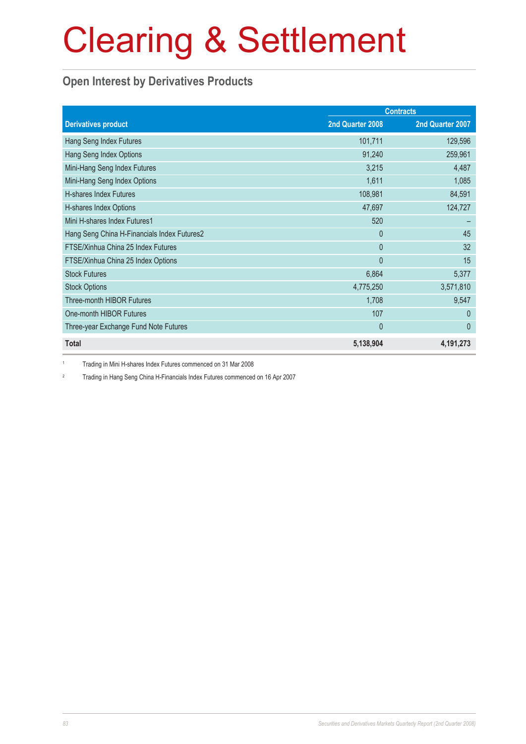## **Open Interest by Derivatives Products**

|                                             | <b>Contracts</b> |                  |  |
|---------------------------------------------|------------------|------------------|--|
| <b>Derivatives product</b>                  | 2nd Quarter 2008 | 2nd Quarter 2007 |  |
| Hang Seng Index Futures                     | 101,711          | 129,596          |  |
| Hang Seng Index Options                     | 91,240           | 259,961          |  |
| Mini-Hang Seng Index Futures                | 3,215            | 4,487            |  |
| Mini-Hang Seng Index Options                | 1,611            | 1,085            |  |
| H-shares Index Futures                      | 108,981          | 84,591           |  |
| H-shares Index Options                      | 47,697           | 124,727          |  |
| Mini H-shares Index Futures1                | 520              |                  |  |
| Hang Seng China H-Financials Index Futures2 | $\Omega$         | 45               |  |
| FTSE/Xinhua China 25 Index Futures          | $\overline{0}$   | 32               |  |
| FTSE/Xinhua China 25 Index Options          | $\mathbf{0}$     | 15               |  |
| <b>Stock Futures</b>                        | 6,864            | 5,377            |  |
| <b>Stock Options</b>                        | 4,775,250        | 3,571,810        |  |
| <b>Three-month HIBOR Futures</b>            | 1,708            | 9,547            |  |
| One-month HIBOR Futures                     | 107              | $\Omega$         |  |
| Three-year Exchange Fund Note Futures       | $\mathbf 0$      | $\mathbf{0}$     |  |
| <b>Total</b>                                | 5,138,904        | 4,191,273        |  |

1 Trading in Mini H-shares Index Futures commenced on 31 Mar 2008

2 Trading in Hang Seng China H-Financials Index Futures commenced on 16 Apr 2007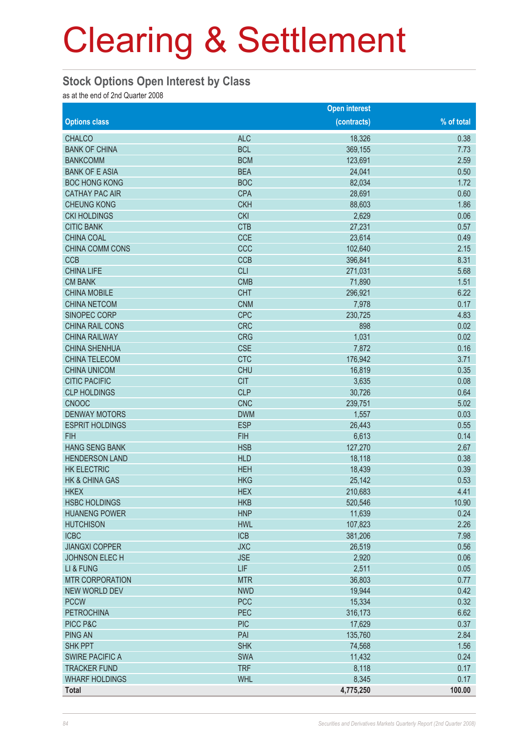#### **Stock Options Open Interest by Class**

as at the end of 2nd Quarter 2008

|                           |            | <b>Open interest</b> |            |
|---------------------------|------------|----------------------|------------|
| <b>Options class</b>      |            | (contracts)          | % of total |
| <b>CHALCO</b>             | <b>ALC</b> | 18,326               | 0.38       |
| <b>BANK OF CHINA</b>      | <b>BCL</b> | 369,155              | 7.73       |
| <b>BANKCOMM</b>           | <b>BCM</b> | 123,691              | 2.59       |
| <b>BANK OF E ASIA</b>     | <b>BEA</b> | 24,041               | 0.50       |
| <b>BOC HONG KONG</b>      | <b>BOC</b> | 82,034               | 1.72       |
| <b>CATHAY PAC AIR</b>     | <b>CPA</b> | 28,691               | 0.60       |
| <b>CHEUNG KONG</b>        | <b>CKH</b> | 88,603               | 1.86       |
| <b>CKI HOLDINGS</b>       | <b>CKI</b> | 2,629                | 0.06       |
| <b>CITIC BANK</b>         | <b>CTB</b> | 27,231               | 0.57       |
| <b>CHINA COAL</b>         | <b>CCE</b> | 23,614               | 0.49       |
| CHINA COMM CONS           | CCC        | 102,640              | 2.15       |
| <b>CCB</b>                | <b>CCB</b> | 396,841              | 8.31       |
| <b>CHINA LIFE</b>         | <b>CLI</b> | 271,031              | 5.68       |
| <b>CM BANK</b>            | <b>CMB</b> | 71,890               | 1.51       |
| <b>CHINA MOBILE</b>       | <b>CHT</b> | 296,921              | 6.22       |
| <b>CHINA NETCOM</b>       | <b>CNM</b> | 7,978                | 0.17       |
| SINOPEC CORP              | <b>CPC</b> | 230,725              | 4.83       |
| CHINA RAIL CONS           | <b>CRC</b> | 898                  | 0.02       |
| <b>CHINA RAILWAY</b>      | <b>CRG</b> | 1,031                | 0.02       |
| <b>CHINA SHENHUA</b>      | <b>CSE</b> | 7,872                | 0.16       |
| <b>CHINA TELECOM</b>      | <b>CTC</b> | 176,942              | 3.71       |
| <b>CHINA UNICOM</b>       | <b>CHU</b> | 16,819               | 0.35       |
| <b>CITIC PACIFIC</b>      | <b>CIT</b> | 3,635                | 0.08       |
| <b>CLP HOLDINGS</b>       | <b>CLP</b> | 30,726               | 0.64       |
| <b>CNOOC</b>              | <b>CNC</b> | 239,751              | 5.02       |
| <b>DENWAY MOTORS</b>      | <b>DWM</b> | 1,557                | 0.03       |
| <b>ESPRIT HOLDINGS</b>    | <b>ESP</b> | 26,443               | 0.55       |
| <b>FIH</b>                | <b>FIH</b> | 6,613                | 0.14       |
| <b>HANG SENG BANK</b>     | <b>HSB</b> | 127,270              | 2.67       |
| <b>HENDERSON LAND</b>     | <b>HLD</b> | 18,118               | 0.38       |
| <b>HK ELECTRIC</b>        | <b>HEH</b> | 18,439               | 0.39       |
| <b>HK &amp; CHINA GAS</b> | <b>HKG</b> | 25,142               | 0.53       |
| <b>HKEX</b>               | <b>HEX</b> | 210,683              | 4.41       |
| <b>HSBC HOLDINGS</b>      | <b>HKB</b> | 520,546              | 10.90      |
| <b>HUANENG POWER</b>      | <b>HNP</b> | 11,639               | 0.24       |
| <b>HUTCHISON</b>          | <b>HWL</b> | 107,823              | 2.26       |
| <b>ICBC</b>               | <b>ICB</b> | 381,206              | 7.98       |
| <b>JIANGXI COPPER</b>     | <b>JXC</b> | 26,519               | 0.56       |
| JOHNSON ELECH             | <b>JSE</b> | 2,920                | 0.06       |
| LI & FUNG                 | LIF        | 2,511                | 0.05       |
| <b>MTR CORPORATION</b>    | <b>MTR</b> | 36,803               | 0.77       |
| <b>NEW WORLD DEV</b>      | <b>NWD</b> | 19,944               | 0.42       |
| <b>PCCW</b>               | <b>PCC</b> | 15,334               | 0.32       |
| <b>PETROCHINA</b>         | <b>PEC</b> | 316,173              | 6.62       |
| PICC P&C                  | <b>PIC</b> | 17,629               | 0.37       |
| <b>PING AN</b>            | PAI        | 135,760              | 2.84       |
| <b>SHK PPT</b>            | <b>SHK</b> | 74,568               | 1.56       |
| <b>SWIRE PACIFIC A</b>    | <b>SWA</b> | 11,432               | 0.24       |
| <b>TRACKER FUND</b>       | <b>TRF</b> | 8,118                | 0.17       |
| <b>WHARF HOLDINGS</b>     | <b>WHL</b> | 8,345                | 0.17       |
| <b>Total</b>              |            | 4,775,250            | 100.00     |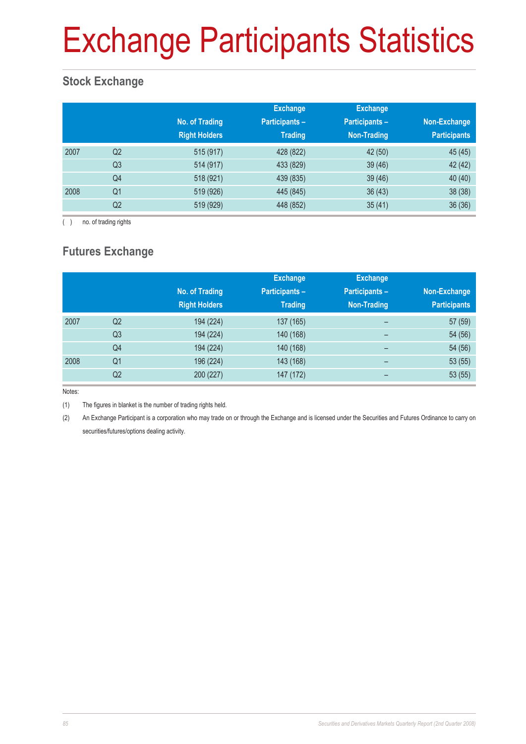# Exchange Participants Statistics

## **Stock Exchange**

|      |                | No. of Trading<br><b>Right Holders</b> | <b>Exchange</b><br><b>Participants -</b><br><b>Trading</b> | <b>Exchange</b><br>Participants -<br><b>Non-Trading</b> | Non-Exchange<br><b>Participants</b> |
|------|----------------|----------------------------------------|------------------------------------------------------------|---------------------------------------------------------|-------------------------------------|
| 2007 | Q <sub>2</sub> | 515 (917)                              | 428 (822)                                                  | 42 (50)                                                 | 45 (45)                             |
|      | Q <sub>3</sub> | 514 (917)                              | 433 (829)                                                  | 39(46)                                                  | 42 (42)                             |
|      | Q4             | 518 (921)                              | 439 (835)                                                  | 39(46)                                                  | 40 (40)                             |
| 2008 | Q <sub>1</sub> | 519 (926)                              | 445 (845)                                                  | 36(43)                                                  | 38 (38)                             |
|      | Q2             | 519 (929)                              | 448 (852)                                                  | 35(41)                                                  | 36(36)                              |

( ) no. of trading rights

## **Futures Exchange**

|      |                | No. of Trading<br><b>Right Holders</b> | <b>Exchange</b><br><b>Participants -</b><br><b>Trading</b> | <b>Exchange</b><br><b>Participants -</b><br>Non-Trading | Non-Exchange<br><b>Participants</b> |
|------|----------------|----------------------------------------|------------------------------------------------------------|---------------------------------------------------------|-------------------------------------|
| 2007 | Q <sub>2</sub> | 194 (224)                              | 137 (165)                                                  | -                                                       | 57 (59)                             |
|      | Q <sub>3</sub> | 194 (224)                              | 140 (168)                                                  | -                                                       | 54 (56)                             |
|      | Q4             | 194 (224)                              | 140 (168)                                                  | $\overline{\phantom{0}}$                                | 54 (56)                             |
| 2008 | Q <sub>1</sub> | 196 (224)                              | 143 (168)                                                  | -                                                       | 53(55)                              |
|      | Q <sub>2</sub> | 200 (227)                              | 147 (172)                                                  | -                                                       | 53(55)                              |

Notes:

(1) The figures in blanket is the number of trading rights held.

(2) An Exchange Participant is a corporation who may trade on or through the Exchange and is licensed under the Securities and Futures Ordinance to carry on securities/futures/options dealing activity.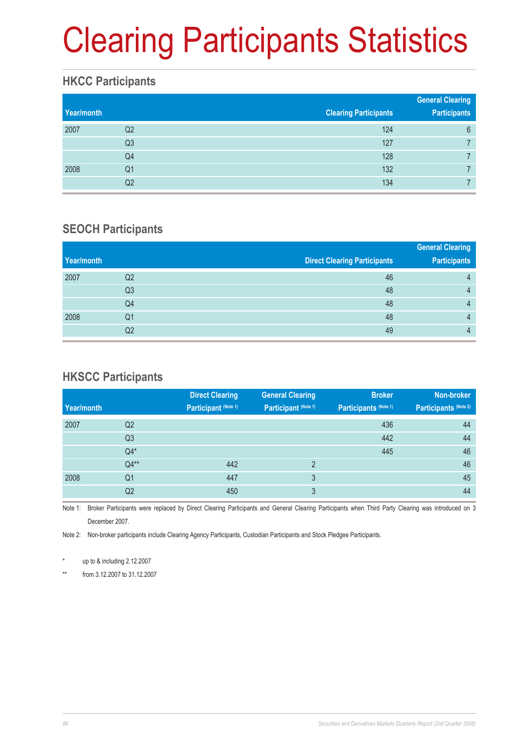# Clearing Participants Statistics

### **HKCC Participants**

| Year/month |    | <b>Clearing Participants</b> | <b>General Clearing</b><br><b>Participants</b> |
|------------|----|------------------------------|------------------------------------------------|
| 2007       | Q2 | 124                          | 6                                              |
|            | Q3 | 127                          |                                                |
|            | Q4 | 128                          |                                                |
| 2008       | Q1 | 132                          |                                                |
|            | Q2 | 134                          |                                                |

### **SEOCH Participants**

|            |                |                                     | <b>General Clearing</b> |
|------------|----------------|-------------------------------------|-------------------------|
| Year/month |                | <b>Direct Clearing Participants</b> | <b>Participants</b>     |
| 2007       | Q <sub>2</sub> | 46                                  | 4                       |
|            | Q <sub>3</sub> | 48                                  | 4                       |
|            | Q4             | 48                                  | 4                       |
| 2008       | Q1             | 48                                  | 4                       |
|            | Q2             | 49                                  | 4                       |

### **HKSCC Participants**

|                | <b>Direct Clearing</b> | <b>General Clearing</b> | <b>Broker</b>         | Non-broker            |
|----------------|------------------------|-------------------------|-----------------------|-----------------------|
|                | Participant (Note 1)   | Participant (Note 1)    | Participants (Note 1) | Participants (Note 2) |
| Q <sub>2</sub> |                        |                         | 436                   | 44                    |
| Q <sub>3</sub> |                        |                         | 442                   | 44                    |
| $Q4*$          |                        |                         | 445                   | 46                    |
| $Q4**$         | 442                    | $\mathfrak{p}$          |                       | 46                    |
| Q <sub>1</sub> | 447                    | 3                       |                       | 45                    |
| Q2             | 450                    | 3                       |                       | 44                    |
|                |                        |                         |                       |                       |

Note 1: Broker Participants were replaced by Direct Clearing Participants and General Clearing Participants when Third Party Clearing was introduced on 3 December 2007.

Note 2: Non-broker participants include Clearing Agency Participants, Custodian Participants and Stock Pledgee Participants.

up to  $&$  including 2.12.2007

\*\* from 3.12.2007 to 31.12.2007